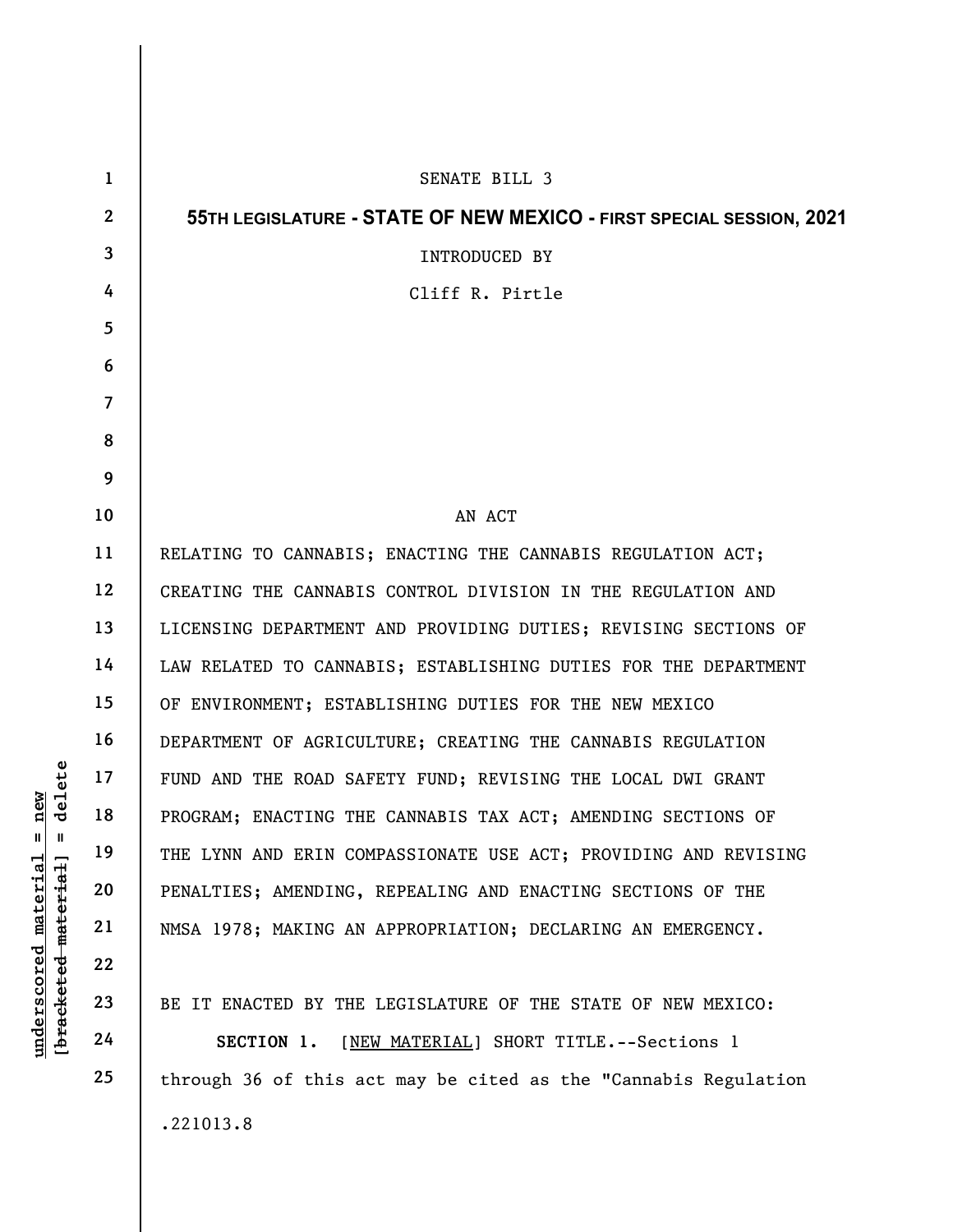|                                                                        | $\mathbf{1}$   | SENATE BILL 3                                                        |
|------------------------------------------------------------------------|----------------|----------------------------------------------------------------------|
| delete                                                                 | $\mathbf{2}$   | 55TH LEGISLATURE - STATE OF NEW MEXICO - FIRST SPECIAL SESSION, 2021 |
|                                                                        | 3              | INTRODUCED BY                                                        |
|                                                                        | 4              | Cliff R. Pirtle                                                      |
|                                                                        | 5              |                                                                      |
|                                                                        | 6              |                                                                      |
|                                                                        | $\overline{7}$ |                                                                      |
|                                                                        | 8              |                                                                      |
|                                                                        | 9              |                                                                      |
|                                                                        | 10             | AN ACT                                                               |
|                                                                        | 11             | RELATING TO CANNABIS; ENACTING THE CANNABIS REGULATION ACT;          |
|                                                                        | 12             | CREATING THE CANNABIS CONTROL DIVISION IN THE REGULATION AND         |
|                                                                        | 13             | LICENSING DEPARTMENT AND PROVIDING DUTIES; REVISING SECTIONS OF      |
|                                                                        | 14             | LAW RELATED TO CANNABIS; ESTABLISHING DUTIES FOR THE DEPARTMENT      |
|                                                                        | 15             | OF ENVIRONMENT; ESTABLISHING DUTIES FOR THE NEW MEXICO               |
|                                                                        | 16             | DEPARTMENT OF AGRICULTURE; CREATING THE CANNABIS REGULATION          |
|                                                                        | 17             | FUND AND THE ROAD SAFETY FUND; REVISING THE LOCAL DWI GRANT          |
| $n$ ew                                                                 | 18             | PROGRAM; ENACTING THE CANNABIS TAX ACT; AMENDING SECTIONS OF         |
| II  <br>H<br>underscored material<br>[ <del>bracketed material</del> ] | 19             | THE LYNN AND ERIN COMPASSIONATE USE ACT; PROVIDING AND REVISING      |
|                                                                        | 20             | PENALTIES; AMENDING, REPEALING AND ENACTING SECTIONS OF THE          |
|                                                                        | 21             | NMSA 1978; MAKING AN APPROPRIATION; DECLARING AN EMERGENCY.          |
|                                                                        | 22             |                                                                      |
|                                                                        | 23             | BE IT ENACTED BY THE LEGISLATURE OF THE STATE OF NEW MEXICO:         |
|                                                                        | 24             | [NEW MATERIAL] SHORT TITLE. -- Sections 1<br>SECTION 1.              |
|                                                                        | 25             | through 36 of this act may be cited as the "Cannabis Regulation      |
|                                                                        |                | .221013.8                                                            |
|                                                                        |                |                                                                      |

 $\mathsf{I}$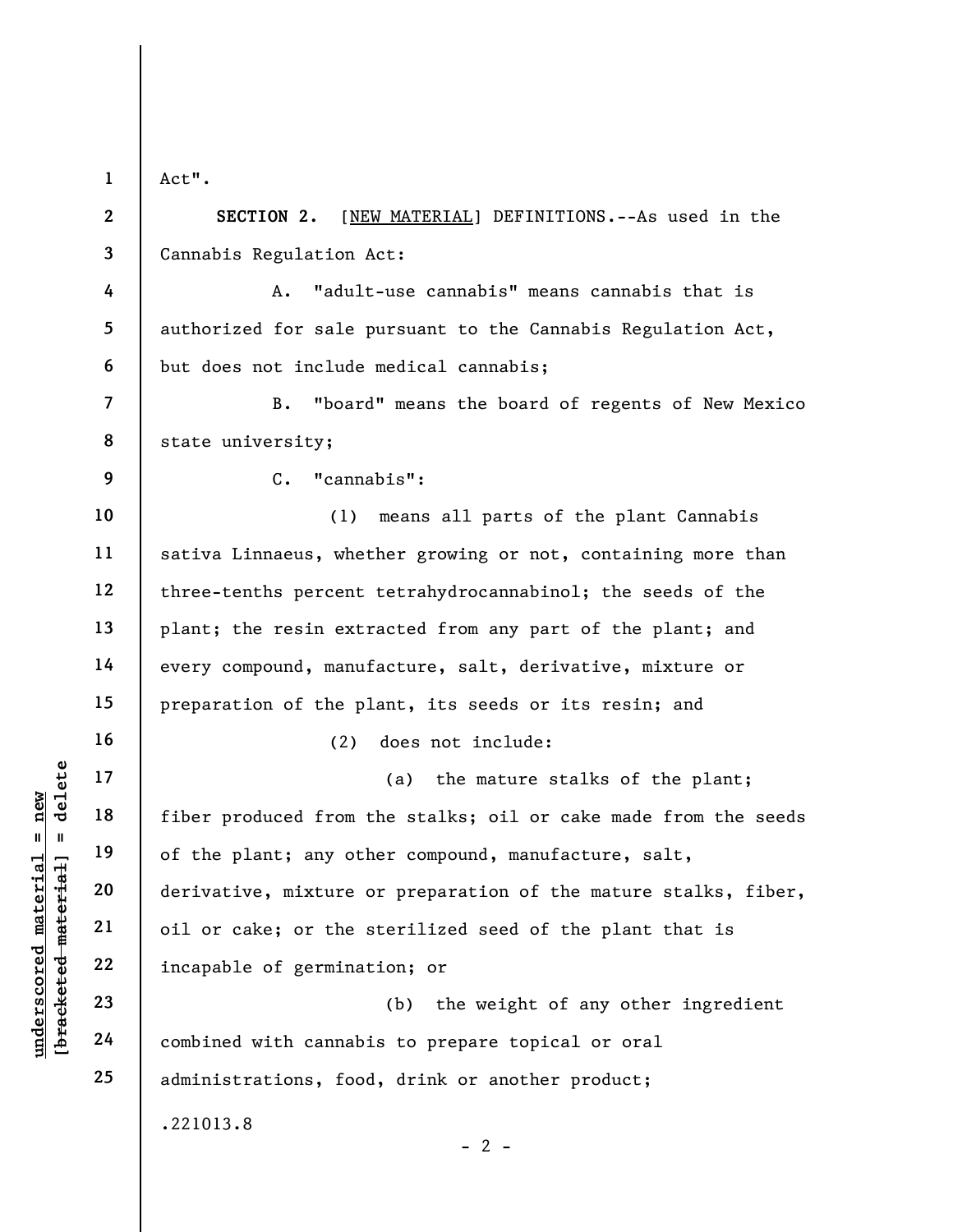Act".

1

2

3

9

16

17

18

19

20

21

22

23

24

25

SECTION 2. [NEW MATERIAL] DEFINITIONS.--As used in the Cannabis Regulation Act:

4 5 6 A. "adult-use cannabis" means cannabis that is authorized for sale pursuant to the Cannabis Regulation Act, but does not include medical cannabis;

7 8 B. "board" means the board of regents of New Mexico state university;

C. "cannabis":

10 11 12 13 14 15 (1) means all parts of the plant Cannabis sativa Linnaeus, whether growing or not, containing more than three-tenths percent tetrahydrocannabinol; the seeds of the plant; the resin extracted from any part of the plant; and every compound, manufacture, salt, derivative, mixture or preparation of the plant, its seeds or its resin; and

(2) does not include:

understand material material of the plant; any other<br>derivative, mixture correct material and derivative, mixture correct plant; any other<br>derivative, mixture correct parameters of the since<br>parameters of the since of germ (a) the mature stalks of the plant; fiber produced from the stalks; oil or cake made from the seeds of the plant; any other compound, manufacture, salt, derivative, mixture or preparation of the mature stalks, fiber, oil or cake; or the sterilized seed of the plant that is incapable of germination; or

(b) the weight of any other ingredient combined with cannabis to prepare topical or oral administrations, food, drink or another product;

 $- 2 -$ 

.221013.8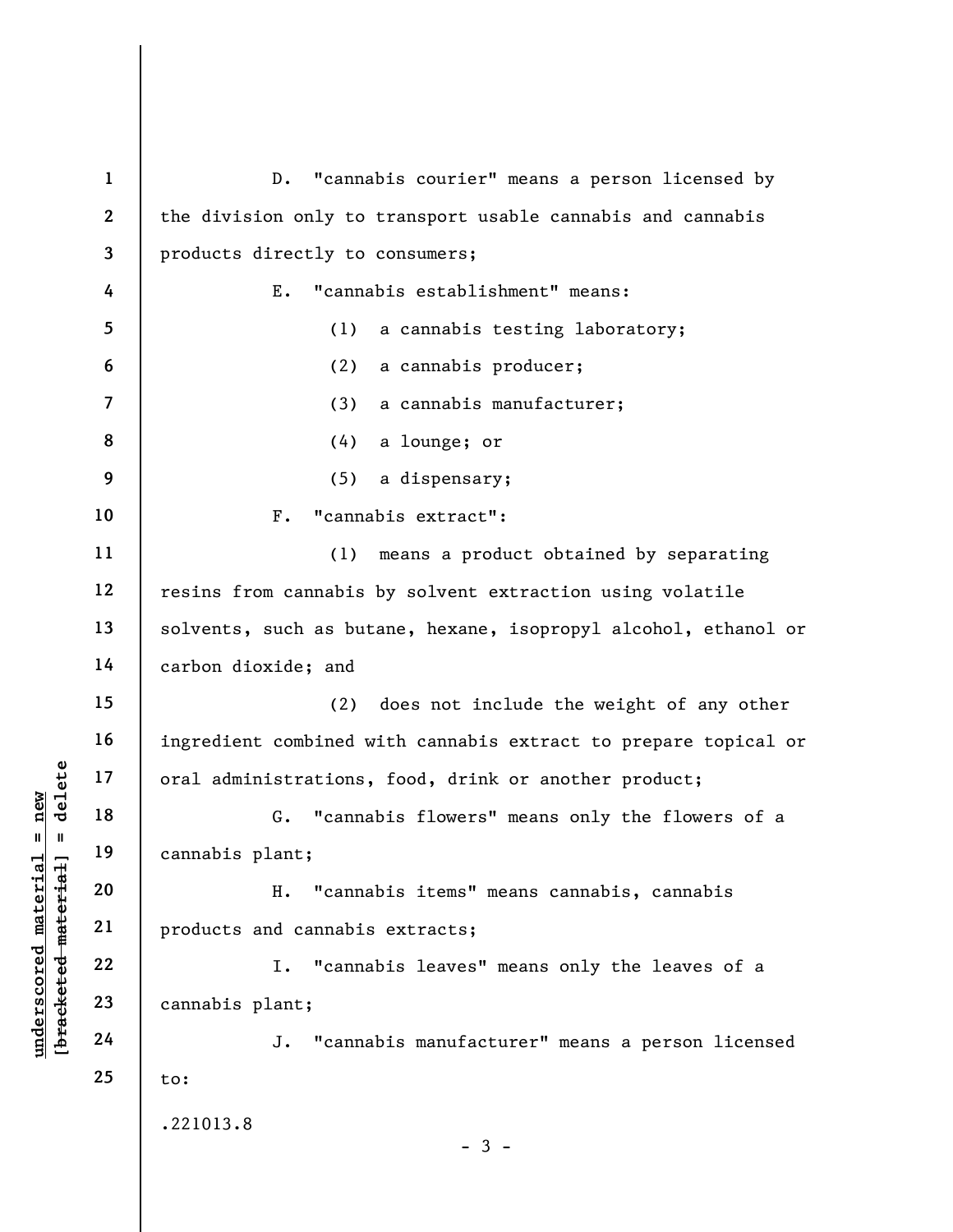underscored material = new [bracketed material] = delete 1 2 3 4 5 6 7 8 9 10 11 12 13 14 15 16 17 18 19 20 21 22 23 24 25 D. "cannabis courier" means a person licensed by the division only to transport usable cannabis and cannabis products directly to consumers; E. "cannabis establishment" means: (1) a cannabis testing laboratory; (2) a cannabis producer; (3) a cannabis manufacturer; (4) a lounge; or (5) a dispensary; F. "cannabis extract": (1) means a product obtained by separating resins from cannabis by solvent extraction using volatile solvents, such as butane, hexane, isopropyl alcohol, ethanol or carbon dioxide; and (2) does not include the weight of any other ingredient combined with cannabis extract to prepare topical or oral administrations, food, drink or another product; G. "cannabis flowers" means only the flowers of a cannabis plant; H. "cannabis items" means cannabis, cannabis products and cannabis extracts; I. "cannabis leaves" means only the leaves of a cannabis plant; J. "cannabis manufacturer" means a person licensed to: .221013.8 - 3 -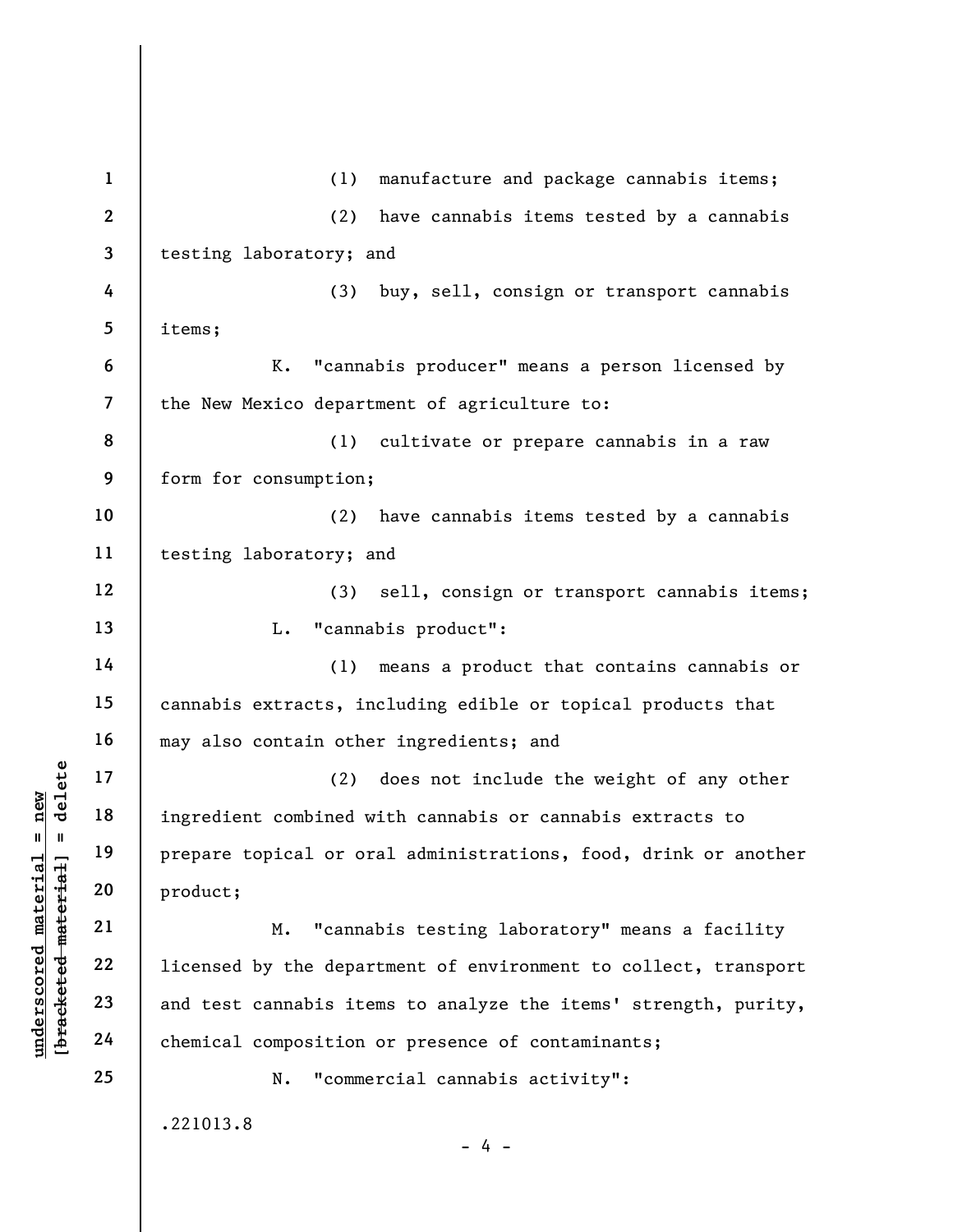understand material material of the set of the set of the set of the set of the set of the set of the set of the set of the set of the set of the set of the set of the set of the set of the set of the set of the set of the 1 2 3 4 5 6 7 8 9 10 11 12 13 14 15 16 17 18 19 20 21 22 23 24 25 (1) manufacture and package cannabis items; (2) have cannabis items tested by a cannabis testing laboratory; and (3) buy, sell, consign or transport cannabis items; K. "cannabis producer" means a person licensed by the New Mexico department of agriculture to: (1) cultivate or prepare cannabis in a raw form for consumption; (2) have cannabis items tested by a cannabis testing laboratory; and (3) sell, consign or transport cannabis items; L. "cannabis product": (1) means a product that contains cannabis or cannabis extracts, including edible or topical products that may also contain other ingredients; and (2) does not include the weight of any other ingredient combined with cannabis or cannabis extracts to prepare topical or oral administrations, food, drink or another product; M. "cannabis testing laboratory" means a facility licensed by the department of environment to collect, transport and test cannabis items to analyze the items' strength, purity, chemical composition or presence of contaminants; N. "commercial cannabis activity": .221013.8  $- 4 -$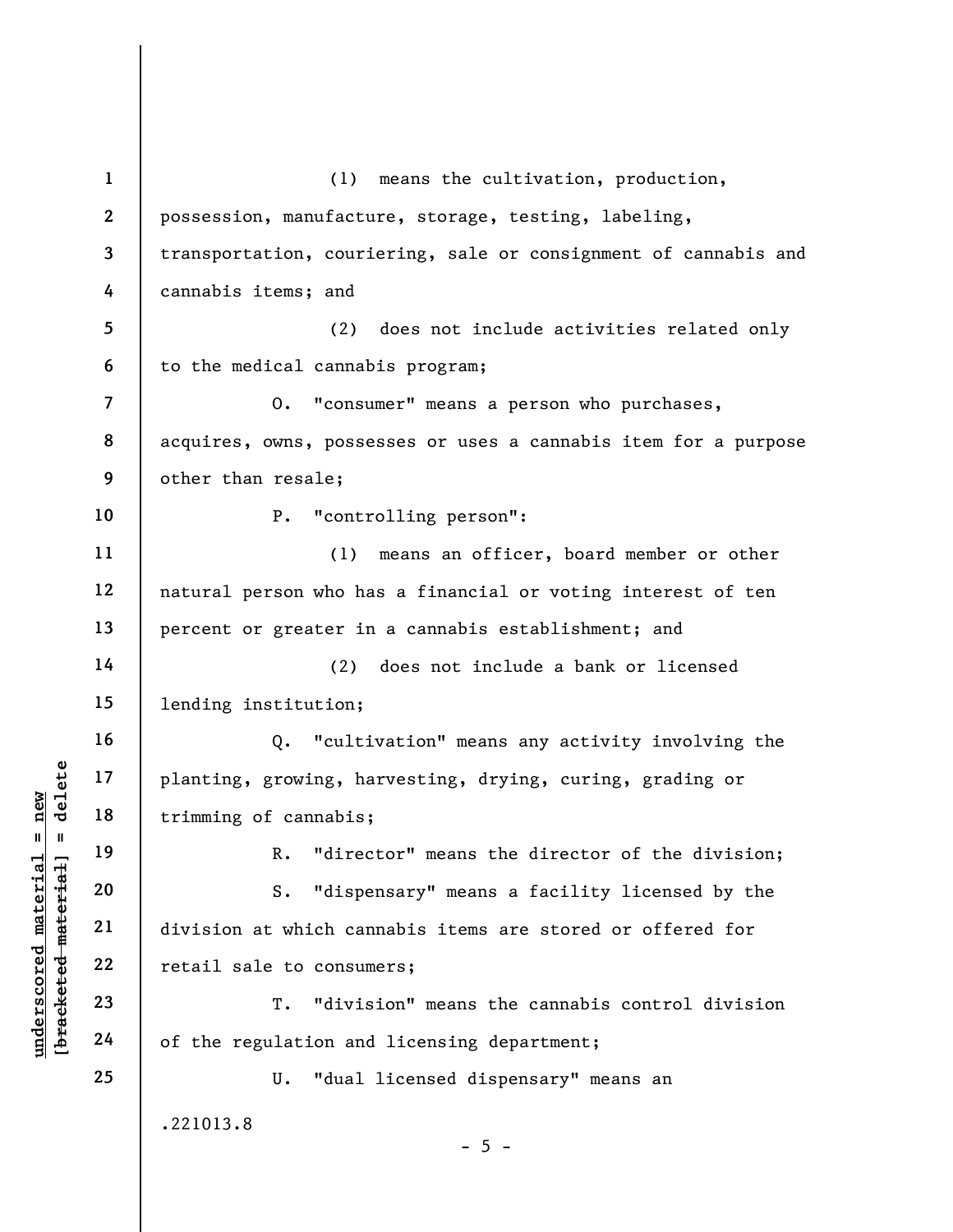underscored material = new [bracketed material] = delete 1 2 3 4 5 6 7 8 9 10 11 12 13 14 15 16 17 18 19 20 21 22 23 24 25 (1) means the cultivation, production, possession, manufacture, storage, testing, labeling, transportation, couriering, sale or consignment of cannabis and cannabis items; and (2) does not include activities related only to the medical cannabis program; O. "consumer" means a person who purchases, acquires, owns, possesses or uses a cannabis item for a purpose other than resale; P. "controlling person": (1) means an officer, board member or other natural person who has a financial or voting interest of ten percent or greater in a cannabis establishment; and (2) does not include a bank or licensed lending institution; Q. "cultivation" means any activity involving the planting, growing, harvesting, drying, curing, grading or trimming of cannabis; R. "director" means the director of the division; S. "dispensary" means a facility licensed by the division at which cannabis items are stored or offered for retail sale to consumers; T. "division" means the cannabis control division of the regulation and licensing department; U. "dual licensed dispensary" means an .221013.8  $- 5 -$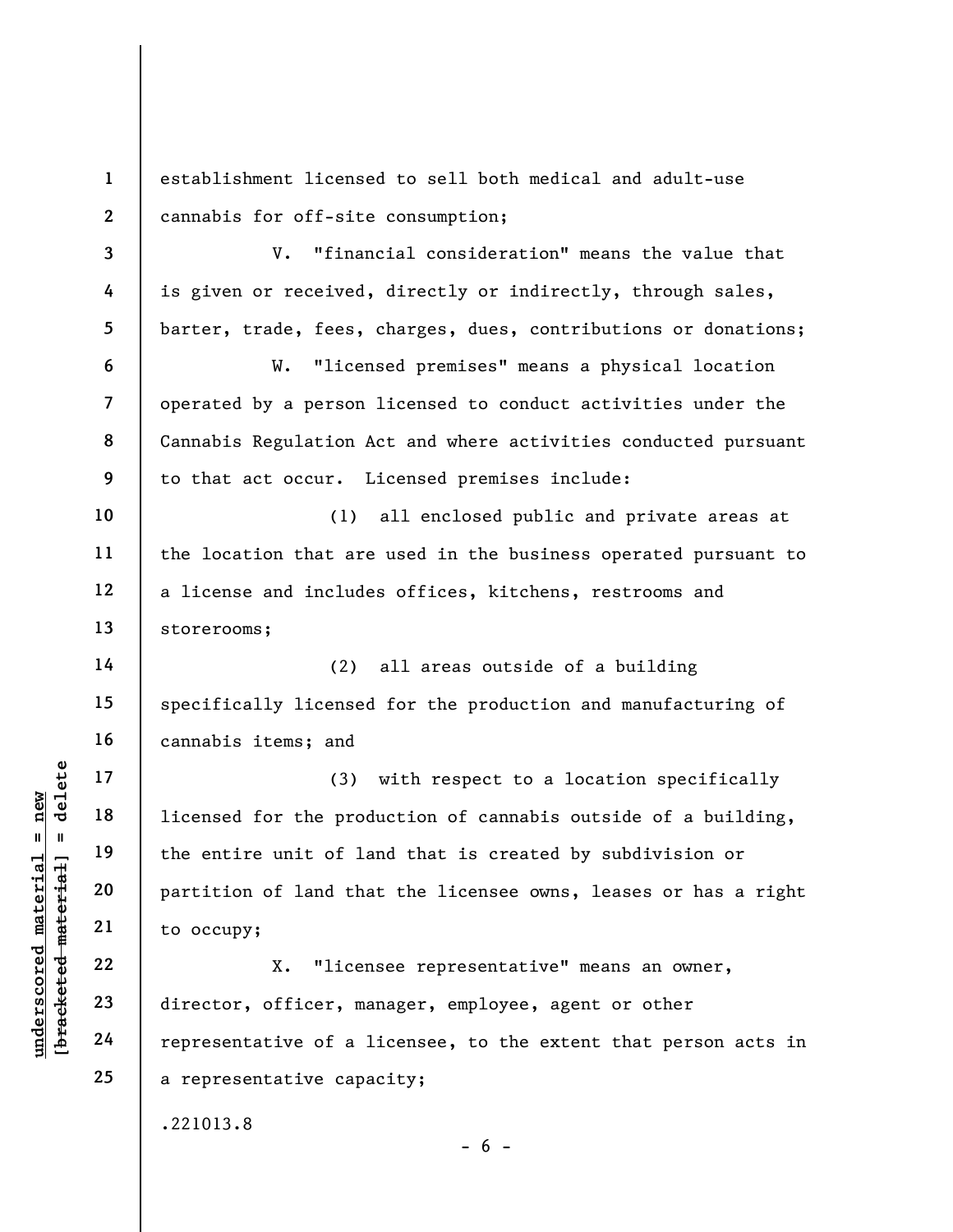understand material material and the entire unit of lam<br>
and the entire unit of lam<br>
and the entire unit of lam<br>
and the entire unit of lam<br>
21<br>
to occupy;<br>
22<br>
director, officer, ma<br>
24<br>
representative of a l 1 2 3 4 5 6 7 8 9 10 11 12 13 14 15 16 17 18 19 20 21 22 23 24 25 establishment licensed to sell both medical and adult-use cannabis for off-site consumption; V. "financial consideration" means the value that is given or received, directly or indirectly, through sales, barter, trade, fees, charges, dues, contributions or donations; W. "licensed premises" means a physical location operated by a person licensed to conduct activities under the Cannabis Regulation Act and where activities conducted pursuant to that act occur. Licensed premises include: (1) all enclosed public and private areas at the location that are used in the business operated pursuant to a license and includes offices, kitchens, restrooms and storerooms; (2) all areas outside of a building specifically licensed for the production and manufacturing of cannabis items; and (3) with respect to a location specifically licensed for the production of cannabis outside of a building, the entire unit of land that is created by subdivision or partition of land that the licensee owns, leases or has a right to occupy; X. "licensee representative" means an owner, director, officer, manager, employee, agent or other representative of a licensee, to the extent that person acts in a representative capacity; .221013.8

 $- 6 -$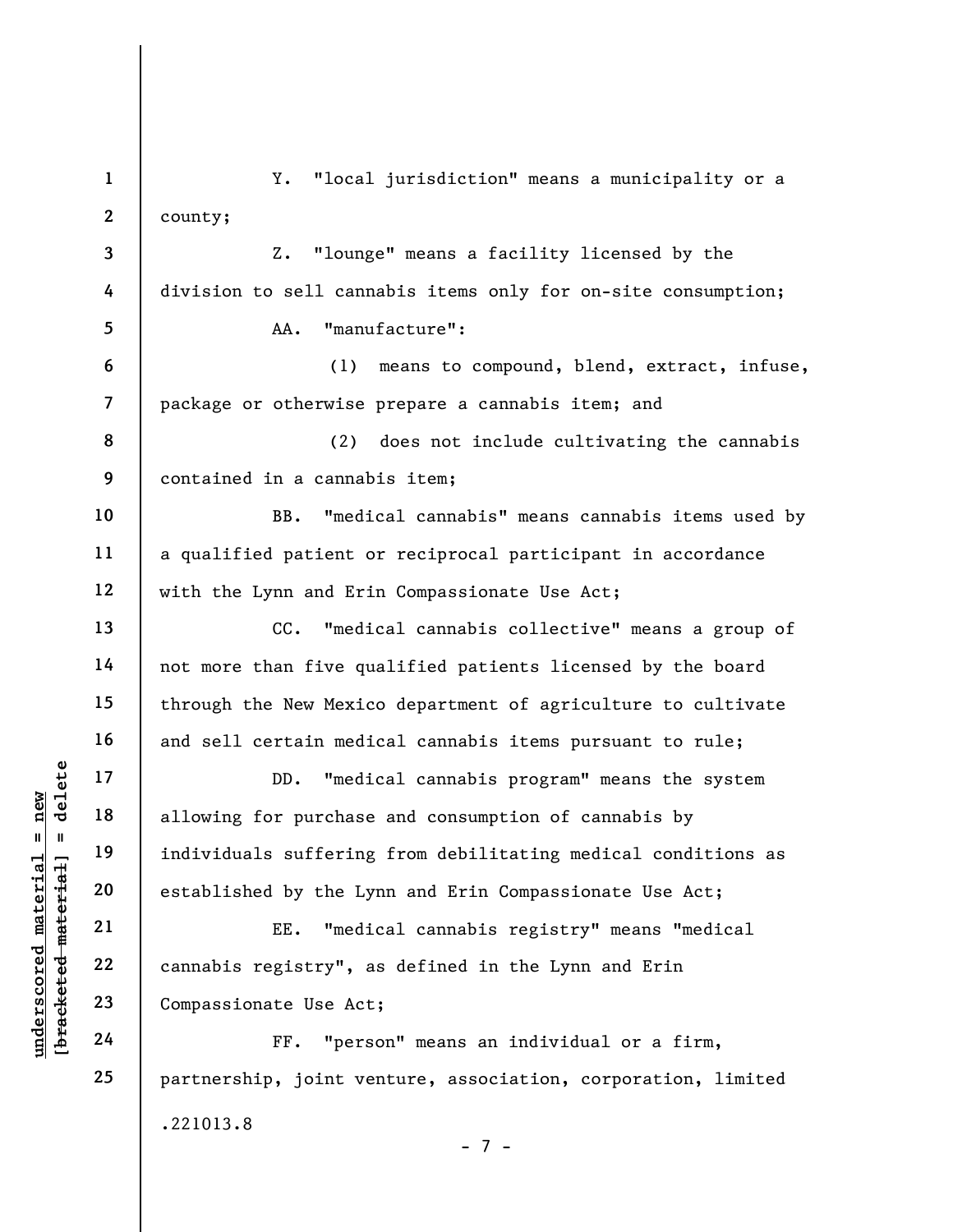UN DD. "medi<br>
allowing for purchase<br>
individuals suffering<br>
established by the Ly<br>
established by the Ly<br>
established by the Ly<br>
EE. "medi<br>
cannabis registry", a<br>
Compassionate Use Act<br>
The 24<br>
FF. "pers 1 2 3 4 5 6 7 8 9 10 11 12 13 14 15 16 17 18 19 20 21 22 23 24 25 Y. "local jurisdiction" means a municipality or a county; Z. "lounge" means a facility licensed by the division to sell cannabis items only for on-site consumption; AA. "manufacture": (1) means to compound, blend, extract, infuse, package or otherwise prepare a cannabis item; and (2) does not include cultivating the cannabis contained in a cannabis item; BB. "medical cannabis" means cannabis items used by a qualified patient or reciprocal participant in accordance with the Lynn and Erin Compassionate Use Act; CC. "medical cannabis collective" means a group of not more than five qualified patients licensed by the board through the New Mexico department of agriculture to cultivate and sell certain medical cannabis items pursuant to rule; DD. "medical cannabis program" means the system allowing for purchase and consumption of cannabis by individuals suffering from debilitating medical conditions as established by the Lynn and Erin Compassionate Use Act; EE. "medical cannabis registry" means "medical cannabis registry", as defined in the Lynn and Erin Compassionate Use Act; FF. "person" means an individual or a firm, partnership, joint venture, association, corporation, limited .221013.8 - 7 -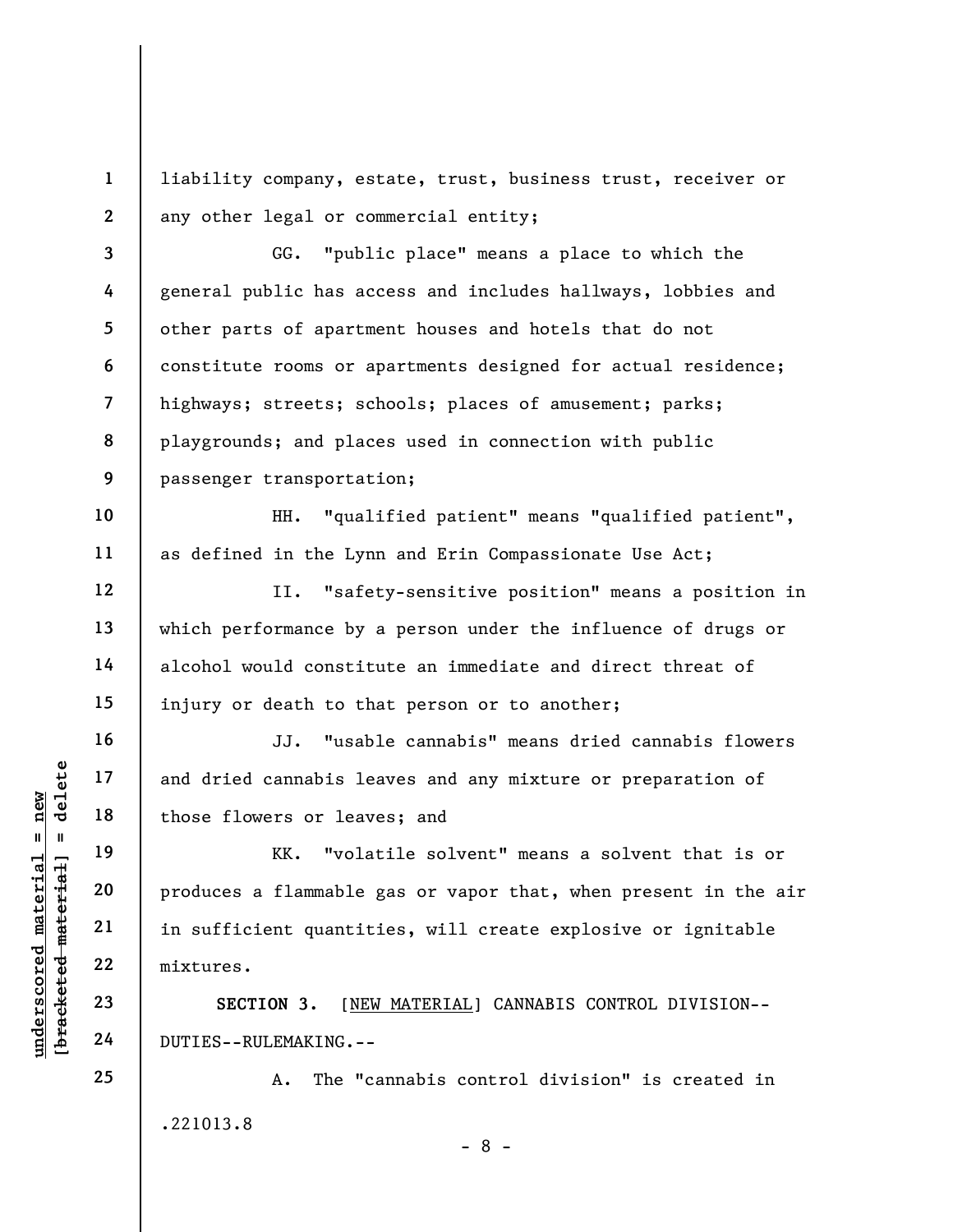1 2 liability company, estate, trust, business trust, receiver or any other legal or commercial entity;

3 4 5 6 7 8 9 GG. "public place" means a place to which the general public has access and includes hallways, lobbies and other parts of apartment houses and hotels that do not constitute rooms or apartments designed for actual residence; highways; streets; schools; places of amusement; parks; playgrounds; and places used in connection with public passenger transportation;

HH. "qualified patient" means "qualified patient", as defined in the Lynn and Erin Compassionate Use Act;

II. "safety-sensitive position" means a position in which performance by a person under the influence of drugs or alcohol would constitute an immediate and direct threat of injury or death to that person or to another;

JJ. "usable cannabis" means dried cannabis flowers and dried cannabis leaves and any mixture or preparation of those flowers or leaves; and

underscored material = new [bracketed material] = delete KK. "volatile solvent" means a solvent that is or produces a flammable gas or vapor that, when present in the air in sufficient quantities, will create explosive or ignitable mixtures.

SECTION 3. [NEW MATERIAL] CANNABIS CONTROL DIVISION-- DUTIES--RULEMAKING.--

A. The "cannabis control division" is created in .221013.8

- 8 -

10

11

12

13

14

15

16

17

18

19

20

21

22

23

24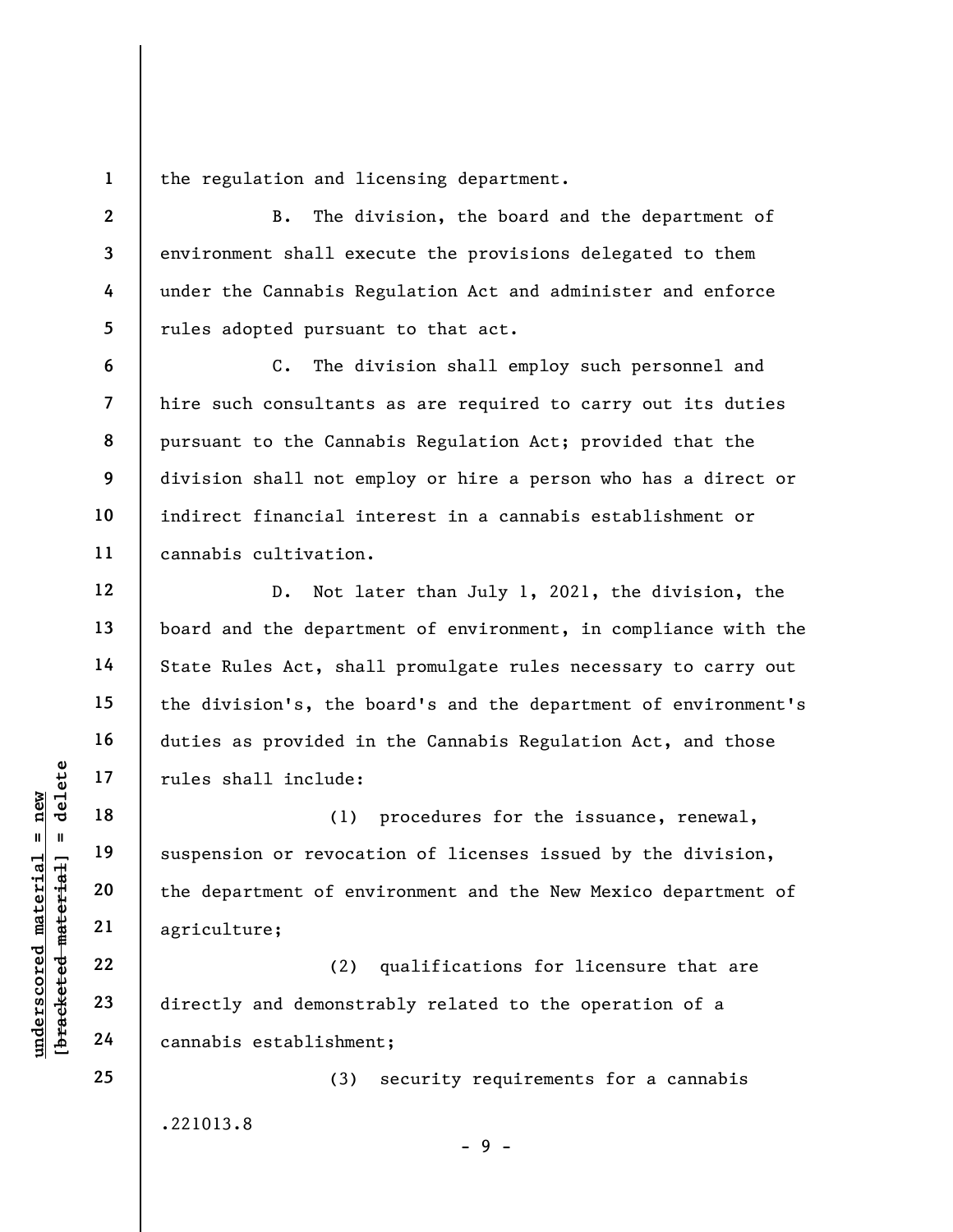1 the regulation and licensing department.

B. The division, the board and the department of environment shall execute the provisions delegated to them under the Cannabis Regulation Act and administer and enforce rules adopted pursuant to that act.

C. The division shall employ such personnel and hire such consultants as are required to carry out its duties pursuant to the Cannabis Regulation Act; provided that the division shall not employ or hire a person who has a direct or indirect financial interest in a cannabis establishment or cannabis cultivation.

D. Not later than July 1, 2021, the division, the board and the department of environment, in compliance with the State Rules Act, shall promulgate rules necessary to carry out the division's, the board's and the department of environment's duties as provided in the Cannabis Regulation Act, and those rules shall include:

underscored material material end of the department of enveloped material and demonstrated material and demonstrated material cannabis establishment of enveloped material cannabis establishment of enveloped material cannab (1) procedures for the issuance, renewal, suspension or revocation of licenses issued by the division, the department of environment and the New Mexico department of agriculture;

(2) qualifications for licensure that are directly and demonstrably related to the operation of a cannabis establishment;

(3) security requirements for a cannabis .221013.8

 $-9 -$ 

24 25

2

3

4

5

6

7

8

9

10

11

12

13

14

15

16

17

18

19

20

21

22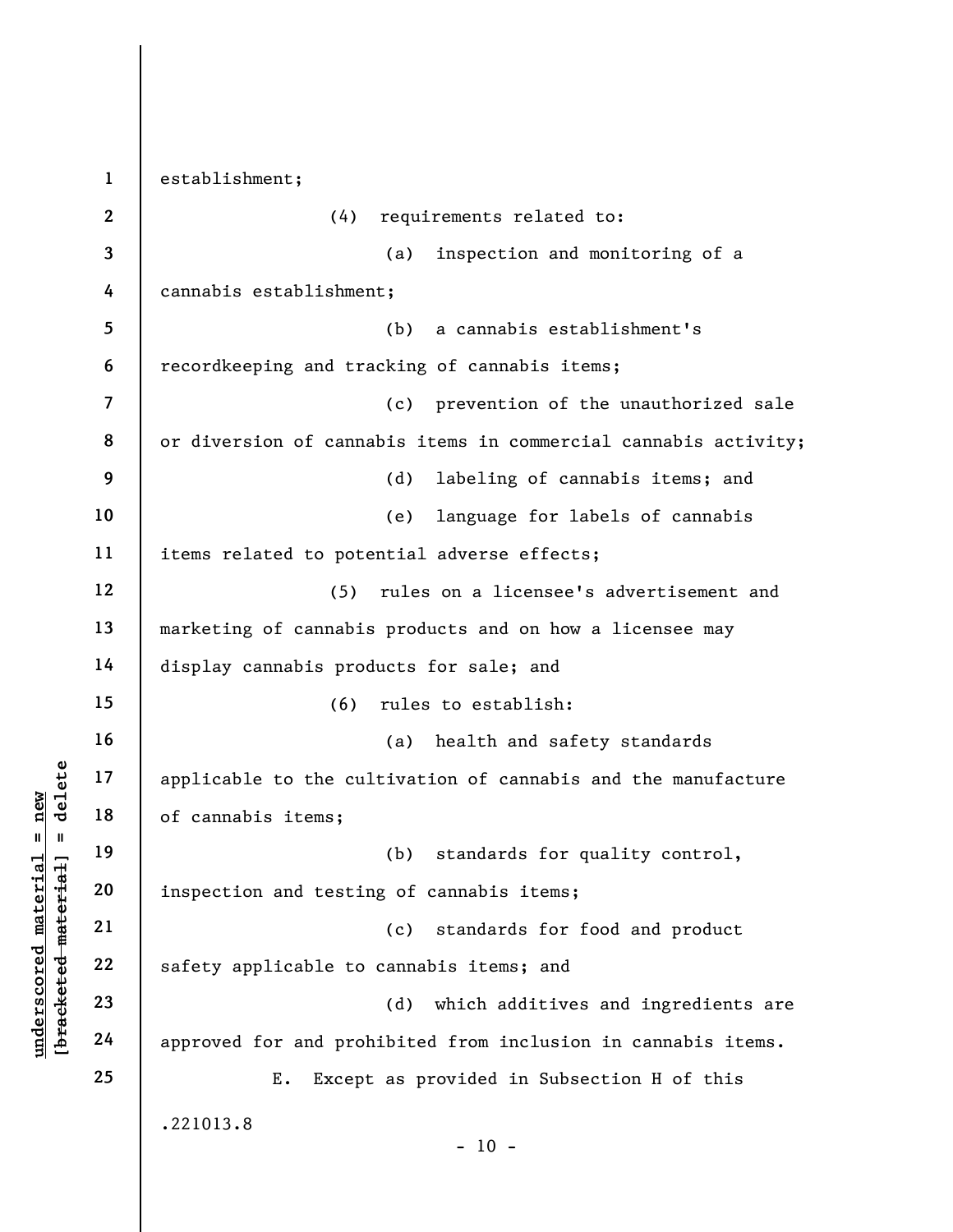understand material extending to the cul<br>  $\begin{bmatrix}\n\frac{1}{2} & \frac{1}{2} & \frac{1}{2} \\
\frac{1}{2} & \frac{1}{2} & \frac{1}{2} \\
\frac{1}{2} & \frac{1}{2} & \frac{1}{2} \\
\frac{1}{2} & \frac{1}{2} & \frac{1}{2} \\
\frac{1}{2} & \frac{1}{2} & \frac{1}{2} \\
\frac{1}{2} & \frac{1}{2} & \frac{1}{2} \\
\frac{1}{2} & \frac{1}{2} & \frac{1}{2} \\
\frac{1$ 1 2 3 4 5 6 7 8 9 10 11 12 13 14 15 16 17 18 19 20 21 22 23 24 25 establishment; (4) requirements related to: (a) inspection and monitoring of a cannabis establishment; (b) a cannabis establishment's recordkeeping and tracking of cannabis items; (c) prevention of the unauthorized sale or diversion of cannabis items in commercial cannabis activity; (d) labeling of cannabis items; and (e) language for labels of cannabis items related to potential adverse effects; (5) rules on a licensee's advertisement and marketing of cannabis products and on how a licensee may display cannabis products for sale; and (6) rules to establish: (a) health and safety standards applicable to the cultivation of cannabis and the manufacture of cannabis items; (b) standards for quality control, inspection and testing of cannabis items; (c) standards for food and product safety applicable to cannabis items; and (d) which additives and ingredients are approved for and prohibited from inclusion in cannabis items. E. Except as provided in Subsection H of this .221013.8  $- 10 -$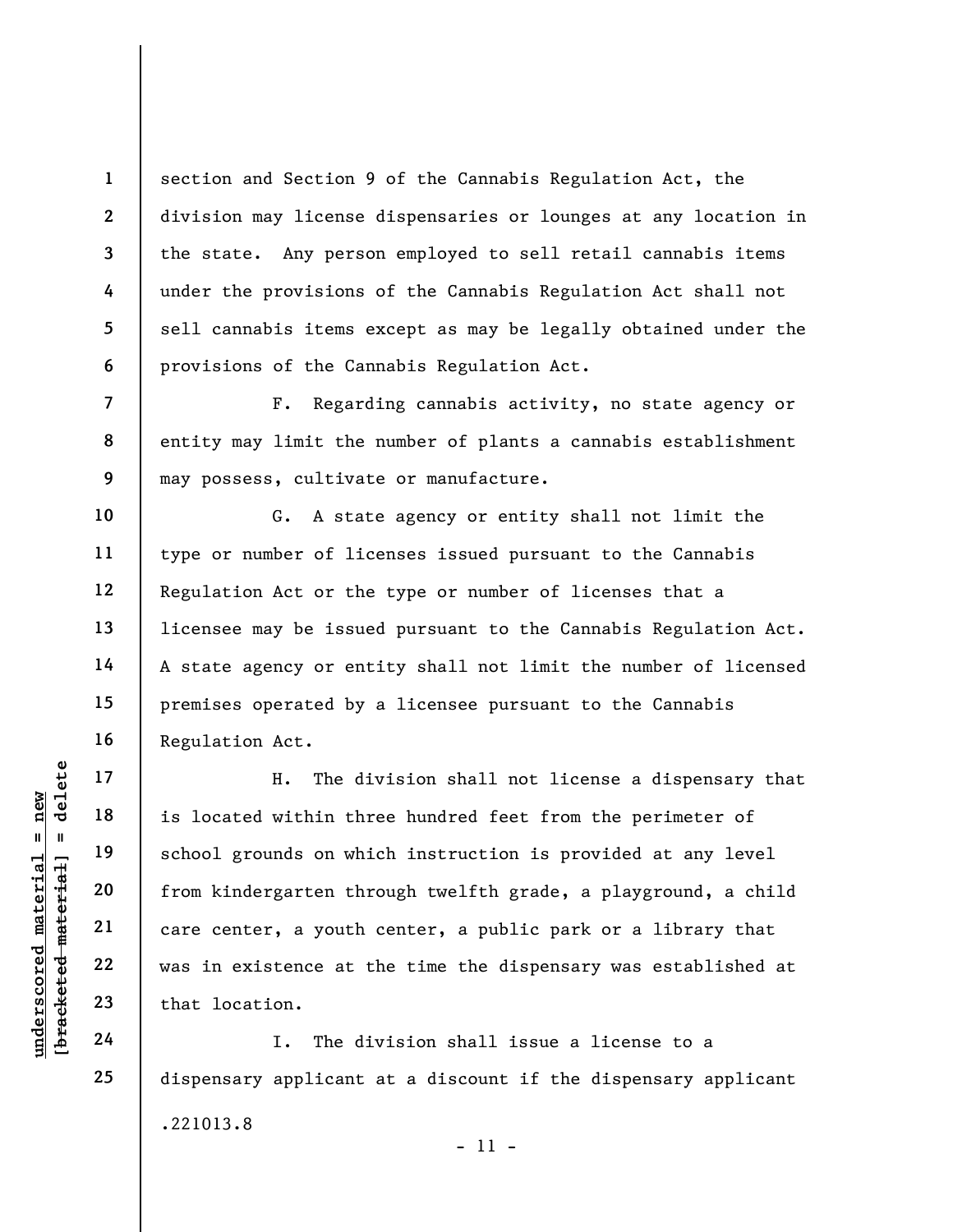section and Section 9 of the Cannabis Regulation Act, the division may license dispensaries or lounges at any location in the state. Any person employed to sell retail cannabis items under the provisions of the Cannabis Regulation Act shall not sell cannabis items except as may be legally obtained under the provisions of the Cannabis Regulation Act.

F. Regarding cannabis activity, no state agency or entity may limit the number of plants a cannabis establishment may possess, cultivate or manufacture.

G. A state agency or entity shall not limit the type or number of licenses issued pursuant to the Cannabis Regulation Act or the type or number of licenses that a licensee may be issued pursuant to the Cannabis Regulation Act. A state agency or entity shall not limit the number of licensed premises operated by a licensee pursuant to the Cannabis Regulation Act.

understand material material is located within the dividend material of the school grounds on white<br>dividend 20 from kindergarten through 22 vas in existence at the 23 that location.<br>1. The dividend 24 I. The dividend and H. The division shall not license a dispensary that is located within three hundred feet from the perimeter of school grounds on which instruction is provided at any level from kindergarten through twelfth grade, a playground, a child care center, a youth center, a public park or a library that was in existence at the time the dispensary was established at that location.

I. The division shall issue a license to a dispensary applicant at a discount if the dispensary applicant .221013.8 - 11 -

1

2

3

4

5

6

7

8

9

10

11

12

13

14

15

16

17

18

19

20

21

22

23

24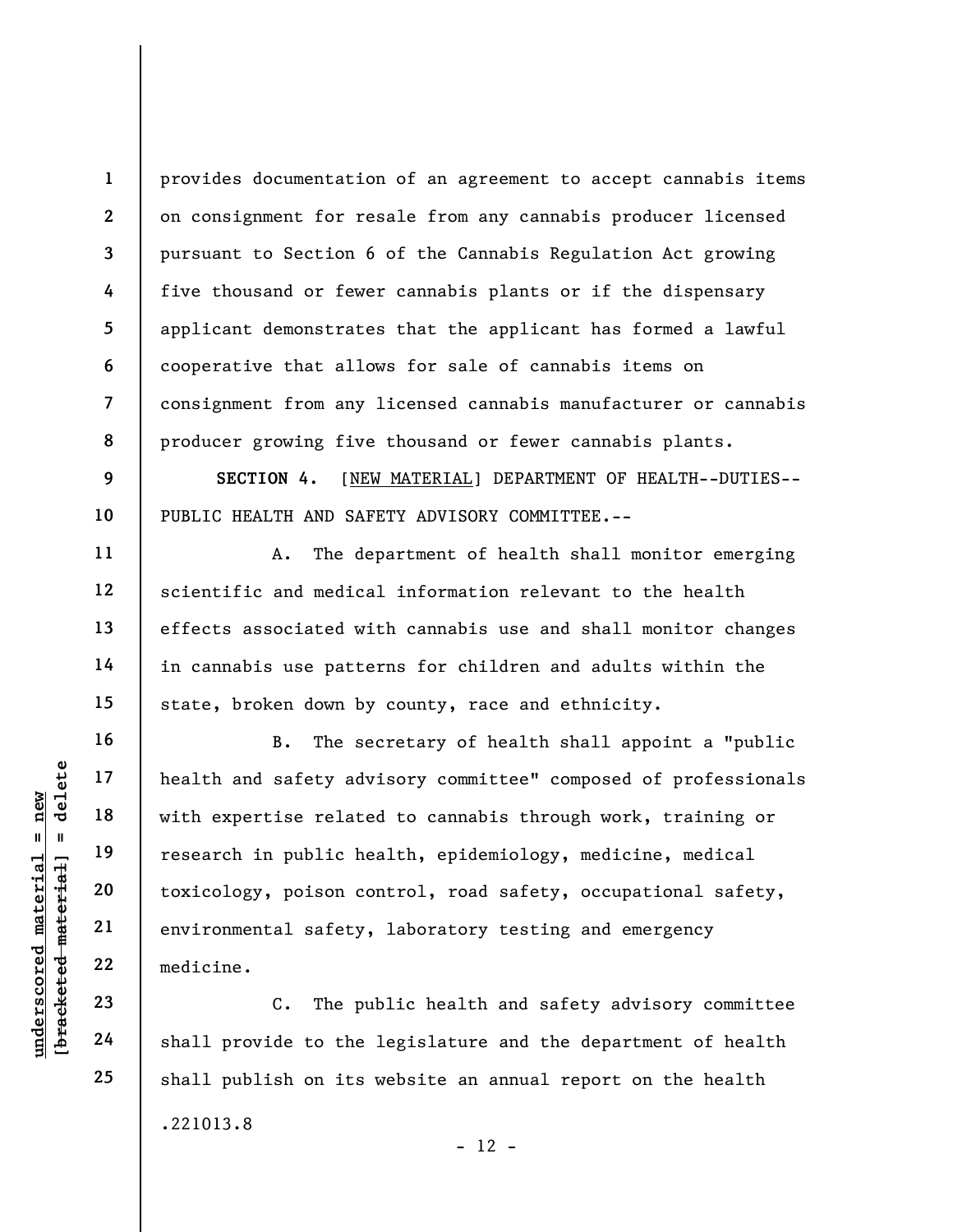8 provides documentation of an agreement to accept cannabis items on consignment for resale from any cannabis producer licensed pursuant to Section 6 of the Cannabis Regulation Act growing five thousand or fewer cannabis plants or if the dispensary applicant demonstrates that the applicant has formed a lawful cooperative that allows for sale of cannabis items on consignment from any licensed cannabis manufacturer or cannabis producer growing five thousand or fewer cannabis plants.

SECTION 4. [NEW MATERIAL] DEPARTMENT OF HEALTH--DUTIES-- PUBLIC HEALTH AND SAFETY ADVISORY COMMITTEE.--

A. The department of health shall monitor emerging scientific and medical information relevant to the health effects associated with cannabis use and shall monitor changes in cannabis use patterns for children and adults within the state, broken down by county, race and ethnicity.

understand material safety adv<br>
with expertise relate<br>
with expertise relate<br>
research in public he<br>
toxicology, poison co<br>
environmental safety,<br>
22<br>
wedget and in public he<br>
c. The public safety,<br>
23<br>
24<br>
shall provide t B. The secretary of health shall appoint a "public health and safety advisory committee" composed of professionals with expertise related to cannabis through work, training or research in public health, epidemiology, medicine, medical toxicology, poison control, road safety, occupational safety, environmental safety, laboratory testing and emergency medicine.

C. The public health and safety advisory committee shall provide to the legislature and the department of health shall publish on its website an annual report on the health .221013.8  $- 12 -$ 

1

2

3

4

5

6

7

9

10

11

12

13

14

15

16

17

18

19

20

21

22

23

24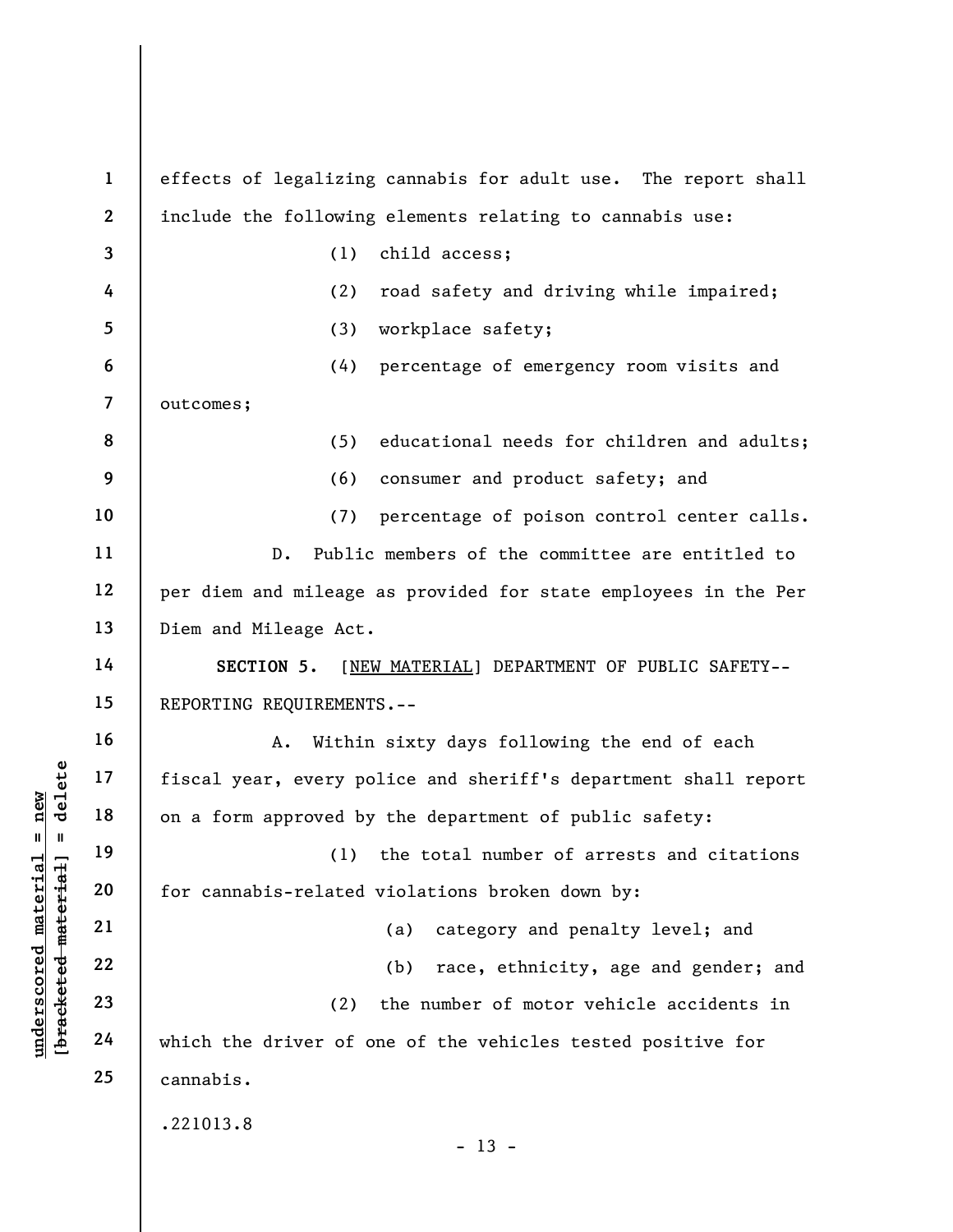|                                                | $\mathbf{1}$             | effects of legalizing cannabis for adult use. The report shall  |
|------------------------------------------------|--------------------------|-----------------------------------------------------------------|
|                                                | $\boldsymbol{2}$         | include the following elements relating to cannabis use:        |
|                                                | $\mathbf{3}$             | child access;<br>(1)                                            |
|                                                | 4                        | (2)<br>road safety and driving while impaired;                  |
|                                                | 5                        | workplace safety;<br>(3)                                        |
|                                                | 6                        | (4)<br>percentage of emergency room visits and                  |
|                                                | $\overline{\mathcal{L}}$ | outcomes;                                                       |
|                                                | 8                        | (5)<br>educational needs for children and adults;               |
|                                                | 9                        | (6)<br>consumer and product safety; and                         |
|                                                | 10                       | (7)<br>percentage of poison control center calls.               |
|                                                | 11                       | Public members of the committee are entitled to<br>$D$ .        |
|                                                | 12                       | per diem and mileage as provided for state employees in the Per |
|                                                | 13                       | Diem and Mileage Act.                                           |
|                                                | 14                       | SECTION 5.<br>[NEW MATERIAL] DEPARTMENT OF PUBLIC SAFETY--      |
|                                                | 15                       | REPORTING REQUIREMENTS.--                                       |
|                                                | 16                       | Within sixty days following the end of each<br>A.               |
| delete                                         | 17                       | fiscal year, every police and sheriff's department shall report |
| new                                            | 18                       | on a form approved by the department of public safety:          |
| $\mathbf{II}$<br>- II                          | 19                       | (1) the total number of arrests and citations                   |
| materia                                        | 20                       | for cannabis-related violations broken down by:                 |
|                                                | 21                       | category and penalty level; and<br>(a)                          |
| [bracketed material<br>$\bm{{\rm underscore}}$ | 22                       | (b)<br>race, ethnicity, age and gender; and                     |
|                                                | 23                       | the number of motor vehicle accidents in<br>(2)                 |
|                                                | 24                       | which the driver of one of the vehicles tested positive for     |
|                                                | 25                       | cannabis.                                                       |
|                                                |                          | .221013.8<br>$-13 -$                                            |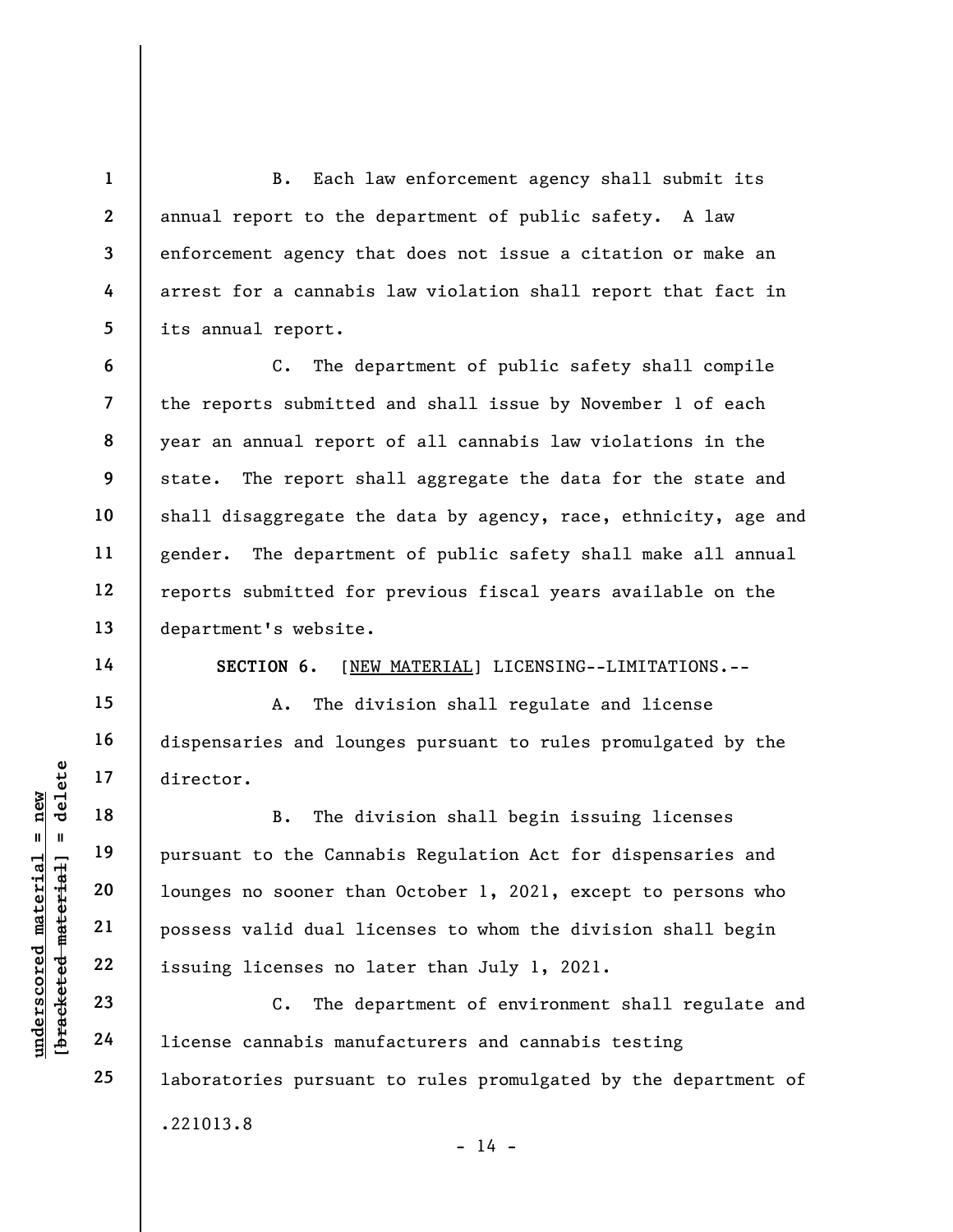B. Each law enforcement agency shall submit its annual report to the department of public safety. A law enforcement agency that does not issue a citation or make an arrest for a cannabis law violation shall report that fact in its annual report.

6 7 8 9 10 11 12 13 C. The department of public safety shall compile the reports submitted and shall issue by November 1 of each year an annual report of all cannabis law violations in the state. The report shall aggregate the data for the state and shall disaggregate the data by agency, race, ethnicity, age and gender. The department of public safety shall make all annual reports submitted for previous fiscal years available on the department's website.

14

15

16

17

18

19

20

21

22

23

24

25

1

2

3

4

5

SECTION 6. [NEW MATERIAL] LICENSING--LIMITATIONS.--

A. The division shall regulate and license dispensaries and lounges pursuant to rules promulgated by the director.

underscored material = new [bracketed material] = delete B. The division shall begin issuing licenses pursuant to the Cannabis Regulation Act for dispensaries and lounges no sooner than October 1, 2021, except to persons who possess valid dual licenses to whom the division shall begin issuing licenses no later than July 1, 2021.

C. The department of environment shall regulate and license cannabis manufacturers and cannabis testing laboratories pursuant to rules promulgated by the department of .221013.8

 $- 14 -$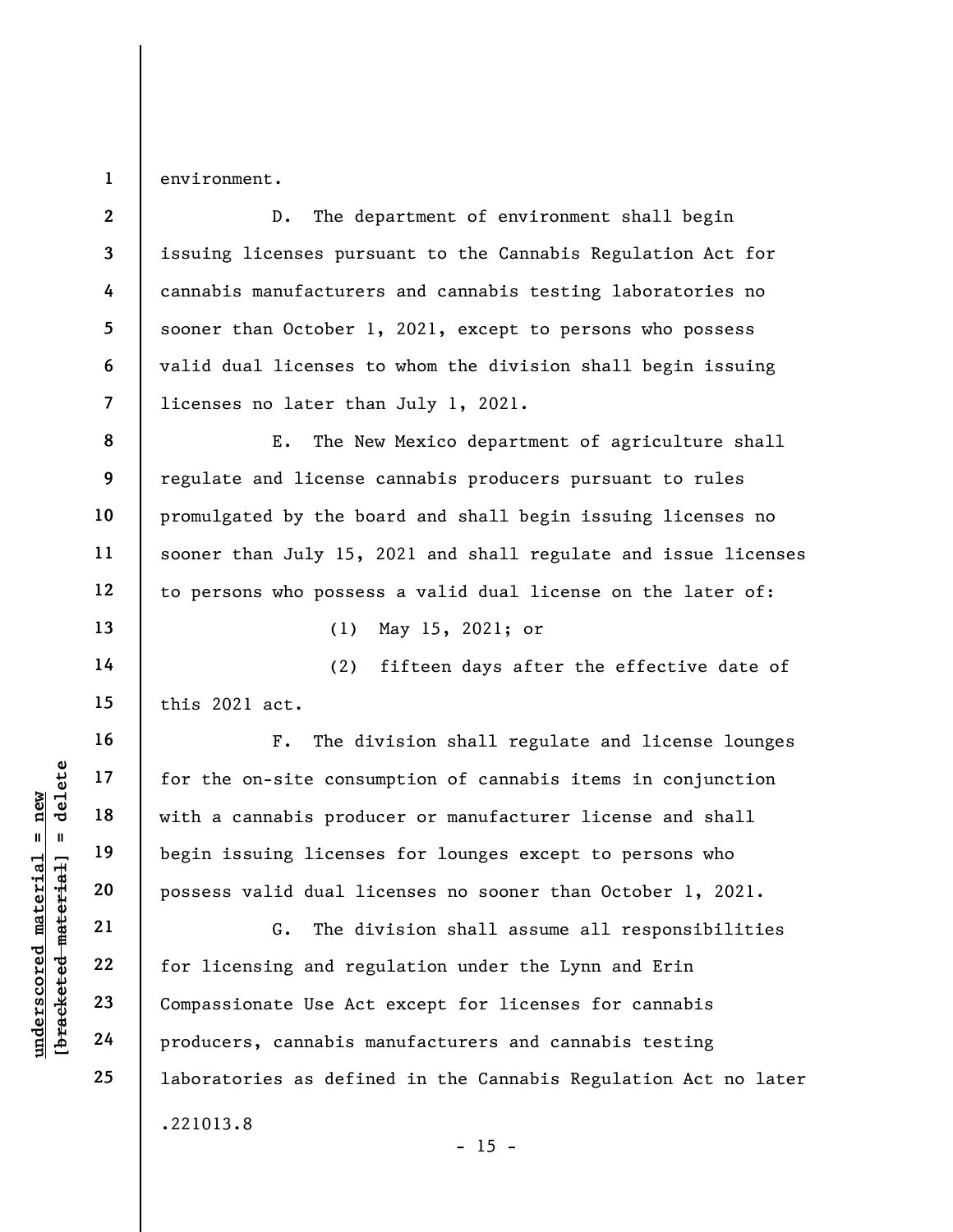1 environment.

2 3 4 5 6 7 D. The department of environment shall begin issuing licenses pursuant to the Cannabis Regulation Act for cannabis manufacturers and cannabis testing laboratories no sooner than October 1, 2021, except to persons who possess valid dual licenses to whom the division shall begin issuing licenses no later than July 1, 2021.

E. The New Mexico department of agriculture shall regulate and license cannabis producers pursuant to rules promulgated by the board and shall begin issuing licenses no sooner than July 15, 2021 and shall regulate and issue licenses to persons who possess a valid dual license on the later of:

13

14

15

16

17

18

19

20

21

22

23

24

25

8

9

10

11

12

(1) May 15, 2021; or

(2) fifteen days after the effective date of this 2021 act.

understand material material of the on-site consumed and the set of the set of the on-site consumed material material of the set of the discussed material conservation of the discussed material conservation of the discusse F. The division shall regulate and license lounges for the on-site consumption of cannabis items in conjunction with a cannabis producer or manufacturer license and shall begin issuing licenses for lounges except to persons who possess valid dual licenses no sooner than October 1, 2021.

G. The division shall assume all responsibilities for licensing and regulation under the Lynn and Erin Compassionate Use Act except for licenses for cannabis producers, cannabis manufacturers and cannabis testing laboratories as defined in the Cannabis Regulation Act no later .221013.8

 $- 15 -$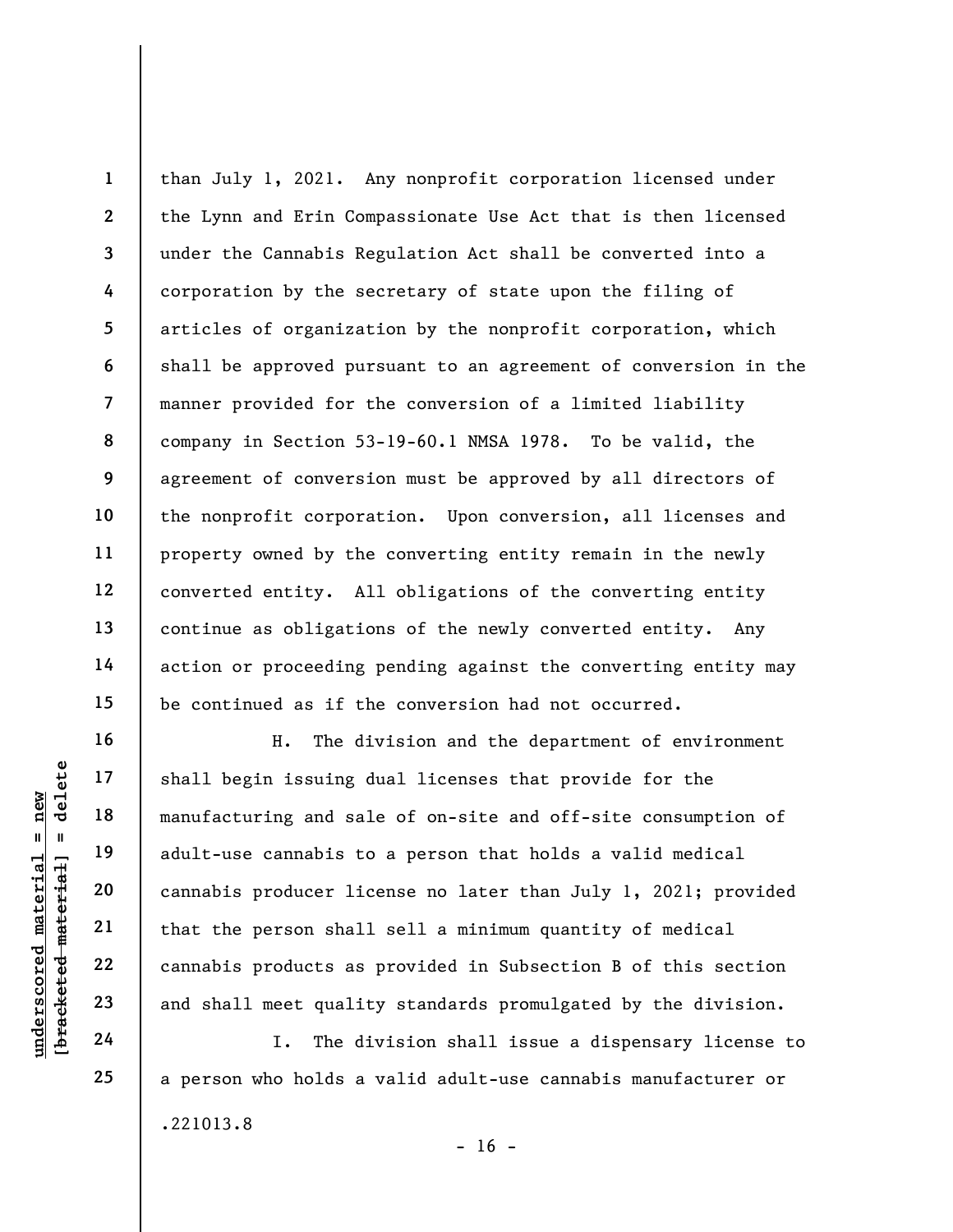1 2 3 4 5 6 7 8 9 10 11 12 13 14 15 than July 1, 2021. Any nonprofit corporation licensed under the Lynn and Erin Compassionate Use Act that is then licensed under the Cannabis Regulation Act shall be converted into a corporation by the secretary of state upon the filing of articles of organization by the nonprofit corporation, which shall be approved pursuant to an agreement of conversion in the manner provided for the conversion of a limited liability company in Section 53-19-60.1 NMSA 1978. To be valid, the agreement of conversion must be approved by all directors of the nonprofit corporation. Upon conversion, all licenses and property owned by the converting entity remain in the newly converted entity. All obligations of the converting entity continue as obligations of the newly converted entity. Any action or proceeding pending against the converting entity may be continued as if the conversion had not occurred.

underscored material = new [bracketed material] = delete H. The division and the department of environment shall begin issuing dual licenses that provide for the manufacturing and sale of on-site and off-site consumption of adult-use cannabis to a person that holds a valid medical cannabis producer license no later than July 1, 2021; provided that the person shall sell a minimum quantity of medical cannabis products as provided in Subsection B of this section and shall meet quality standards promulgated by the division.

I. The division shall issue a dispensary license to a person who holds a valid adult-use cannabis manufacturer or .221013.8

16

17

18

19

20

21

22

23

24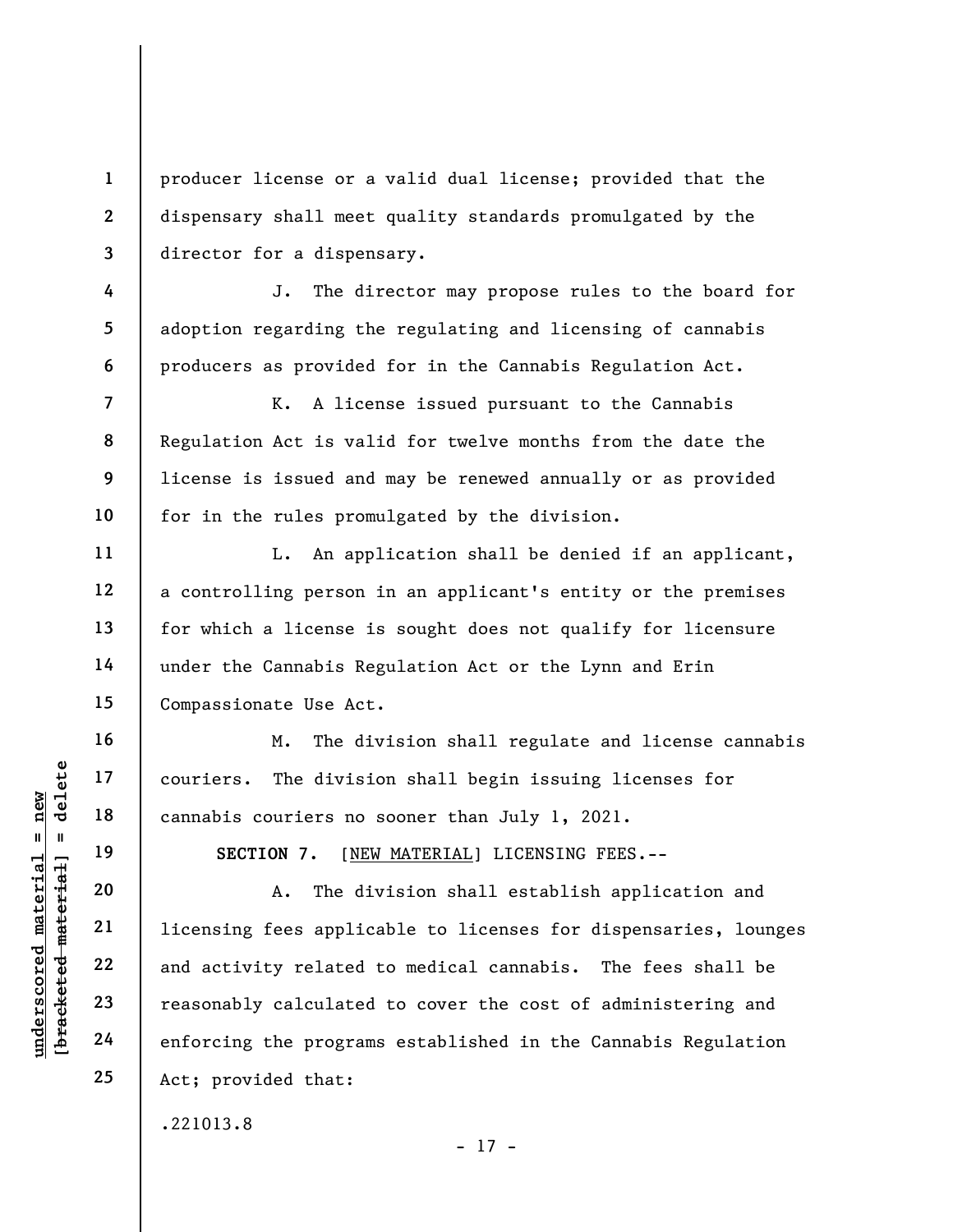producer license or a valid dual license; provided that the dispensary shall meet quality standards promulgated by the director for a dispensary.

J. The director may propose rules to the board for adoption regarding the regulating and licensing of cannabis producers as provided for in the Cannabis Regulation Act.

K. A license issued pursuant to the Cannabis Regulation Act is valid for twelve months from the date the license is issued and may be renewed annually or as provided for in the rules promulgated by the division.

L. An application shall be denied if an applicant, a controlling person in an applicant's entity or the premises for which a license is sought does not qualify for licensure under the Cannabis Regulation Act or the Lynn and Erin Compassionate Use Act.

M. The division shall regulate and license cannabis couriers. The division shall begin issuing licenses for cannabis couriers no sooner than July 1, 2021.

SECTION 7. [NEW MATERIAL] LICENSING FEES.--

underscored material = new [bracketed material] = delete A. The division shall establish application and licensing fees applicable to licenses for dispensaries, lounges and activity related to medical cannabis. The fees shall be reasonably calculated to cover the cost of administering and enforcing the programs established in the Cannabis Regulation Act; provided that:

.221013.8

1

2

3

4

5

6

7

8

9

10

11

12

13

14

15

16

17

18

19

20

21

22

23

24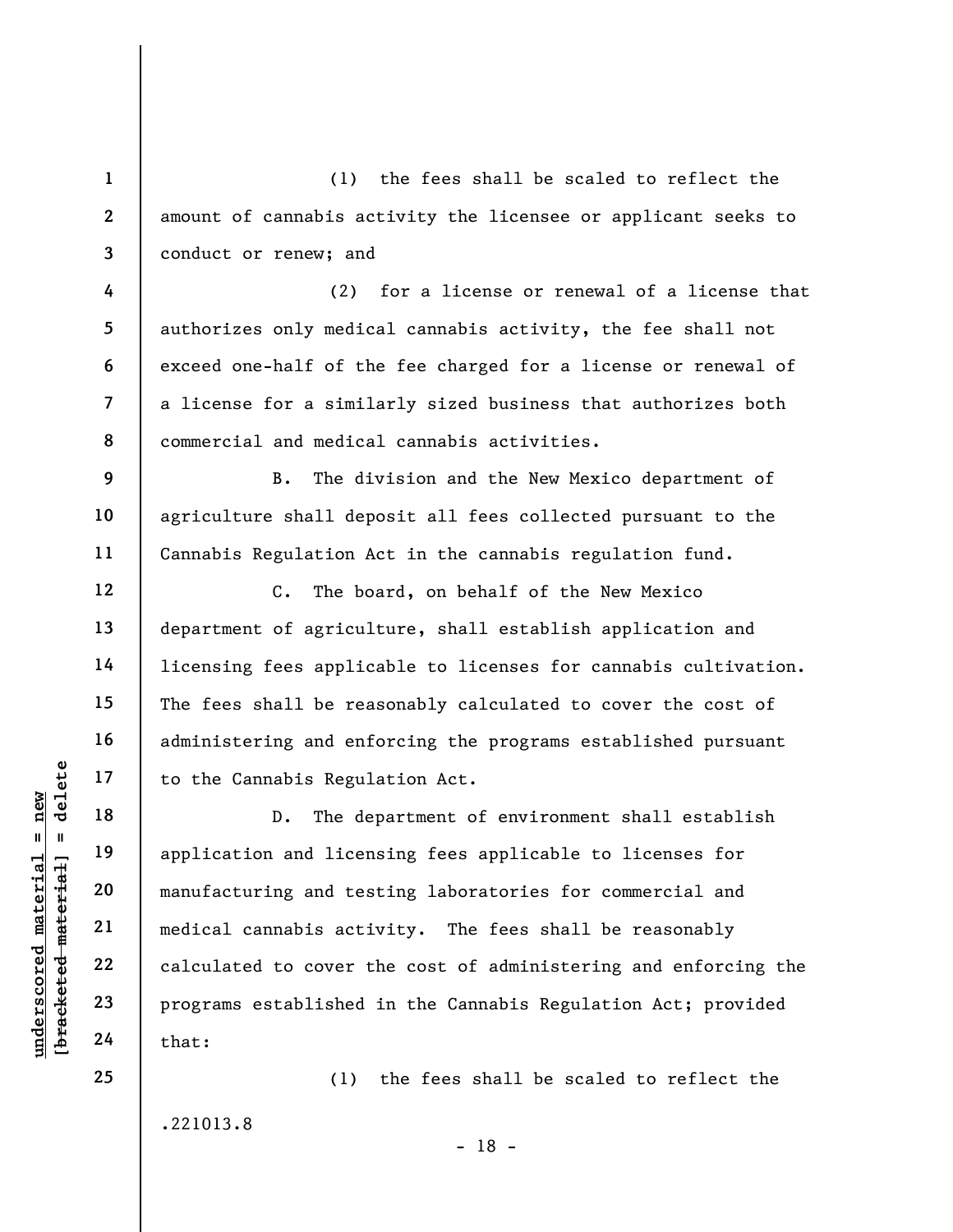(1) the fees shall be scaled to reflect the amount of cannabis activity the licensee or applicant seeks to conduct or renew; and

(2) for a license or renewal of a license that authorizes only medical cannabis activity, the fee shall not exceed one-half of the fee charged for a license or renewal of a license for a similarly sized business that authorizes both commercial and medical cannabis activities.

B. The division and the New Mexico department of agriculture shall deposit all fees collected pursuant to the Cannabis Regulation Act in the cannabis regulation fund.

C. The board, on behalf of the New Mexico department of agriculture, shall establish application and licensing fees applicable to licenses for cannabis cultivation. The fees shall be reasonably calculated to cover the cost of administering and enforcing the programs established pursuant to the Cannabis Regulation Act.

underscored material material end application and licential end application and licential end application and licential manufacturing and test<br>manufacturing and test<br>alcoulated to cover the calculated to cover the<br>defender D. The department of environment shall establish application and licensing fees applicable to licenses for manufacturing and testing laboratories for commercial and medical cannabis activity. The fees shall be reasonably calculated to cover the cost of administering and enforcing the programs established in the Cannabis Regulation Act; provided that:

(1) the fees shall be scaled to reflect the

.221013.8

1

2

3

4

5

6

7

8

9

10

11

12

13

14

15

16

17

18

19

20

21

22

23

24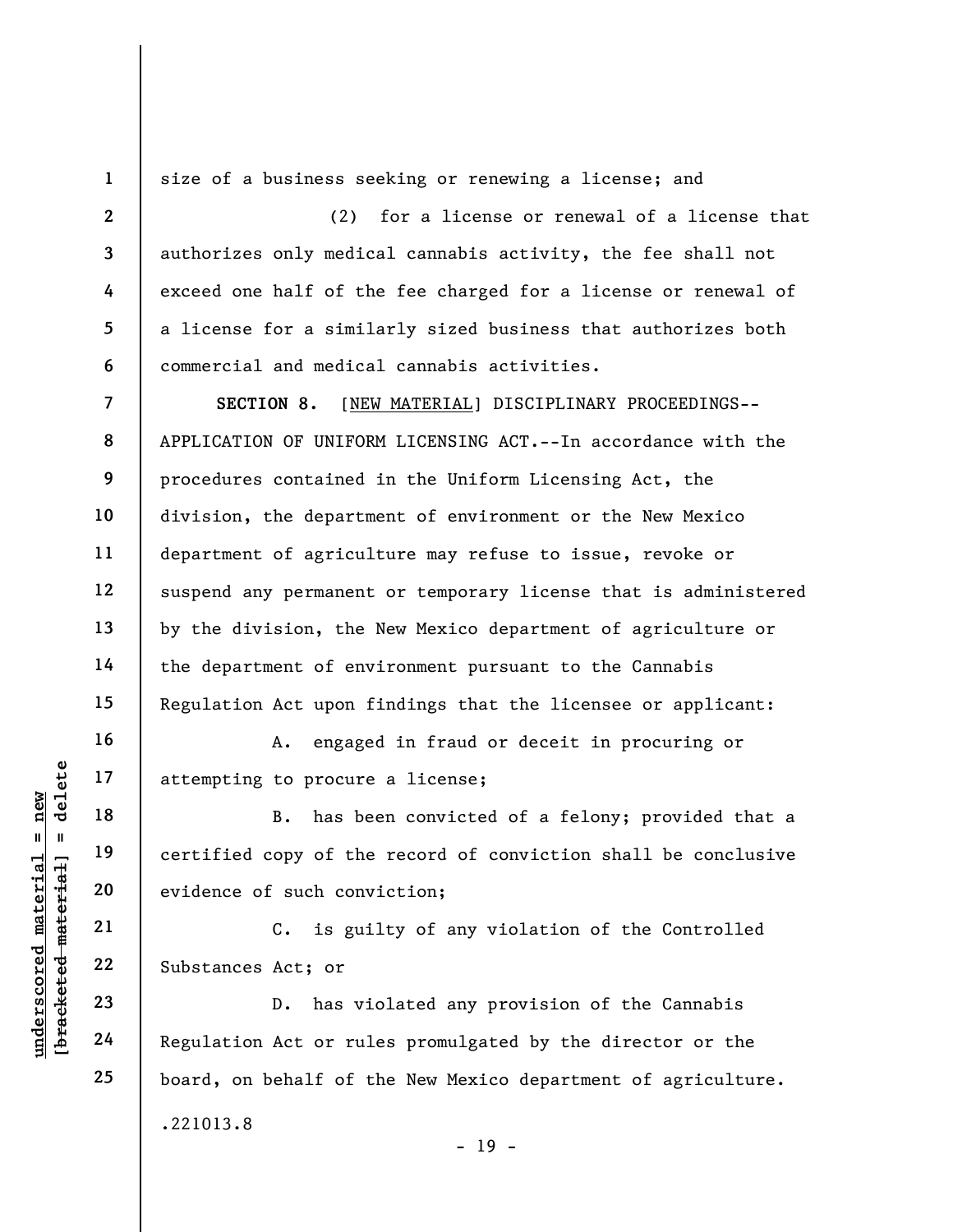1 2

3

4

5

6

16

17

18

19

20

21

22

23

24

25

size of a business seeking or renewing a license; and

(2) for a license or renewal of a license that authorizes only medical cannabis activity, the fee shall not exceed one half of the fee charged for a license or renewal of a license for a similarly sized business that authorizes both commercial and medical cannabis activities.

7 8 9 10 11 12 13 14 15 SECTION 8. [NEW MATERIAL] DISCIPLINARY PROCEEDINGS-- APPLICATION OF UNIFORM LICENSING ACT.--In accordance with the procedures contained in the Uniform Licensing Act, the division, the department of environment or the New Mexico department of agriculture may refuse to issue, revoke or suspend any permanent or temporary license that is administered by the division, the New Mexico department of agriculture or the department of environment pursuant to the Cannabis Regulation Act upon findings that the licensee or applicant:

A. engaged in fraud or deceit in procuring or attempting to procure a license;

underscored material material of the<br>
exidence of such convenience of such convenience of such convenience<br>
widence of such convenience of such convenience<br>
21 C. is guined and 22 Substances Act; or<br>
23 D. has vi<br>
24 Regul B. has been convicted of a felony; provided that a certified copy of the record of conviction shall be conclusive evidence of such conviction;

C. is guilty of any violation of the Controlled Substances Act; or

D. has violated any provision of the Cannabis Regulation Act or rules promulgated by the director or the board, on behalf of the New Mexico department of agriculture. .221013.8

- 19 -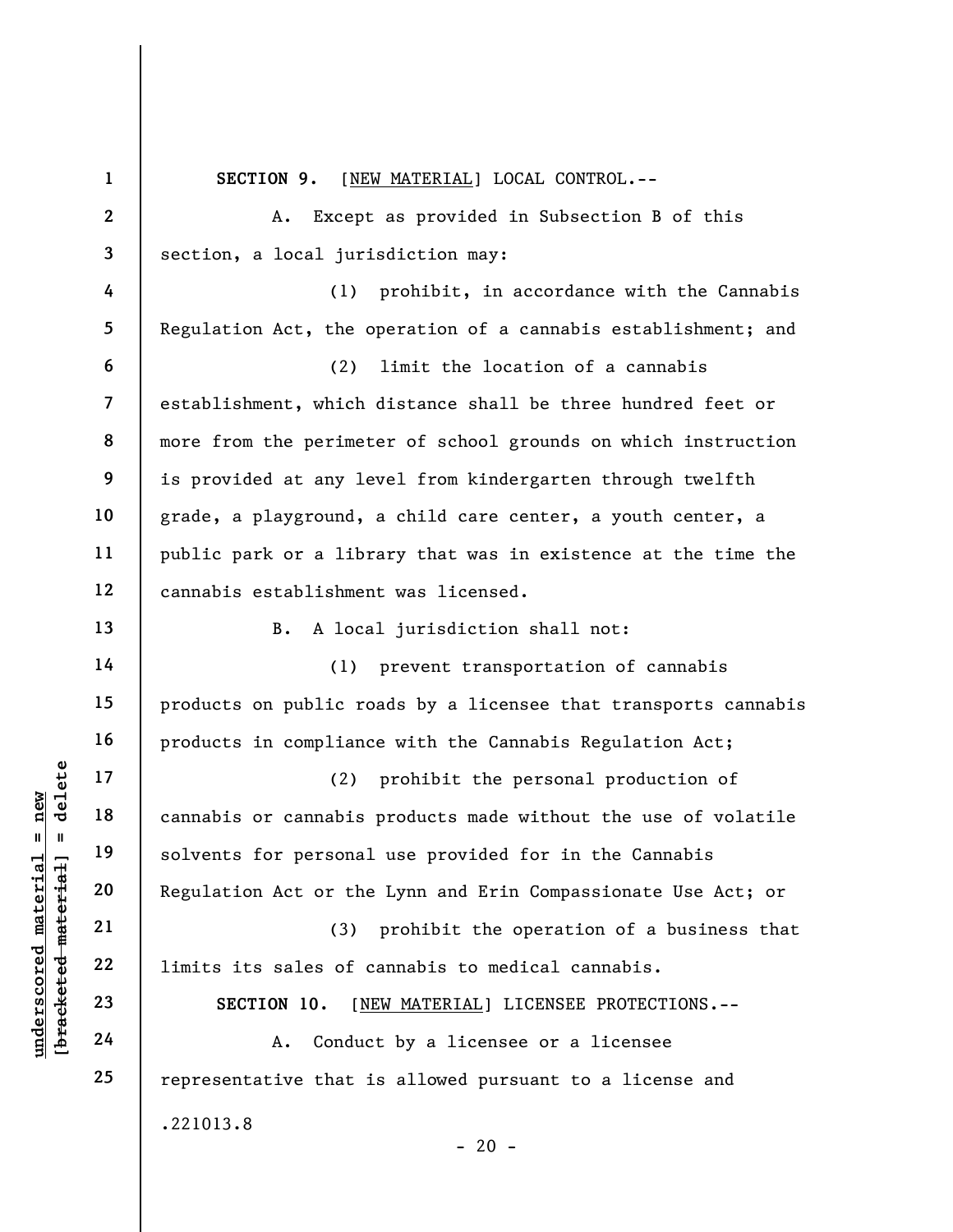underscores and the solvents of cannabis of cannabis solvents for personal<br>definition act or the solvents for personal<br>definition act or the solvents for personal<br>examples 21<br>23<br>definition is sales of c<br>section 10. [N]<br>def 1 2 3 4 5 6 7 8 9 10 11 12 13 14 15 16 17 18 19 20 21 22 23 24 25 SECTION 9. [NEW MATERIAL] LOCAL CONTROL.--A. Except as provided in Subsection B of this section, a local jurisdiction may: (1) prohibit, in accordance with the Cannabis Regulation Act, the operation of a cannabis establishment; and (2) limit the location of a cannabis establishment, which distance shall be three hundred feet or more from the perimeter of school grounds on which instruction is provided at any level from kindergarten through twelfth grade, a playground, a child care center, a youth center, a public park or a library that was in existence at the time the cannabis establishment was licensed. B. A local jurisdiction shall not: (1) prevent transportation of cannabis products on public roads by a licensee that transports cannabis products in compliance with the Cannabis Regulation Act; (2) prohibit the personal production of cannabis or cannabis products made without the use of volatile solvents for personal use provided for in the Cannabis Regulation Act or the Lynn and Erin Compassionate Use Act; or (3) prohibit the operation of a business that limits its sales of cannabis to medical cannabis. SECTION 10. [NEW MATERIAL] LICENSEE PROTECTIONS.-- A. Conduct by a licensee or a licensee representative that is allowed pursuant to a license and .221013.8  $- 20 -$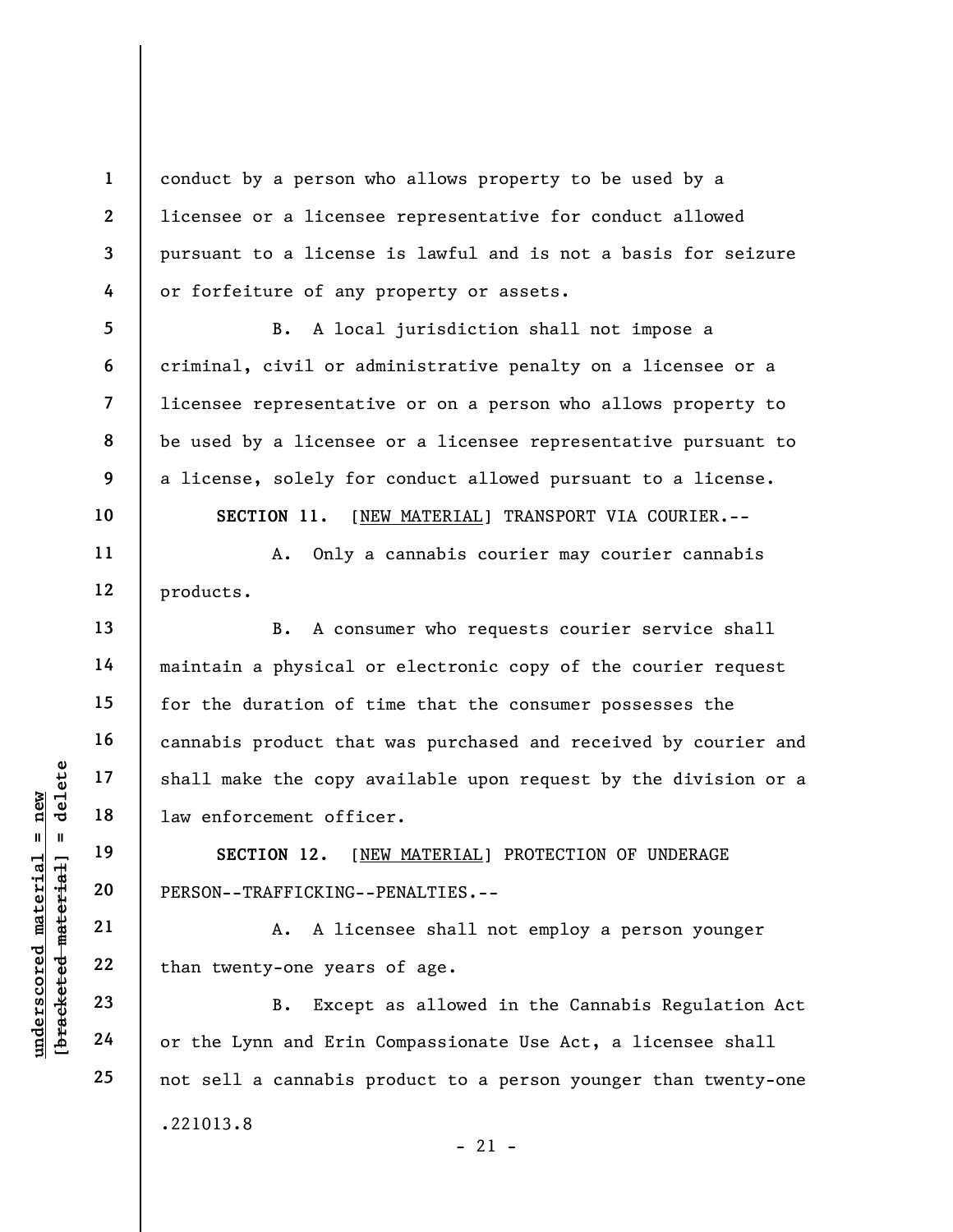conduct by a person who allows property to be used by a licensee or a licensee representative for conduct allowed pursuant to a license is lawful and is not a basis for seizure or forfeiture of any property or assets.

B. A local jurisdiction shall not impose a criminal, civil or administrative penalty on a licensee or a licensee representative or on a person who allows property to be used by a licensee or a licensee representative pursuant to a license, solely for conduct allowed pursuant to a license.

SECTION 11. [NEW MATERIAL] TRANSPORT VIA COURIER.--

A. Only a cannabis courier may courier cannabis products.

UN EXECTION 12. [N]<br>
19 18 1 19 18 1 1 19 18 1 1 19 10 12.<br>
19 10 19 11 19 12.<br>
19 12 12 14 12 12 14 12 13<br>
19 12 13 12 14 12 12 14 12 13<br>
19 12 14 12 13 12 14 12 12 14 12 13<br>
19 12 14 12 14 12 13 12 14 12 13 14 12 14 13 1 B. A consumer who requests courier service shall maintain a physical or electronic copy of the courier request for the duration of time that the consumer possesses the cannabis product that was purchased and received by courier and shall make the copy available upon request by the division or a law enforcement officer.

SECTION 12. [NEW MATERIAL] PROTECTION OF UNDERAGE PERSON--TRAFFICKING--PENALTIES.--

A. A licensee shall not employ a person younger than twenty-one years of age.

B. Except as allowed in the Cannabis Regulation Act or the Lynn and Erin Compassionate Use Act, a licensee shall not sell a cannabis product to a person younger than twenty-one .221013.8  $-21 -$ 

1

2

3

4

5

6

7

8

9

10

11

12

13

14

15

16

17

18

19

20

21

22

23

24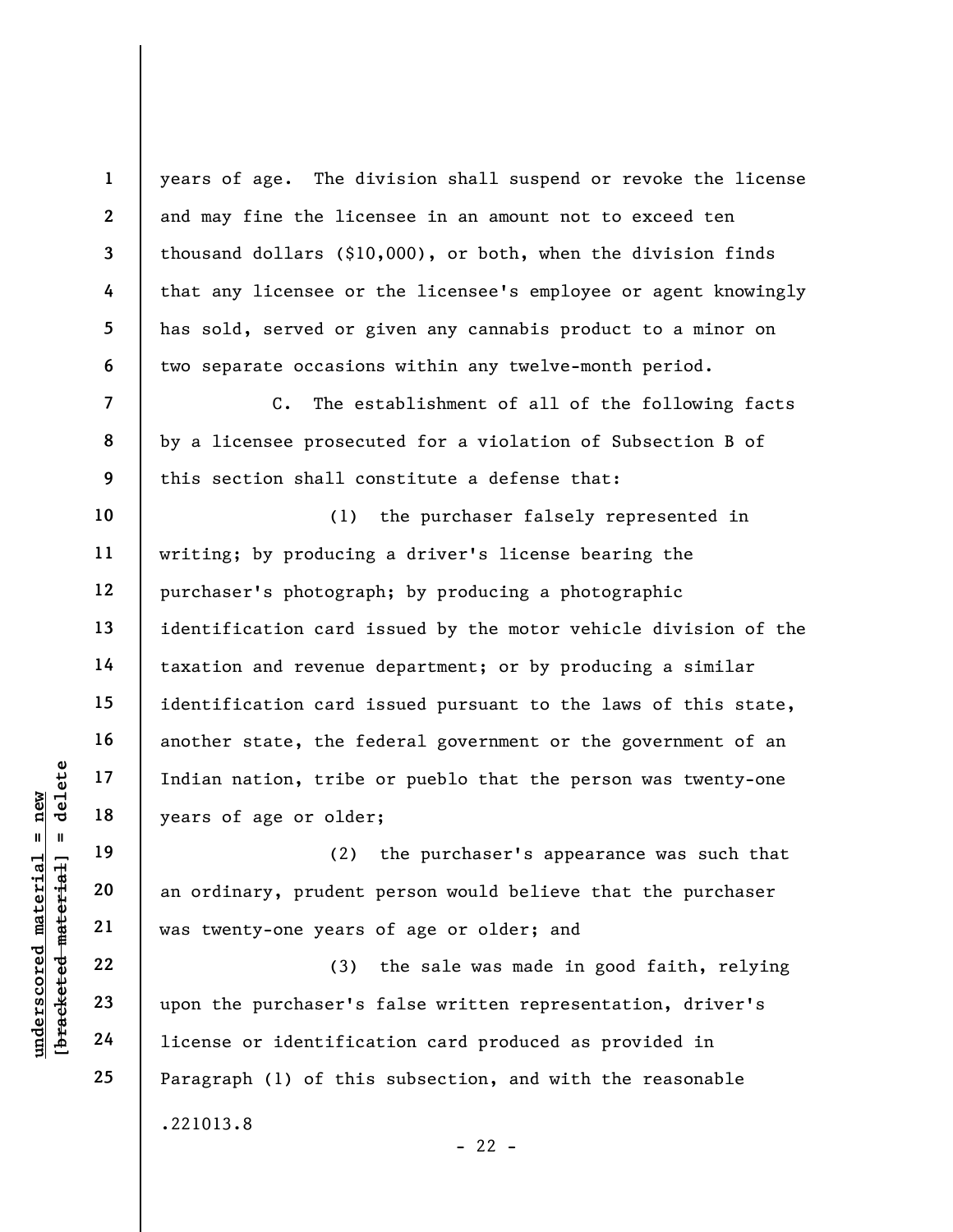years of age. The division shall suspend or revoke the license and may fine the licensee in an amount not to exceed ten thousand dollars (\$10,000), or both, when the division finds that any licensee or the licensee's employee or agent knowingly has sold, served or given any cannabis product to a minor on two separate occasions within any twelve-month period. C. The establishment of all of the following facts

by a licensee prosecuted for a violation of Subsection B of this section shall constitute a defense that:

(1) the purchaser falsely represented in writing; by producing a driver's license bearing the purchaser's photograph; by producing a photographic identification card issued by the motor vehicle division of the taxation and revenue department; or by producing a similar identification card issued pursuant to the laws of this state, another state, the federal government or the government of an Indian nation, tribe or pueblo that the person was twenty-one years of age or older;

(2) the purchaser's appearance was such that an ordinary, prudent person would believe that the purchaser was twenty-one years of age or older; and

underscored material = new [bracketed material] = delete (3) the sale was made in good faith, relying upon the purchaser's false written representation, driver's license or identification card produced as provided in Paragraph (1) of this subsection, and with the reasonable .221013.8

 $- 22 -$ 

1

2

3

4

5

6

7

8

9

10

11

12

13

14

15

16

17

18

19

20

21

22

23

24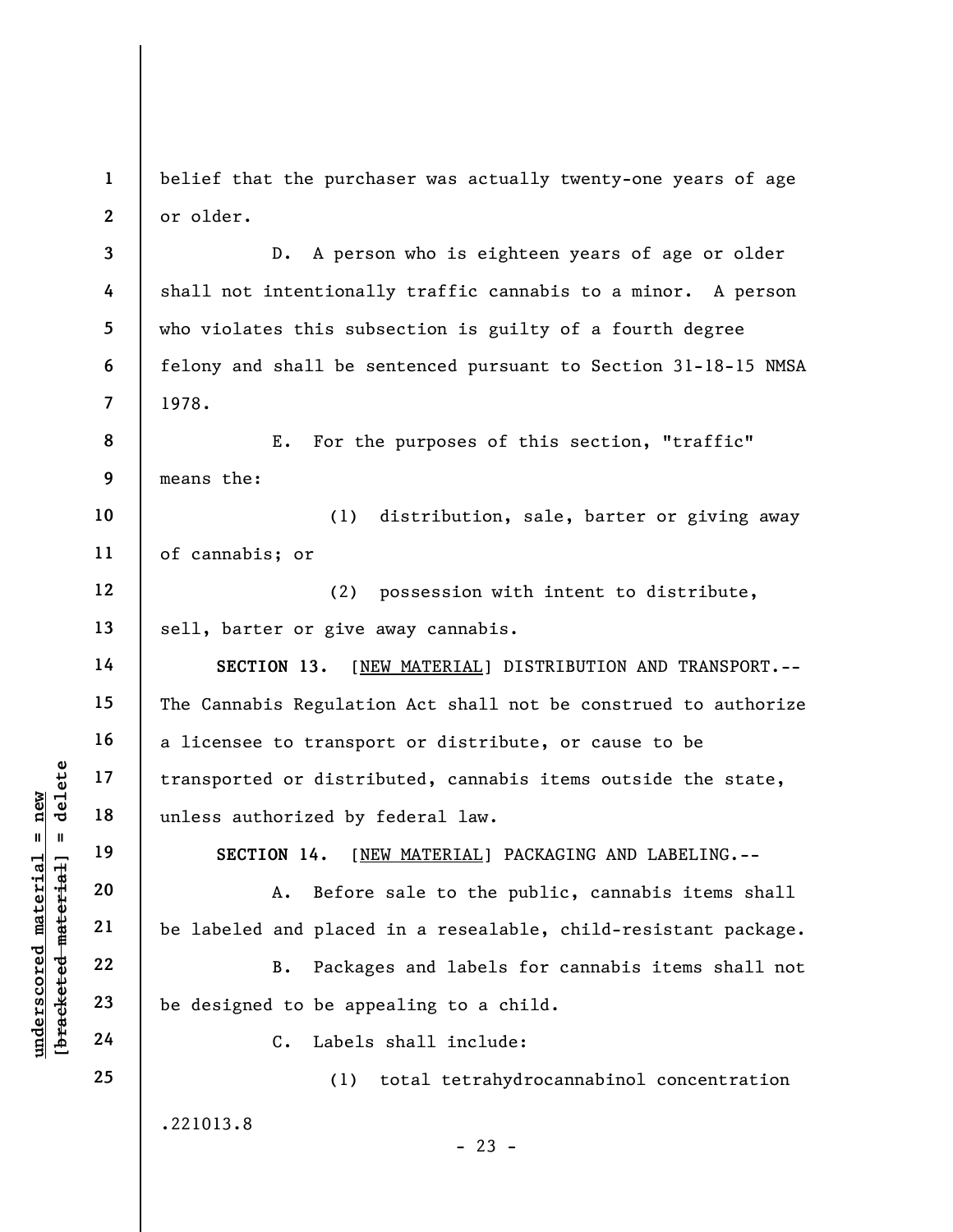1 2 belief that the purchaser was actually twenty-one years of age or older.

3 4 5 6 7 D. A person who is eighteen years of age or older shall not intentionally traffic cannabis to a minor. A person who violates this subsection is guilty of a fourth degree felony and shall be sentenced pursuant to Section 31-18-15 NMSA 1978.

8 9 E. For the purposes of this section, "traffic" means the:

10 11 (1) distribution, sale, barter or giving away of cannabis; or

12 13 (2) possession with intent to distribute, sell, barter or give away cannabis.

underscored material = new [bracketed material] = delete SECTION 13. [NEW MATERIAL] DISTRIBUTION AND TRANSPORT.--The Cannabis Regulation Act shall not be construed to authorize a licensee to transport or distribute, or cause to be transported or distributed, cannabis items outside the state, unless authorized by federal law.

SECTION 14. [NEW MATERIAL] PACKAGING AND LABELING.--

A. Before sale to the public, cannabis items shall be labeled and placed in a resealable, child-resistant package.

B. Packages and labels for cannabis items shall not be designed to be appealing to a child.

C. Labels shall include:

.221013.8

(1) total tetrahydrocannabinol concentration

 $- 23 -$ 

14

15

16

17

18

19

20

21

22

23

24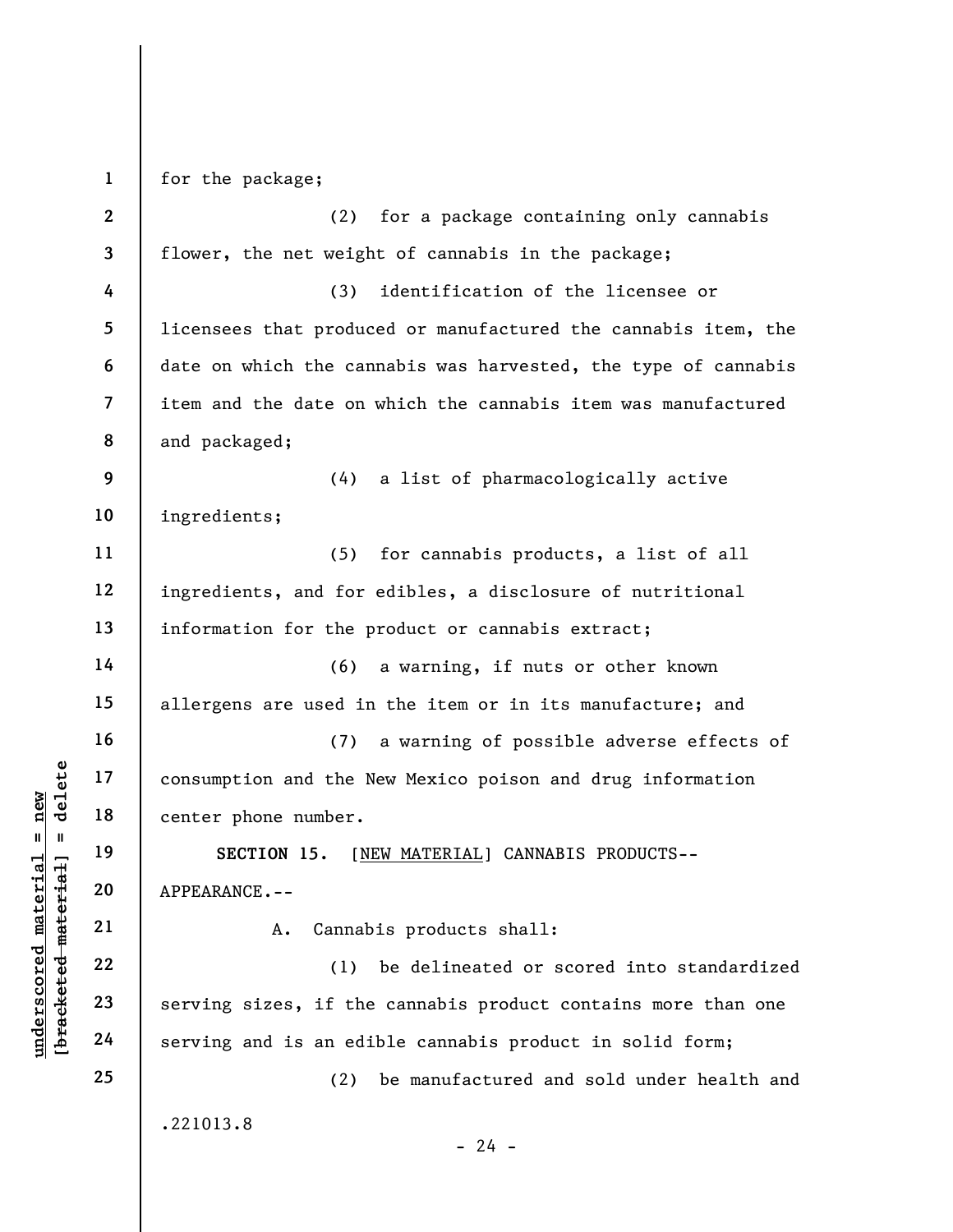UN ENTERT ON THE MANUSE OF THE MANUSE OF THE MANUSE OF THE MANUSE OF THE MANUSE OF THE MANUSE OF THE MANUSE OF THE MANUSE OF THE MANUSE OF THE MANUSE OF THE MANUSE OF THE MANUSE OF THE MANUSE OF THE MANUSE OF THE MANUSE OF 1 2 3 4 5 6 7 8 9 10 11 12 13 14 15 16 17 18 19 20 21 22 23 24 25 for the package; (2) for a package containing only cannabis flower, the net weight of cannabis in the package; (3) identification of the licensee or licensees that produced or manufactured the cannabis item, the date on which the cannabis was harvested, the type of cannabis item and the date on which the cannabis item was manufactured and packaged; (4) a list of pharmacologically active ingredients; (5) for cannabis products, a list of all ingredients, and for edibles, a disclosure of nutritional information for the product or cannabis extract; (6) a warning, if nuts or other known allergens are used in the item or in its manufacture; and (7) a warning of possible adverse effects of consumption and the New Mexico poison and drug information center phone number. SECTION 15. [NEW MATERIAL] CANNABIS PRODUCTS-- APPEARANCE.-- A. Cannabis products shall: (1) be delineated or scored into standardized serving sizes, if the cannabis product contains more than one serving and is an edible cannabis product in solid form; (2) be manufactured and sold under health and .221013.8  $- 24 -$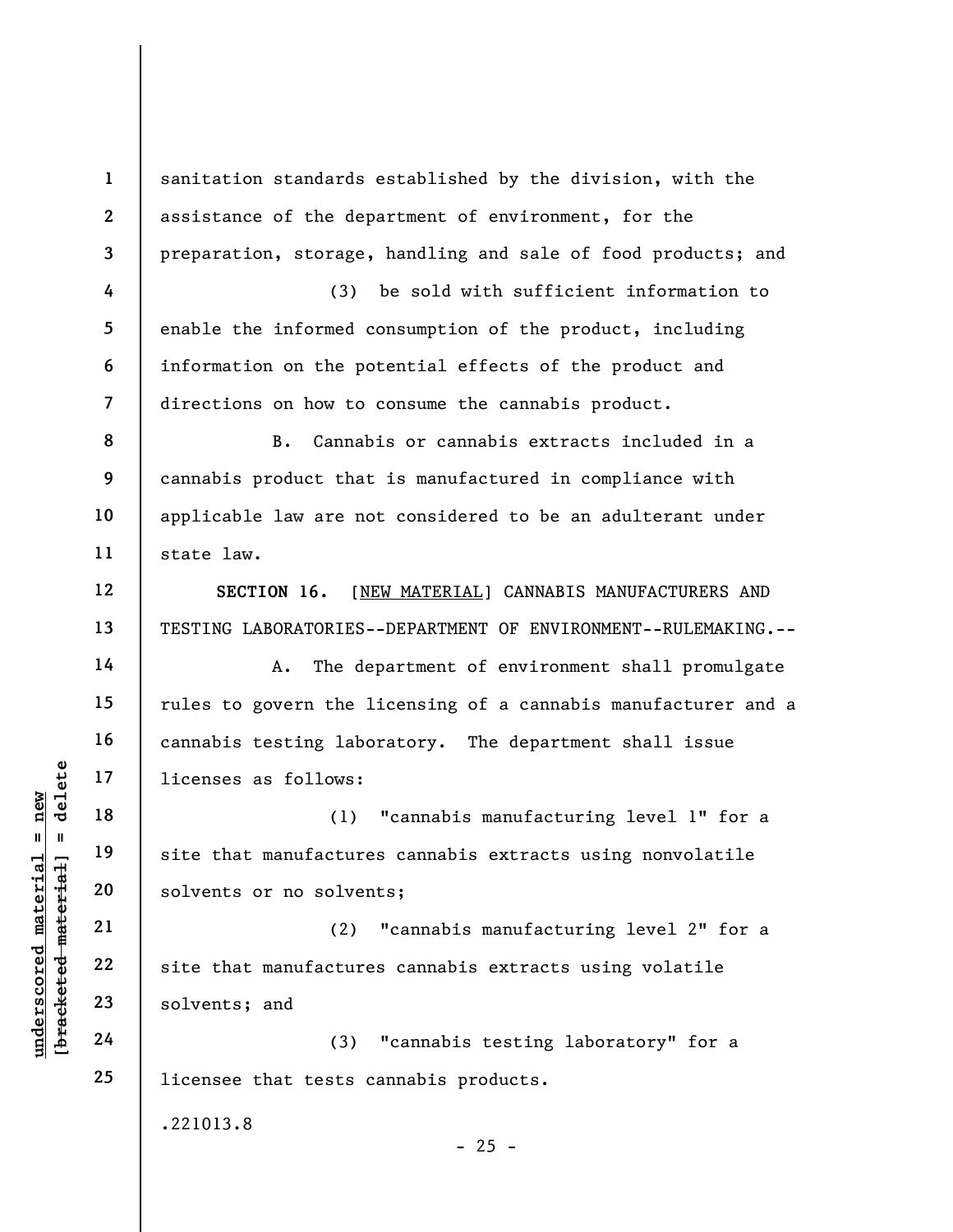underscore material material material and the solvents or no solven<br>
we were that manufacture<br>
we were the solvents or no solven<br>
21<br>
23<br>
23<br>
24<br>
24<br>
24<br>
24<br>
24<br>
23<br>
24<br>
24 1 2 3 4 5 6 7 8 9 10 11 12 13 14 15 16 17 18 19 20 21 22 23 24 25 sanitation standards established by the division, with the assistance of the department of environment, for the preparation, storage, handling and sale of food products; and (3) be sold with sufficient information to enable the informed consumption of the product, including information on the potential effects of the product and directions on how to consume the cannabis product. B. Cannabis or cannabis extracts included in a cannabis product that is manufactured in compliance with applicable law are not considered to be an adulterant under state law. SECTION 16. [NEW MATERIAL] CANNABIS MANUFACTURERS AND TESTING LABORATORIES--DEPARTMENT OF ENVIRONMENT--RULEMAKING.-- A. The department of environment shall promulgate rules to govern the licensing of a cannabis manufacturer and a cannabis testing laboratory. The department shall issue licenses as follows: (1) "cannabis manufacturing level 1" for a site that manufactures cannabis extracts using nonvolatile solvents or no solvents; (2) "cannabis manufacturing level 2" for a site that manufactures cannabis extracts using volatile solvents; and (3) "cannabis testing laboratory" for a licensee that tests cannabis products. .221013.8  $- 25 -$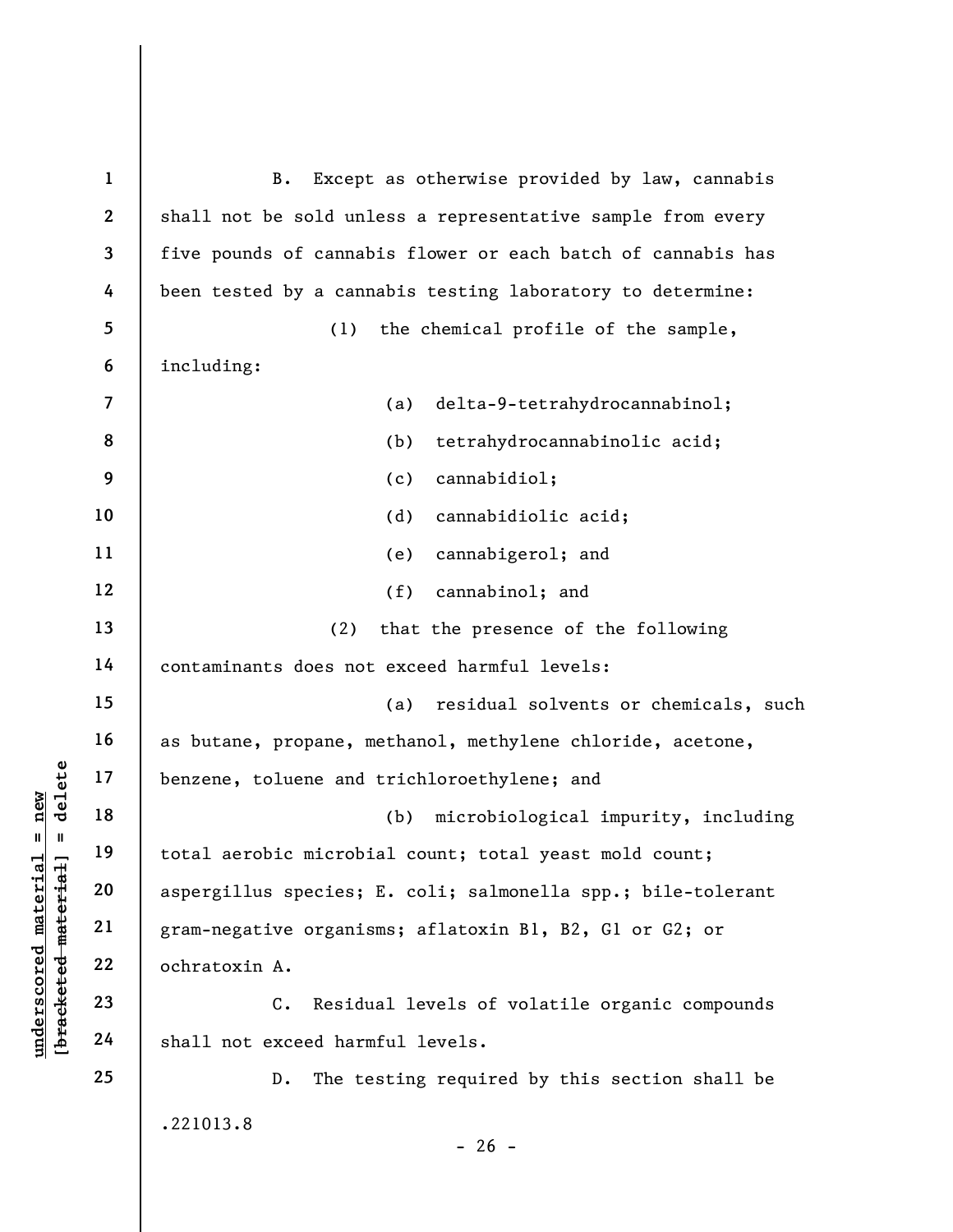underschieden material enganger and total aerobic microbic methods<br>
were the corrections of the species;<br>
as a spergillus species;<br>
gram-negative organis<br>
22<br>
underschieden material<br>
24<br>
24<br>
24<br>
24<br>
22<br>
24<br>
24<br>
29<br>
29<br>
24<br> 1 2 3 4 5 6 7 8 9 10 11 12 13 14 15 16 17 18 19 20 21 22 23 24 25 B. Except as otherwise provided by law, cannabis shall not be sold unless a representative sample from every five pounds of cannabis flower or each batch of cannabis has been tested by a cannabis testing laboratory to determine: (1) the chemical profile of the sample, including: (a) delta-9-tetrahydrocannabinol; (b) tetrahydrocannabinolic acid; (c) cannabidiol; (d) cannabidiolic acid; (e) cannabigerol; and (f) cannabinol; and (2) that the presence of the following contaminants does not exceed harmful levels: (a) residual solvents or chemicals, such as butane, propane, methanol, methylene chloride, acetone, benzene, toluene and trichloroethylene; and (b) microbiological impurity, including total aerobic microbial count; total yeast mold count; aspergillus species; E. coli; salmonella spp.; bile-tolerant gram-negative organisms; aflatoxin B1, B2, G1 or G2; or ochratoxin A. C. Residual levels of volatile organic compounds shall not exceed harmful levels. D. The testing required by this section shall be .221013.8  $- 26 -$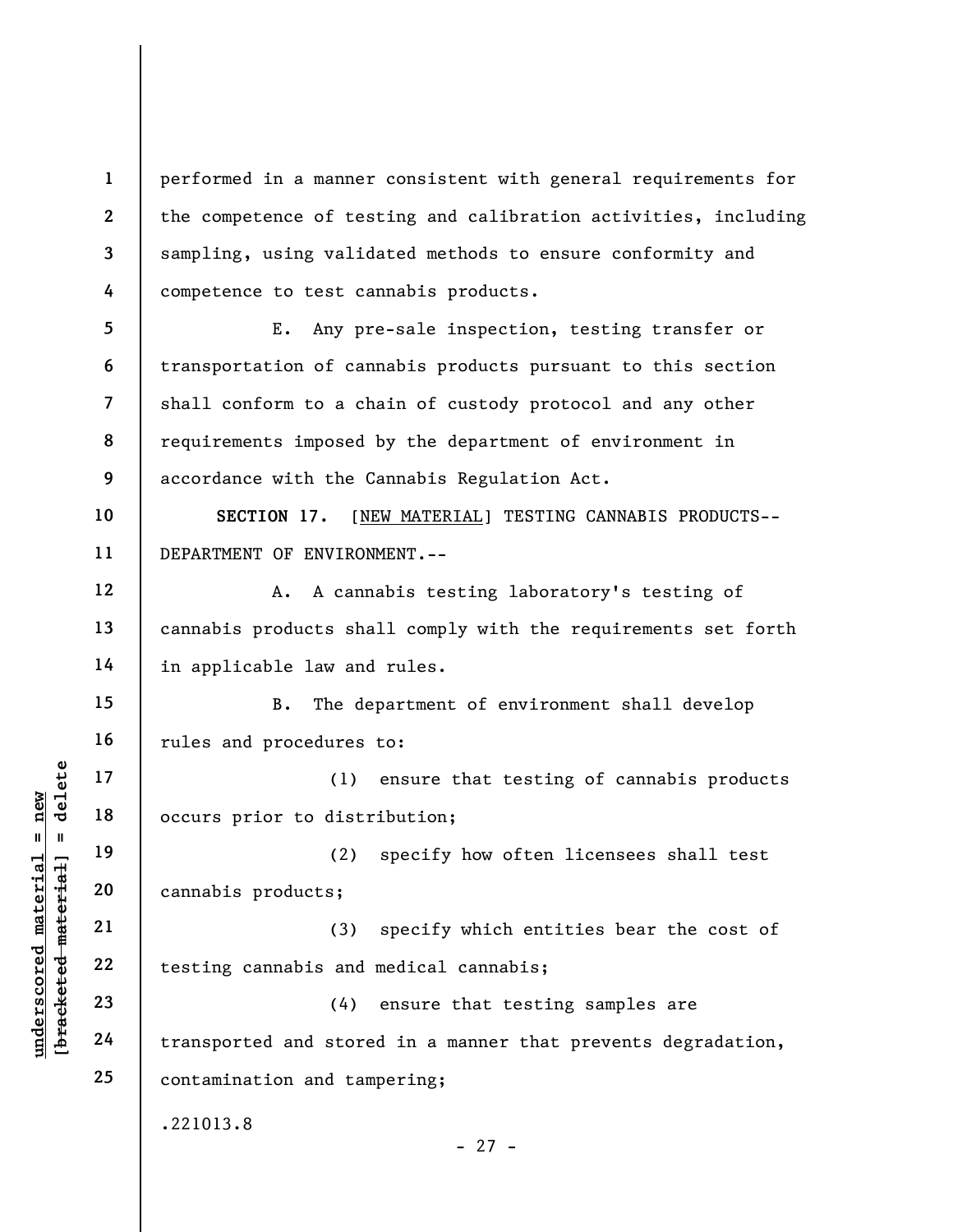1 2 3 4 performed in a manner consistent with general requirements for the competence of testing and calibration activities, including sampling, using validated methods to ensure conformity and competence to test cannabis products.

5 6 7 8 9 E. Any pre-sale inspection, testing transfer or transportation of cannabis products pursuant to this section shall conform to a chain of custody protocol and any other requirements imposed by the department of environment in accordance with the Cannabis Regulation Act.

10 11 SECTION 17. [NEW MATERIAL] TESTING CANNABIS PRODUCTS-- DEPARTMENT OF ENVIRONMENT.--

A. A cannabis testing laboratory's testing of cannabis products shall comply with the requirements set forth in applicable law and rules.

B. The department of environment shall develop rules and procedures to:

(1) ensure that testing of cannabis products occurs prior to distribution;

19 20 (2) specify how often licensees shall test cannabis products;

(3) specify which entities bear the cost of testing cannabis and medical cannabis;

underscored material material material and the set of the set of the set of the set of the set of the set of the set of the set of the set of the set of the set of the set of the set of the set of the set of the set of the (4) ensure that testing samples are transported and stored in a manner that prevents degradation, contamination and tampering;

.221013.8

- 27 -

12

13

14

15

16

17

18

21

22

23

24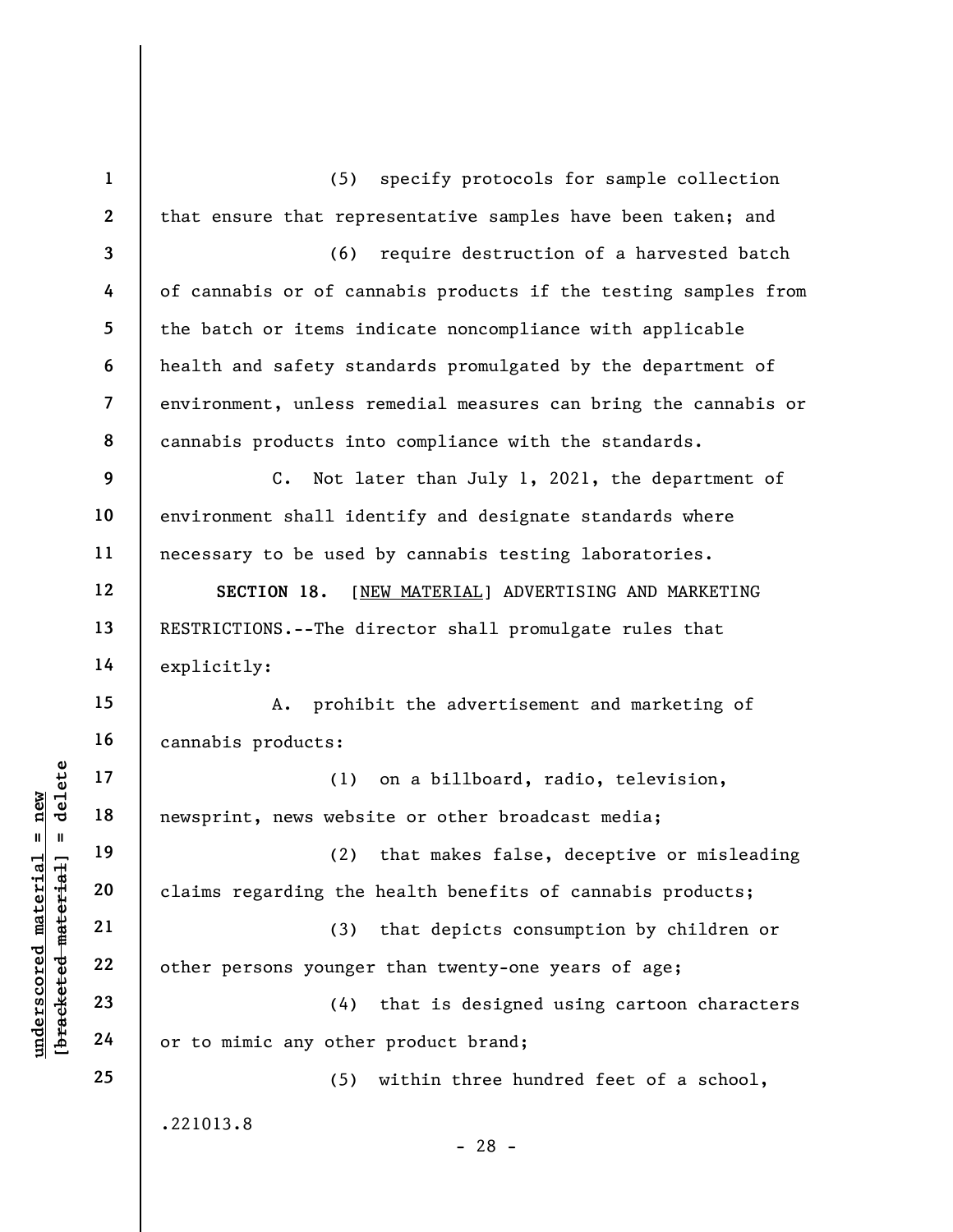understand material material material material and the set of the set of the set of the set of the set of the set of the set of the set of the set of the set of the set of the set of the set of the set of the set of the se 1 2 3 4 5 6 7 8 9 10 11 12 13 14 15 16 17 18 19 20 21 22 23 24 25 (5) specify protocols for sample collection that ensure that representative samples have been taken; and (6) require destruction of a harvested batch of cannabis or of cannabis products if the testing samples from the batch or items indicate noncompliance with applicable health and safety standards promulgated by the department of environment, unless remedial measures can bring the cannabis or cannabis products into compliance with the standards. C. Not later than July 1, 2021, the department of environment shall identify and designate standards where necessary to be used by cannabis testing laboratories. SECTION 18. [NEW MATERIAL] ADVERTISING AND MARKETING RESTRICTIONS.--The director shall promulgate rules that explicitly: A. prohibit the advertisement and marketing of cannabis products: (1) on a billboard, radio, television, newsprint, news website or other broadcast media; (2) that makes false, deceptive or misleading claims regarding the health benefits of cannabis products; (3) that depicts consumption by children or other persons younger than twenty-one years of age; (4) that is designed using cartoon characters or to mimic any other product brand; (5) within three hundred feet of a school, .221013.8 - 28 -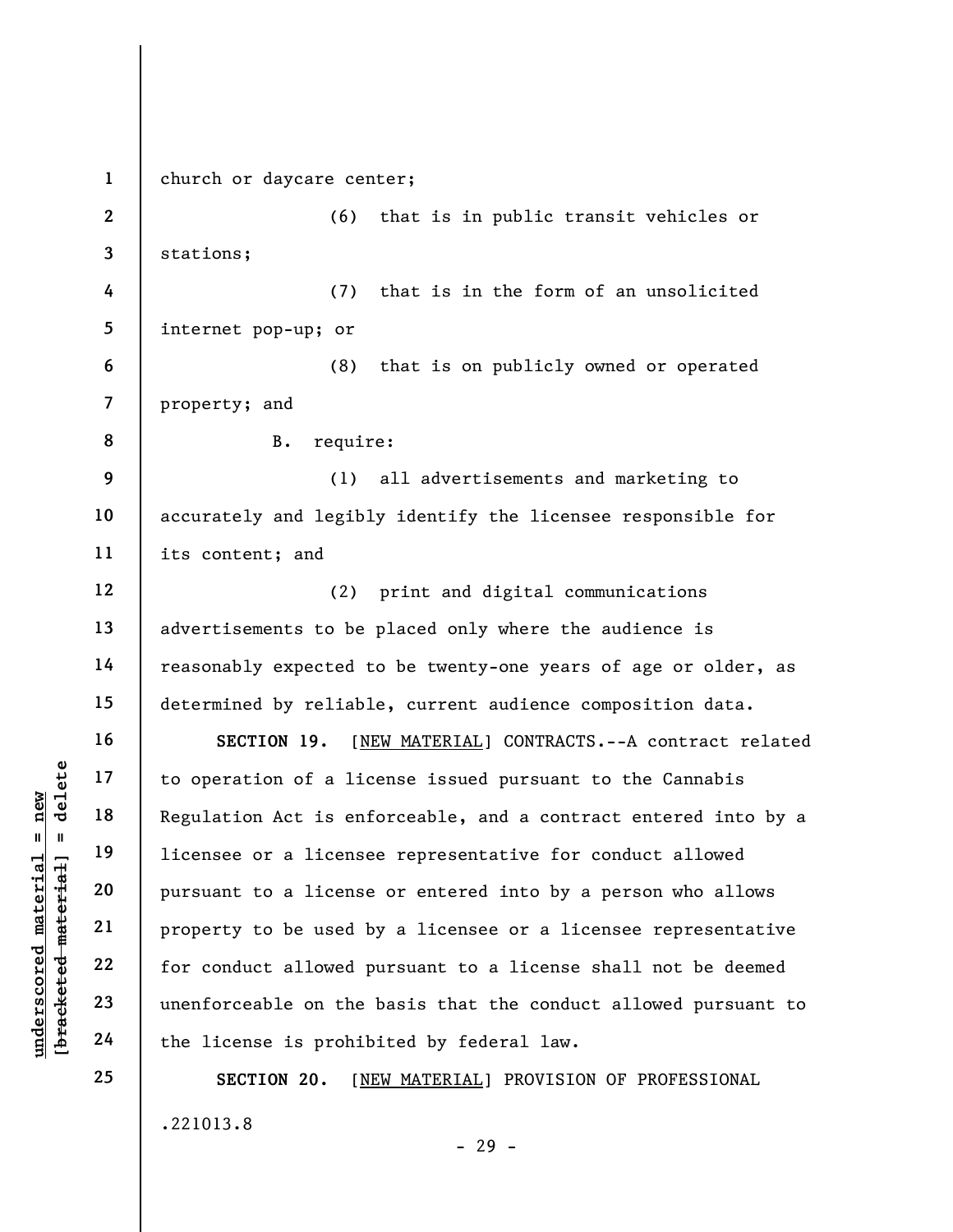understand material to operation of a lice<br>  $\begin{array}{c|c|c|c} \multicolumn{1}{c|}{\text{blue}} & \multicolumn{1}{c}{\text{blue}} & \multicolumn{1}{c}{\text{blue}} & \multicolumn{1}{c}{\text{blue}} & \multicolumn{1}{c}{\text{blue}} & \multicolumn{1}{c}{\text{blue}} & \multicolumn{1}{c}{\text{blue}} & \multicolumn{1}{c}{\text{blue}} & \multicolumn{1}{c}{\text{blue}} & \multicolumn{1}{c}{\text{blue}} & \multicolumn{1}{c}{\text{blue$ 1 2 3 4 5 6 7 8 9 10 11 12 13 14 15 16 17 18 19 20 21 22 23 24 25 church or daycare center; (6) that is in public transit vehicles or stations; (7) that is in the form of an unsolicited internet pop-up; or (8) that is on publicly owned or operated property; and B. require: (1) all advertisements and marketing to accurately and legibly identify the licensee responsible for its content; and (2) print and digital communications advertisements to be placed only where the audience is reasonably expected to be twenty-one years of age or older, as determined by reliable, current audience composition data. SECTION 19. [NEW MATERIAL] CONTRACTS.--A contract related to operation of a license issued pursuant to the Cannabis Regulation Act is enforceable, and a contract entered into by a licensee or a licensee representative for conduct allowed pursuant to a license or entered into by a person who allows property to be used by a licensee or a licensee representative for conduct allowed pursuant to a license shall not be deemed unenforceable on the basis that the conduct allowed pursuant to the license is prohibited by federal law. SECTION 20. [NEW MATERIAL] PROVISION OF PROFESSIONAL

.221013.8

- 29 -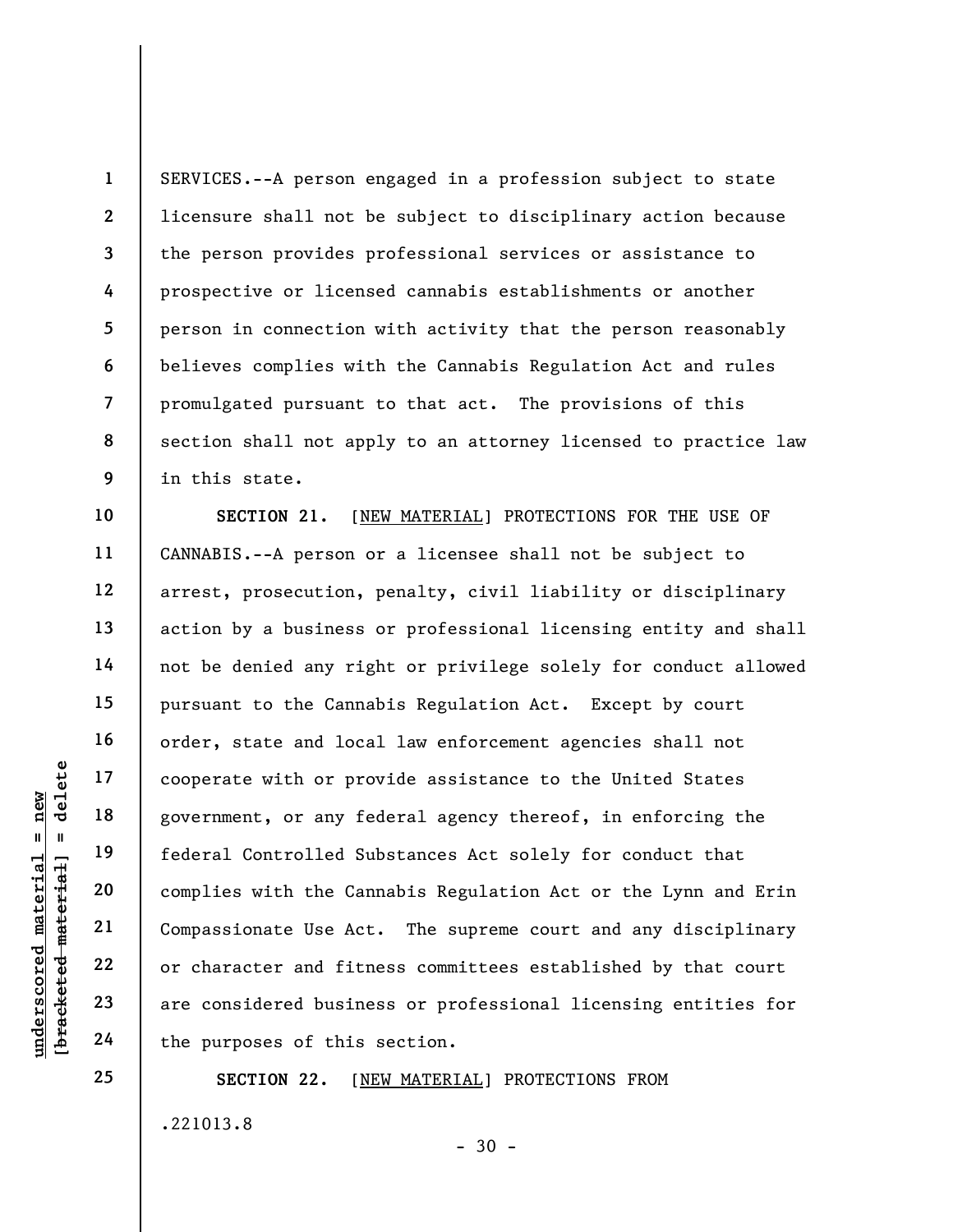2 3 8 9 SERVICES.--A person engaged in a profession subject to state licensure shall not be subject to disciplinary action because the person provides professional services or assistance to prospective or licensed cannabis establishments or another person in connection with activity that the person reasonably believes complies with the Cannabis Regulation Act and rules promulgated pursuant to that act. The provisions of this section shall not apply to an attorney licensed to practice law in this state.

understand fitting and the particle of this<br>
with the Canadian policies with the Canadian policies with the Canadian<br>
with the Canadian policies with the Canadian<br>
with the Canadian policies with the Canadian<br>
with the Can 10 11 12 13 14 15 16 17 18 19 20 21 22 23 24 SECTION 21. [NEW MATERIAL] PROTECTIONS FOR THE USE OF CANNABIS.--A person or a licensee shall not be subject to arrest, prosecution, penalty, civil liability or disciplinary action by a business or professional licensing entity and shall not be denied any right or privilege solely for conduct allowed pursuant to the Cannabis Regulation Act. Except by court order, state and local law enforcement agencies shall not cooperate with or provide assistance to the United States government, or any federal agency thereof, in enforcing the federal Controlled Substances Act solely for conduct that complies with the Cannabis Regulation Act or the Lynn and Erin Compassionate Use Act. The supreme court and any disciplinary or character and fitness committees established by that court are considered business or professional licensing entities for the purposes of this section.

> SECTION 22. [NEW MATERIAL] PROTECTIONS FROM .221013.8  $-30 -$

1

4

5

6

7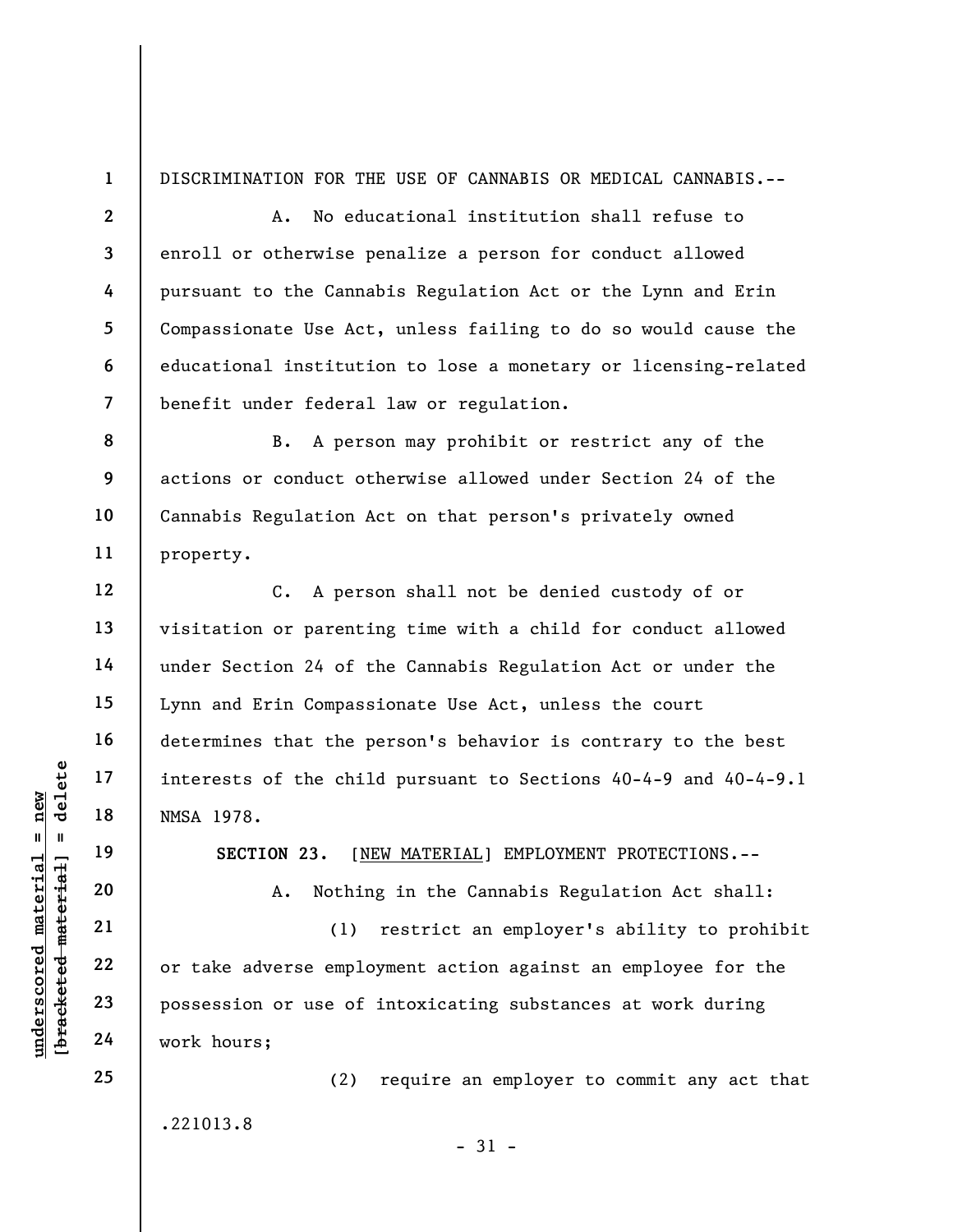1 DISCRIMINATION FOR THE USE OF CANNABIS OR MEDICAL CANNABIS.--

A. No educational institution shall refuse to enroll or otherwise penalize a person for conduct allowed pursuant to the Cannabis Regulation Act or the Lynn and Erin Compassionate Use Act, unless failing to do so would cause the educational institution to lose a monetary or licensing-related benefit under federal law or regulation.

8 9 10 11 B. A person may prohibit or restrict any of the actions or conduct otherwise allowed under Section 24 of the Cannabis Regulation Act on that person's privately owned property.

C. A person shall not be denied custody of or visitation or parenting time with a child for conduct allowed under Section 24 of the Cannabis Regulation Act or under the Lynn and Erin Compassionate Use Act, unless the court determines that the person's behavior is contrary to the best interests of the child pursuant to Sections 40-4-9 and 40-4-9.1 NMSA 1978.

SECTION 23. [NEW MATERIAL] EMPLOYMENT PROTECTIONS.--

A. Nothing in the Cannabis Regulation Act shall:

underscored material material material material material material material material material control of the chi<br>
and 19 SECTION 23. [M]<br>
and 19 SECTION 23. [M]<br>
and 19 SECTION 23. [M]<br>
21 (1)<br>
22 or take adverse employed p (1) restrict an employer's ability to prohibit or take adverse employment action against an employee for the possession or use of intoxicating substances at work during work hours;

 $-31 -$ 

.221013.8

(2) require an employer to commit any act that

2

3

4

5

6

7

12

13

14

15

16

17

18

19

20

21

22

23

24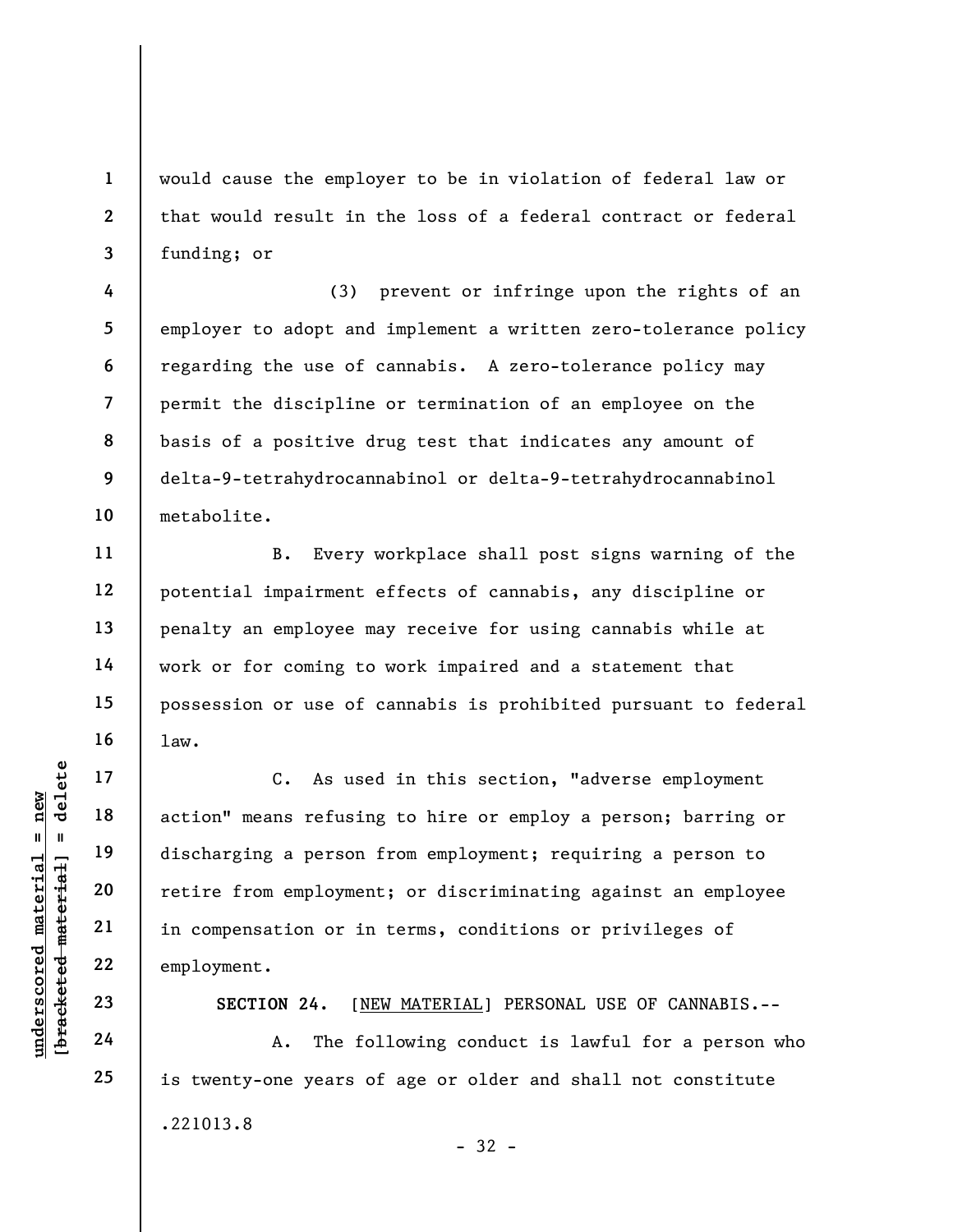would cause the employer to be in violation of federal law or that would result in the loss of a federal contract or federal funding; or

4 5 6 7 8 9 10 (3) prevent or infringe upon the rights of an employer to adopt and implement a written zero-tolerance policy regarding the use of cannabis. A zero-tolerance policy may permit the discipline or termination of an employee on the basis of a positive drug test that indicates any amount of delta-9-tetrahydrocannabinol or delta-9-tetrahydrocannabinol metabolite.

B. Every workplace shall post signs warning of the potential impairment effects of cannabis, any discipline or penalty an employee may receive for using cannabis while at work or for coming to work impaired and a statement that possession or use of cannabis is prohibited pursuant to federal law.

understand material material end of the set of the set of the set of the set of the set of the set of the set of the set of the set of the set of the set of the set of the set of the set of the set of the set of the set of C. As used in this section, "adverse employment action" means refusing to hire or employ a person; barring or discharging a person from employment; requiring a person to retire from employment; or discriminating against an employee in compensation or in terms, conditions or privileges of employment.

SECTION 24. [NEW MATERIAL] PERSONAL USE OF CANNABIS.--

 A. The following conduct is lawful for a person who is twenty-one years of age or older and shall not constitute .221013.8 - 32 -

1

2

3

11

12

13

14

15

16

17

18

19

20

21

22

23

24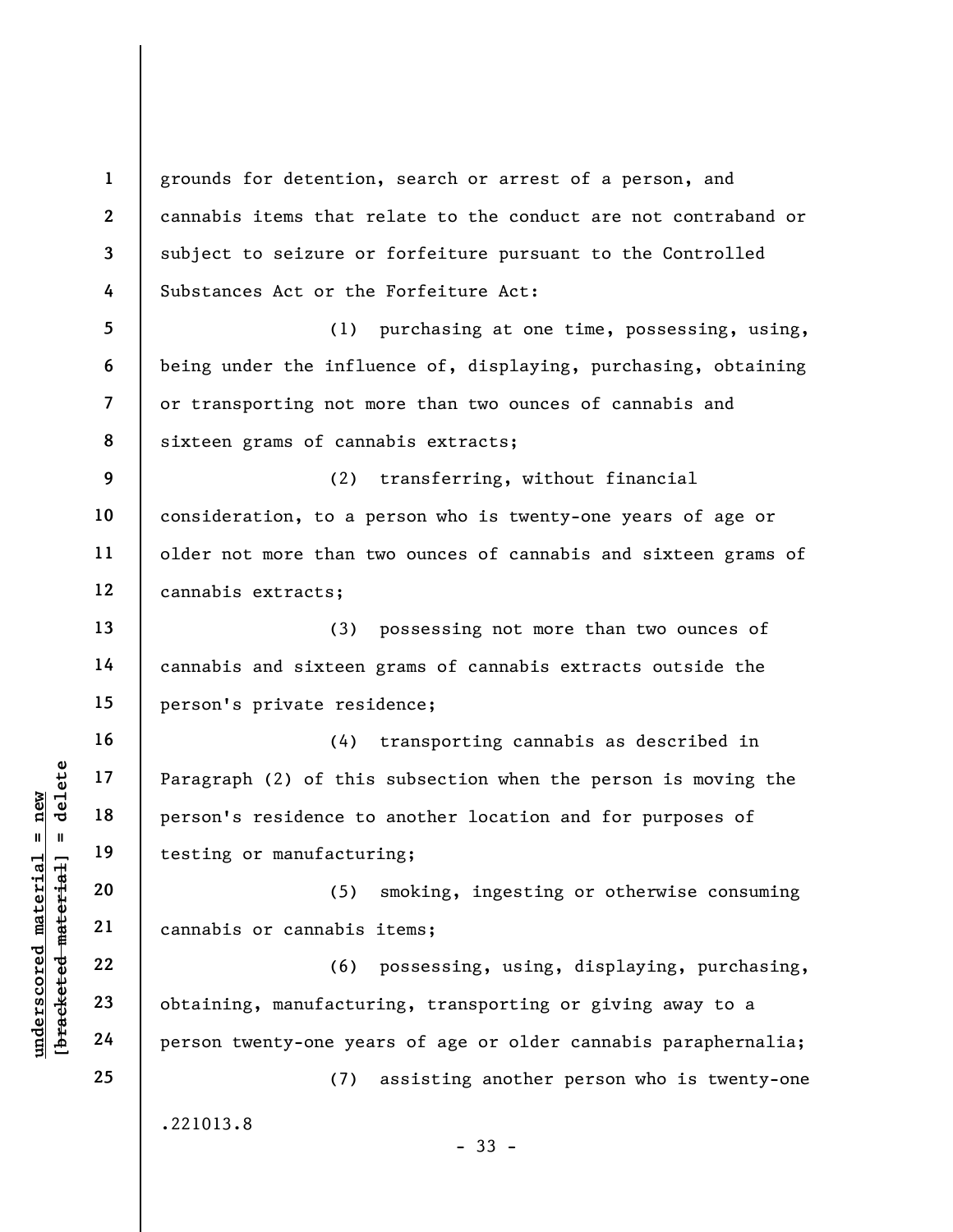underscored material = new [bracketed material] = delete 1 2 3 4 5 6 7 8 9 10 11 12 13 14 15 16 17 18 19 20 21 22 23 24 25 grounds for detention, search or arrest of a person, and cannabis items that relate to the conduct are not contraband or subject to seizure or forfeiture pursuant to the Controlled Substances Act or the Forfeiture Act: (1) purchasing at one time, possessing, using, being under the influence of, displaying, purchasing, obtaining or transporting not more than two ounces of cannabis and sixteen grams of cannabis extracts; (2) transferring, without financial consideration, to a person who is twenty-one years of age or older not more than two ounces of cannabis and sixteen grams of cannabis extracts; (3) possessing not more than two ounces of cannabis and sixteen grams of cannabis extracts outside the person's private residence; (4) transporting cannabis as described in Paragraph (2) of this subsection when the person is moving the person's residence to another location and for purposes of testing or manufacturing; (5) smoking, ingesting or otherwise consuming cannabis or cannabis items; (6) possessing, using, displaying, purchasing, obtaining, manufacturing, transporting or giving away to a person twenty-one years of age or older cannabis paraphernalia; (7) assisting another person who is twenty-one .221013.8 - 33 -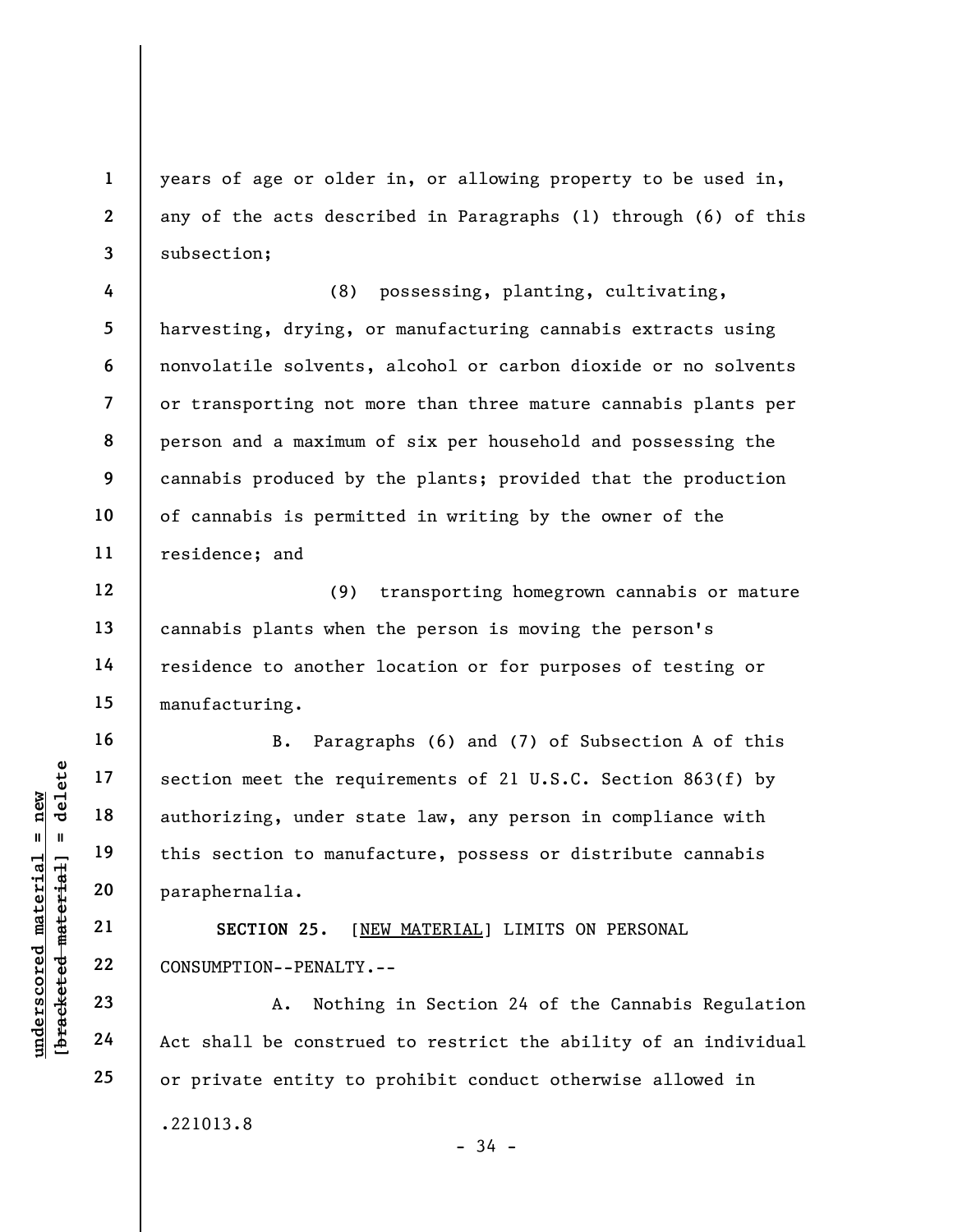years of age or older in, or allowing property to be used in, any of the acts described in Paragraphs (1) through (6) of this subsection;

4 5 6 7 8 9 10 11 (8) possessing, planting, cultivating, harvesting, drying, or manufacturing cannabis extracts using nonvolatile solvents, alcohol or carbon dioxide or no solvents or transporting not more than three mature cannabis plants per person and a maximum of six per household and possessing the cannabis produced by the plants; provided that the production of cannabis is permitted in writing by the owner of the residence; and

12 13 14 15 (9) transporting homegrown cannabis or mature cannabis plants when the person is moving the person's residence to another location or for purposes of testing or manufacturing.

underscored material = new [bracketed material] = delete B. Paragraphs (6) and (7) of Subsection A of this section meet the requirements of 21 U.S.C. Section 863(f) by authorizing, under state law, any person in compliance with this section to manufacture, possess or distribute cannabis paraphernalia.

SECTION 25. [NEW MATERIAL] LIMITS ON PERSONAL CONSUMPTION--PENALTY.--

A. Nothing in Section 24 of the Cannabis Regulation Act shall be construed to restrict the ability of an individual or private entity to prohibit conduct otherwise allowed in

- 34 -

16

17

18

19

20

21

22

23

24

25

1

2

3

.221013.8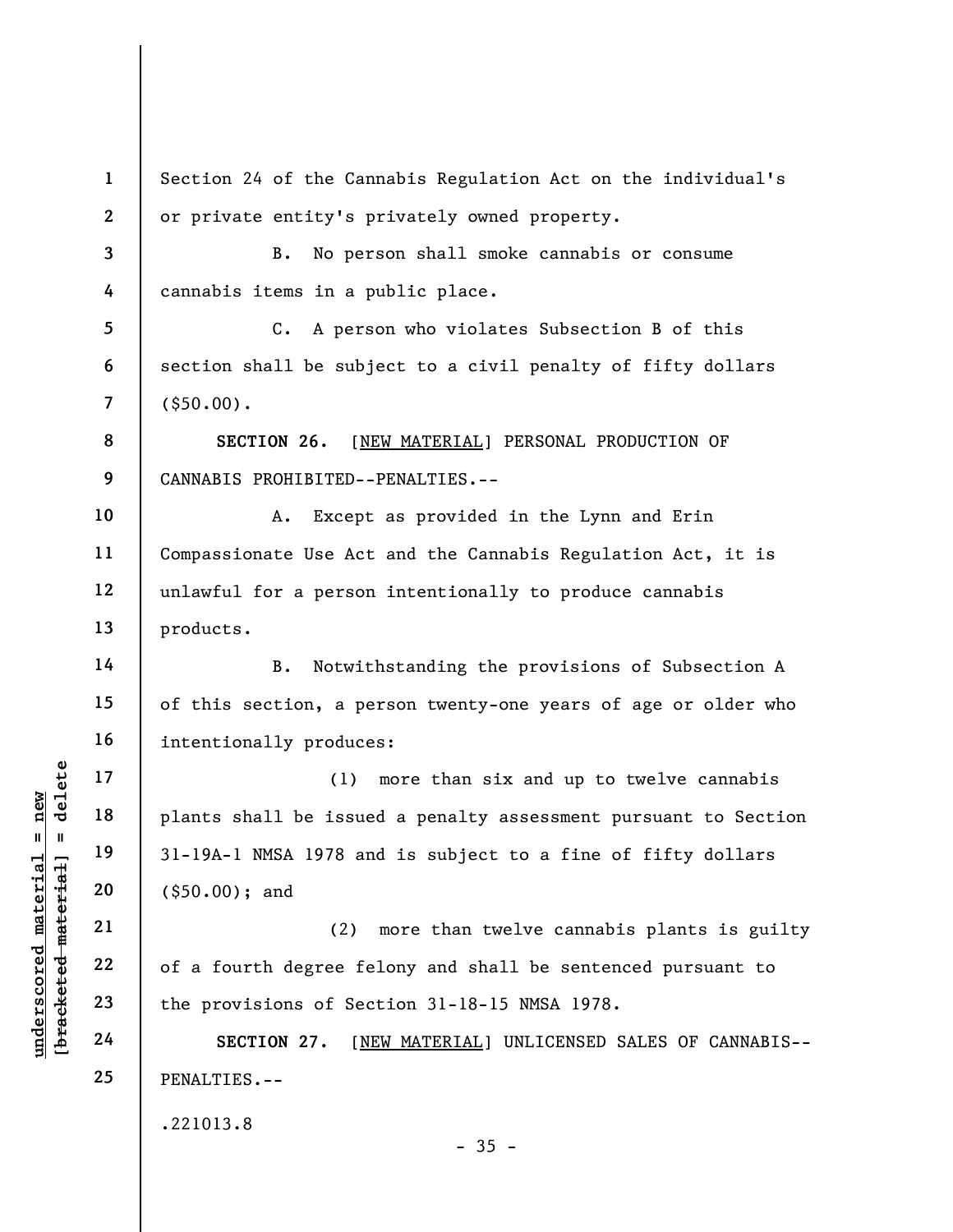underscored material material of a fourth degree for the provisions of Second 24 (\$50.00); and (2)<br>
we will be issue (\$50.00); and (2)<br>
we will be issue (\$50.00); and (2)<br>
we will be issue in the state of the provisions of 1 2 3 4 5 6 7 8 9 10 11 12 13 14 15 16 17 18 19 20 21 22 23 24 25 Section 24 of the Cannabis Regulation Act on the individual's or private entity's privately owned property. B. No person shall smoke cannabis or consume cannabis items in a public place. C. A person who violates Subsection B of this section shall be subject to a civil penalty of fifty dollars (\$50.00). SECTION 26. [NEW MATERIAL] PERSONAL PRODUCTION OF CANNABIS PROHIBITED--PENALTIES.-- A. Except as provided in the Lynn and Erin Compassionate Use Act and the Cannabis Regulation Act, it is unlawful for a person intentionally to produce cannabis products. B. Notwithstanding the provisions of Subsection A of this section, a person twenty-one years of age or older who intentionally produces: (1) more than six and up to twelve cannabis plants shall be issued a penalty assessment pursuant to Section 31-19A-1 NMSA 1978 and is subject to a fine of fifty dollars (\$50.00); and (2) more than twelve cannabis plants is guilty of a fourth degree felony and shall be sentenced pursuant to the provisions of Section 31-18-15 NMSA 1978. SECTION 27. [NEW MATERIAL] UNLICENSED SALES OF CANNABIS--PENALTIES.-- .221013.8  $-35 -$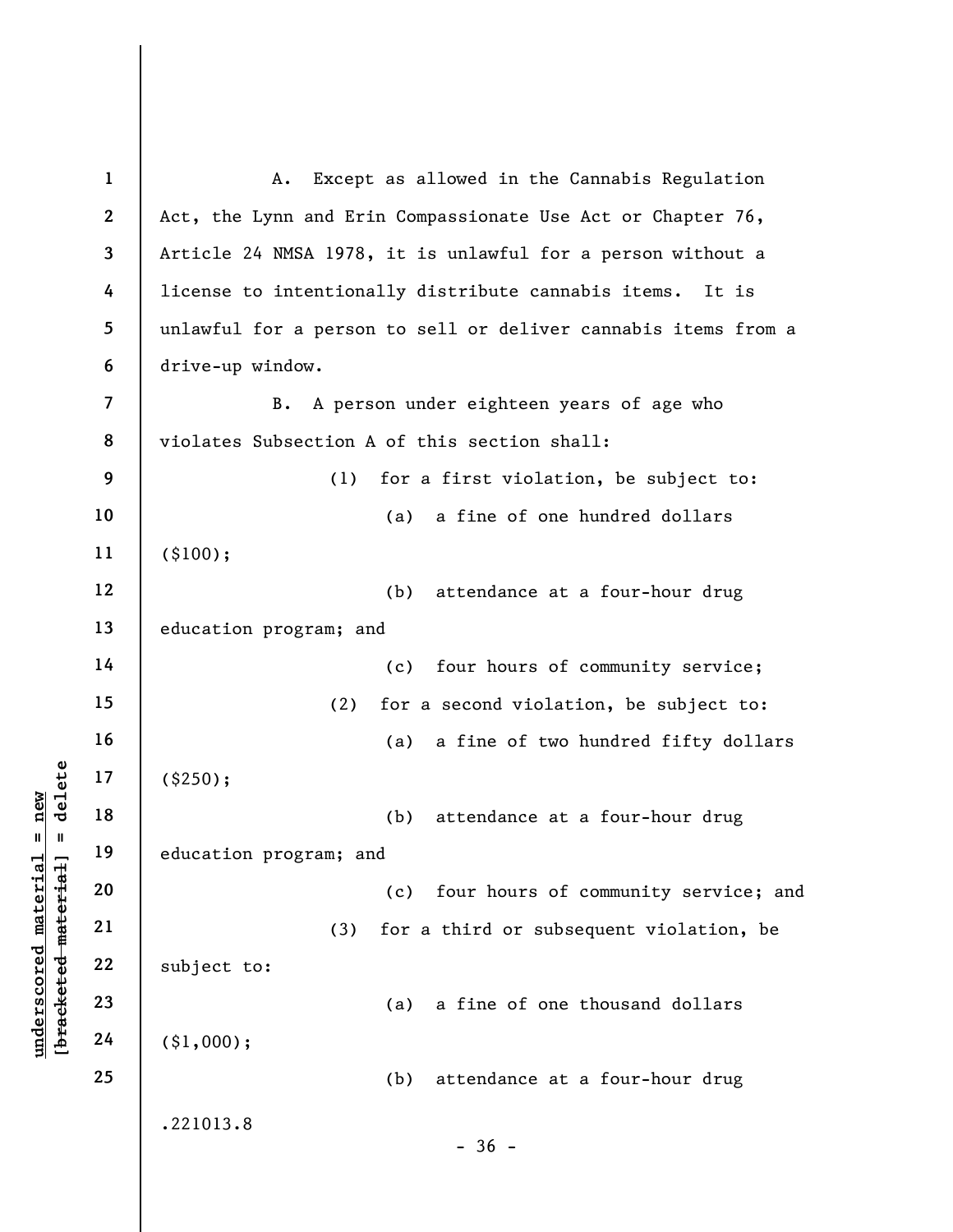underscored material = new [bracketed material] = delete 1 2 3 4 5 6 7 8 9 10 11 12 13 14 15 16 17 18 19 20 21 22 23 24 25 A. Except as allowed in the Cannabis Regulation Act, the Lynn and Erin Compassionate Use Act or Chapter 76, Article 24 NMSA 1978, it is unlawful for a person without a license to intentionally distribute cannabis items. It is unlawful for a person to sell or deliver cannabis items from a drive-up window. B. A person under eighteen years of age who violates Subsection A of this section shall: (1) for a first violation, be subject to: (a) a fine of one hundred dollars (\$100); (b) attendance at a four-hour drug education program; and (c) four hours of community service; (2) for a second violation, be subject to: (a) a fine of two hundred fifty dollars (\$250); (b) attendance at a four-hour drug education program; and (c) four hours of community service; and (3) for a third or subsequent violation, be subject to: (a) a fine of one thousand dollars (\$1,000); (b) attendance at a four-hour drug .221013.8  $-36 -$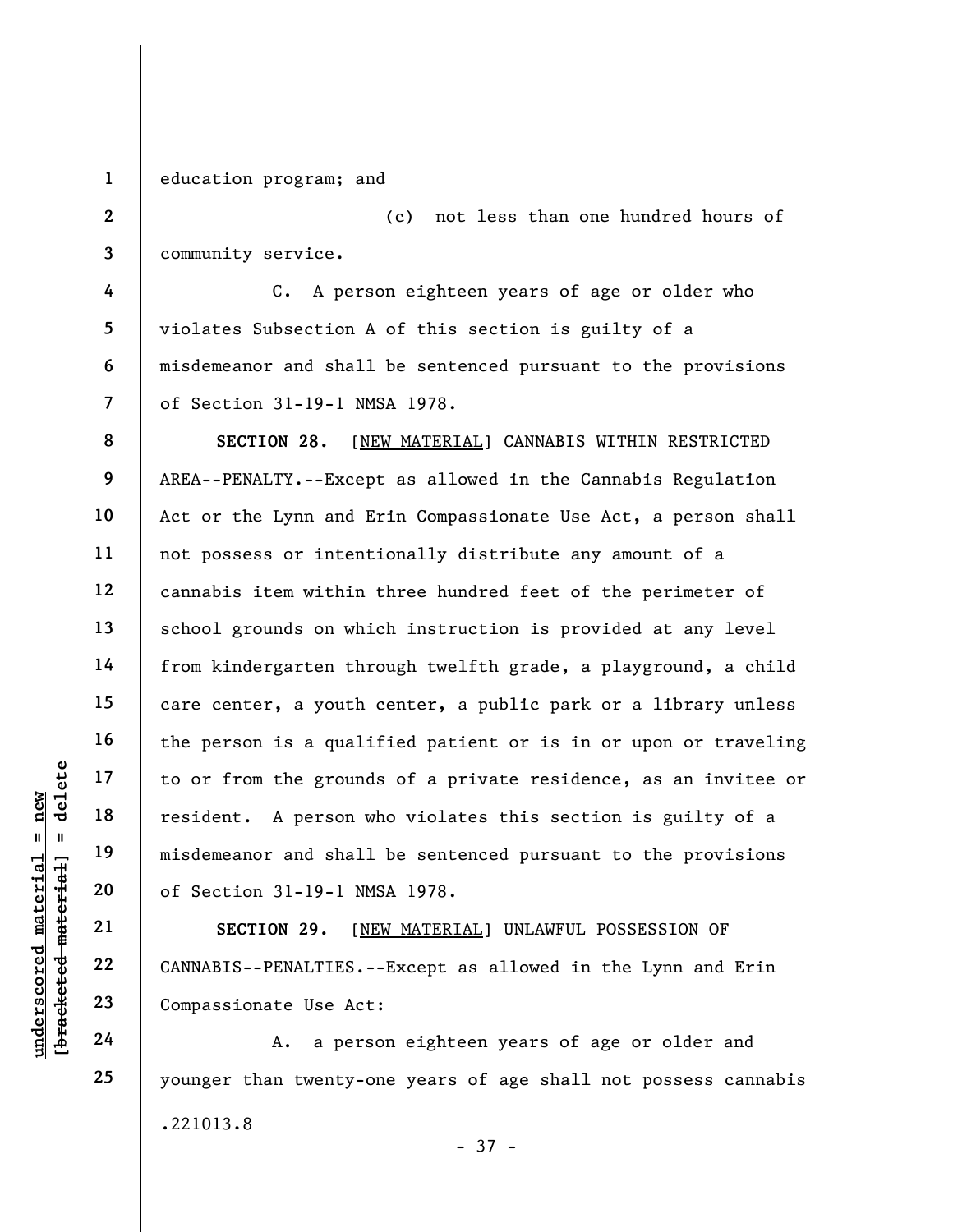1 education program; and

2 3 (c) not less than one hundred hours of community service.

4 5 6 7 C. A person eighteen years of age or older who violates Subsection A of this section is guilty of a misdemeanor and shall be sentenced pursuant to the provisions of Section 31-19-1 NMSA 1978.

understand material end material end material material end material of Section 31-19-1 NM<br>
windows and shall<br>
windows and shall<br>
windows and shall<br>
windows and shall<br>
windows are shall<br>
windows are shall<br>
compassion to Use 8 9 10 11 12 13 14 15 16 17 18 19 20 SECTION 28. [NEW MATERIAL] CANNABIS WITHIN RESTRICTED AREA--PENALTY.--Except as allowed in the Cannabis Regulation Act or the Lynn and Erin Compassionate Use Act, a person shall not possess or intentionally distribute any amount of a cannabis item within three hundred feet of the perimeter of school grounds on which instruction is provided at any level from kindergarten through twelfth grade, a playground, a child care center, a youth center, a public park or a library unless the person is a qualified patient or is in or upon or traveling to or from the grounds of a private residence, as an invitee or resident. A person who violates this section is guilty of a misdemeanor and shall be sentenced pursuant to the provisions of Section 31-19-1 NMSA 1978.

SECTION 29. [NEW MATERIAL] UNLAWFUL POSSESSION OF CANNABIS--PENALTIES.--Except as allowed in the Lynn and Erin Compassionate Use Act:

A. a person eighteen years of age or older and younger than twenty-one years of age shall not possess cannabis .221013.8 - 37 -

21

22

23

24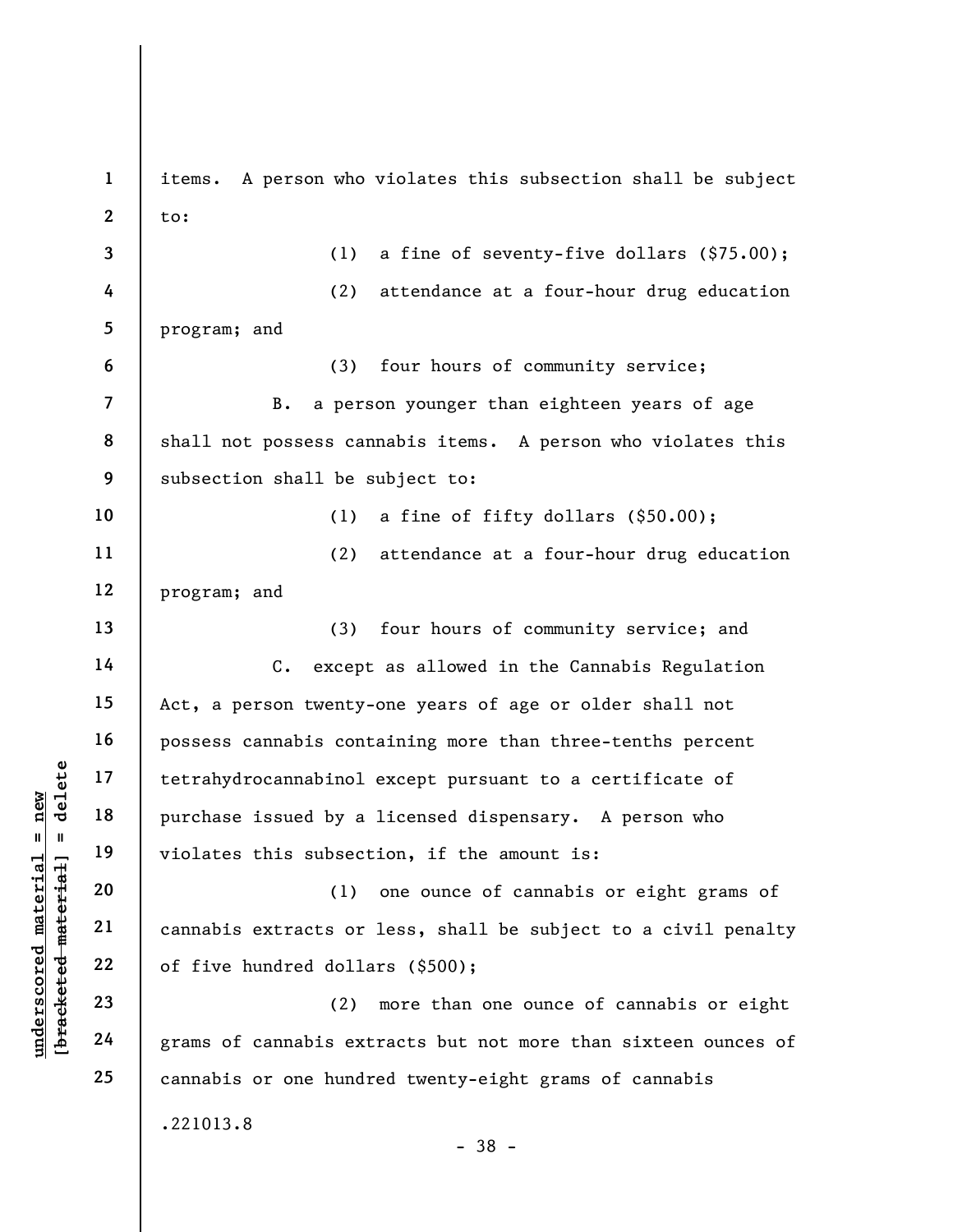underscored material = new [bracketed material] = delete 1 2 3 4 5 6 7 8 9 10 11 12 13 14 15 16 17 18 19 20 21 22 23 24 25 items. A person who violates this subsection shall be subject to: (1) a fine of seventy-five dollars (\$75.00); (2) attendance at a four-hour drug education program; and (3) four hours of community service; B. a person younger than eighteen years of age shall not possess cannabis items. A person who violates this subsection shall be subject to: (1) a fine of fifty dollars (\$50.00); (2) attendance at a four-hour drug education program; and (3) four hours of community service; and C. except as allowed in the Cannabis Regulation Act, a person twenty-one years of age or older shall not possess cannabis containing more than three-tenths percent tetrahydrocannabinol except pursuant to a certificate of purchase issued by a licensed dispensary. A person who violates this subsection, if the amount is: (1) one ounce of cannabis or eight grams of cannabis extracts or less, shall be subject to a civil penalty of five hundred dollars (\$500); (2) more than one ounce of cannabis or eight grams of cannabis extracts but not more than sixteen ounces of cannabis or one hundred twenty-eight grams of cannabis .221013.8 - 38 -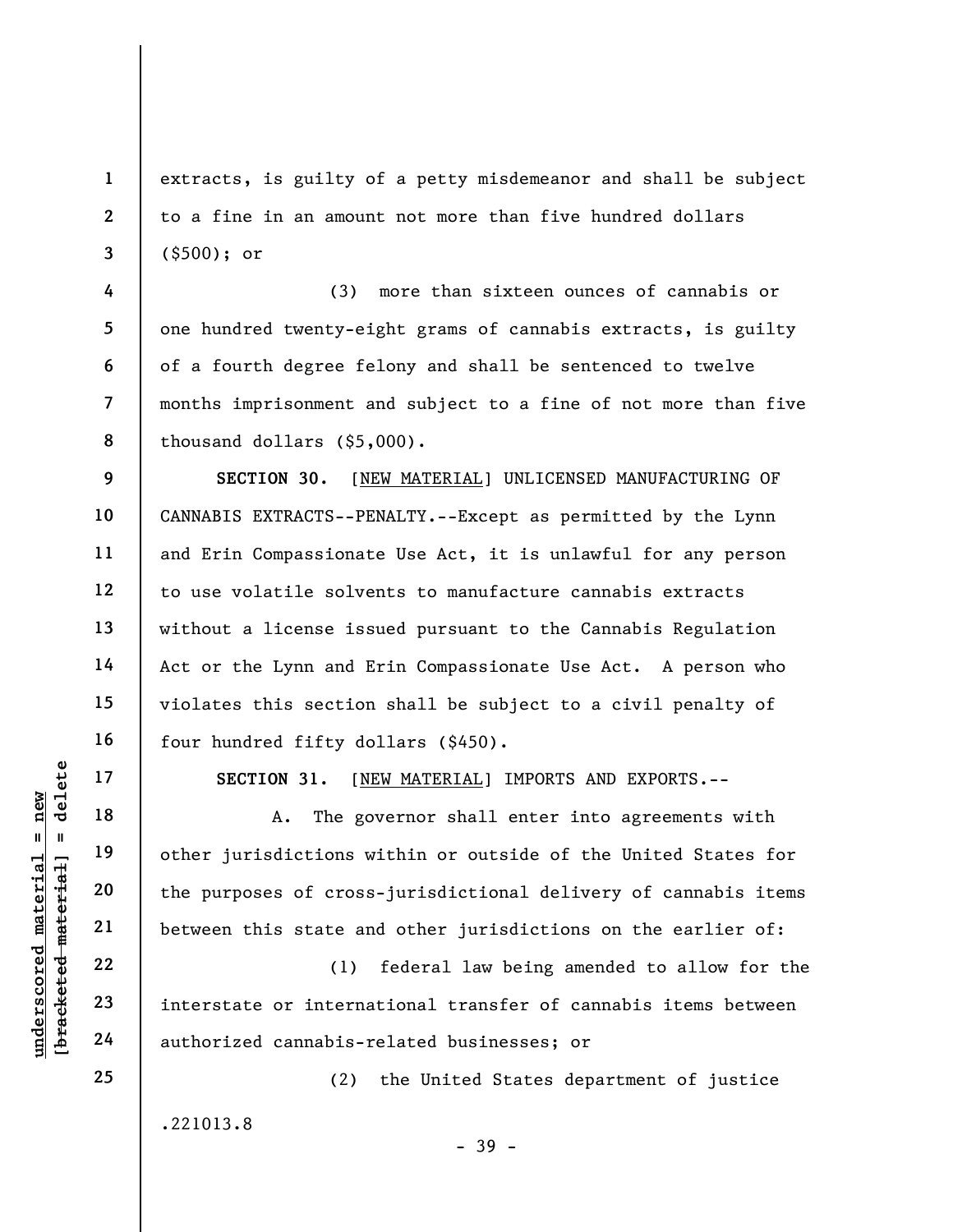extracts, is guilty of a petty misdemeanor and shall be subject to a fine in an amount not more than five hundred dollars (\$500); or

4 5 6 7 8 (3) more than sixteen ounces of cannabis or one hundred twenty-eight grams of cannabis extracts, is guilty of a fourth degree felony and shall be sentenced to twelve months imprisonment and subject to a fine of not more than five thousand dollars (\$5,000).

9 10 11 12 13 14 15 16 SECTION 30. [NEW MATERIAL] UNLICENSED MANUFACTURING OF CANNABIS EXTRACTS--PENALTY.--Except as permitted by the Lynn and Erin Compassionate Use Act, it is unlawful for any person to use volatile solvents to manufacture cannabis extracts without a license issued pursuant to the Cannabis Regulation Act or the Lynn and Erin Compassionate Use Act. A person who violates this section shall be subject to a civil penalty of four hundred fifty dollars (\$450).

17

18

1

2

3

SECTION 31. [NEW MATERIAL] IMPORTS AND EXPORTS.--

underscored material = new [bracketed material] = delete A. The governor shall enter into agreements with other jurisdictions within or outside of the United States for the purposes of cross-jurisdictional delivery of cannabis items between this state and other jurisdictions on the earlier of:

(1) federal law being amended to allow for the interstate or international transfer of cannabis items between authorized cannabis-related businesses; or

(2) the United States department of justice .221013.8 - 39 -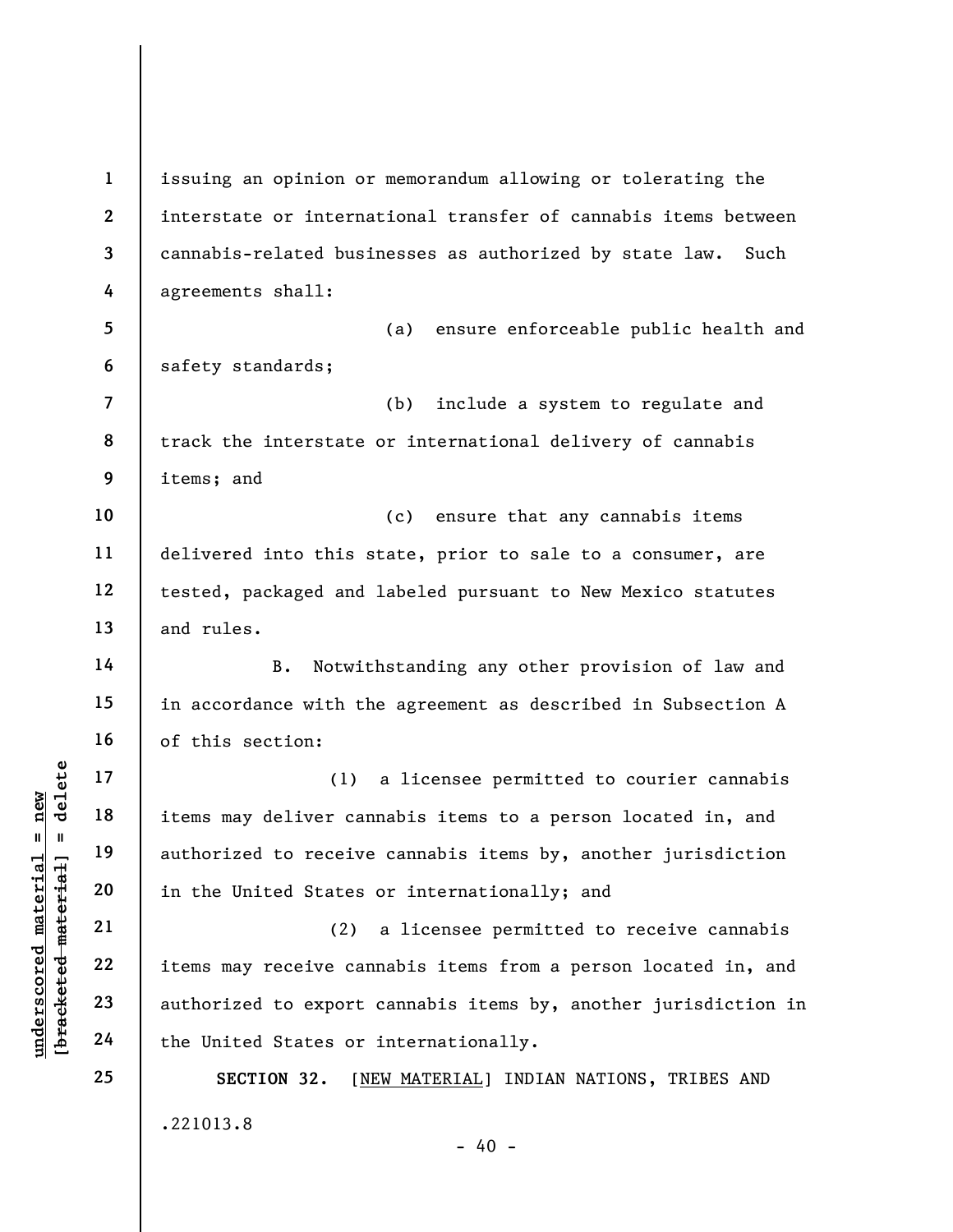underscored material = new [bracketed material] = delete 1 2 3 4 5 6 7 8 9 10 11 12 13 14 15 16 17 18 19 20 21 22 23 24 25 issuing an opinion or memorandum allowing or tolerating the interstate or international transfer of cannabis items between cannabis-related businesses as authorized by state law. Such agreements shall: (a) ensure enforceable public health and safety standards; (b) include a system to regulate and track the interstate or international delivery of cannabis items; and (c) ensure that any cannabis items delivered into this state, prior to sale to a consumer, are tested, packaged and labeled pursuant to New Mexico statutes and rules. B. Notwithstanding any other provision of law and in accordance with the agreement as described in Subsection A of this section: (1) a licensee permitted to courier cannabis items may deliver cannabis items to a person located in, and authorized to receive cannabis items by, another jurisdiction in the United States or internationally; and (2) a licensee permitted to receive cannabis items may receive cannabis items from a person located in, and authorized to export cannabis items by, another jurisdiction in the United States or internationally. SECTION 32. [NEW MATERIAL] INDIAN NATIONS, TRIBES AND .221013.8  $- 40 -$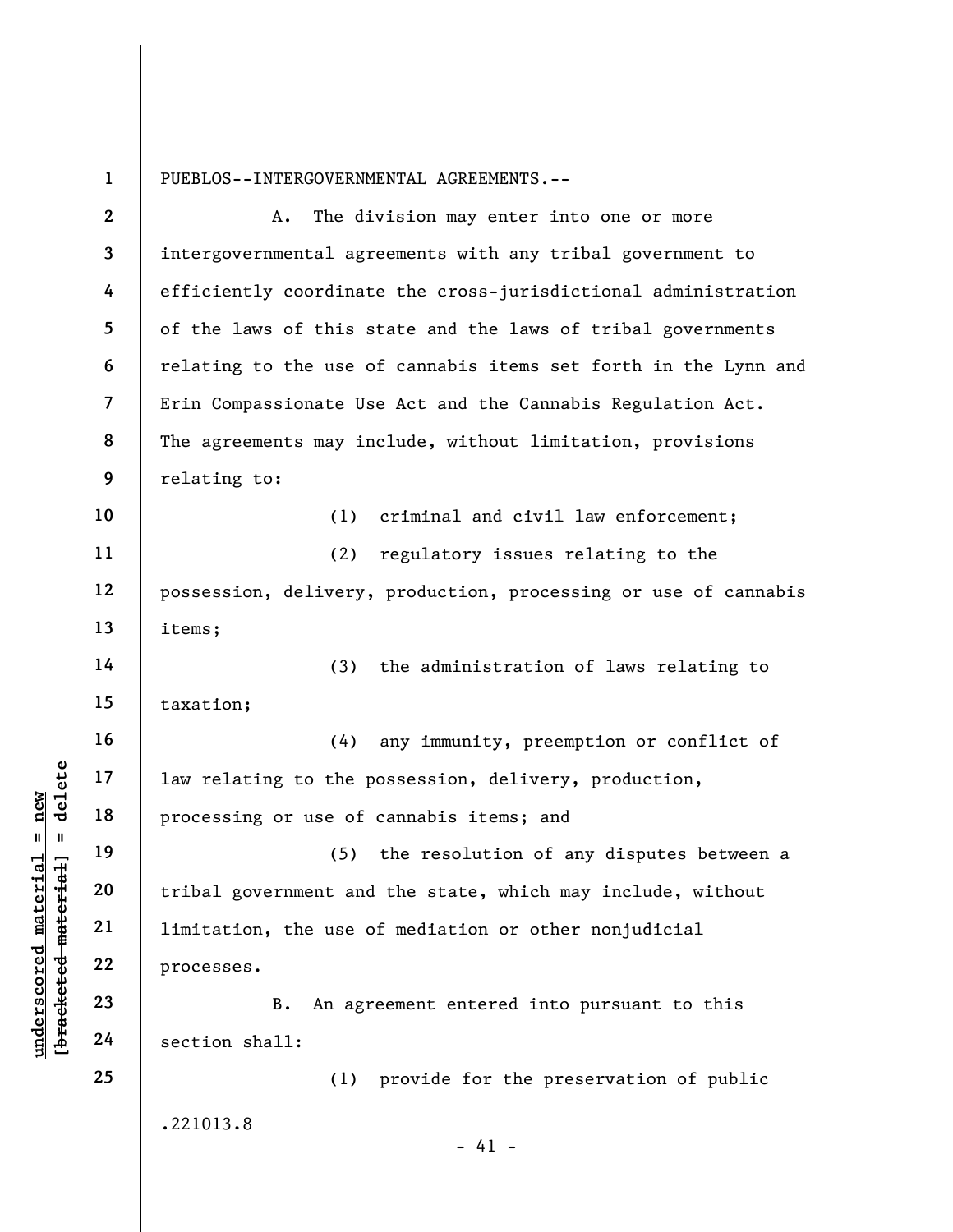PUEBLOS--INTERGOVERNMENTAL AGREEMENTS.--

|                                             | $\overline{2}$          | The division may enter into one or more<br>Α.                   |
|---------------------------------------------|-------------------------|-----------------------------------------------------------------|
|                                             | $\overline{\mathbf{3}}$ | intergovernmental agreements with any tribal government to      |
|                                             | 4                       | efficiently coordinate the cross-jurisdictional administration  |
|                                             | 5                       | of the laws of this state and the laws of tribal governments    |
|                                             | 6                       | relating to the use of cannabis items set forth in the Lynn and |
|                                             | $\overline{7}$          | Erin Compassionate Use Act and the Cannabis Regulation Act.     |
|                                             | 8                       | The agreements may include, without limitation, provisions      |
|                                             | 9                       | relating to:                                                    |
|                                             | 10                      | (1)<br>criminal and civil law enforcement;                      |
|                                             | 11                      | regulatory issues relating to the<br>(2)                        |
|                                             | 12                      | possession, delivery, production, processing or use of cannabis |
|                                             | 13                      | items;                                                          |
|                                             | 14                      | (3)<br>the administration of laws relating to                   |
|                                             | 15                      | taxation;                                                       |
|                                             | 16                      | (4)<br>any immunity, preemption or conflict of                  |
| delete                                      | 17                      | law relating to the possession, delivery, production,           |
| new<br>$\sf II$<br>- II                     | 18                      | processing or use of cannabis items; and                        |
| rial                                        | 19                      | the resolution of any disputes between a<br>(5)                 |
| $H^1$                                       | 20                      | tribal government and the state, which may include, without     |
| mate                                        | 21                      | limitation, the use of mediation or other nonjudicial           |
|                                             | 22                      | processes.                                                      |
| [bracketed mater<br>$\bm{{\rm underscore}}$ | 23                      | An agreement entered into pursuant to this<br>B.                |
|                                             | 24                      | section shall:                                                  |
|                                             | 25                      | (1) provide for the preservation of public                      |
|                                             |                         | .221013.8<br>$-41 -$                                            |
|                                             |                         |                                                                 |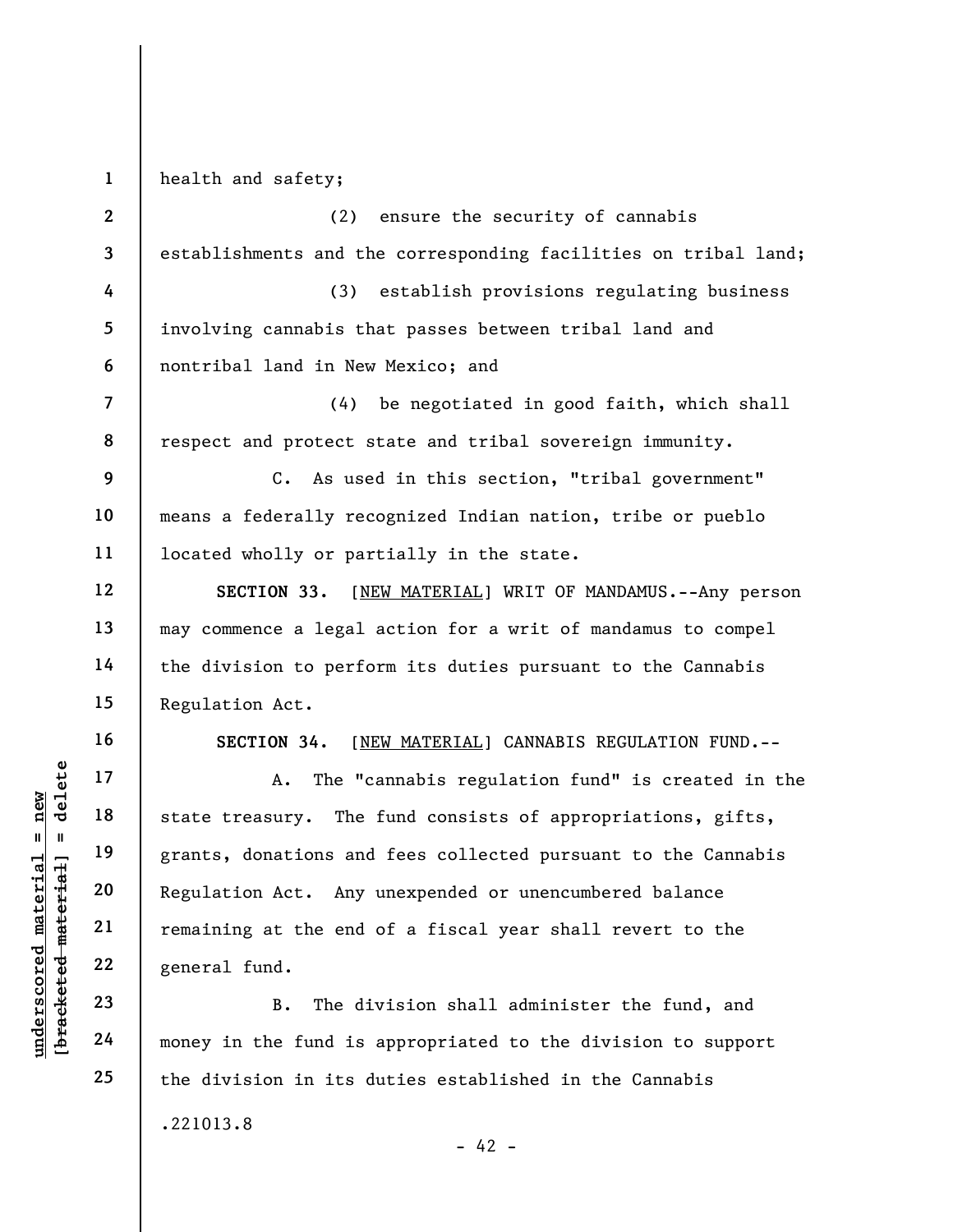1 health and safety;

understand material material state treasury. The<br>
state treasury. The<br>
grants, donations and<br>
state treasury. The<br>
grants, donations and<br>
state treasury. The<br>
grants, donations and<br>
Regulation Act. Any<br>
remaining at the en 2 3 4 5 6 7 8 9 10 11 12 13 14 15 16 17 18 19 20 21 (2) ensure the security of cannabis establishments and the corresponding facilities on tribal land; (3) establish provisions regulating business involving cannabis that passes between tribal land and nontribal land in New Mexico; and (4) be negotiated in good faith, which shall respect and protect state and tribal sovereign immunity. C. As used in this section, "tribal government" means a federally recognized Indian nation, tribe or pueblo located wholly or partially in the state. SECTION 33. [NEW MATERIAL] WRIT OF MANDAMUS.--Any person may commence a legal action for a writ of mandamus to compel the division to perform its duties pursuant to the Cannabis Regulation Act. SECTION 34. [NEW MATERIAL] CANNABIS REGULATION FUND.-- A. The "cannabis regulation fund" is created in the state treasury. The fund consists of appropriations, gifts, grants, donations and fees collected pursuant to the Cannabis Regulation Act. Any unexpended or unencumbered balance remaining at the end of a fiscal year shall revert to the

general fund.

22

23

24

25

B. The division shall administer the fund, and money in the fund is appropriated to the division to support the division in its duties established in the Cannabis

.221013.8

 $- 42 -$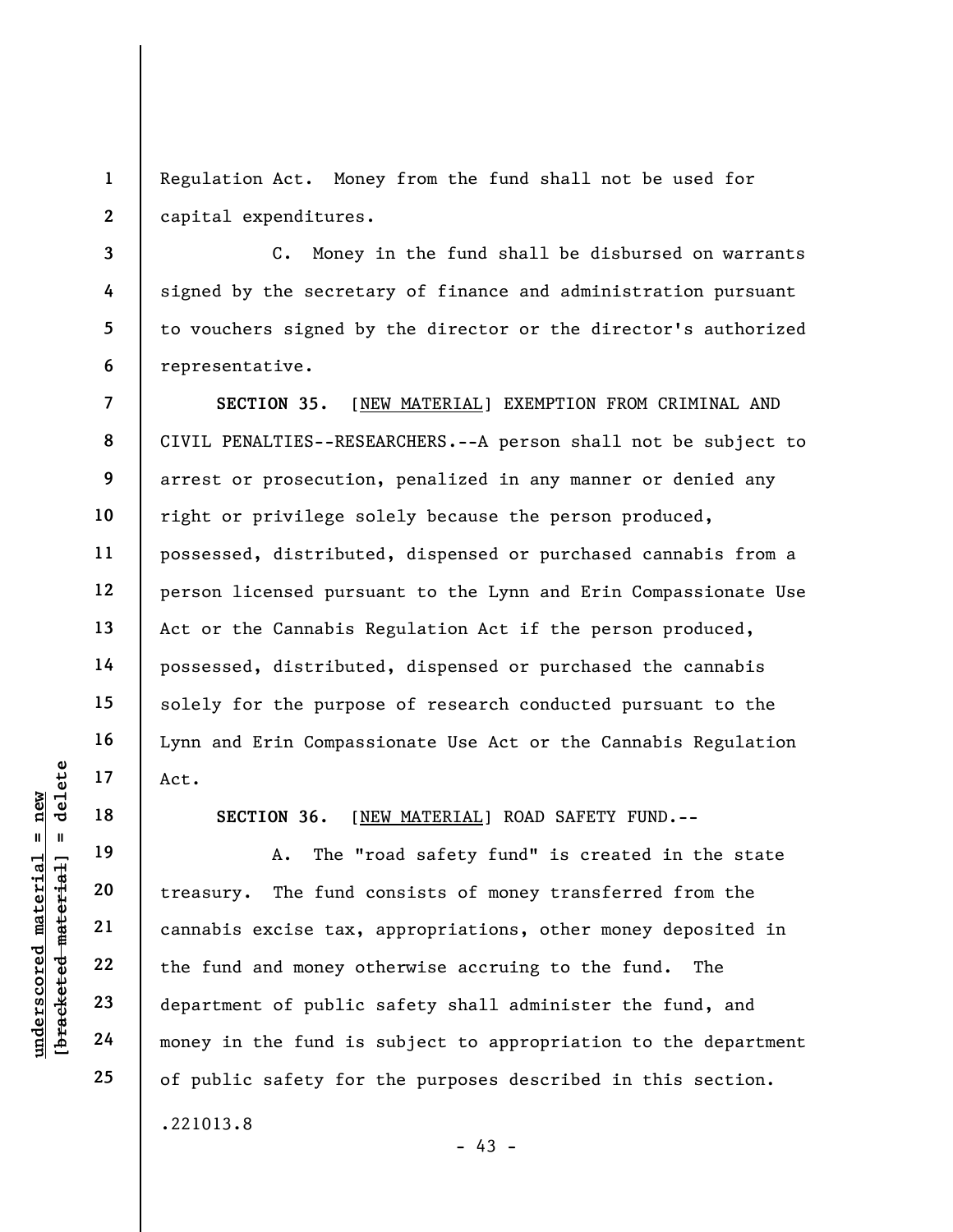1 2 Regulation Act. Money from the fund shall not be used for capital expenditures.

3 C. Money in the fund shall be disbursed on warrants signed by the secretary of finance and administration pursuant to vouchers signed by the director or the director's authorized representative.

7 8 9 10 11 12 13 14 15 16 17 SECTION 35. [NEW MATERIAL] EXEMPTION FROM CRIMINAL AND CIVIL PENALTIES--RESEARCHERS.--A person shall not be subject to arrest or prosecution, penalized in any manner or denied any right or privilege solely because the person produced, possessed, distributed, dispensed or purchased cannabis from a person licensed pursuant to the Lynn and Erin Compassionate Use Act or the Cannabis Regulation Act if the person produced, possessed, distributed, dispensed or purchased the cannabis solely for the purpose of research conducted pursuant to the Lynn and Erin Compassionate Use Act or the Cannabis Regulation Act.

SECTION 36. [NEW MATERIAL] ROAD SAFETY FUND.--

underscored material and money in the fund is<br>
with the material of the section of public<br>
with the fund and money of<br>
department of public<br>
24 money in the fund is A. The "road safety fund" is created in the state treasury. The fund consists of money transferred from the cannabis excise tax, appropriations, other money deposited in the fund and money otherwise accruing to the fund. The department of public safety shall administer the fund, and money in the fund is subject to appropriation to the department of public safety for the purposes described in this section. .221013.8

- 43 -

18

19

20

21

22

23

24

25

4

5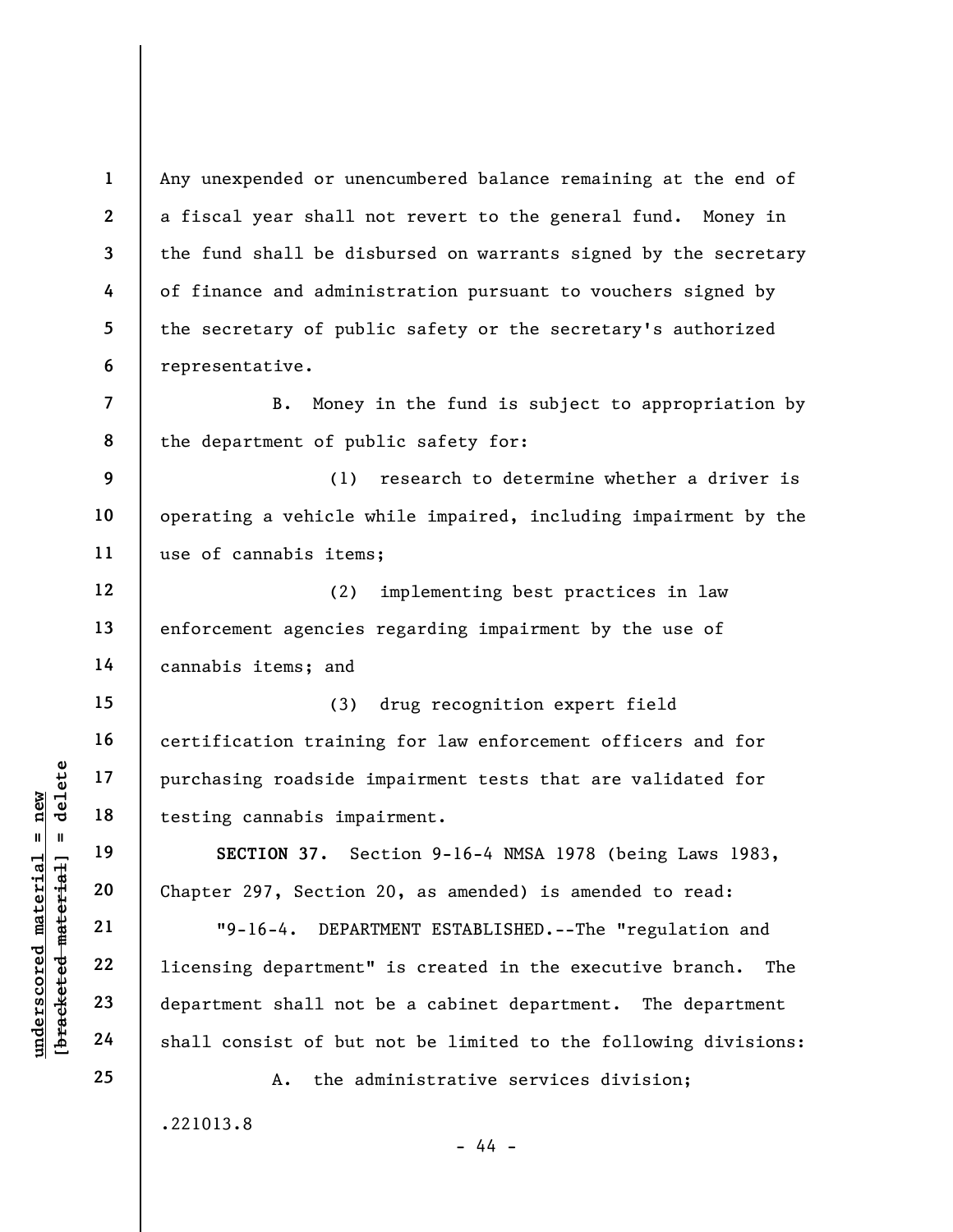Any unexpended or unencumbered balance remaining at the end of a fiscal year shall not revert to the general fund. Money in the fund shall be disbursed on warrants signed by the secretary of finance and administration pursuant to vouchers signed by the secretary of public safety or the secretary's authorized representative.

B. Money in the fund is subject to appropriation by the department of public safety for:

9 10 11 (1) research to determine whether a driver is operating a vehicle while impaired, including impairment by the use of cannabis items;

12 13 14 (2) implementing best practices in law enforcement agencies regarding impairment by the use of cannabis items; and

(3) drug recognition expert field certification training for law enforcement officers and for purchasing roadside impairment tests that are validated for testing cannabis impairment.

SECTION 37. Section 9-16-4 NMSA 1978 (being Laws 1983, Chapter 297, Section 20, as amended) is amended to read:

under 17<br>
= 18<br>
= 18<br>
= 19<br>
= 19<br>
= 19<br>
= 19<br>
= 19<br>
= 19<br>
= 16-4. DEPAR<br>
= 22<br>
= 10<br>
= 16-4. DEPAR<br>
= 19-16-4. DEPAR<br>
= 10<br>
= 16-4. DEPAR<br>
= 10<br>
= 16-4. DEPAR<br>
= 10<br>
= 16-4. DEPAR<br>
= 10<br>
= 10<br>
= 16-4. DEPAR<br>
= 10<br>
= 16-4. "9-16-4. DEPARTMENT ESTABLISHED.--The "regulation and licensing department" is created in the executive branch. The department shall not be a cabinet department. The department shall consist of but not be limited to the following divisions:

.221013.8

A. the administrative services division;

- 44 -

1

2

3

4

5

6

7

8

15

16

17

18

19

20

21

22

23

24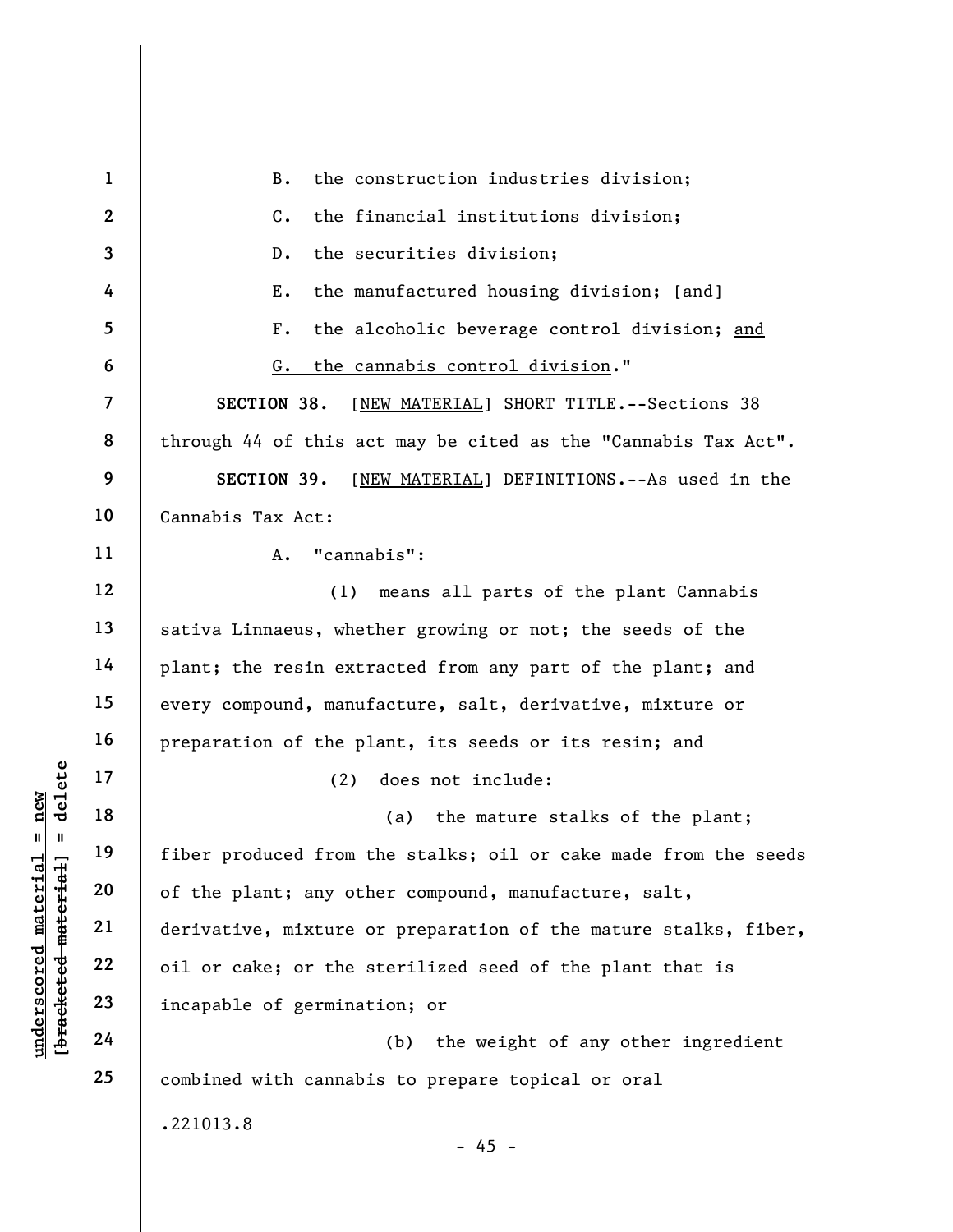underscored material material material experience of the plant; any other produced from the corresponding the plant of the plant; any other derivative, mixture corresponding the corresponding to the space of germinate  $\begin{$ 1 2 3 4 5 6 7 8 9 10 11 12 13 14 15 16 17 18 19 20 21 22 23 24 25 B. the construction industries division; C. the financial institutions division; D. the securities division; E. the manufactured housing division; [and] F. the alcoholic beverage control division; and G. the cannabis control division." SECTION 38. [NEW MATERIAL] SHORT TITLE.--Sections 38 through 44 of this act may be cited as the "Cannabis Tax Act". SECTION 39. [NEW MATERIAL] DEFINITIONS.--As used in the Cannabis Tax Act: A. "cannabis": (1) means all parts of the plant Cannabis sativa Linnaeus, whether growing or not; the seeds of the plant; the resin extracted from any part of the plant; and every compound, manufacture, salt, derivative, mixture or preparation of the plant, its seeds or its resin; and (2) does not include: (a) the mature stalks of the plant; fiber produced from the stalks; oil or cake made from the seeds of the plant; any other compound, manufacture, salt, derivative, mixture or preparation of the mature stalks, fiber, oil or cake; or the sterilized seed of the plant that is incapable of germination; or (b) the weight of any other ingredient combined with cannabis to prepare topical or oral .221013.8

- 45 -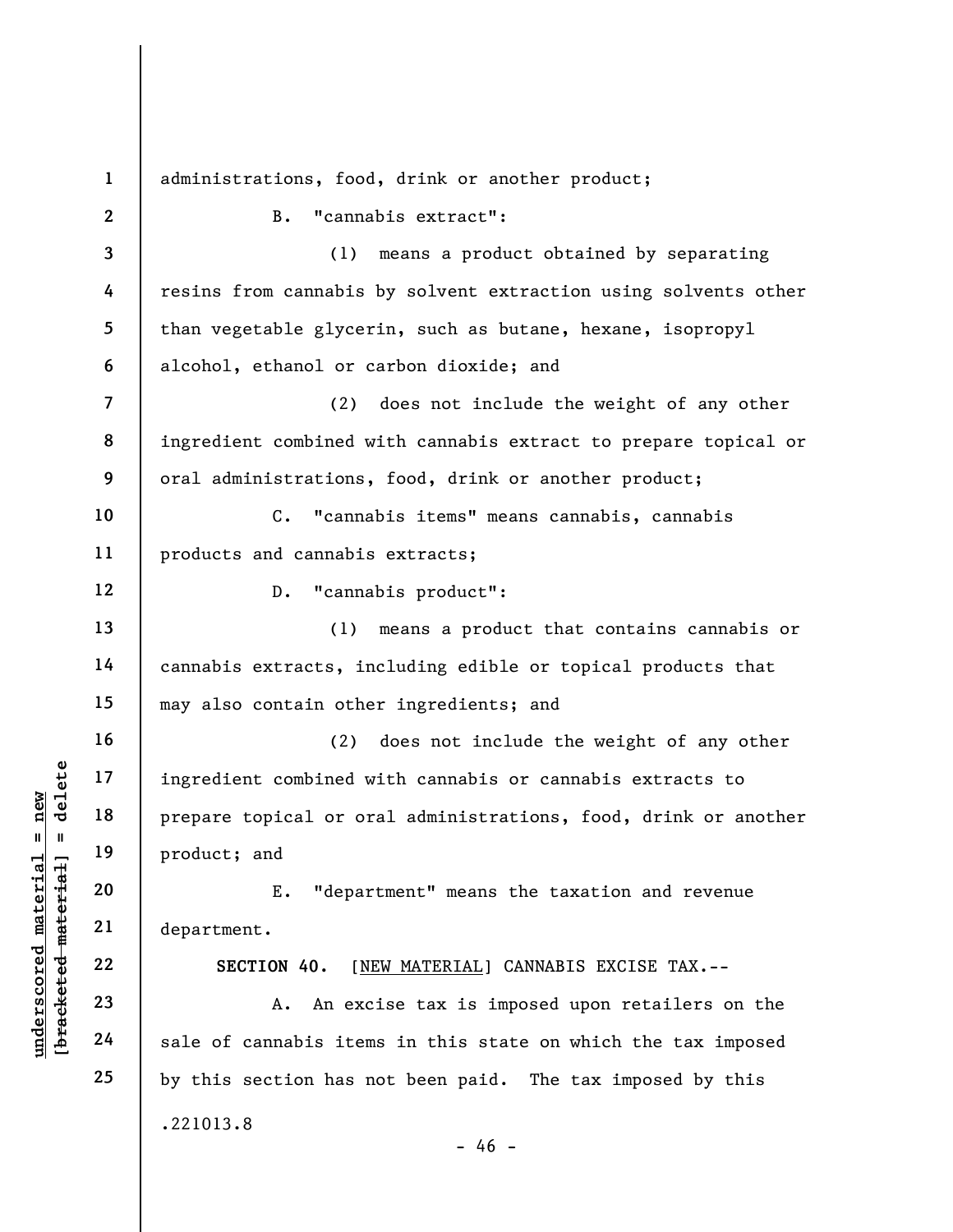understand<br>
understand<br>
understand<br>
understand<br>
understand<br>
20<br>
understand<br>
21<br>
understand<br>
22<br>
understand<br>
23<br>
24<br>
24<br>
understand<br>
24<br>
24<br>
22<br>
24<br>
22<br>
24<br>
22<br>
24<br>
22<br>
24<br>
22<br>
24<br>
22<br>
24<br>
22<br>
23<br>
24<br>
22<br>
24<br>
22<br>
23<br>
24<br>
22 1 2 3 4 5 6 7 8 9 10 11 12 13 14 15 16 17 18 19 20 21 22 23 24 25 administrations, food, drink or another product; B. "cannabis extract": (1) means a product obtained by separating resins from cannabis by solvent extraction using solvents other than vegetable glycerin, such as butane, hexane, isopropyl alcohol, ethanol or carbon dioxide; and (2) does not include the weight of any other ingredient combined with cannabis extract to prepare topical or oral administrations, food, drink or another product; C. "cannabis items" means cannabis, cannabis products and cannabis extracts; D. "cannabis product": (1) means a product that contains cannabis or cannabis extracts, including edible or topical products that may also contain other ingredients; and (2) does not include the weight of any other ingredient combined with cannabis or cannabis extracts to prepare topical or oral administrations, food, drink or another product; and E. "department" means the taxation and revenue department. SECTION 40. [NEW MATERIAL] CANNABIS EXCISE TAX.-- A. An excise tax is imposed upon retailers on the sale of cannabis items in this state on which the tax imposed by this section has not been paid. The tax imposed by this .221013.8  $- 46 -$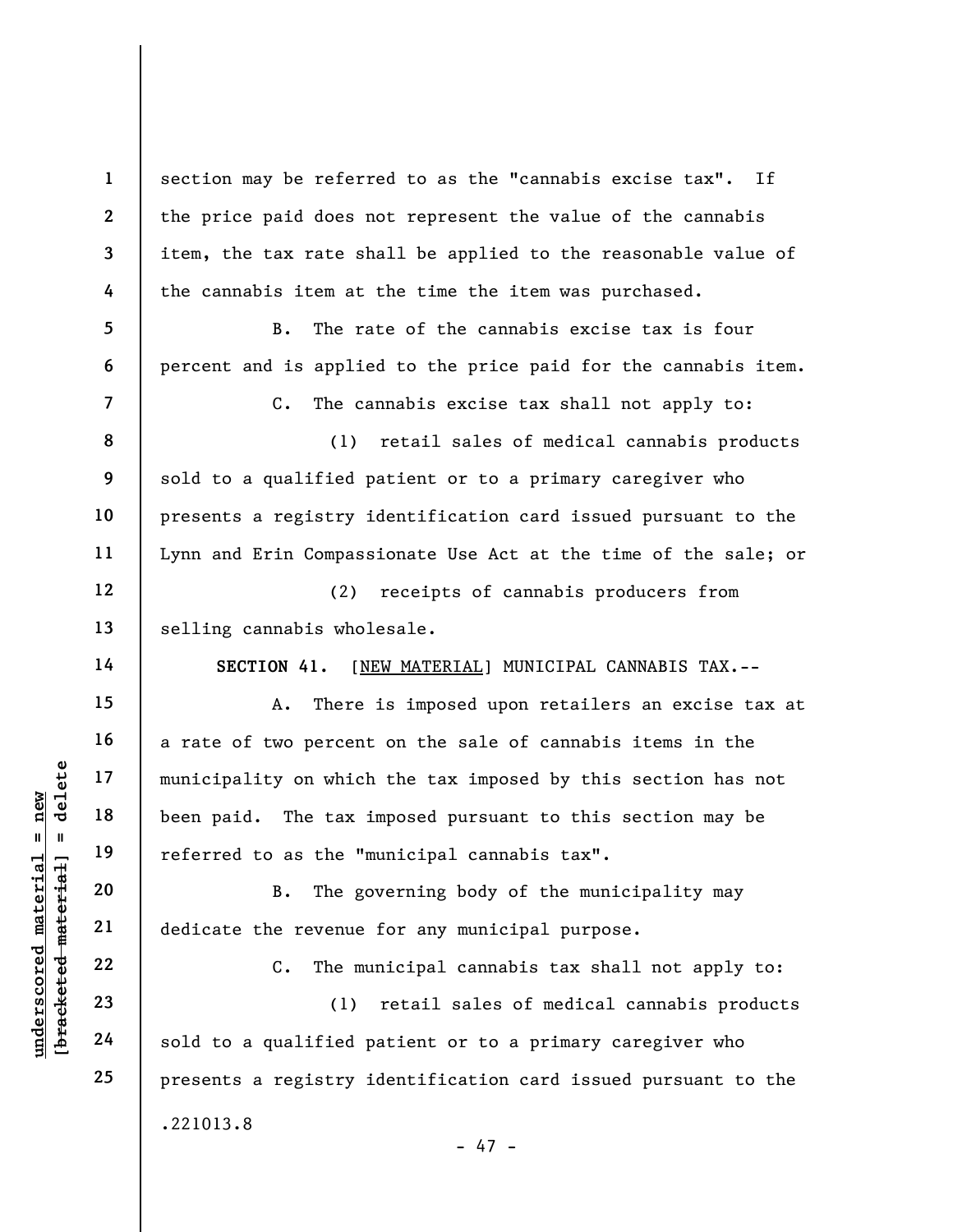section may be referred to as the "cannabis excise tax". If the price paid does not represent the value of the cannabis item, the tax rate shall be applied to the reasonable value of the cannabis item at the time the item was purchased.

B. The rate of the cannabis excise tax is four percent and is applied to the price paid for the cannabis item.

7

1

2

3

4

5

6

8

9

10

11

12

13

15

16

17

18

19

20

21

22

23

24

25

C. The cannabis excise tax shall not apply to:

(1) retail sales of medical cannabis products sold to a qualified patient or to a primary caregiver who presents a registry identification card issued pursuant to the Lynn and Erin Compassionate Use Act at the time of the sale; or

(2) receipts of cannabis producers from selling cannabis wholesale.

14

SECTION 41. [NEW MATERIAL] MUNICIPAL CANNABIS TAX.--

underscored material = new [bracketed material] = delete A. There is imposed upon retailers an excise tax at a rate of two percent on the sale of cannabis items in the municipality on which the tax imposed by this section has not been paid. The tax imposed pursuant to this section may be referred to as the "municipal cannabis tax".

B. The governing body of the municipality may dedicate the revenue for any municipal purpose.

C. The municipal cannabis tax shall not apply to:

(1) retail sales of medical cannabis products sold to a qualified patient or to a primary caregiver who presents a registry identification card issued pursuant to the .221013.8

- 47 -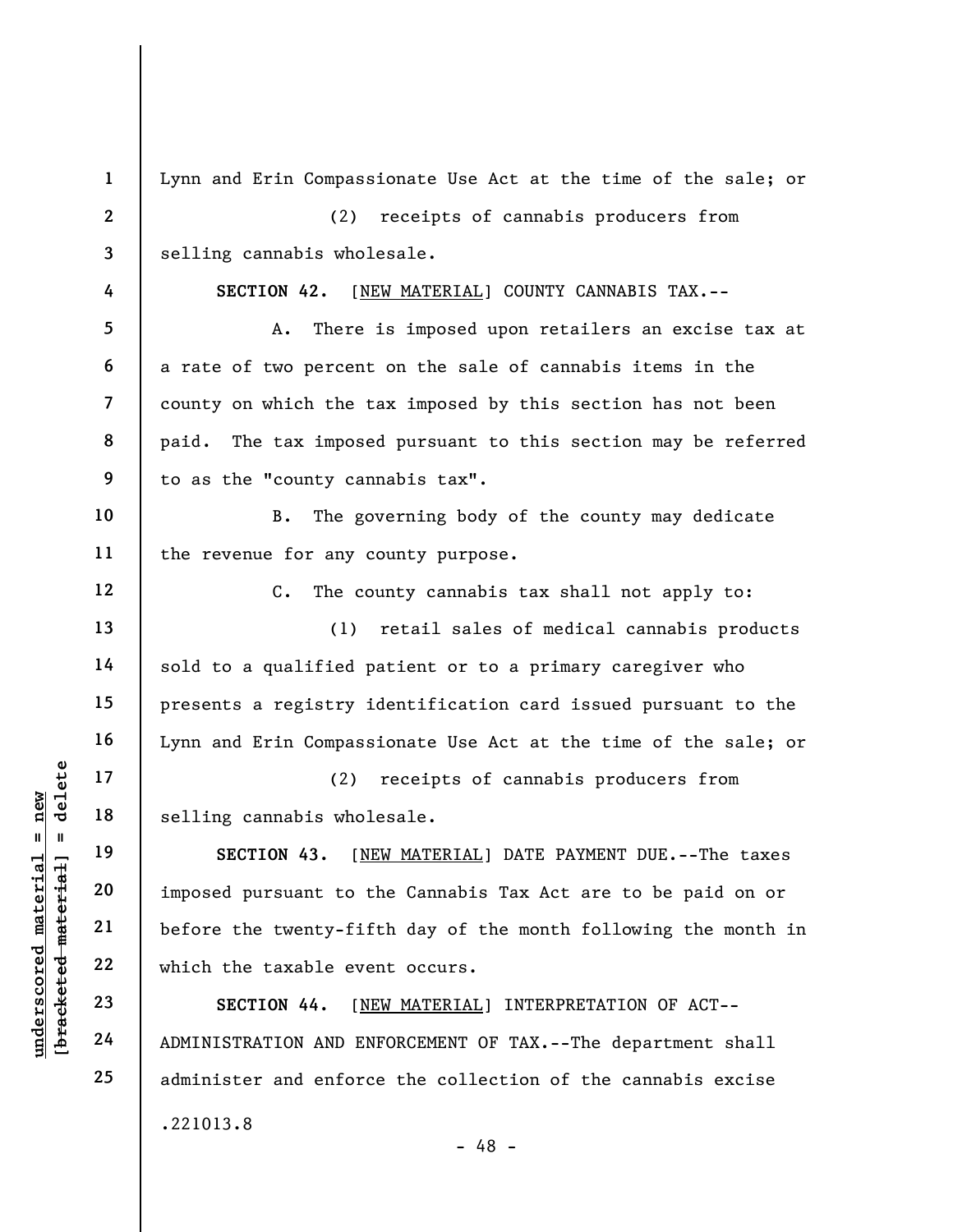UN EXECTION 43. [N]<br>
Welling cannabis whol<br>
selling cannabis whol<br>
selling cannabis whol<br>
selling cannabis whol<br>
selling cannabis whol<br>
section 43. [N]<br>
imposed pursuant to t<br>
dependence material<br>
22<br>
which the taxable eve 1 2 3 4 5 6 7 8 9 10 11 12 13 14 15 16 17 18 19 20 21 22 23 24 25 Lynn and Erin Compassionate Use Act at the time of the sale; or (2) receipts of cannabis producers from selling cannabis wholesale. SECTION 42. [NEW MATERIAL] COUNTY CANNABIS TAX.-- A. There is imposed upon retailers an excise tax at a rate of two percent on the sale of cannabis items in the county on which the tax imposed by this section has not been paid. The tax imposed pursuant to this section may be referred to as the "county cannabis tax". B. The governing body of the county may dedicate the revenue for any county purpose. C. The county cannabis tax shall not apply to: (1) retail sales of medical cannabis products sold to a qualified patient or to a primary caregiver who presents a registry identification card issued pursuant to the Lynn and Erin Compassionate Use Act at the time of the sale; or (2) receipts of cannabis producers from selling cannabis wholesale. SECTION 43. [NEW MATERIAL] DATE PAYMENT DUE.--The taxes imposed pursuant to the Cannabis Tax Act are to be paid on or before the twenty-fifth day of the month following the month in which the taxable event occurs. SECTION 44. [NEW MATERIAL] INTERPRETATION OF ACT-- ADMINISTRATION AND ENFORCEMENT OF TAX.--The department shall administer and enforce the collection of the cannabis excise .221013.8 - 48 -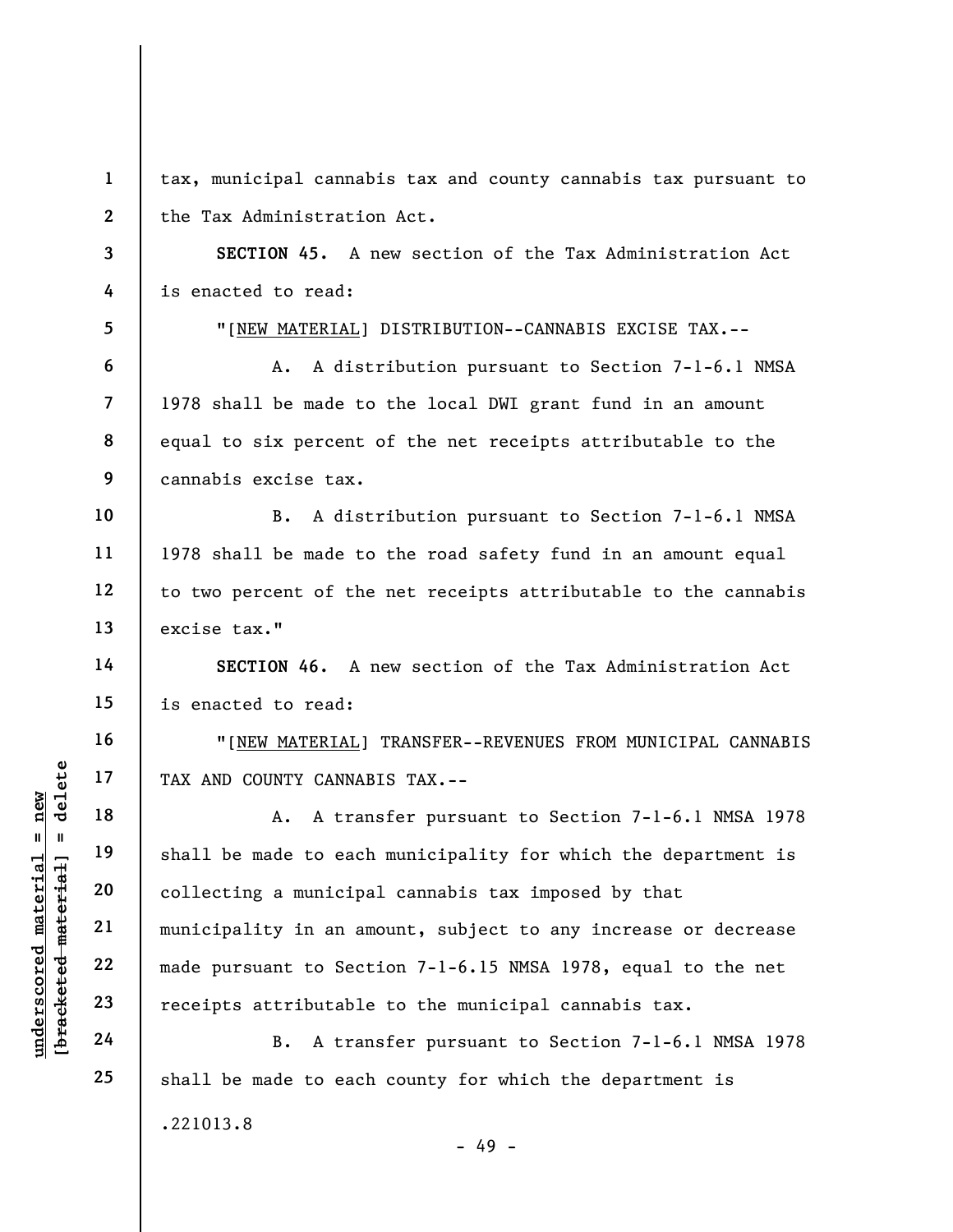underscored material = new [bracketed material] = delete 1 2 3 4 5 6 7 8 9 10 11 12 13 14 15 16 17 18 19 20 21 22 23 24 25 tax, municipal cannabis tax and county cannabis tax pursuant to the Tax Administration Act. SECTION 45. A new section of the Tax Administration Act is enacted to read: "[NEW MATERIAL] DISTRIBUTION--CANNABIS EXCISE TAX.-- A. A distribution pursuant to Section 7-1-6.1 NMSA 1978 shall be made to the local DWI grant fund in an amount equal to six percent of the net receipts attributable to the cannabis excise tax. B. A distribution pursuant to Section 7-1-6.1 NMSA 1978 shall be made to the road safety fund in an amount equal to two percent of the net receipts attributable to the cannabis excise tax." SECTION 46. A new section of the Tax Administration Act is enacted to read: "[NEW MATERIAL] TRANSFER--REVENUES FROM MUNICIPAL CANNABIS TAX AND COUNTY CANNABIS TAX.-- A. A transfer pursuant to Section 7-1-6.1 NMSA 1978 shall be made to each municipality for which the department is collecting a municipal cannabis tax imposed by that municipality in an amount, subject to any increase or decrease made pursuant to Section 7-1-6.15 NMSA 1978, equal to the net receipts attributable to the municipal cannabis tax. B. A transfer pursuant to Section 7-1-6.1 NMSA 1978 shall be made to each county for which the department is

.221013.8

- 49 -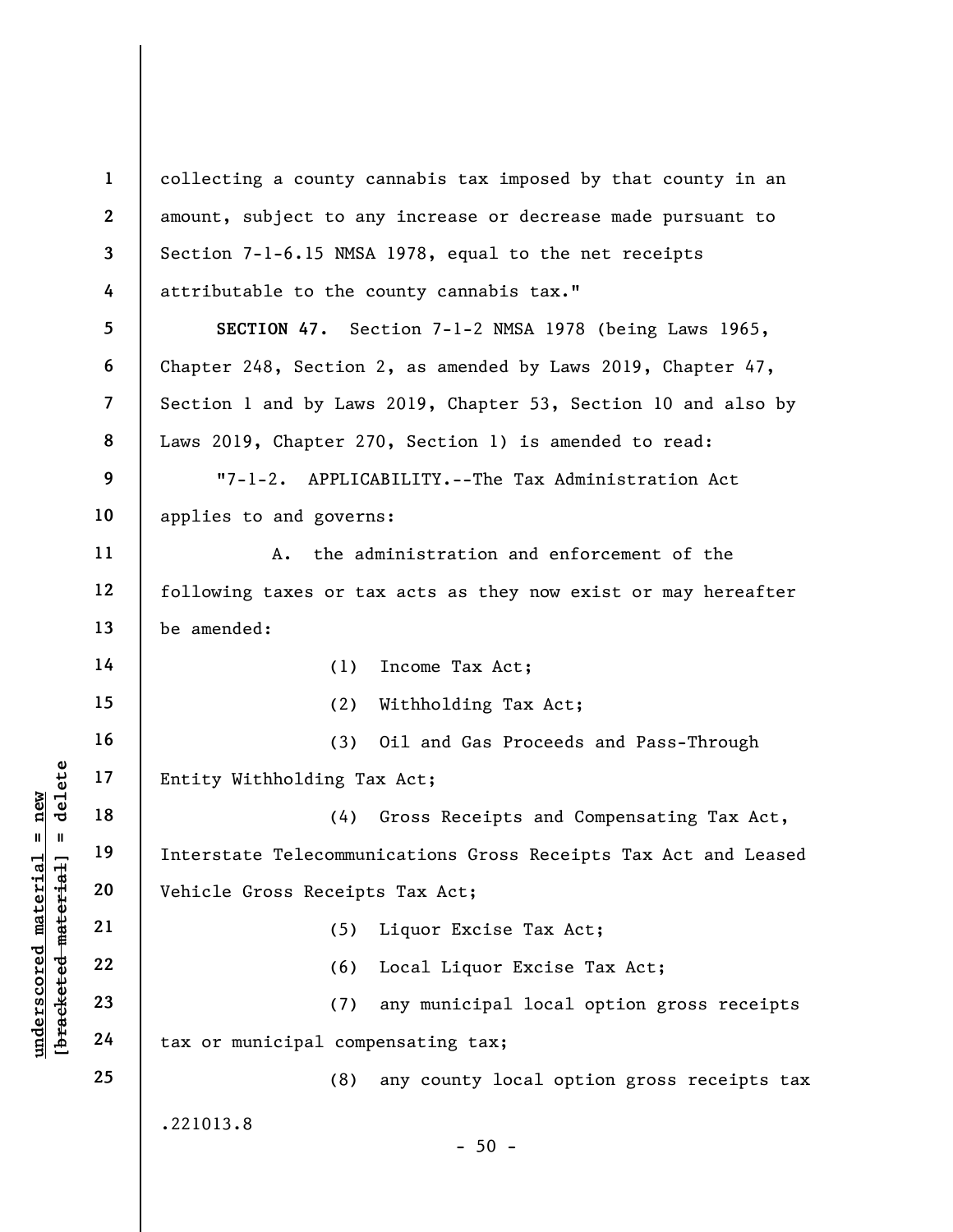underscored material end of the set of the set of the set of the set of the set of the set of the set of the set of the set of the set of the set of the set of the set of the set of the set of the set of the set of the set 1 2 3 4 5 6 7 8 9 10 11 12 13 14 15 16 17 18 19 20 21 22 23 24 25 collecting a county cannabis tax imposed by that county in an amount, subject to any increase or decrease made pursuant to Section 7-1-6.15 NMSA 1978, equal to the net receipts attributable to the county cannabis tax." SECTION 47. Section 7-1-2 NMSA 1978 (being Laws 1965, Chapter 248, Section 2, as amended by Laws 2019, Chapter 47, Section 1 and by Laws 2019, Chapter 53, Section 10 and also by Laws 2019, Chapter 270, Section 1) is amended to read: "7-1-2. APPLICABILITY.--The Tax Administration Act applies to and governs: A. the administration and enforcement of the following taxes or tax acts as they now exist or may hereafter be amended: (1) Income Tax Act; (2) Withholding Tax Act; (3) Oil and Gas Proceeds and Pass-Through Entity Withholding Tax Act; (4) Gross Receipts and Compensating Tax Act, Interstate Telecommunications Gross Receipts Tax Act and Leased Vehicle Gross Receipts Tax Act; (5) Liquor Excise Tax Act; (6) Local Liquor Excise Tax Act; (7) any municipal local option gross receipts tax or municipal compensating tax; (8) any county local option gross receipts tax .221013.8  $-50 -$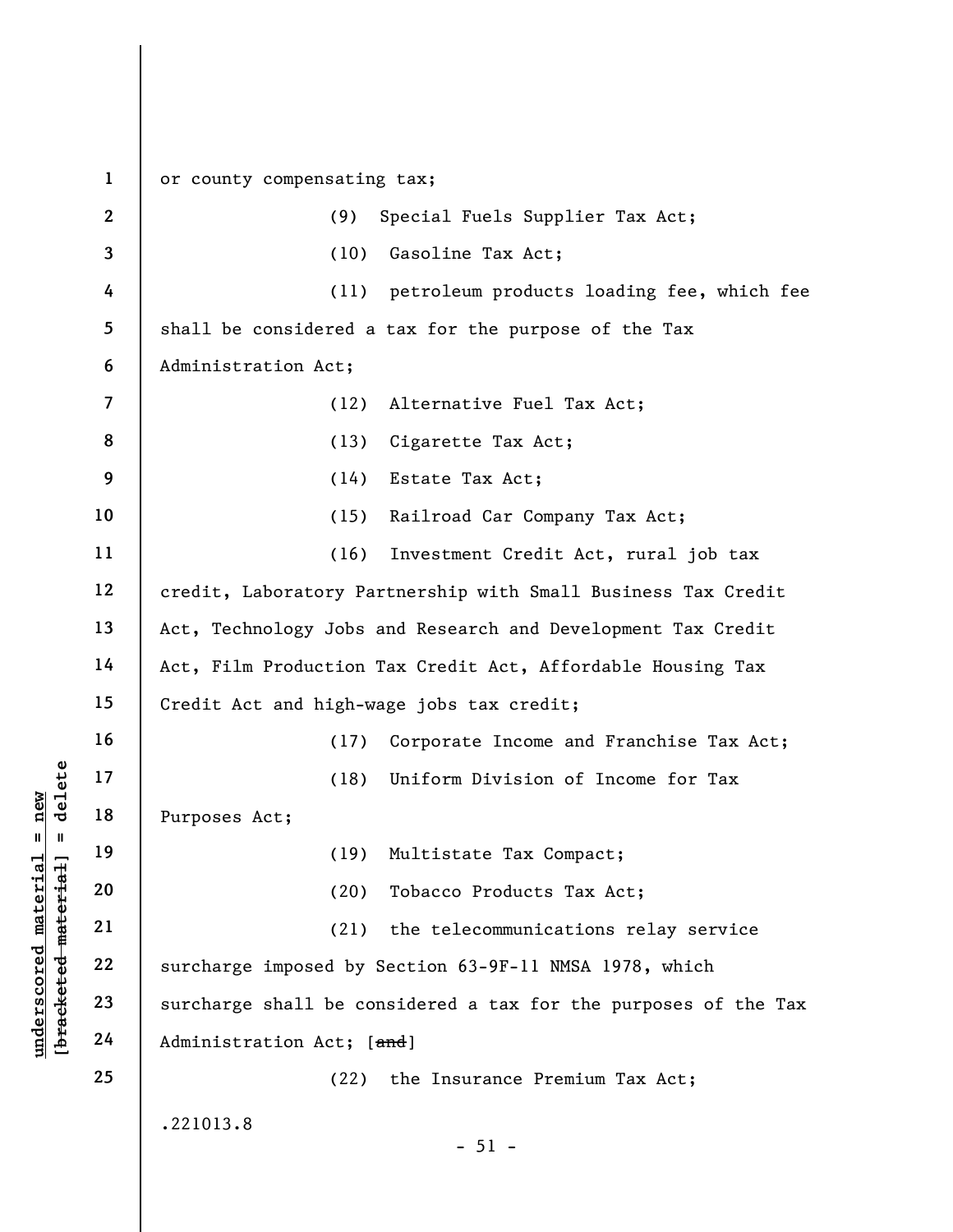underscored material material material material material material (18)<br>
and 19 (19)<br>
and 19 (20)<br>
and 19 (20)<br>
and 19 (20)<br>
21 (21)<br>
23 surcharge imposed by<br>
24 Administration Act; [ 1 2 3 4 5 6 7 8 9 10 11 12 13 14 15 16 17 18 19 20 21 22 23 24 25 or county compensating tax; (9) Special Fuels Supplier Tax Act; (10) Gasoline Tax Act; (11) petroleum products loading fee, which fee shall be considered a tax for the purpose of the Tax Administration Act; (12) Alternative Fuel Tax Act; (13) Cigarette Tax Act; (14) Estate Tax Act; (15) Railroad Car Company Tax Act; (16) Investment Credit Act, rural job tax credit, Laboratory Partnership with Small Business Tax Credit Act, Technology Jobs and Research and Development Tax Credit Act, Film Production Tax Credit Act, Affordable Housing Tax Credit Act and high-wage jobs tax credit; (17) Corporate Income and Franchise Tax Act; (18) Uniform Division of Income for Tax Purposes Act; (19) Multistate Tax Compact; (20) Tobacco Products Tax Act; (21) the telecommunications relay service surcharge imposed by Section 63-9F-11 NMSA 1978, which surcharge shall be considered a tax for the purposes of the Tax Administration Act; [and] (22) the Insurance Premium Tax Act; .221013.8  $-51 -$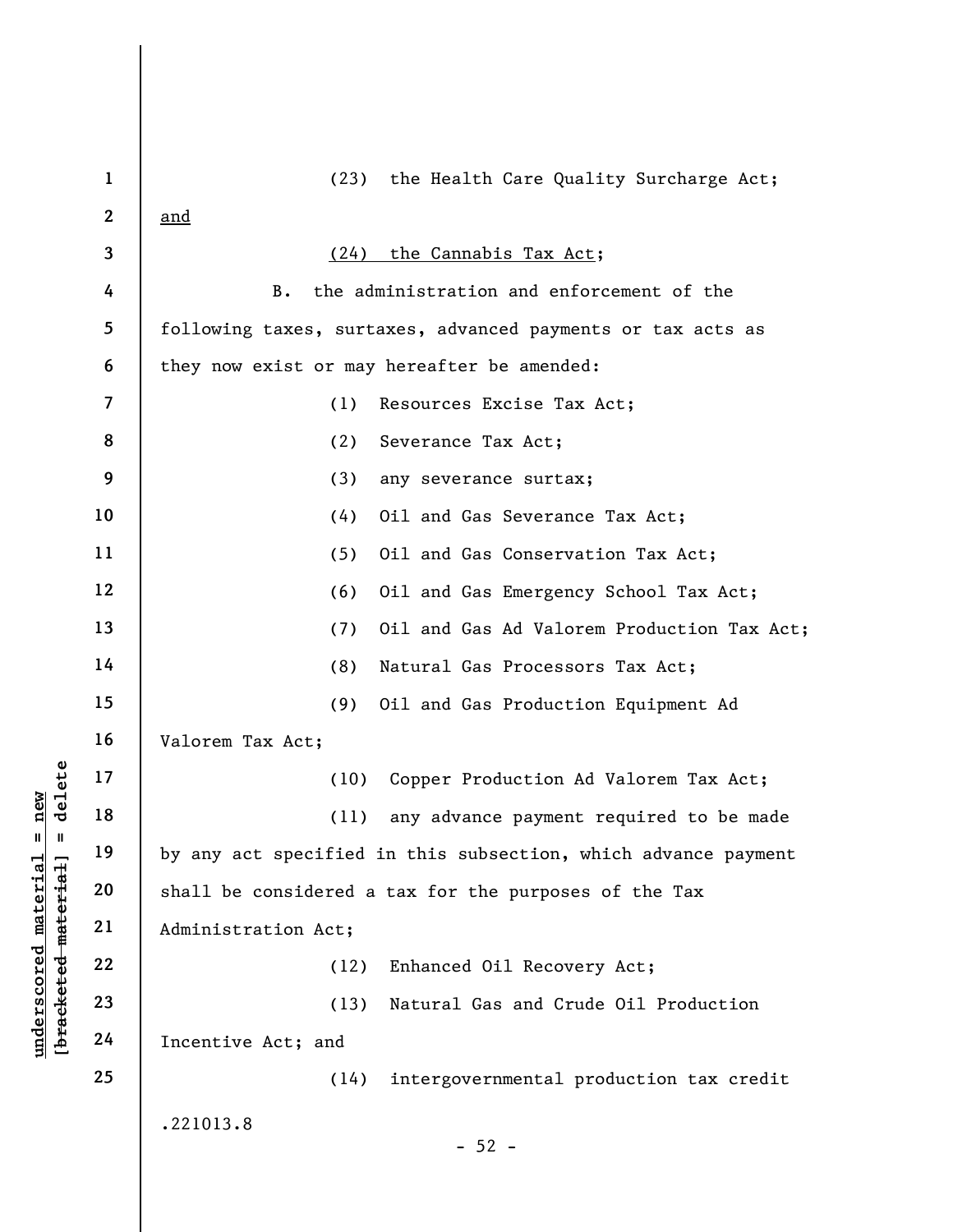|                                             | $\mathbf{1}$             | (23)<br>the Health Care Quality Surcharge Act;                 |
|---------------------------------------------|--------------------------|----------------------------------------------------------------|
|                                             | $\boldsymbol{2}$         | <u>and</u>                                                     |
|                                             | 3                        | the Cannabis Tax Act;<br>(24)                                  |
|                                             | 4                        | the administration and enforcement of the<br>В.                |
|                                             | 5                        | following taxes, surtaxes, advanced payments or tax acts as    |
|                                             | 6                        | they now exist or may hereafter be amended:                    |
|                                             | $\overline{\mathcal{L}}$ | (1)<br>Resources Excise Tax Act;                               |
|                                             | 8                        | (2)<br>Severance Tax Act;                                      |
|                                             | 9                        | (3)<br>any severance surtax;                                   |
|                                             | 10                       | (4)<br>Oil and Gas Severance Tax Act;                          |
|                                             | 11                       | (5)<br>Oil and Gas Conservation Tax Act;                       |
|                                             | 12                       | (6)<br>Oil and Gas Emergency School Tax Act;                   |
|                                             | 13                       | Oil and Gas Ad Valorem Production Tax Act;<br>(7)              |
|                                             | 14                       | (8)<br>Natural Gas Processors Tax Act;                         |
|                                             | 15                       | (9)<br>Oil and Gas Production Equipment Ad                     |
|                                             | 16                       | Valorem Tax Act;                                               |
| delete                                      | 17                       | Copper Production Ad Valorem Tax Act;<br>(10)                  |
| new<br>H                                    | 18                       | any advance payment required to be made<br>(11)                |
| Ш                                           | 19                       | by any act specified in this subsection, which advance payment |
|                                             | 20                       | shall be considered a tax for the purposes of the Tax          |
|                                             | 21                       | Administration Act;                                            |
|                                             | 22                       | (12)<br>Enhanced Oil Recovery Act;                             |
| underscored material<br>[bracketed material | 23                       | (13)<br>Natural Gas and Crude Oil Production                   |
|                                             | 24                       | Incentive Act; and                                             |
|                                             | 25                       | intergovernmental production tax credit<br>(14)                |
|                                             |                          | .221013.8                                                      |
|                                             |                          | $-52 -$                                                        |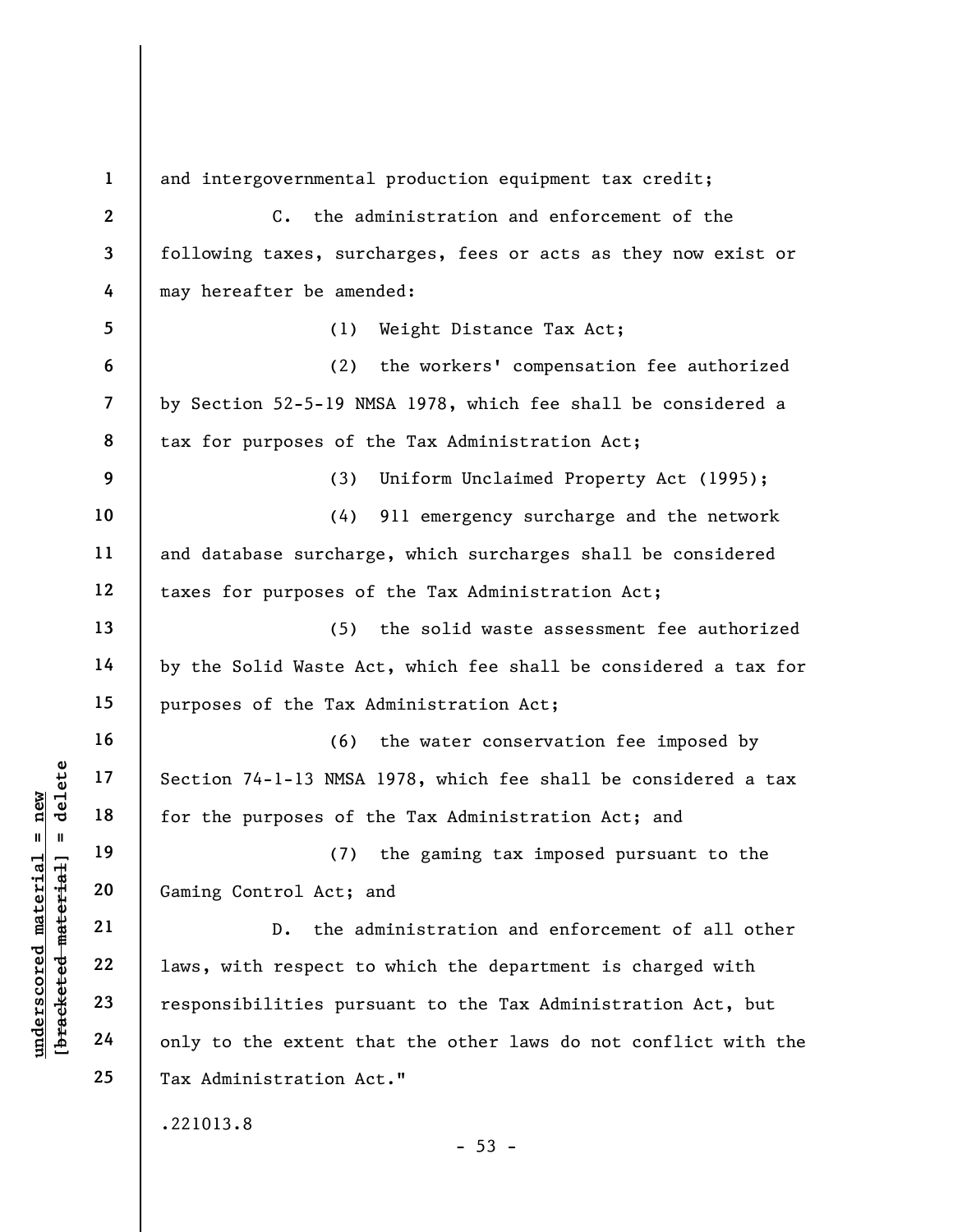UNDERETRIES ONLY 18 Section 74-1-13 NMSA<br>
for the purposes of t<br>
and 19 (7)<br>
derived the purposes of t<br>
21 D. the ad<br>
22 D. the ad<br>
23 Pesponsibilities purs<br>
24 only to the extent the<br>
24 Only to the extent the 1 2 3 4 5 6 7 8 9 10 11 12 13 14 15 16 17 18 19 20 21 22 23 24 25 and intergovernmental production equipment tax credit; C. the administration and enforcement of the following taxes, surcharges, fees or acts as they now exist or may hereafter be amended: (1) Weight Distance Tax Act; (2) the workers' compensation fee authorized by Section 52-5-19 NMSA 1978, which fee shall be considered a tax for purposes of the Tax Administration Act; (3) Uniform Unclaimed Property Act (1995); (4) 911 emergency surcharge and the network and database surcharge, which surcharges shall be considered taxes for purposes of the Tax Administration Act; (5) the solid waste assessment fee authorized by the Solid Waste Act, which fee shall be considered a tax for purposes of the Tax Administration Act; (6) the water conservation fee imposed by Section 74-1-13 NMSA 1978, which fee shall be considered a tax for the purposes of the Tax Administration Act; and (7) the gaming tax imposed pursuant to the Gaming Control Act; and D. the administration and enforcement of all other laws, with respect to which the department is charged with responsibilities pursuant to the Tax Administration Act, but only to the extent that the other laws do not conflict with the Tax Administration Act." .221013.8  $- 53 -$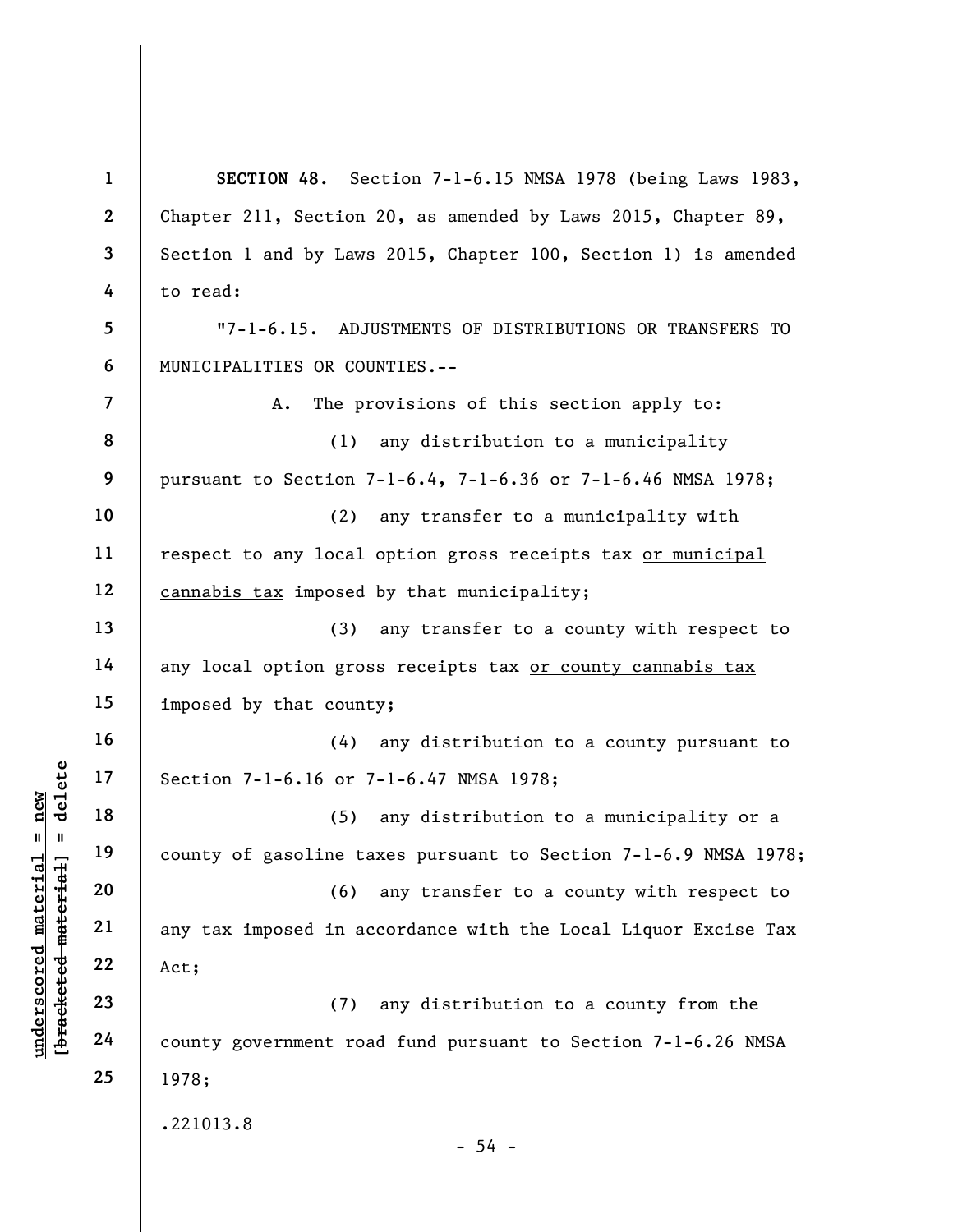$\begin{array}{c|c|c|c|c} \n 0 & 17 & 18 & 19 & 19 & 19 & 19 & 19 & 19 & 19 & 19 & 19 & 19 & 19 & 19 & 19 & 19 & 19 & 19 & 19 & 19 & 19 & 19 & 19 & 19 & 19 & 19 & 19 & 19 & 19 & 19 & 19 & 19 & 19 &$ 1 2 3 4 5 6 7 8 9 10 11 12 13 14 15 16 17 18 19 20 21 22 23 24 25 SECTION 48. Section 7-1-6.15 NMSA 1978 (being Laws 1983, Chapter 211, Section 20, as amended by Laws 2015, Chapter 89, Section 1 and by Laws 2015, Chapter 100, Section 1) is amended to read: "7-1-6.15. ADJUSTMENTS OF DISTRIBUTIONS OR TRANSFERS TO MUNICIPALITIES OR COUNTIES.-- A. The provisions of this section apply to: (1) any distribution to a municipality pursuant to Section 7-1-6.4, 7-1-6.36 or 7-1-6.46 NMSA 1978; (2) any transfer to a municipality with respect to any local option gross receipts tax or municipal cannabis tax imposed by that municipality; (3) any transfer to a county with respect to any local option gross receipts tax or county cannabis tax imposed by that county; (4) any distribution to a county pursuant to Section 7-1-6.16 or 7-1-6.47 NMSA 1978; (5) any distribution to a municipality or a county of gasoline taxes pursuant to Section 7-1-6.9 NMSA 1978; (6) any transfer to a county with respect to any tax imposed in accordance with the Local Liquor Excise Tax Act; (7) any distribution to a county from the county government road fund pursuant to Section 7-1-6.26 NMSA 1978; .221013.8  $-54 -$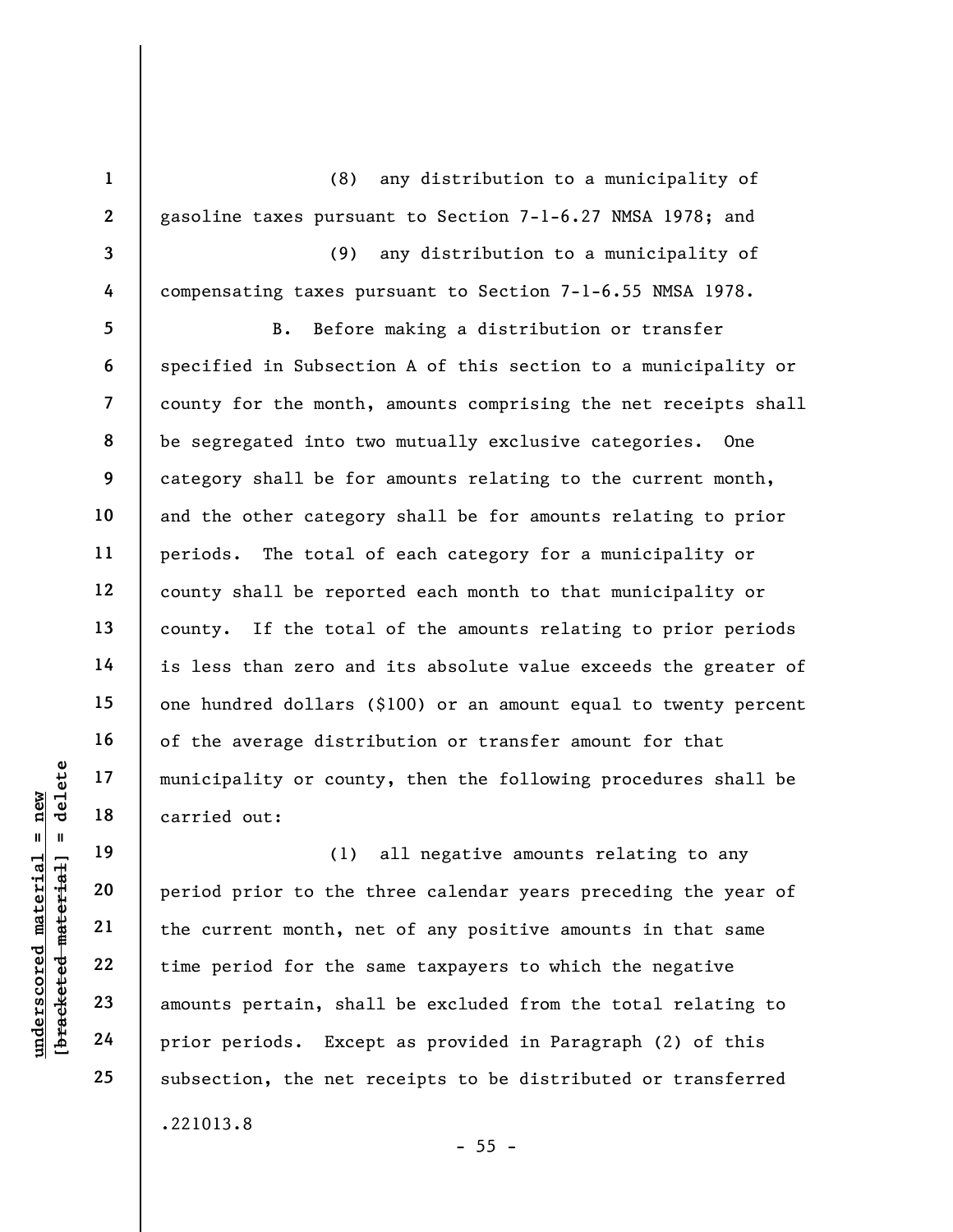1 2 3 4 5 6 7 8 9 10 11 12 13 14 15 16 17 18 19 (8) any distribution to a municipality of gasoline taxes pursuant to Section 7-1-6.27 NMSA 1978; and (9) any distribution to a municipality of compensating taxes pursuant to Section 7-1-6.55 NMSA 1978. B. Before making a distribution or transfer specified in Subsection A of this section to a municipality or county for the month, amounts comprising the net receipts shall be segregated into two mutually exclusive categories. One category shall be for amounts relating to the current month, and the other category shall be for amounts relating to prior periods. The total of each category for a municipality or county shall be reported each month to that municipality or county. If the total of the amounts relating to prior periods is less than zero and its absolute value exceeds the greater of one hundred dollars (\$100) or an amount equal to twenty percent of the average distribution or transfer amount for that municipality or county, then the following procedures shall be carried out:

underscored material = new [bracketed material] = delete (1) all negative amounts relating to any period prior to the three calendar years preceding the year of the current month, net of any positive amounts in that same time period for the same taxpayers to which the negative amounts pertain, shall be excluded from the total relating to prior periods. Except as provided in Paragraph (2) of this subsection, the net receipts to be distributed or transferred .221013.8

 $- 55 -$ 

20

21

22

23

24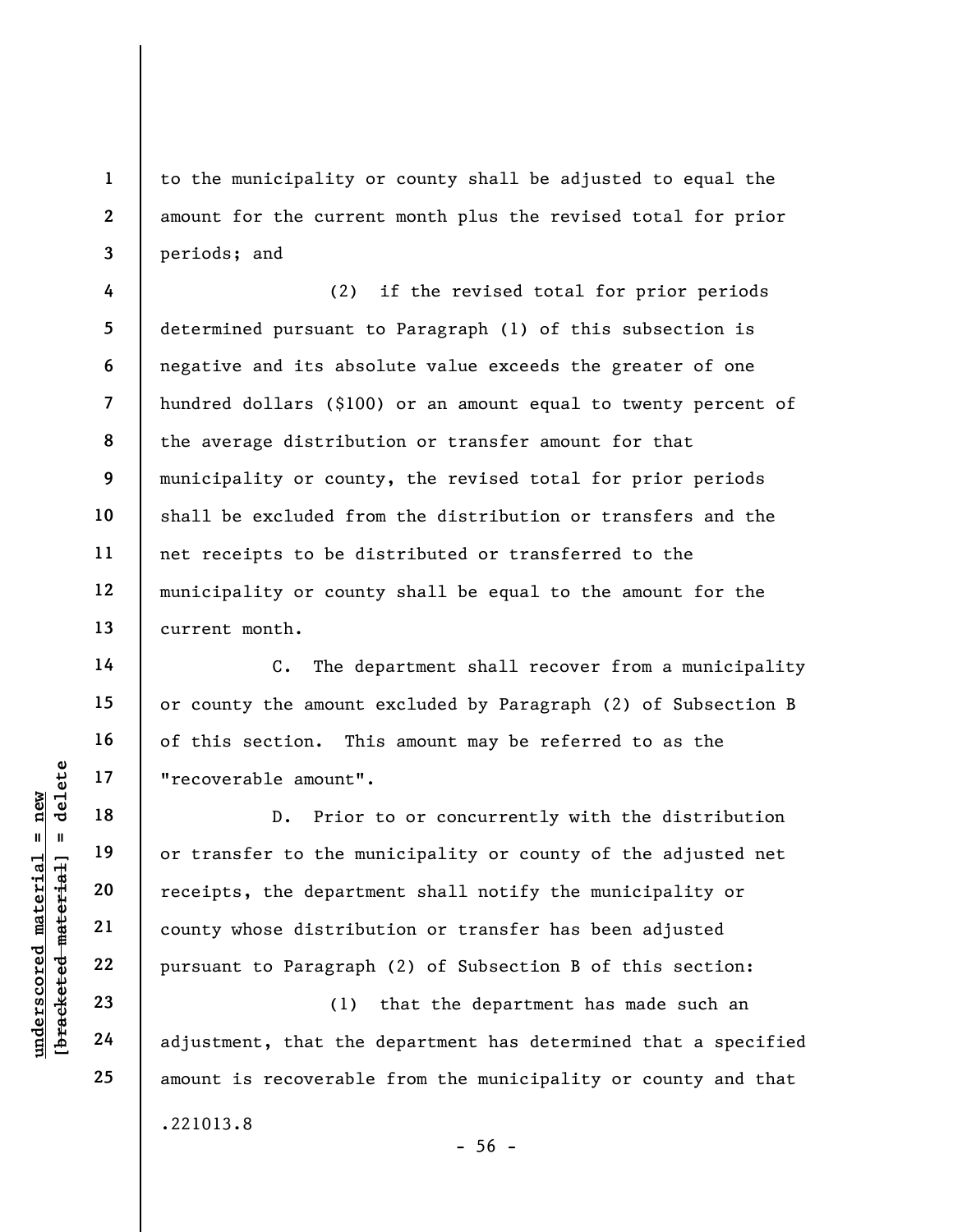to the municipality or county shall be adjusted to equal the amount for the current month plus the revised total for prior periods; and

4 5 6 7 8 9 10 11 12 13 (2) if the revised total for prior periods determined pursuant to Paragraph (1) of this subsection is negative and its absolute value exceeds the greater of one hundred dollars (\$100) or an amount equal to twenty percent of the average distribution or transfer amount for that municipality or county, the revised total for prior periods shall be excluded from the distribution or transfers and the net receipts to be distributed or transferred to the municipality or county shall be equal to the amount for the current month.

C. The department shall recover from a municipality or county the amount excluded by Paragraph (2) of Subsection B of this section. This amount may be referred to as the "recoverable amount".

understand or transfer to the municipal experience of the material or transfer to the municipal or transfer to the municipal or transfer to the municipal or transfer to the municipal or transfer to the municipal or transfe D. Prior to or concurrently with the distribution or transfer to the municipality or county of the adjusted net receipts, the department shall notify the municipality or county whose distribution or transfer has been adjusted pursuant to Paragraph (2) of Subsection B of this section:

(1) that the department has made such an adjustment, that the department has determined that a specified amount is recoverable from the municipality or county and that

 $-56 -$ 

.221013.8

1

2

3

14

15

16

17

18

19

20

21

22

23

24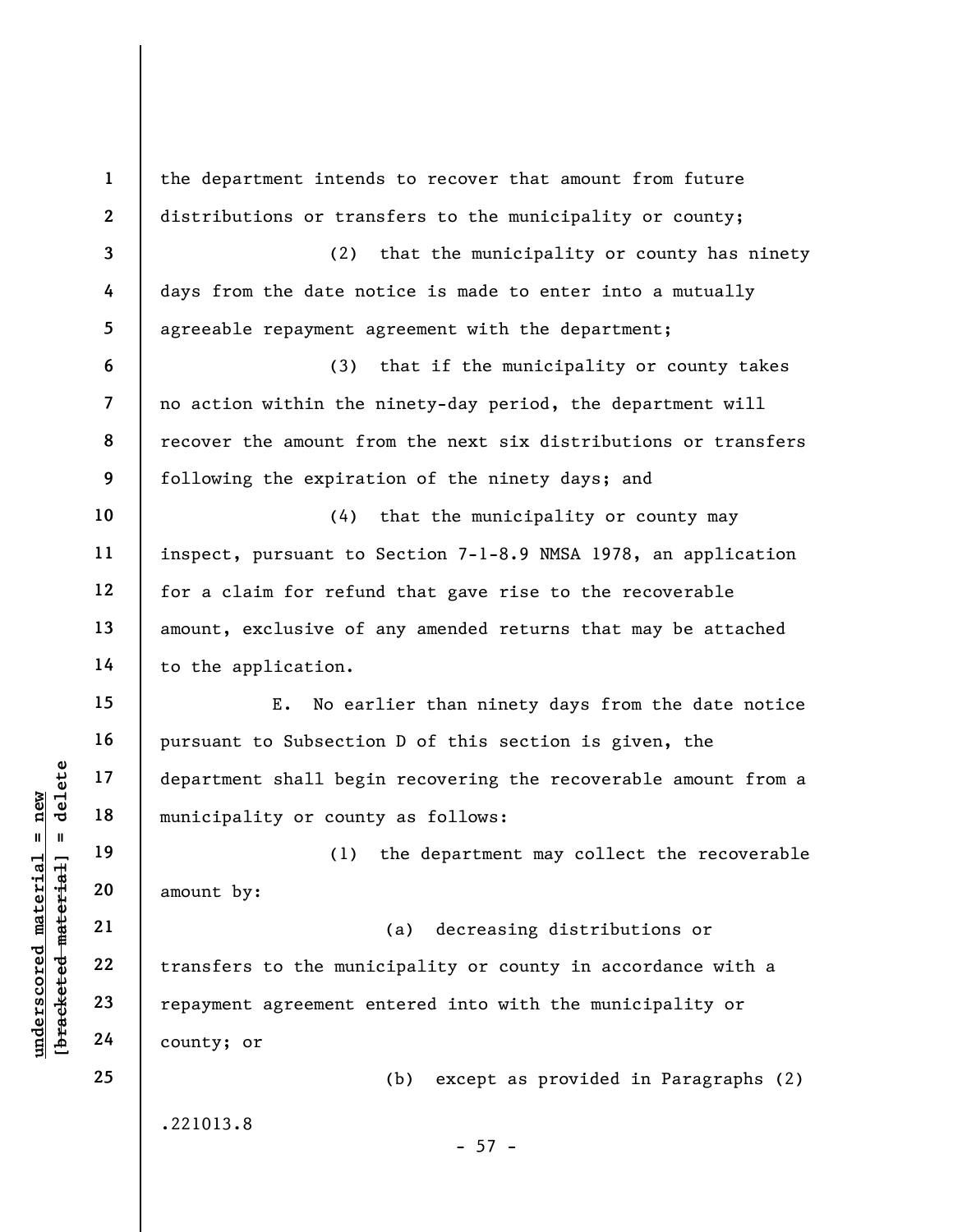underscored material = new [bracketed material] = delete 1 2 3 4 5 6 7 8 9 10 11 12 13 14 15 16 17 18 19 20 21 22 23 24 25 the department intends to recover that amount from future distributions or transfers to the municipality or county; (2) that the municipality or county has ninety days from the date notice is made to enter into a mutually agreeable repayment agreement with the department; (3) that if the municipality or county takes no action within the ninety-day period, the department will recover the amount from the next six distributions or transfers following the expiration of the ninety days; and (4) that the municipality or county may inspect, pursuant to Section 7-1-8.9 NMSA 1978, an application for a claim for refund that gave rise to the recoverable amount, exclusive of any amended returns that may be attached to the application. E. No earlier than ninety days from the date notice pursuant to Subsection D of this section is given, the department shall begin recovering the recoverable amount from a municipality or county as follows: (1) the department may collect the recoverable amount by: (a) decreasing distributions or transfers to the municipality or county in accordance with a repayment agreement entered into with the municipality or county; or (b) except as provided in Paragraphs (2) .221013.8  $- 57 -$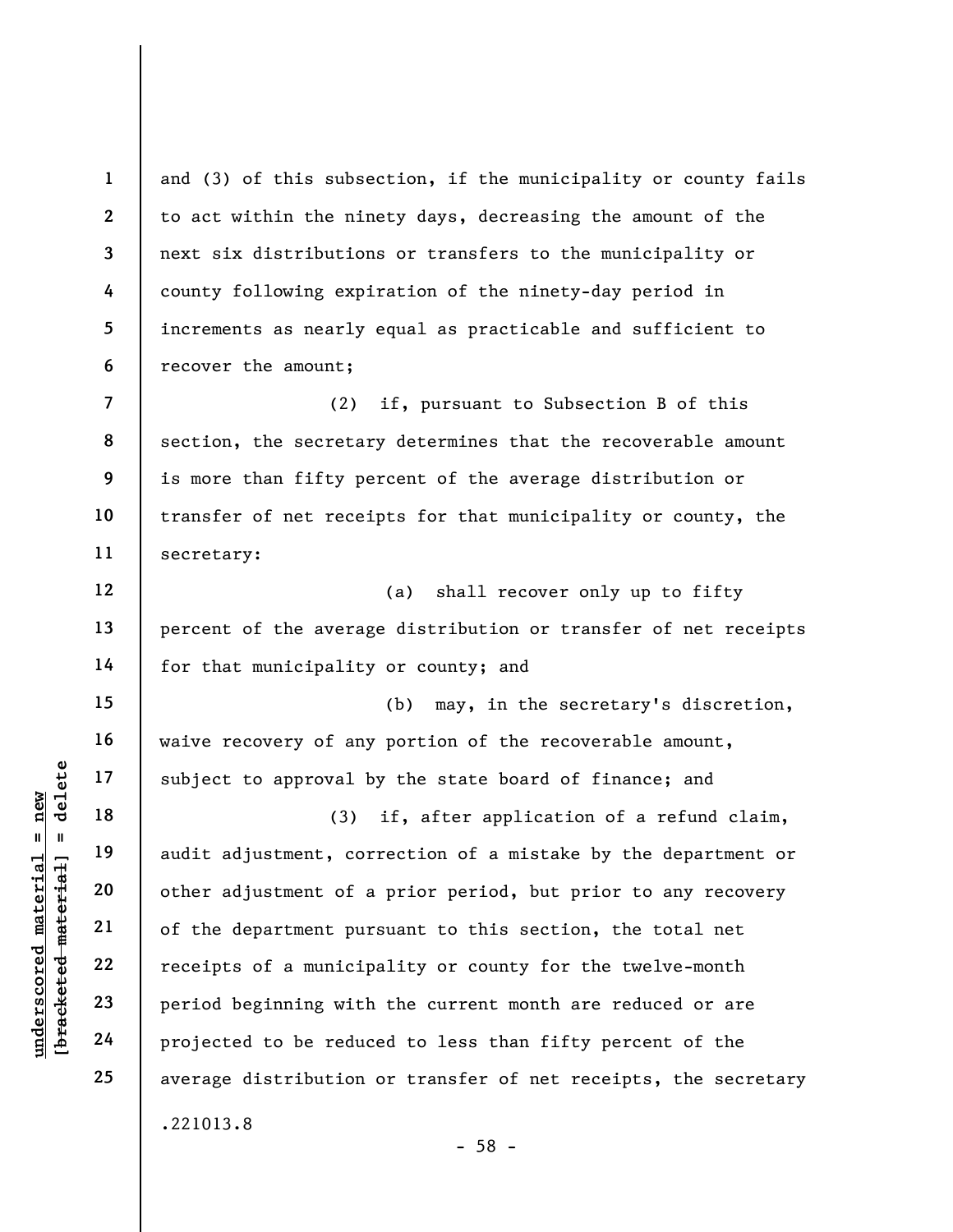under 17<br>
= 18<br>
= 18<br>
= 19<br>
= 19<br>
= 19<br>
= 19<br>
= 19<br>
= 19<br>
= 19<br>
= 19<br>
= 19<br>
= 19<br>
= 19<br>
= 19<br>
= 19<br>
= 19<br>
= 19<br>
= 19<br>
21<br>
= 19<br>
= 19<br>
= 19<br>
= 19<br>
= 19<br>
= 19<br>
= 19<br>
= 19<br>
= 19<br>
= 19<br>
= 19<br>
= 19<br>
= 19<br>
= 19<br>
= 19<br>
= 19<br>
= 19 1 2 3 4 5 6 7 8 9 10 11 12 13 14 15 16 17 18 19 20 21 22 23 24 25 and (3) of this subsection, if the municipality or county fails to act within the ninety days, decreasing the amount of the next six distributions or transfers to the municipality or county following expiration of the ninety-day period in increments as nearly equal as practicable and sufficient to recover the amount; (2) if, pursuant to Subsection B of this section, the secretary determines that the recoverable amount is more than fifty percent of the average distribution or transfer of net receipts for that municipality or county, the secretary: (a) shall recover only up to fifty percent of the average distribution or transfer of net receipts for that municipality or county; and (b) may, in the secretary's discretion, waive recovery of any portion of the recoverable amount, subject to approval by the state board of finance; and (3) if, after application of a refund claim, audit adjustment, correction of a mistake by the department or other adjustment of a prior period, but prior to any recovery of the department pursuant to this section, the total net receipts of a municipality or county for the twelve-month period beginning with the current month are reduced or are projected to be reduced to less than fifty percent of the average distribution or transfer of net receipts, the secretary .221013.8 - 58 -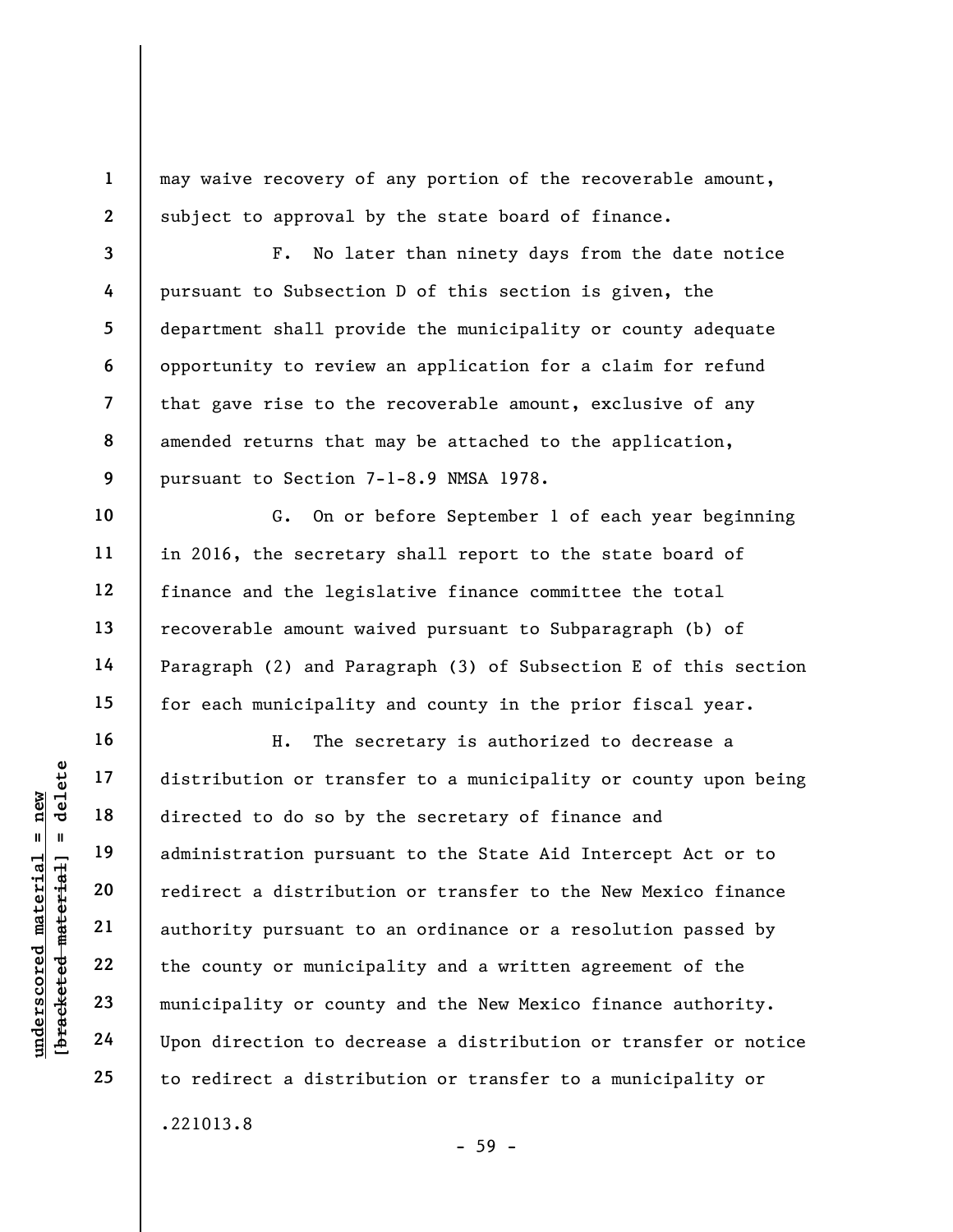may waive recovery of any portion of the recoverable amount, subject to approval by the state board of finance.

3 7 8 9 F. No later than ninety days from the date notice pursuant to Subsection D of this section is given, the department shall provide the municipality or county adequate opportunity to review an application for a claim for refund that gave rise to the recoverable amount, exclusive of any amended returns that may be attached to the application, pursuant to Section 7-1-8.9 NMSA 1978.

G. On or before September 1 of each year beginning in 2016, the secretary shall report to the state board of finance and the legislative finance committee the total recoverable amount waived pursuant to Subparagraph (b) of Paragraph (2) and Paragraph (3) of Subsection E of this section for each municipality and county in the prior fiscal year.

underscored material = new [bracketed material] = delete H. The secretary is authorized to decrease a distribution or transfer to a municipality or county upon being directed to do so by the secretary of finance and administration pursuant to the State Aid Intercept Act or to redirect a distribution or transfer to the New Mexico finance authority pursuant to an ordinance or a resolution passed by the county or municipality and a written agreement of the municipality or county and the New Mexico finance authority. Upon direction to decrease a distribution or transfer or notice to redirect a distribution or transfer to a municipality or .221013.8

- 59 -

1

2

4

5

6

10

11

12

13

14

15

16

17

18

19

20

21

22

23

24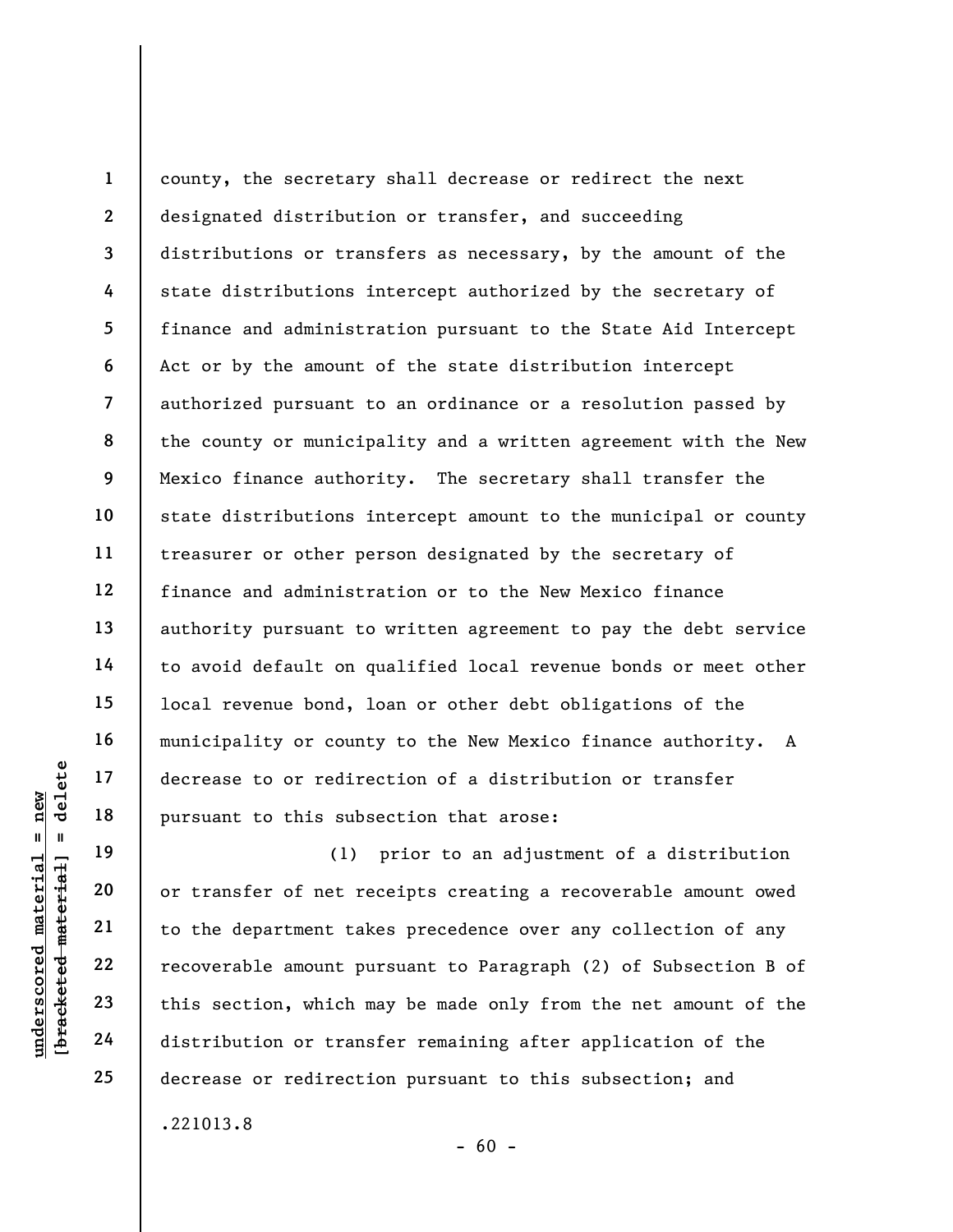1 2 3 4 5 6 7 8 9 10 11 12 13 14 15 16 17 18 county, the secretary shall decrease or redirect the next designated distribution or transfer, and succeeding distributions or transfers as necessary, by the amount of the state distributions intercept authorized by the secretary of finance and administration pursuant to the State Aid Intercept Act or by the amount of the state distribution intercept authorized pursuant to an ordinance or a resolution passed by the county or municipality and a written agreement with the New Mexico finance authority. The secretary shall transfer the state distributions intercept amount to the municipal or county treasurer or other person designated by the secretary of finance and administration or to the New Mexico finance authority pursuant to written agreement to pay the debt service to avoid default on qualified local revenue bonds or meet other local revenue bond, loan or other debt obligations of the municipality or county to the New Mexico finance authority. A decrease to or redirection of a distribution or transfer pursuant to this subsection that arose:

underscored in the same of redirections of the subset of net redirections of the department take the department take the department take the department take the department take the department take the department take the d (1) prior to an adjustment of a distribution or transfer of net receipts creating a recoverable amount owed to the department takes precedence over any collection of any recoverable amount pursuant to Paragraph (2) of Subsection B of this section, which may be made only from the net amount of the distribution or transfer remaining after application of the decrease or redirection pursuant to this subsection; and .221013.8

19

20

21

22

23

24

25

 $- 60 -$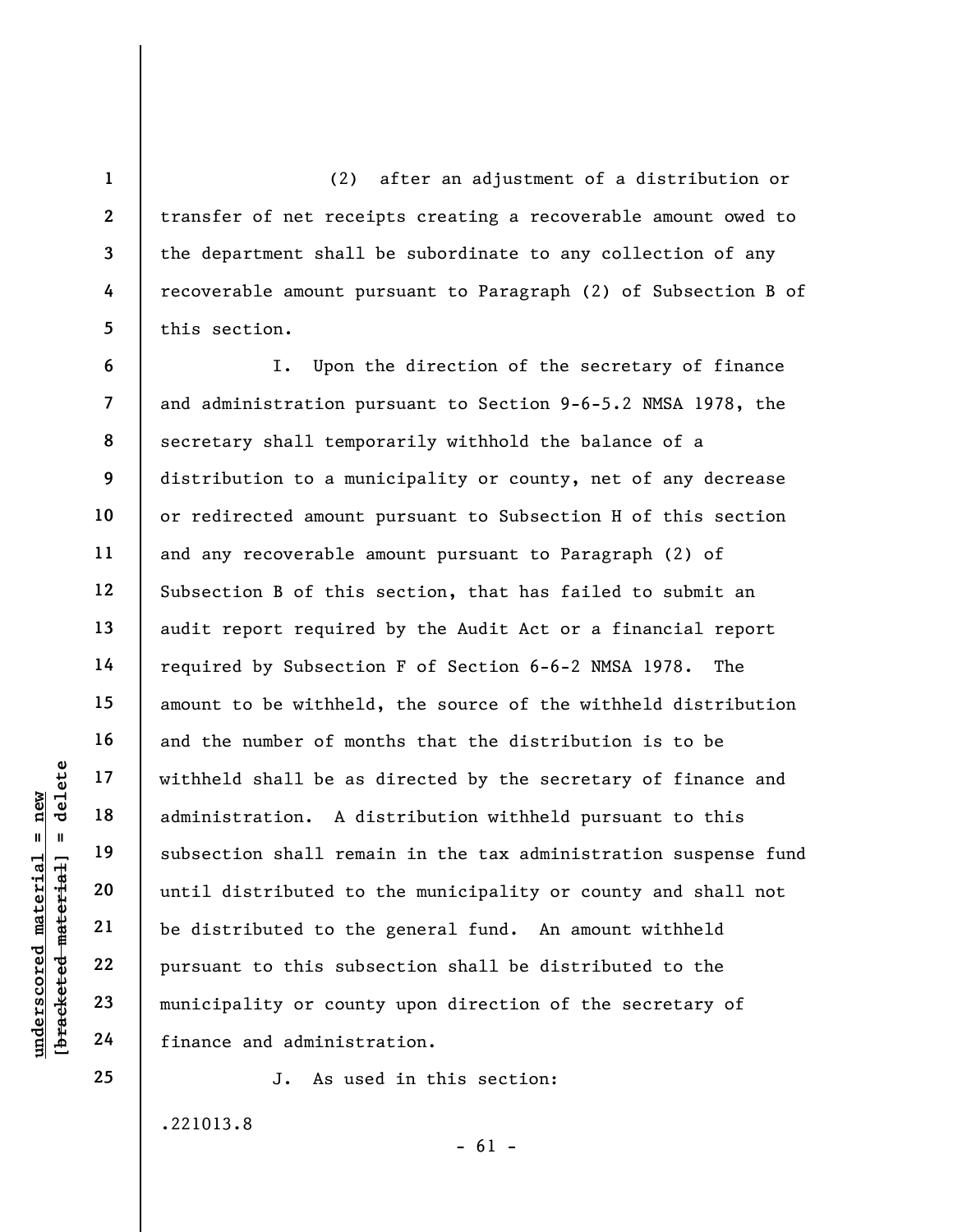(2) after an adjustment of a distribution or transfer of net receipts creating a recoverable amount owed to the department shall be subordinate to any collection of any recoverable amount pursuant to Paragraph (2) of Subsection B of this section.

underscored material = new [bracketed material] = delete 8 9 12 I. Upon the direction of the secretary of finance and administration pursuant to Section 9-6-5.2 NMSA 1978, the secretary shall temporarily withhold the balance of a distribution to a municipality or county, net of any decrease or redirected amount pursuant to Subsection H of this section and any recoverable amount pursuant to Paragraph (2) of Subsection B of this section, that has failed to submit an audit report required by the Audit Act or a financial report required by Subsection F of Section 6-6-2 NMSA 1978. The amount to be withheld, the source of the withheld distribution and the number of months that the distribution is to be withheld shall be as directed by the secretary of finance and administration. A distribution withheld pursuant to this subsection shall remain in the tax administration suspense fund until distributed to the municipality or county and shall not be distributed to the general fund. An amount withheld pursuant to this subsection shall be distributed to the municipality or county upon direction of the secretary of finance and administration.

J. As used in this section:

.221013.8

 $- 61 -$ 

1

2

3

4

5

6

7

10

11

13

14

15

16

17

18

19

20

21

22

23

24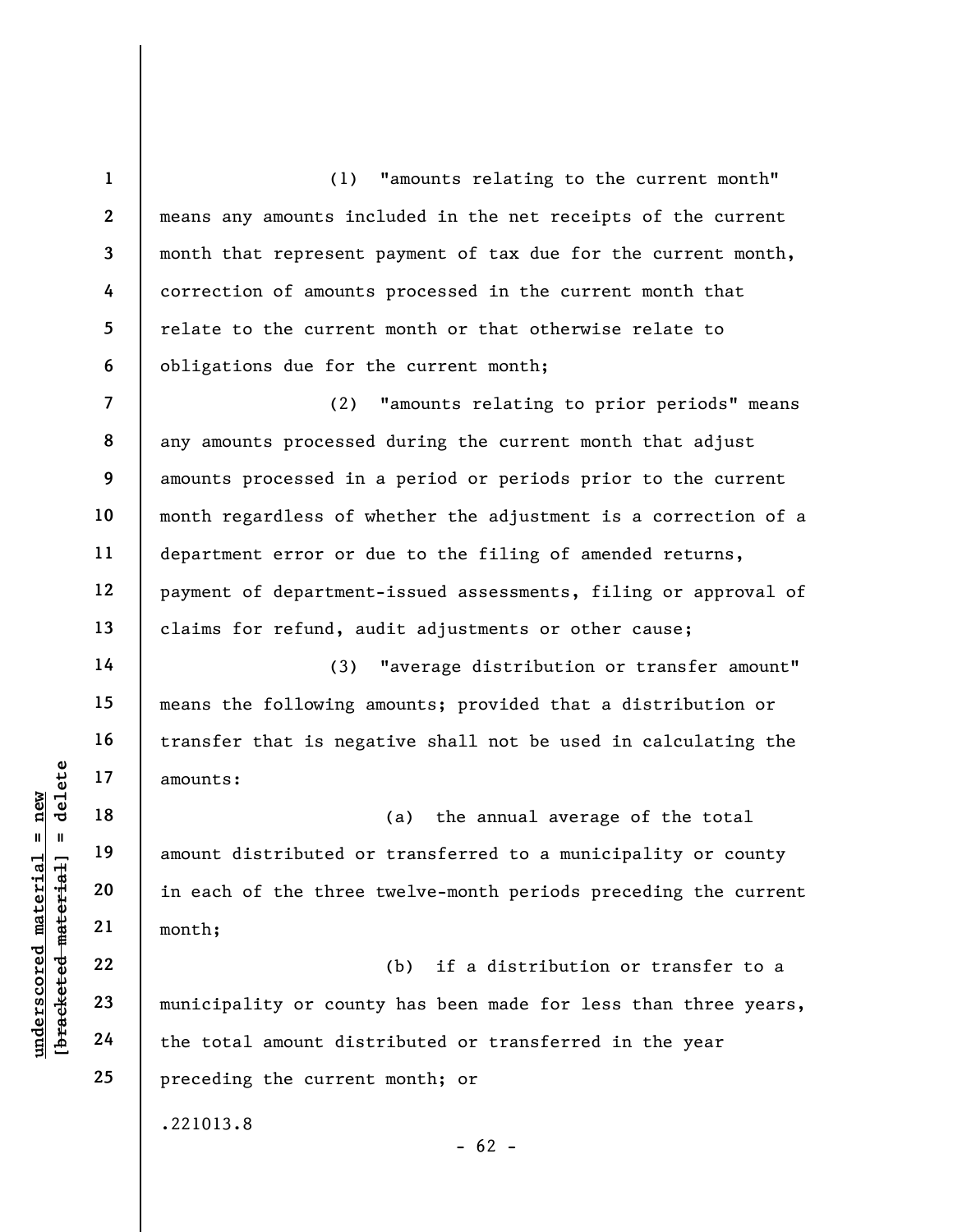1 2 3 4 5 6 (1) "amounts relating to the current month" means any amounts included in the net receipts of the current month that represent payment of tax due for the current month, correction of amounts processed in the current month that relate to the current month or that otherwise relate to obligations due for the current month;

7 8 9 10 11 12 13 (2) "amounts relating to prior periods" means any amounts processed during the current month that adjust amounts processed in a period or periods prior to the current month regardless of whether the adjustment is a correction of a department error or due to the filing of amended returns, payment of department-issued assessments, filing or approval of claims for refund, audit adjustments or other cause;

(3) "average distribution or transfer amount" means the following amounts; provided that a distribution or transfer that is negative shall not be used in calculating the amounts:

under 17<br>
amounts:<br>
amount distributed or<br>
amount distributed or<br>
in each of the three<br>
21<br>
which,<br>
22<br>
23<br>
municipality or count<br>
the total amount dist (a) the annual average of the total amount distributed or transferred to a municipality or county in each of the three twelve-month periods preceding the current month;

(b) if a distribution or transfer to a municipality or county has been made for less than three years, the total amount distributed or transferred in the year preceding the current month; or

 $- 62 -$ 

.221013.8

14

15

16

17

18

19

20

21

22

23

24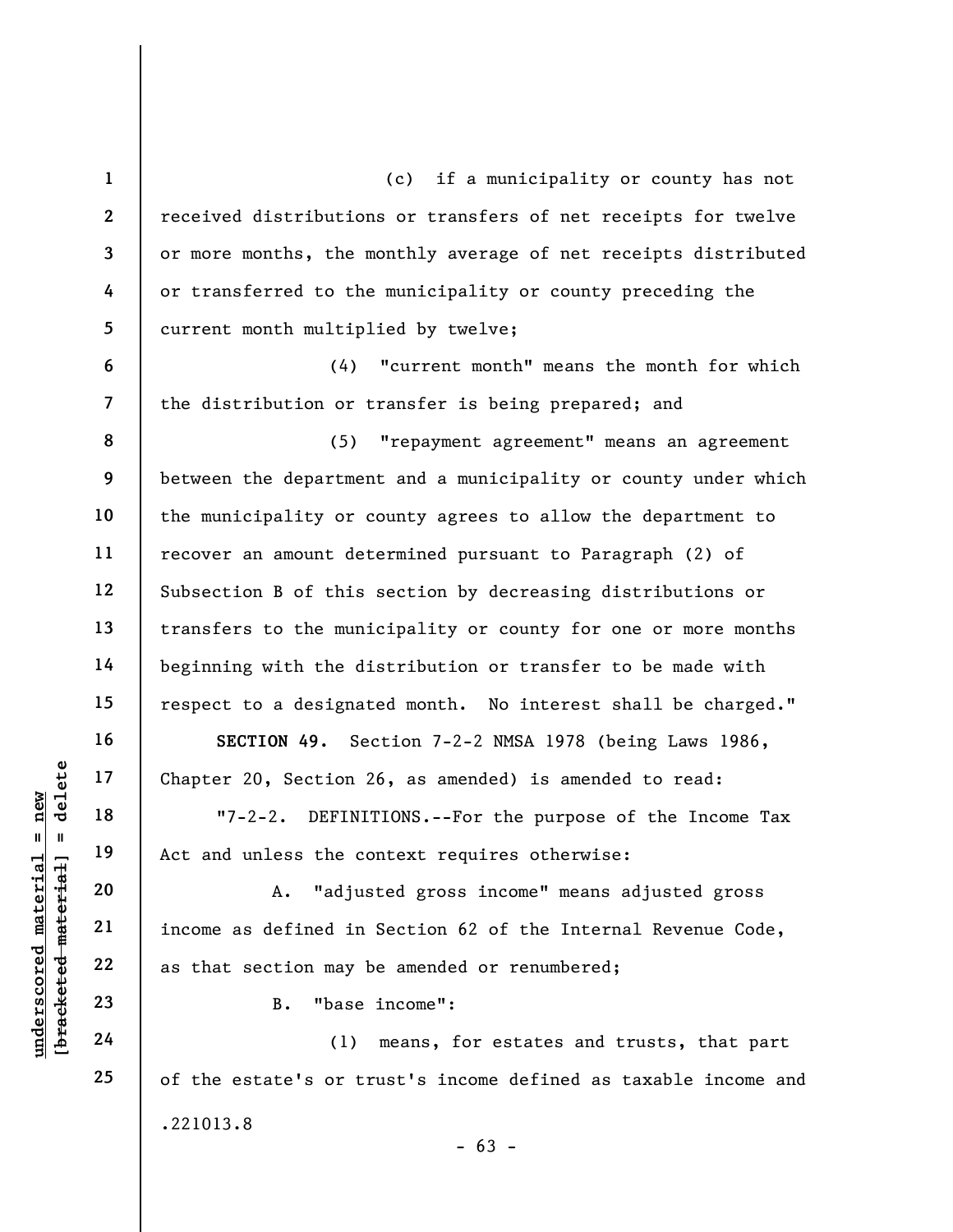underscored material = new [bracketed material] = delete 1 2 3 4 5 6 7 8 9 10 11 12 13 14 15 16 17 18 19 20 21 22 23 24 25 (c) if a municipality or county has not received distributions or transfers of net receipts for twelve or more months, the monthly average of net receipts distributed or transferred to the municipality or county preceding the current month multiplied by twelve; (4) "current month" means the month for which the distribution or transfer is being prepared; and (5) "repayment agreement" means an agreement between the department and a municipality or county under which the municipality or county agrees to allow the department to recover an amount determined pursuant to Paragraph (2) of Subsection B of this section by decreasing distributions or transfers to the municipality or county for one or more months beginning with the distribution or transfer to be made with respect to a designated month. No interest shall be charged." SECTION 49. Section 7-2-2 NMSA 1978 (being Laws 1986, Chapter 20, Section 26, as amended) is amended to read: "7-2-2. DEFINITIONS.--For the purpose of the Income Tax Act and unless the context requires otherwise: A. "adjusted gross income" means adjusted gross income as defined in Section 62 of the Internal Revenue Code, as that section may be amended or renumbered; B. "base income": (1) means, for estates and trusts, that part of the estate's or trust's income defined as taxable income and .221013.8

 $- 63 -$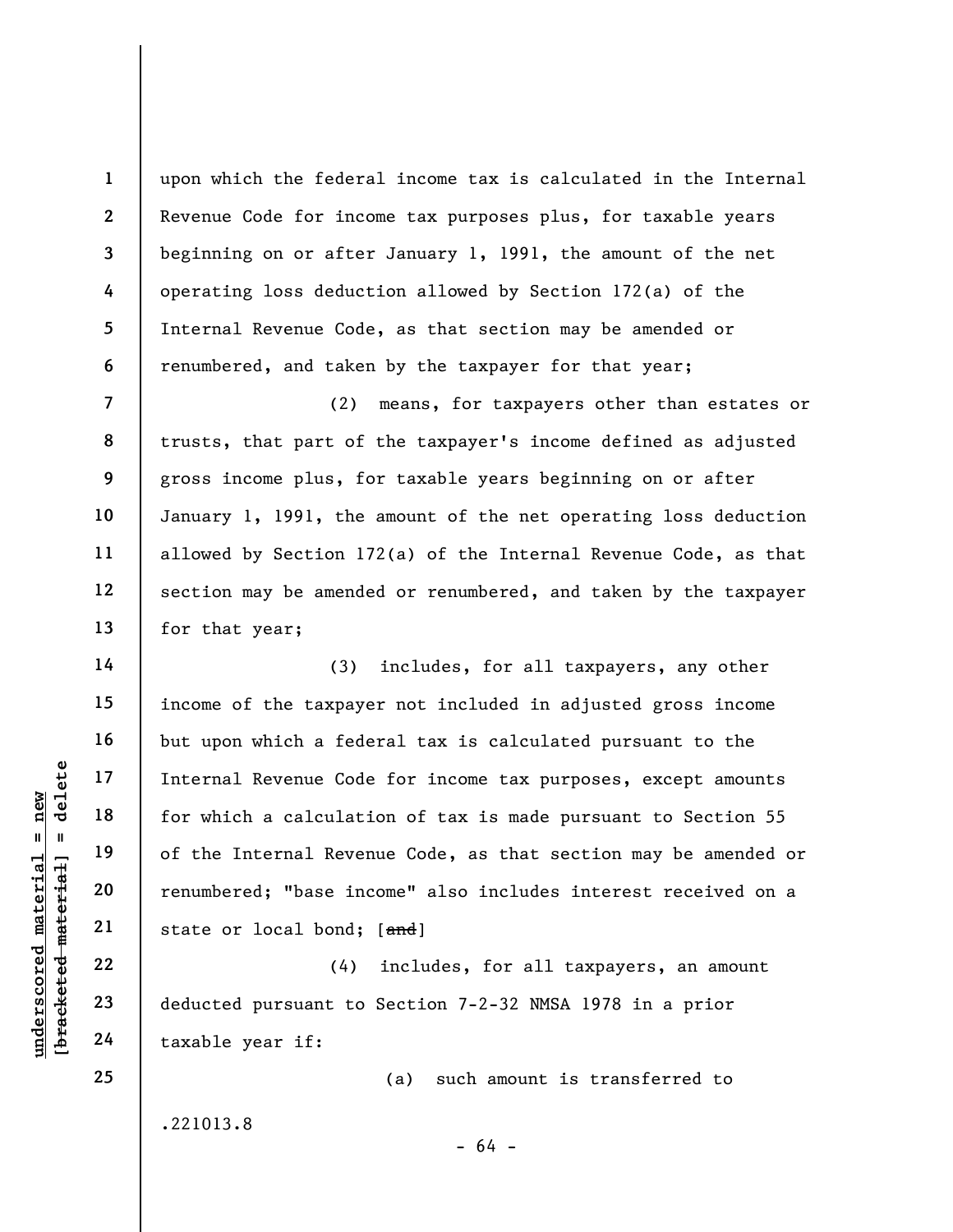upon which the federal income tax is calculated in the Internal Revenue Code for income tax purposes plus, for taxable years beginning on or after January 1, 1991, the amount of the net operating loss deduction allowed by Section 172(a) of the Internal Revenue Code, as that section may be amended or renumbered, and taken by the taxpayer for that year;

(2) means, for taxpayers other than estates or trusts, that part of the taxpayer's income defined as adjusted gross income plus, for taxable years beginning on or after January 1, 1991, the amount of the net operating loss deduction allowed by Section 172(a) of the Internal Revenue Code, as that section may be amended or renumbered, and taken by the taxpayer for that year;

underschied material Revenue Code<br>
internal Revenue Code<br>
for which a calculaties<br>
of the Internal Revenue<br>
renumbered; "base inc<br>
state or local bond;<br>
22<br>
23<br>
deducted pursuant to<br>
24<br>
taxable year if: (3) includes, for all taxpayers, any other income of the taxpayer not included in adjusted gross income but upon which a federal tax is calculated pursuant to the Internal Revenue Code for income tax purposes, except amounts for which a calculation of tax is made pursuant to Section 55 of the Internal Revenue Code, as that section may be amended or renumbered; "base income" also includes interest received on a state or local bond; [and]

(4) includes, for all taxpayers, an amount deducted pursuant to Section 7-2-32 NMSA 1978 in a prior taxable year if:

(a) such amount is transferred to

.221013.8

1

2

3

4

5

6

7

8

9

10

11

12

13

14

15

16

17

18

19

20

21

22

23

24

25

 $- 64 -$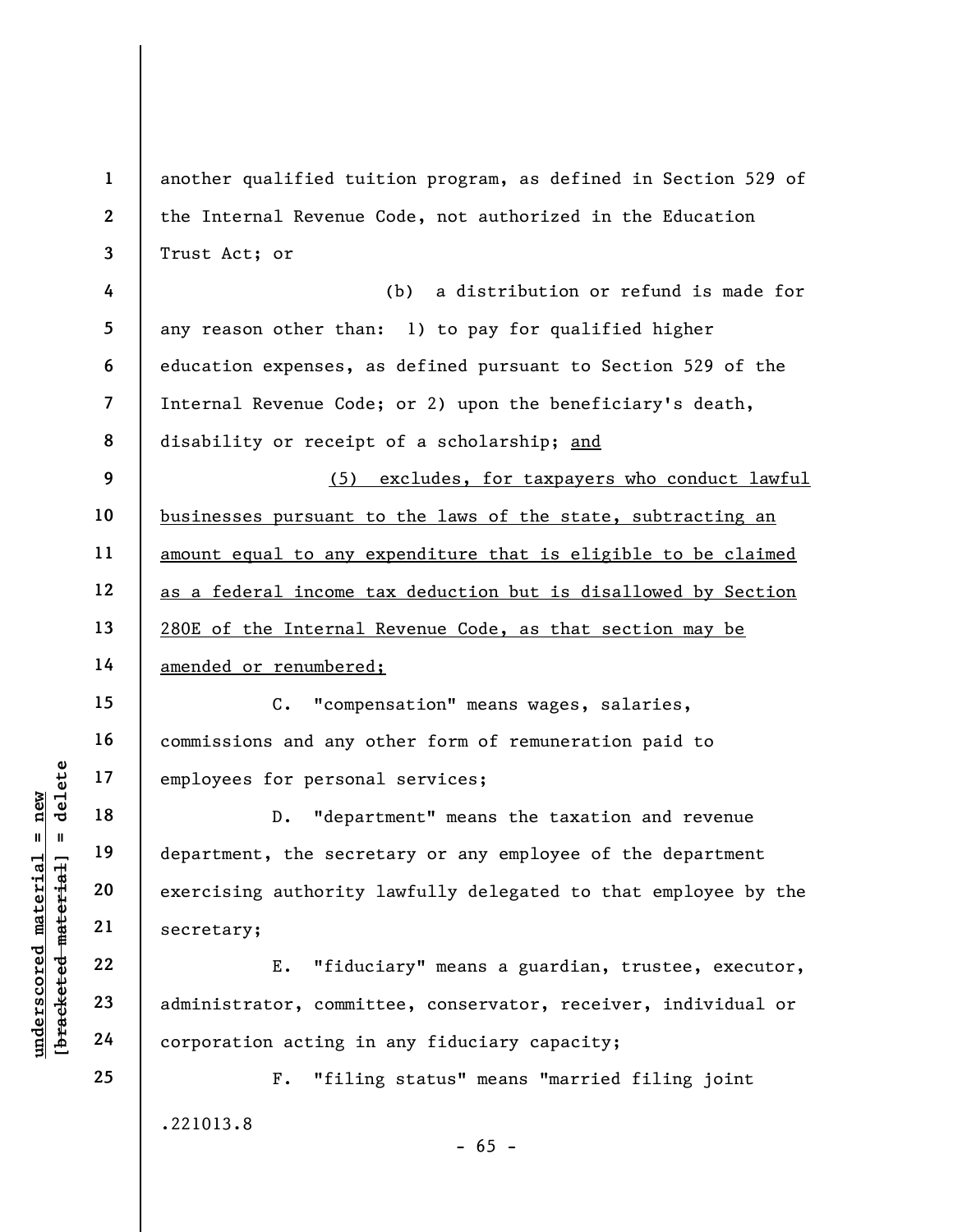understand material employees for persona<br>  $\begin{array}{c|c|c|c} \hline \text{u} & \text{u} & \text{u} & \text{u} \\ \hline \text{u} & \text{u} & \text{u} & \text{u} \\ \hline \text{u} & \text{u} & \text{u} & \text{u} \\ \hline \text{u} & \text{u} & \text{u} & \text{u} \\ \hline \text{u} & \text{u} & \text{u} & \text{u} \\ \hline \text{u} & \text{u} & \text{u} & \text{u} \\ \hline$ 1 2 3 4 5 6 7 8 9 10 11 12 13 14 15 16 17 18 19 20 21 22 23 24 25 another qualified tuition program, as defined in Section 529 of the Internal Revenue Code, not authorized in the Education Trust Act; or (b) a distribution or refund is made for any reason other than: 1) to pay for qualified higher education expenses, as defined pursuant to Section 529 of the Internal Revenue Code; or 2) upon the beneficiary's death, disability or receipt of a scholarship; and (5) excludes, for taxpayers who conduct lawful businesses pursuant to the laws of the state, subtracting an amount equal to any expenditure that is eligible to be claimed as a federal income tax deduction but is disallowed by Section 280E of the Internal Revenue Code, as that section may be amended or renumbered; C. "compensation" means wages, salaries, commissions and any other form of remuneration paid to employees for personal services; D. "department" means the taxation and revenue department, the secretary or any employee of the department exercising authority lawfully delegated to that employee by the secretary; E. "fiduciary" means a guardian, trustee, executor, administrator, committee, conservator, receiver, individual or corporation acting in any fiduciary capacity; F. "filing status" means "married filing joint

.221013.8

 $- 65 -$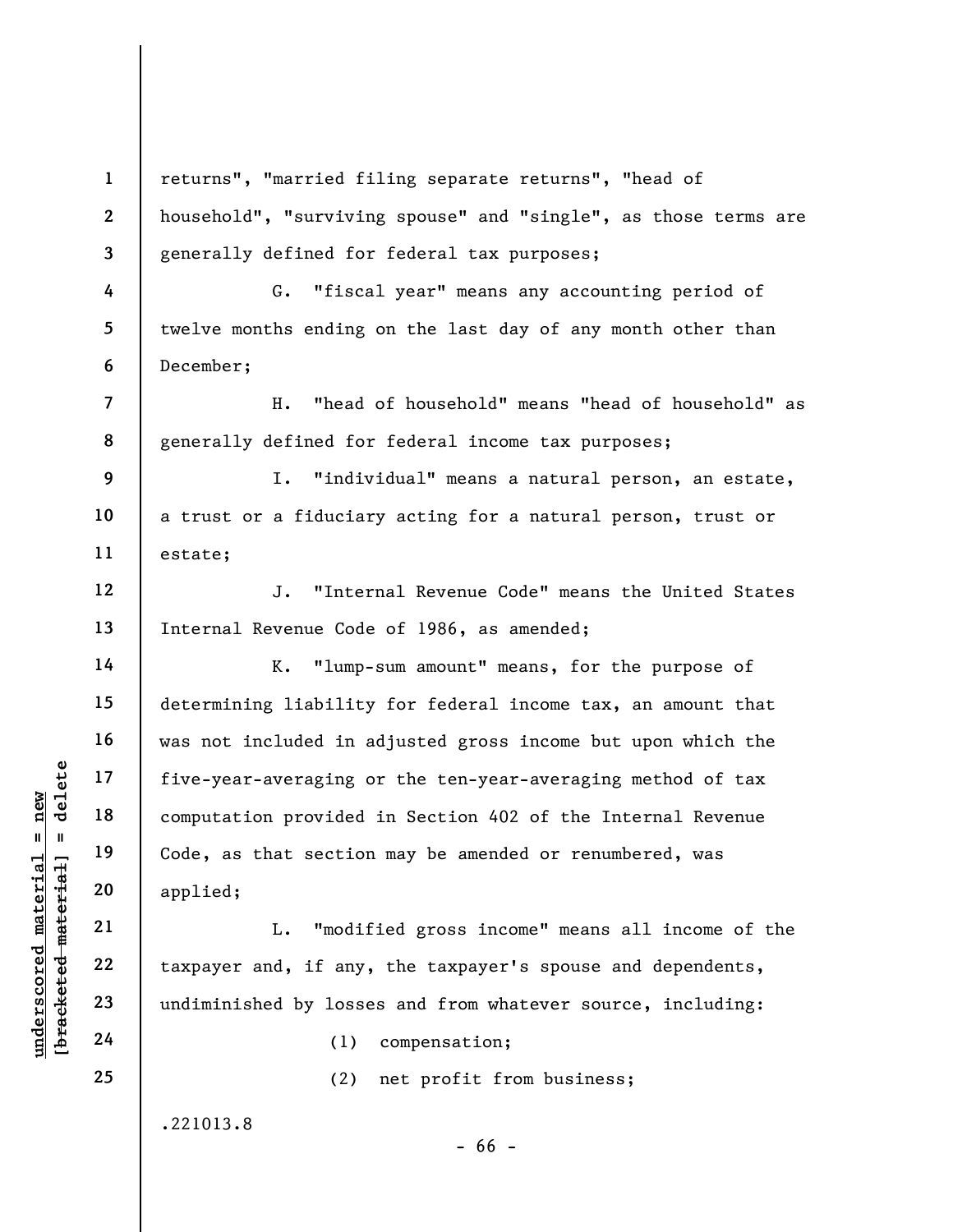underscored material = new [bracketed material] = delete 1 2 3 4 5 6 7 8 9 10 11 12 13 14 15 16 17 18 19 20 21 22 23 24 25 returns", "married filing separate returns", "head of household", "surviving spouse" and "single", as those terms are generally defined for federal tax purposes; G. "fiscal year" means any accounting period of twelve months ending on the last day of any month other than December; H. "head of household" means "head of household" as generally defined for federal income tax purposes; I. "individual" means a natural person, an estate, a trust or a fiduciary acting for a natural person, trust or estate; J. "Internal Revenue Code" means the United States Internal Revenue Code of 1986, as amended; K. "lump-sum amount" means, for the purpose of determining liability for federal income tax, an amount that was not included in adjusted gross income but upon which the five-year-averaging or the ten-year-averaging method of tax computation provided in Section 402 of the Internal Revenue Code, as that section may be amended or renumbered, was applied; L. "modified gross income" means all income of the taxpayer and, if any, the taxpayer's spouse and dependents, undiminished by losses and from whatever source, including: (1) compensation; (2) net profit from business;

.221013.8

- 66 -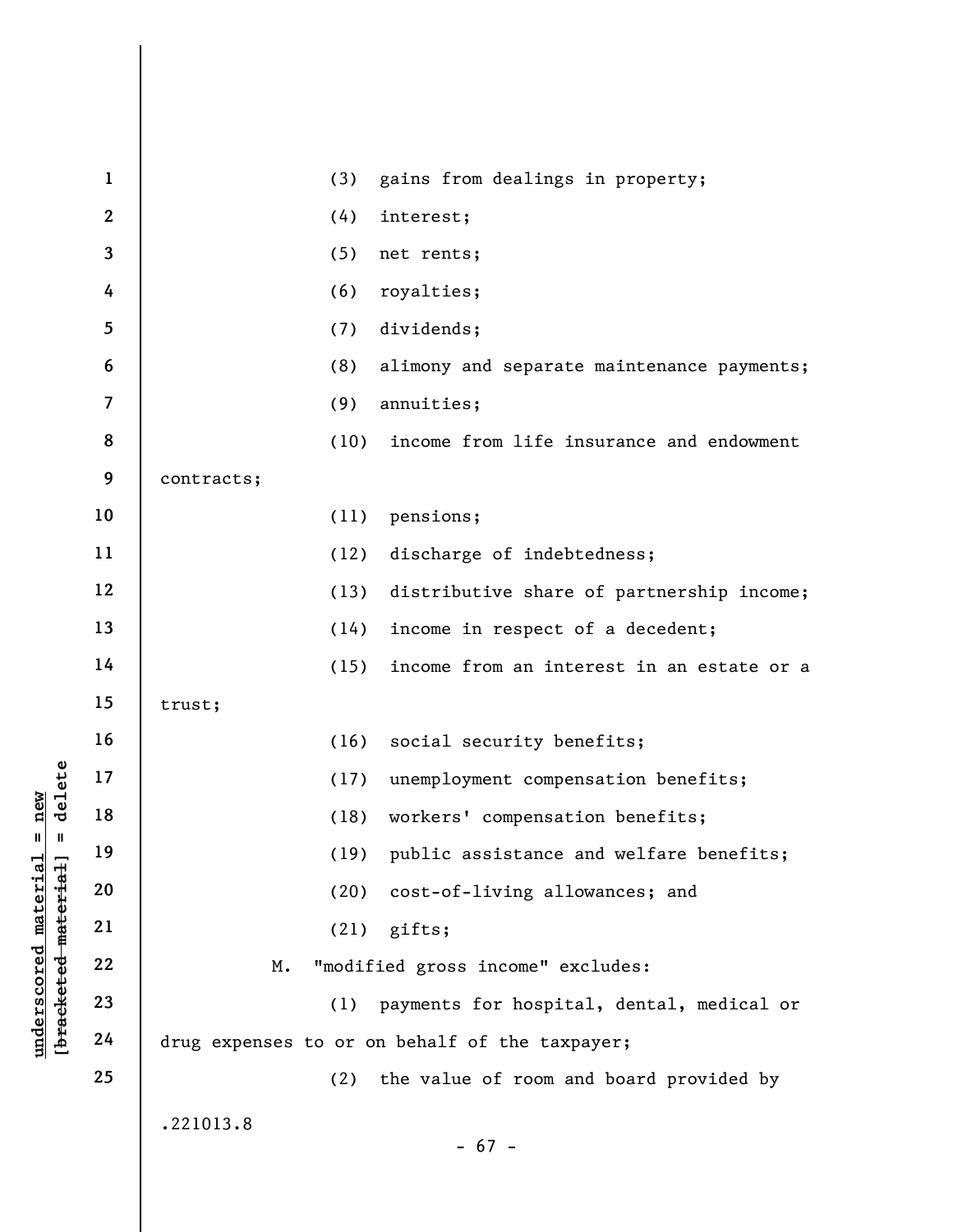|                                  | $\mathbf{1}$   | gains from dealings in property;<br>(3)           |
|----------------------------------|----------------|---------------------------------------------------|
|                                  | $\mathbf{2}$   | (4)<br>interest;                                  |
|                                  | 3              | (5)<br>net rents;                                 |
|                                  | 4              | (6)<br>royalties;                                 |
|                                  | 5              | dividends;<br>(7)                                 |
|                                  | 6              | (8)<br>alimony and separate maintenance payments; |
|                                  | $\overline{7}$ | (9)<br>annuities;                                 |
|                                  | 8              | (10)<br>income from life insurance and endowment  |
|                                  | 9              | contracts;                                        |
|                                  | 10             | (11)<br>pensions;                                 |
|                                  | 11             | (12)<br>discharge of indebtedness;                |
|                                  | 12             | (13)<br>distributive share of partnership income; |
|                                  | 13             | income in respect of a decedent;<br>(14)          |
|                                  | 14             | (15)<br>income from an interest in an estate or a |
|                                  | 15             | trust;                                            |
|                                  | 16             | (16)<br>social security benefits;                 |
| delete                           | 17             | unemployment compensation benefits;<br>(17)       |
| new                              | 18             | workers' compensation benefits;<br>(18)           |
| Ш.<br>Ш                          | 19             | public assistance and welfare benefits;<br>(19)   |
|                                  | 20             | (20)<br>cost-of-living allowances; and            |
| underscored material<br>material | 21             | gifts;<br>(21)                                    |
|                                  | 22             | "modified gross income" excludes:<br>М.           |
| [bracketed                       | 23             | (1)<br>payments for hospital, dental, medical or  |
|                                  | 24             | drug expenses to or on behalf of the taxpayer;    |
|                                  | 25             | (2)<br>the value of room and board provided by    |
|                                  |                | .221013.8                                         |
|                                  |                | $-67 -$                                           |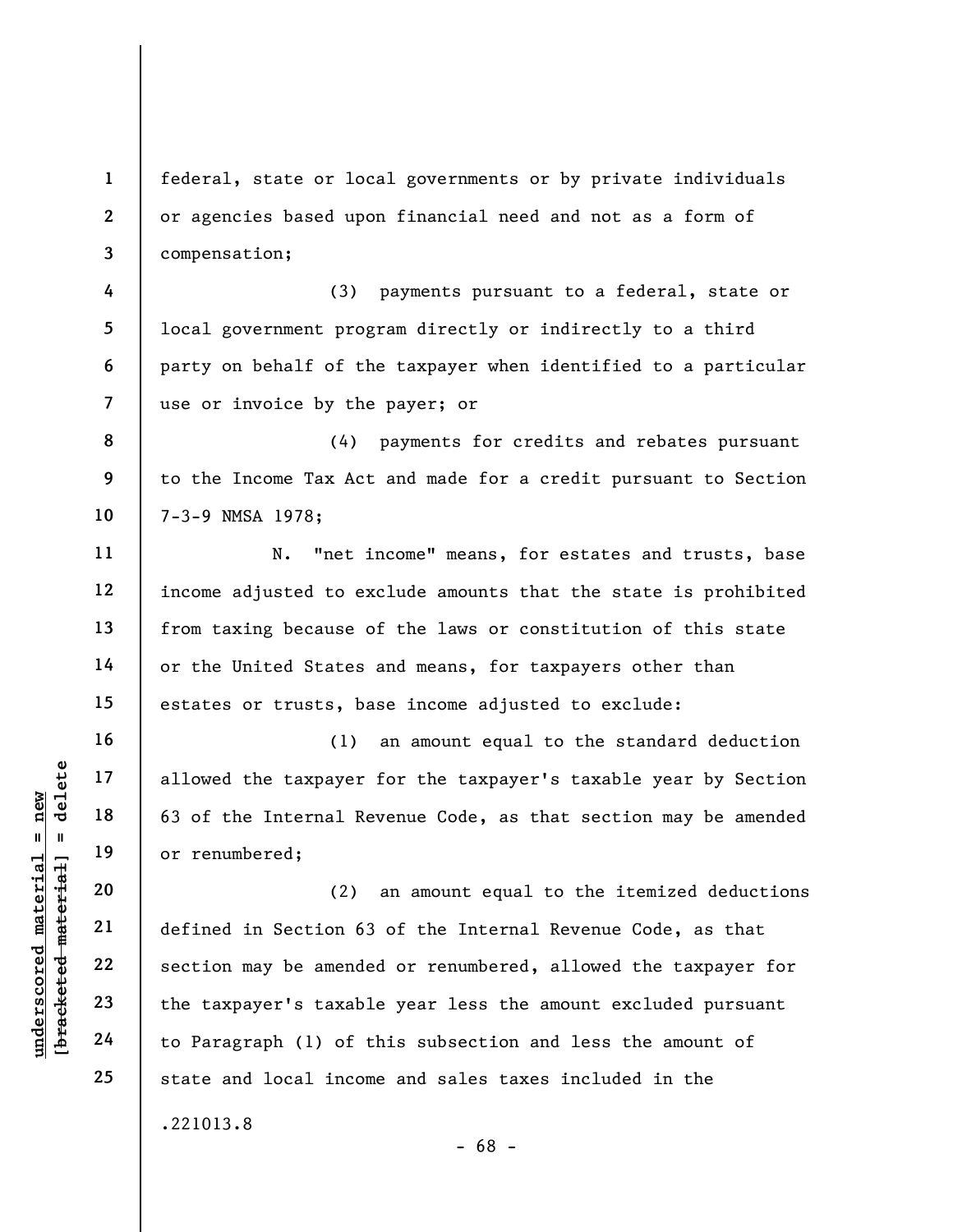1 2 3 federal, state or local governments or by private individuals or agencies based upon financial need and not as a form of compensation;

4 5 6 7 (3) payments pursuant to a federal, state or local government program directly or indirectly to a third party on behalf of the taxpayer when identified to a particular use or invoice by the payer; or

8 9 10 (4) payments for credits and rebates pursuant to the Income Tax Act and made for a credit pursuant to Section 7-3-9 NMSA 1978;

N. "net income" means, for estates and trusts, base income adjusted to exclude amounts that the state is prohibited from taxing because of the laws or constitution of this state or the United States and means, for taxpayers other than estates or trusts, base income adjusted to exclude:

(1) an amount equal to the standard deduction allowed the taxpayer for the taxpayer's taxable year by Section 63 of the Internal Revenue Code, as that section may be amended or renumbered;

underscored material material material expansion of the Internal Report of 19<br>
understand material material material material of the Internal Report of 19<br>
understand 22<br>
understand 23<br>
understand the taxpayer's taxable<br>
t (2) an amount equal to the itemized deductions defined in Section 63 of the Internal Revenue Code, as that section may be amended or renumbered, allowed the taxpayer for the taxpayer's taxable year less the amount excluded pursuant to Paragraph (1) of this subsection and less the amount of state and local income and sales taxes included in the .221013.8

- 68 -

11

12

13

14

15

16

17

18

19

20

21

22

23

24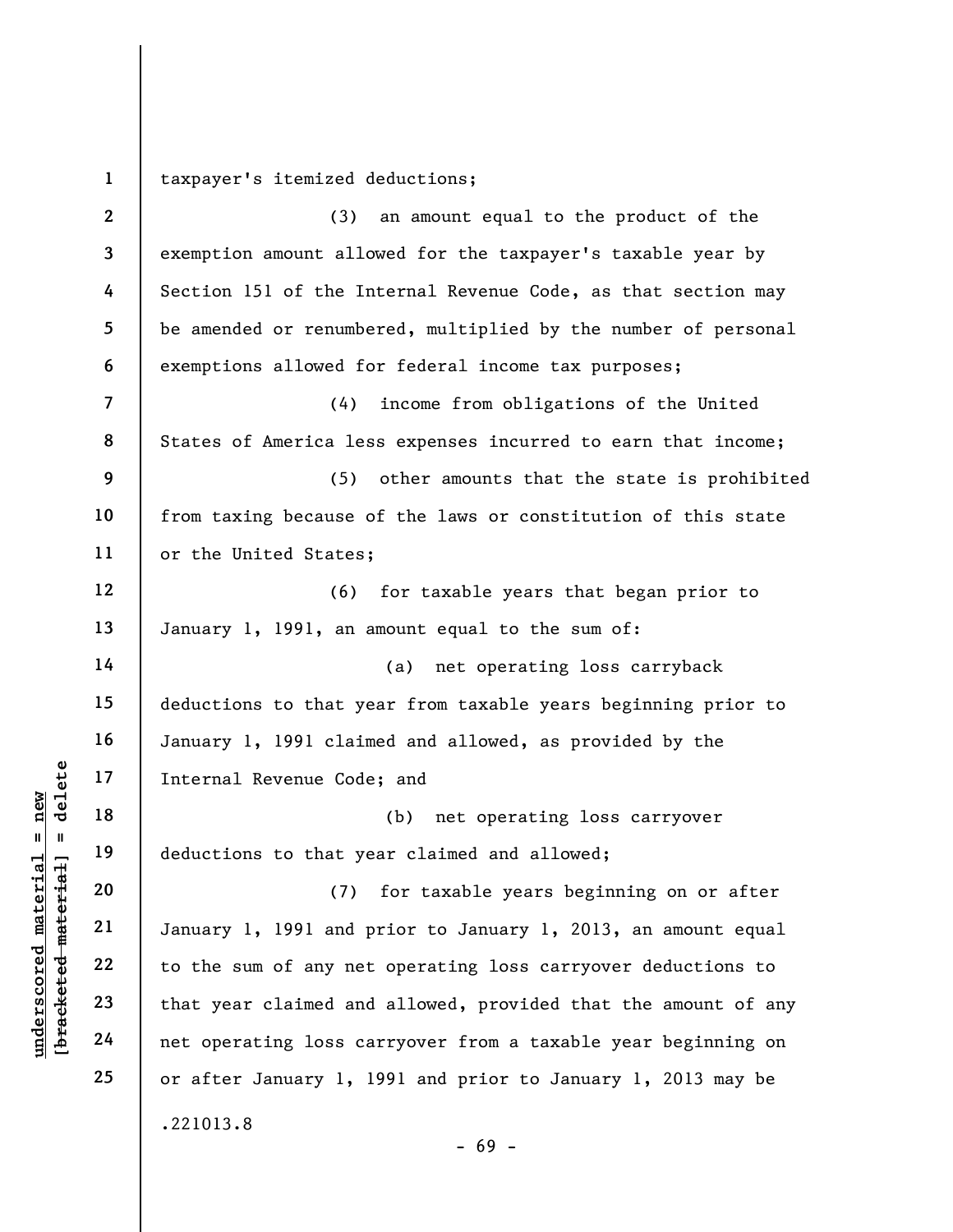1 taxpayer's itemized deductions;

|                                       | $\mathbf{2}$            | an amount equal to the product of the<br>(3)                   |
|---------------------------------------|-------------------------|----------------------------------------------------------------|
|                                       | 3                       | exemption amount allowed for the taxpayer's taxable year by    |
|                                       | 4                       | Section 151 of the Internal Revenue Code, as that section may  |
|                                       | 5                       | be amended or renumbered, multiplied by the number of personal |
|                                       | 6                       | exemptions allowed for federal income tax purposes;            |
|                                       | $\overline{\mathbf{7}}$ | income from obligations of the United<br>(4)                   |
|                                       | 8                       | States of America less expenses incurred to earn that income;  |
|                                       | 9                       | (5)<br>other amounts that the state is prohibited              |
|                                       | 10                      | from taxing because of the laws or constitution of this state  |
|                                       | 11                      | or the United States;                                          |
|                                       | 12                      | for taxable years that began prior to<br>(6)                   |
|                                       | 13                      | January 1, 1991, an amount equal to the sum of:                |
|                                       | 14                      | net operating loss carryback<br>(a)                            |
|                                       | 15                      | deductions to that year from taxable years beginning prior to  |
|                                       | 16                      | January 1, 1991 claimed and allowed, as provided by the        |
| delete                                | 17                      | Internal Revenue Code; and                                     |
| new                                   | 18                      | (b)<br>net operating loss carryover                            |
| Ш<br>H                                | 19                      | deductions to that year claimed and allowed;                   |
| $_{\rm{flat}}$<br>material            | 20                      | for taxable years beginning on or after<br>(7)                 |
| mate;                                 | 21                      | January 1, 1991 and prior to January 1, 2013, an amount equal  |
|                                       | 22                      | to the sum of any net operating loss carryover deductions to   |
| $\bm{{\rm underscore}}$<br>[bracketed | 23                      | that year claimed and allowed, provided that the amount of any |
|                                       | 24                      | net operating loss carryover from a taxable year beginning on  |
|                                       | 25                      | or after January 1, 1991 and prior to January 1, 2013 may be   |
|                                       |                         | .221013.8                                                      |

- 69 -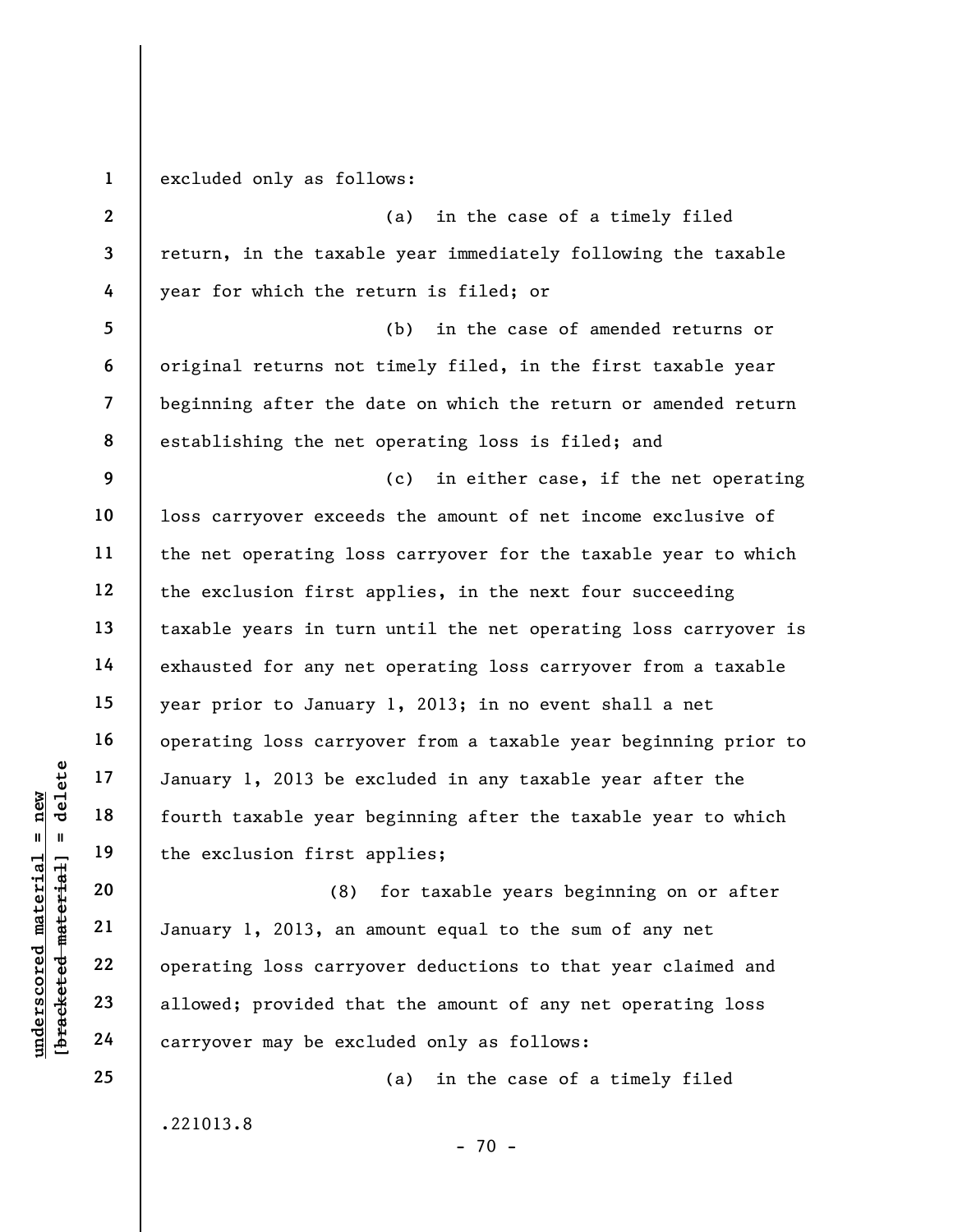UNE DENINSER 17<br>
UNE DENINSERTED MANUSES OF THE REVENUES ON THE PARTIA 20<br>
UNE DENINSERTED MANUSES OF THE REVENUES OF THE REVENUES OF THE PARTY OF THE PARTY OF THE PARTY OF THE PARTY OF THE PARTY OF THE PARTY OF THE PARTY 1 2 3 4 5 6 7 8 9 10 11 12 13 14 15 16 17 18 19 20 excluded only as follows: (a) in the case of a timely filed return, in the taxable year immediately following the taxable year for which the return is filed; or (b) in the case of amended returns or original returns not timely filed, in the first taxable year beginning after the date on which the return or amended return establishing the net operating loss is filed; and (c) in either case, if the net operating loss carryover exceeds the amount of net income exclusive of the net operating loss carryover for the taxable year to which the exclusion first applies, in the next four succeeding taxable years in turn until the net operating loss carryover is exhausted for any net operating loss carryover from a taxable year prior to January 1, 2013; in no event shall a net operating loss carryover from a taxable year beginning prior to January 1, 2013 be excluded in any taxable year after the fourth taxable year beginning after the taxable year to which the exclusion first applies; (8) for taxable years beginning on or after

January 1, 2013, an amount equal to the sum of any net operating loss carryover deductions to that year claimed and allowed; provided that the amount of any net operating loss carryover may be excluded only as follows:

(a) in the case of a timely filed

.221013.8

21

22

23

24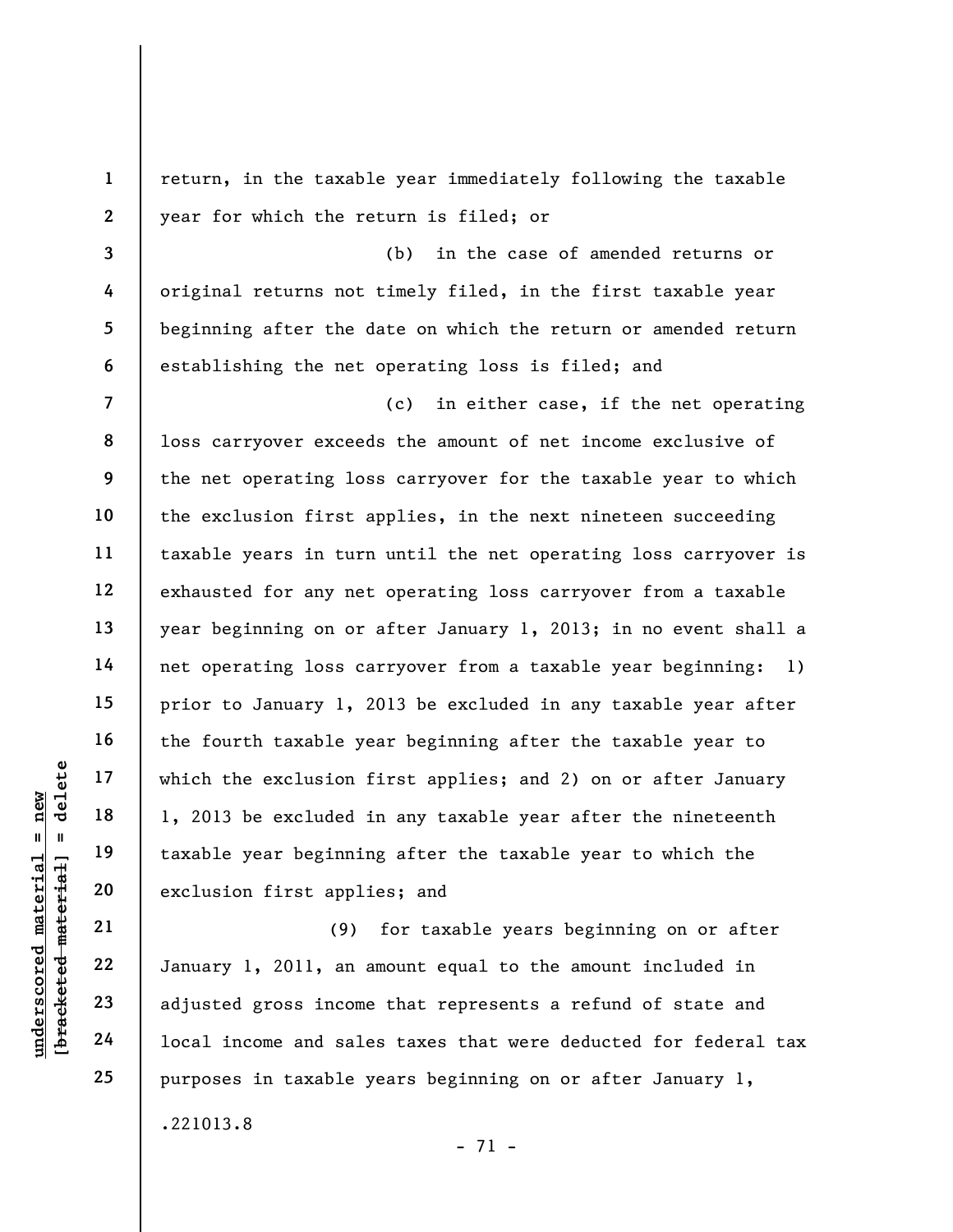underschied material material exclusion find the excluded in the excluded in the excluded in the second material of the second exclusion first applitude and set all the second material of the second material of the second 1 2 3 4 5 6 7 8 9 10 11 12 13 14 15 16 17 18 19 20 21 22 23 return, in the taxable year immediately following the taxable year for which the return is filed; or (b) in the case of amended returns or original returns not timely filed, in the first taxable year beginning after the date on which the return or amended return establishing the net operating loss is filed; and (c) in either case, if the net operating loss carryover exceeds the amount of net income exclusive of the net operating loss carryover for the taxable year to which the exclusion first applies, in the next nineteen succeeding taxable years in turn until the net operating loss carryover is exhausted for any net operating loss carryover from a taxable year beginning on or after January 1, 2013; in no event shall a net operating loss carryover from a taxable year beginning: 1) prior to January 1, 2013 be excluded in any taxable year after the fourth taxable year beginning after the taxable year to which the exclusion first applies; and 2) on or after January 1, 2013 be excluded in any taxable year after the nineteenth taxable year beginning after the taxable year to which the exclusion first applies; and (9) for taxable years beginning on or after January 1, 2011, an amount equal to the amount included in

adjusted gross income that represents a refund of state and local income and sales taxes that were deducted for federal tax purposes in taxable years beginning on or after January 1,

.221013.8

- 71 -

24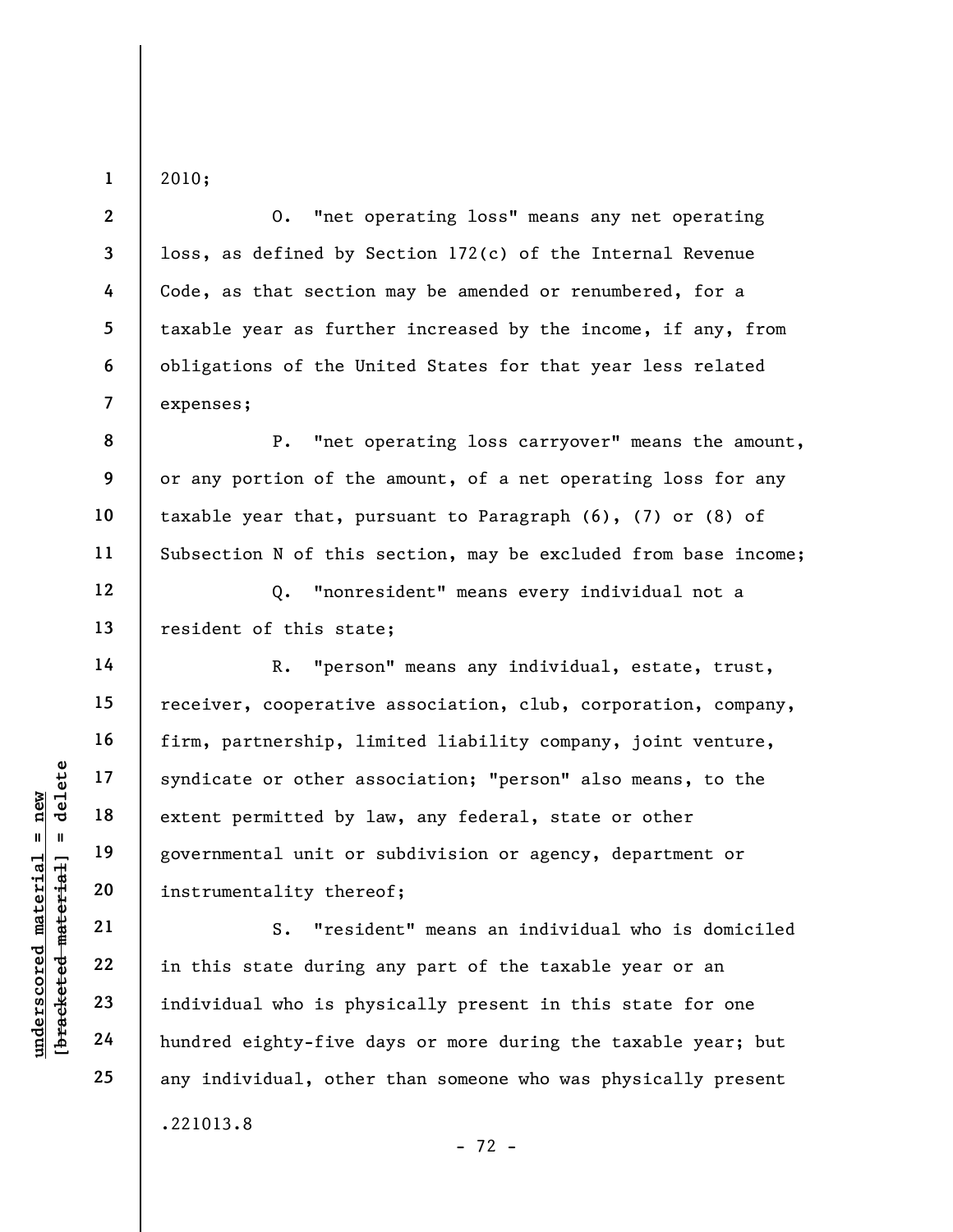2010;

1

2

3

4

5

6

7

8

9

10

11

12

13

14

15

16

17

18

19

20

21

22

23

24

25

O. "net operating loss" means any net operating loss, as defined by Section 172(c) of the Internal Revenue Code, as that section may be amended or renumbered, for a taxable year as further increased by the income, if any, from obligations of the United States for that year less related expenses;

P. "net operating loss carryover" means the amount, or any portion of the amount, of a net operating loss for any taxable year that, pursuant to Paragraph (6), (7) or (8) of Subsection N of this section, may be excluded from base income;

Q. "nonresident" means every individual not a resident of this state;

understand material syndicate or other as<br>
extent permitted by 1<br>
extent permitted by 1<br>
governmental unit or<br>
instrumentality there<br>
21<br>
22<br>
in this state during<br>
23<br>
individual who is phy<br>
24<br>
hundred eighty-five d R. "person" means any individual, estate, trust, receiver, cooperative association, club, corporation, company, firm, partnership, limited liability company, joint venture, syndicate or other association; "person" also means, to the extent permitted by law, any federal, state or other governmental unit or subdivision or agency, department or instrumentality thereof;

S. "resident" means an individual who is domiciled in this state during any part of the taxable year or an individual who is physically present in this state for one hundred eighty-five days or more during the taxable year; but any individual, other than someone who was physically present .221013.8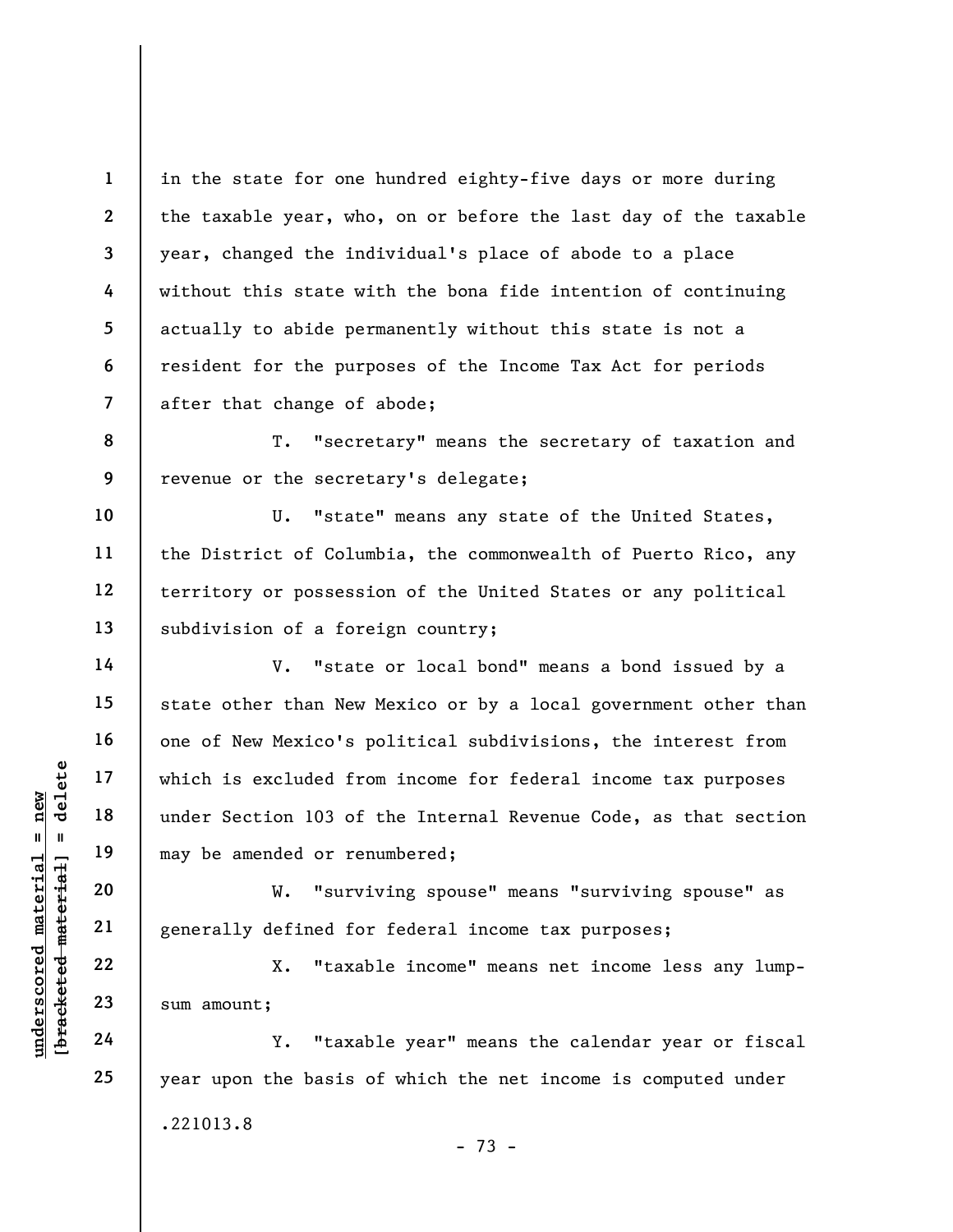1 2 3 4 5 6 7 in the state for one hundred eighty-five days or more during the taxable year, who, on or before the last day of the taxable year, changed the individual's place of abode to a place without this state with the bona fide intention of continuing actually to abide permanently without this state is not a resident for the purposes of the Income Tax Act for periods after that change of abode;

8 9 T. "secretary" means the secretary of taxation and revenue or the secretary's delegate;

10 11 12 13 U. "state" means any state of the United States, the District of Columbia, the commonwealth of Puerto Rico, any territory or possession of the United States or any political subdivision of a foreign country;

under Section 103 of<br>  $\begin{array}{c|c|c|c} \n \text{u} & \text{u} & \text{u} & \text{u} & \text{u} & \text{u} & \text{u} & \text{u} & \text{u} & \text{u} & \text{u} & \text{u} & \text{u} & \text{u} & \text{u} & \text{u} & \text{u} & \text{u} & \text{u} & \text{u} & \text{u} & \text{u} & \text{u} & \text{u} & \text{u} & \text{u} & \text{u} & \text{u} & \text{u} & \text{u} & \text{u$ V. "state or local bond" means a bond issued by a state other than New Mexico or by a local government other than one of New Mexico's political subdivisions, the interest from which is excluded from income for federal income tax purposes under Section 103 of the Internal Revenue Code, as that section may be amended or renumbered;

W. "surviving spouse" means "surviving spouse" as generally defined for federal income tax purposes;

X. "taxable income" means net income less any lumpsum amount;

Y. "taxable year" means the calendar year or fiscal year upon the basis of which the net income is computed under .221013.8 - 73 -

14

15

16

17

18

19

20

21

22

23

24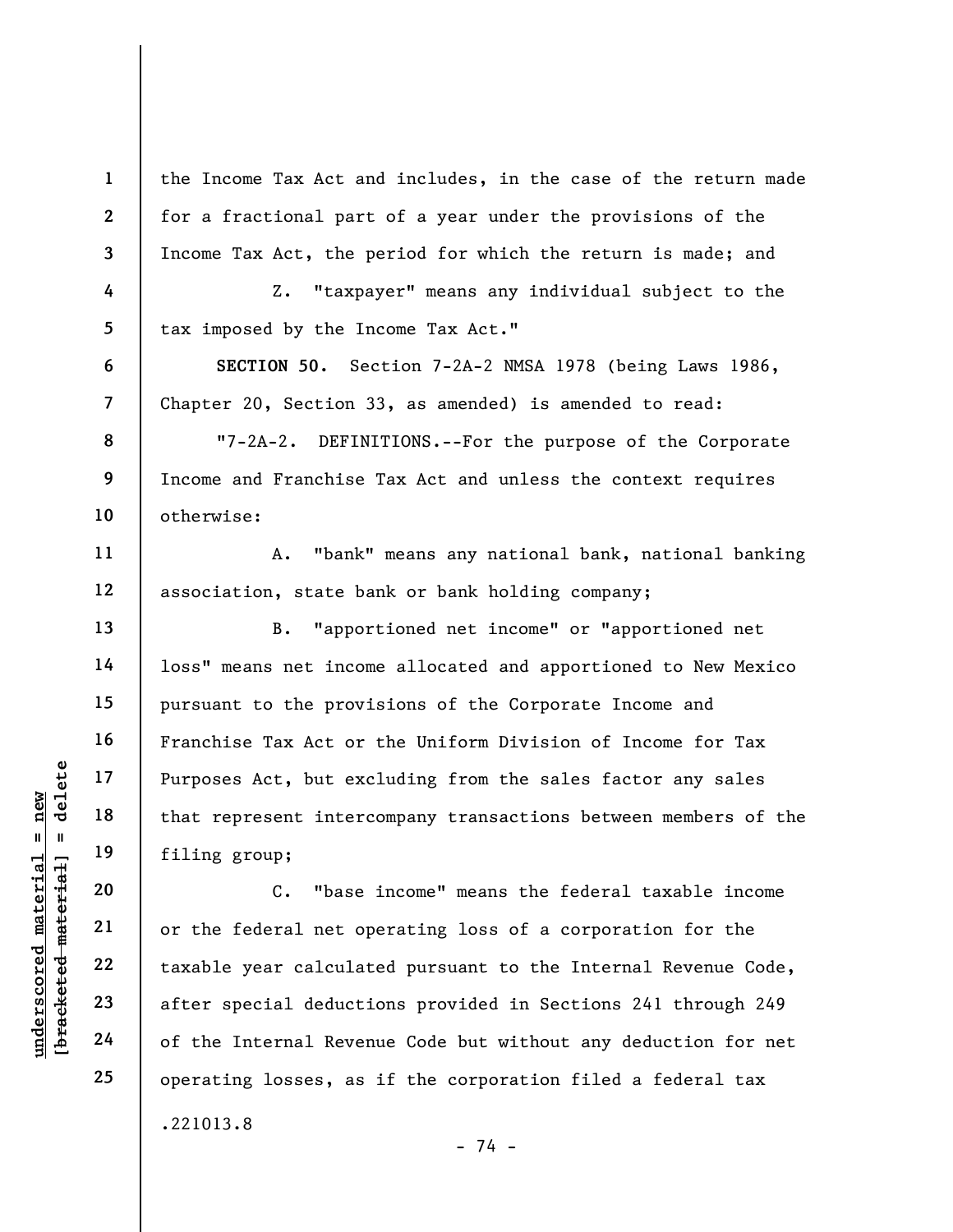the Income Tax Act and includes, in the case of the return made for a fractional part of a year under the provisions of the Income Tax Act, the period for which the return is made; and

Z. "taxpayer" means any individual subject to the tax imposed by the Income Tax Act."

SECTION 50. Section 7-2A-2 NMSA 1978 (being Laws 1986, Chapter 20, Section 33, as amended) is amended to read:

"7-2A-2. DEFINITIONS.--For the purpose of the Corporate Income and Franchise Tax Act and unless the context requires otherwise:

A. "bank" means any national bank, national banking association, state bank or bank holding company;

B. "apportioned net income" or "apportioned net loss" means net income allocated and apportioned to New Mexico pursuant to the provisions of the Corporate Income and Franchise Tax Act or the Uniform Division of Income for Tax Purposes Act, but excluding from the sales factor any sales that represent intercompany transactions between members of the filing group;

underscored material material eduction of the Internal Revenues of the Internal Revenues of the Internal Revenues of the Internal Revenues of the Internal Revenues of the Internal Revenues of the Internal Revenues of the I C. "base income" means the federal taxable income or the federal net operating loss of a corporation for the taxable year calculated pursuant to the Internal Revenue Code, after special deductions provided in Sections 241 through 249 of the Internal Revenue Code but without any deduction for net operating losses, as if the corporation filed a federal tax .221013.8

- 74 -

1

2

3

4

5

6

7

8

9

10

11

12

13

14

15

16

17

18

19

20

21

22

23

24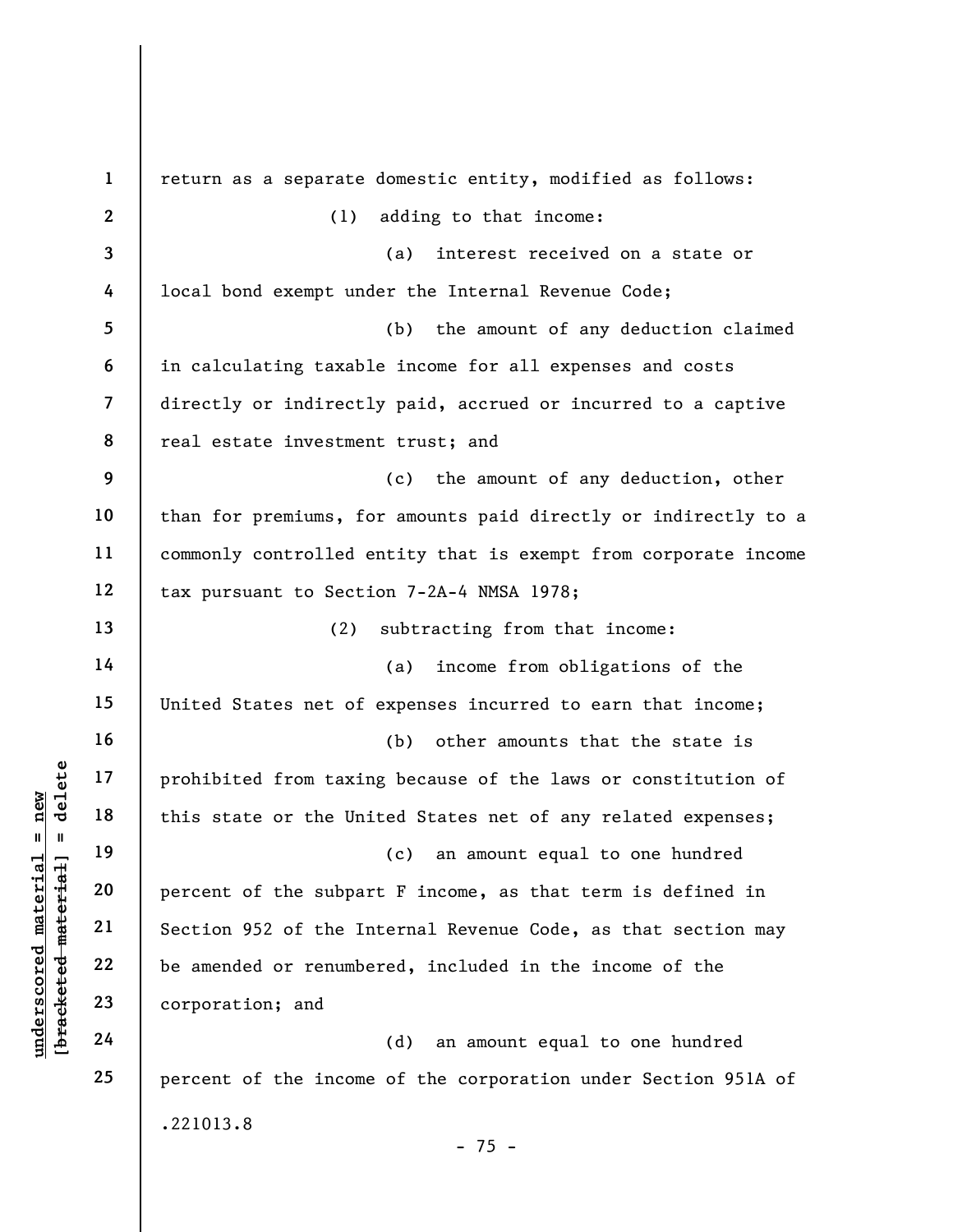understand material end of the subpart of the subpart of the subpart of the subpart of the subpart of the subpart of the subpart of the subpart of the subpart of the subpart of the subpart of the subpart of the subpart of 1 2 3 4 5 6 7 8 9 10 11 12 13 14 15 16 17 18 19 20 21 22 23 24 25 return as a separate domestic entity, modified as follows: (1) adding to that income: (a) interest received on a state or local bond exempt under the Internal Revenue Code; (b) the amount of any deduction claimed in calculating taxable income for all expenses and costs directly or indirectly paid, accrued or incurred to a captive real estate investment trust; and (c) the amount of any deduction, other than for premiums, for amounts paid directly or indirectly to a commonly controlled entity that is exempt from corporate income tax pursuant to Section 7-2A-4 NMSA 1978; (2) subtracting from that income: (a) income from obligations of the United States net of expenses incurred to earn that income; (b) other amounts that the state is prohibited from taxing because of the laws or constitution of this state or the United States net of any related expenses; (c) an amount equal to one hundred percent of the subpart F income, as that term is defined in Section 952 of the Internal Revenue Code, as that section may be amended or renumbered, included in the income of the corporation; and (d) an amount equal to one hundred percent of the income of the corporation under Section 951A of .221013.8  $- 75 -$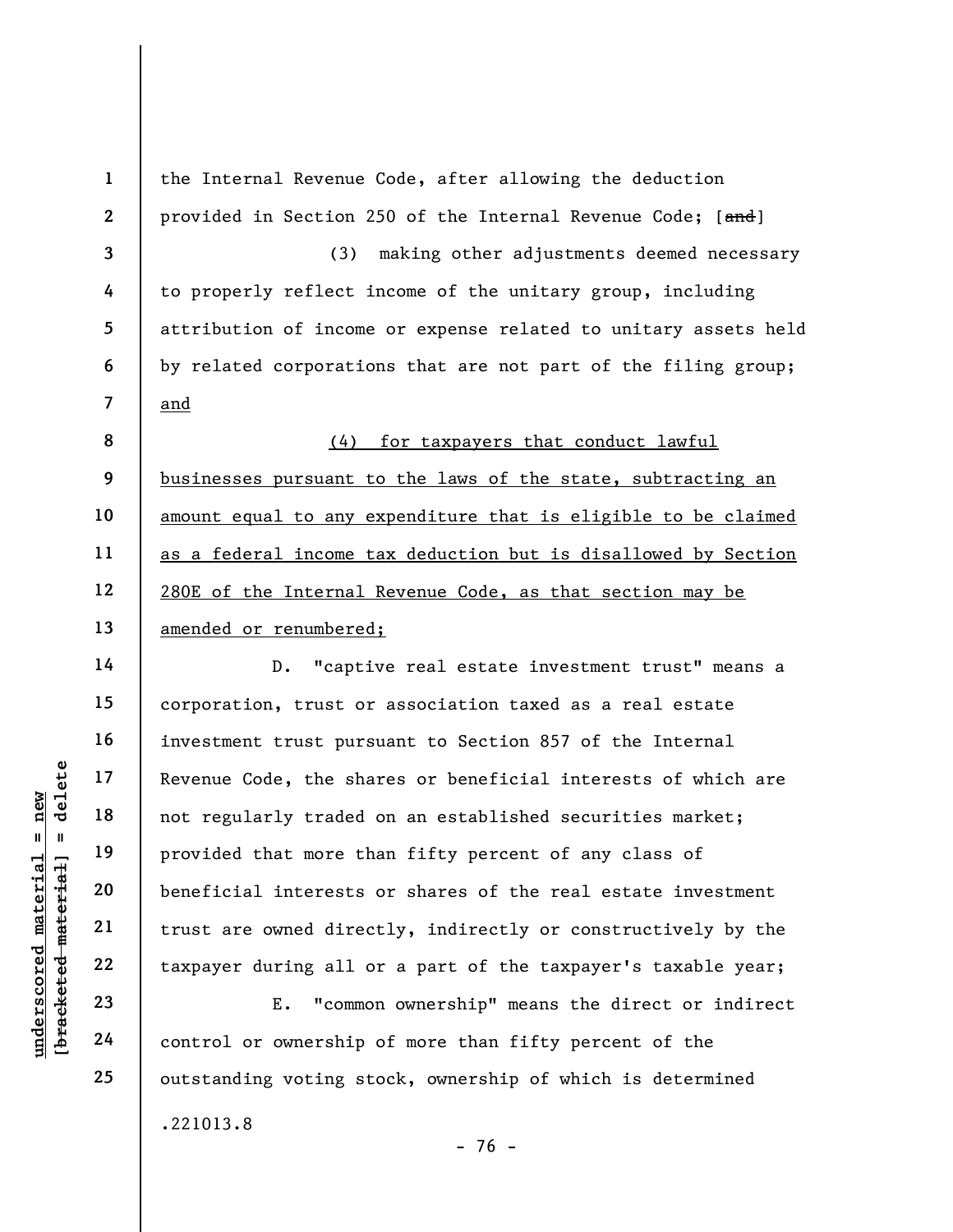understand material states of the sharp of the sharp of the sharp of the sharp of the sharp of the sharp of the sharp of the sharp of the sharp of the sharp of the sharp of the sharp of the sharp of the sharp of the sharp 1 2 3 4 5 6 7 8 9 10 11 12 13 14 15 16 17 18 19 20 21 22 the Internal Revenue Code, after allowing the deduction provided in Section 250 of the Internal Revenue Code; [and] (3) making other adjustments deemed necessary to properly reflect income of the unitary group, including attribution of income or expense related to unitary assets held by related corporations that are not part of the filing group; and (4) for taxpayers that conduct lawful businesses pursuant to the laws of the state, subtracting an amount equal to any expenditure that is eligible to be claimed as a federal income tax deduction but is disallowed by Section 280E of the Internal Revenue Code, as that section may be amended or renumbered; D. "captive real estate investment trust" means a corporation, trust or association taxed as a real estate investment trust pursuant to Section 857 of the Internal Revenue Code, the shares or beneficial interests of which are not regularly traded on an established securities market; provided that more than fifty percent of any class of beneficial interests or shares of the real estate investment trust are owned directly, indirectly or constructively by the taxpayer during all or a part of the taxpayer's taxable year;

E. "common ownership" means the direct or indirect control or ownership of more than fifty percent of the outstanding voting stock, ownership of which is determined .221013.8

23 24 25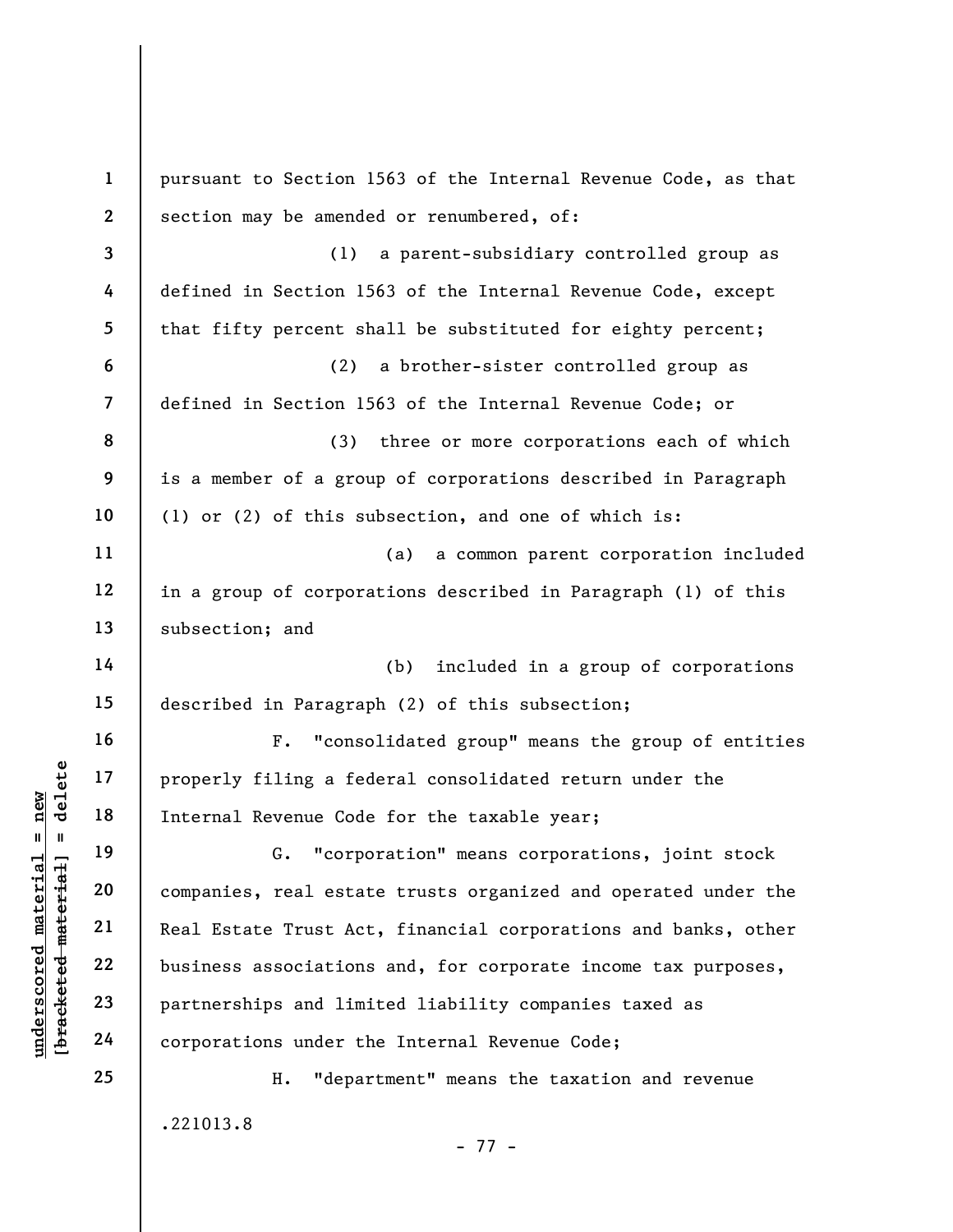|                                             | $\mathbf{1}$            | pursuant to Section 1563 of the Internal Revenue Code, as that |
|---------------------------------------------|-------------------------|----------------------------------------------------------------|
|                                             | $\mathbf{2}$            | section may be amended or renumbered, of:                      |
|                                             | $\overline{\mathbf{3}}$ | (1)<br>a parent-subsidiary controlled group as                 |
|                                             | 4                       | defined in Section 1563 of the Internal Revenue Code, except   |
|                                             | 5                       | that fifty percent shall be substituted for eighty percent;    |
|                                             | 6                       | (2)<br>a brother-sister controlled group as                    |
|                                             | $\overline{7}$          | defined in Section 1563 of the Internal Revenue Code; or       |
|                                             | 8                       | (3)<br>three or more corporations each of which                |
|                                             | 9                       | is a member of a group of corporations described in Paragraph  |
|                                             | 10                      | (1) or (2) of this subsection, and one of which is:            |
|                                             | 11                      | a common parent corporation included<br>(a)                    |
|                                             | 12                      | in a group of corporations described in Paragraph (1) of this  |
|                                             | 13                      | subsection; and                                                |
|                                             | 14                      | (b)<br>included in a group of corporations                     |
|                                             | 15                      | described in Paragraph (2) of this subsection;                 |
|                                             | 16                      | "consolidated group" means the group of entities<br>$F$ .      |
| delete                                      | 17                      | properly filing a federal consolidated return under the        |
| nev                                         | 18                      | Internal Revenue Code for the taxable year;                    |
| H<br>H                                      | 19                      | "corporation" means corporations, joint stock                  |
|                                             | 20                      | companies, real estate trusts organized and operated under the |
| underscored material<br>[bracketed material | 21                      | Real Estate Trust Act, financial corporations and banks, other |
|                                             | 22                      | business associations and, for corporate income tax purposes,  |
|                                             | 23                      | partnerships and limited liability companies taxed as          |
|                                             | 24                      | corporations under the Internal Revenue Code;                  |
|                                             | 25                      | "department" means the taxation and revenue<br>Η.              |
|                                             |                         | .221013.8                                                      |

- 77 -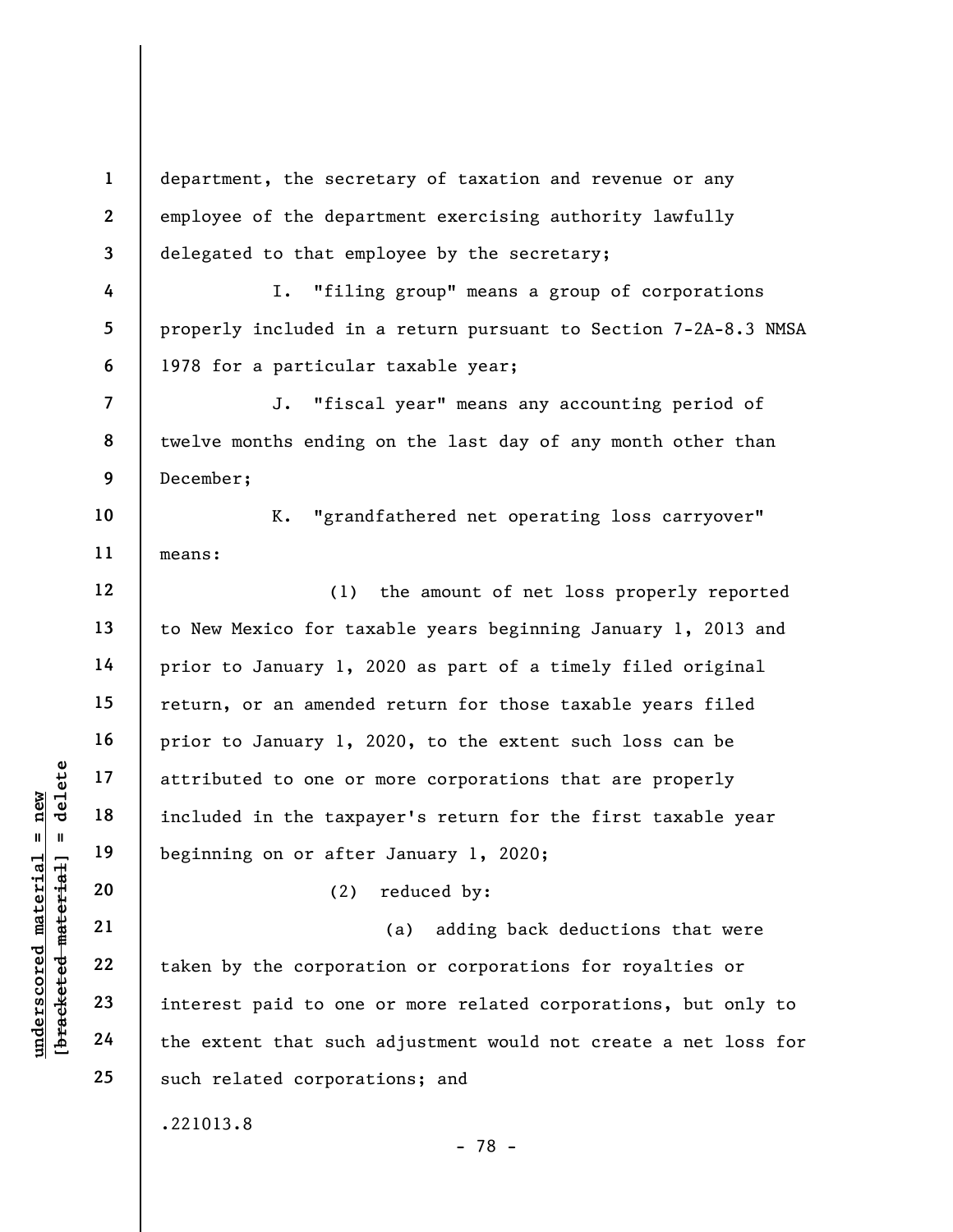underscored material = new [bracketed material] = delete 1 2 3 4 5 6 7 8 9 10 11 12 13 14 15 16 17 18 19 20 21 22 23 24 25 department, the secretary of taxation and revenue or any employee of the department exercising authority lawfully delegated to that employee by the secretary; I. "filing group" means a group of corporations properly included in a return pursuant to Section 7-2A-8.3 NMSA 1978 for a particular taxable year; J. "fiscal year" means any accounting period of twelve months ending on the last day of any month other than December; K. "grandfathered net operating loss carryover" means: (1) the amount of net loss properly reported to New Mexico for taxable years beginning January 1, 2013 and prior to January 1, 2020 as part of a timely filed original return, or an amended return for those taxable years filed prior to January 1, 2020, to the extent such loss can be attributed to one or more corporations that are properly included in the taxpayer's return for the first taxable year beginning on or after January 1, 2020; (2) reduced by: (a) adding back deductions that were taken by the corporation or corporations for royalties or interest paid to one or more related corporations, but only to the extent that such adjustment would not create a net loss for such related corporations; and .221013.8

- 78 -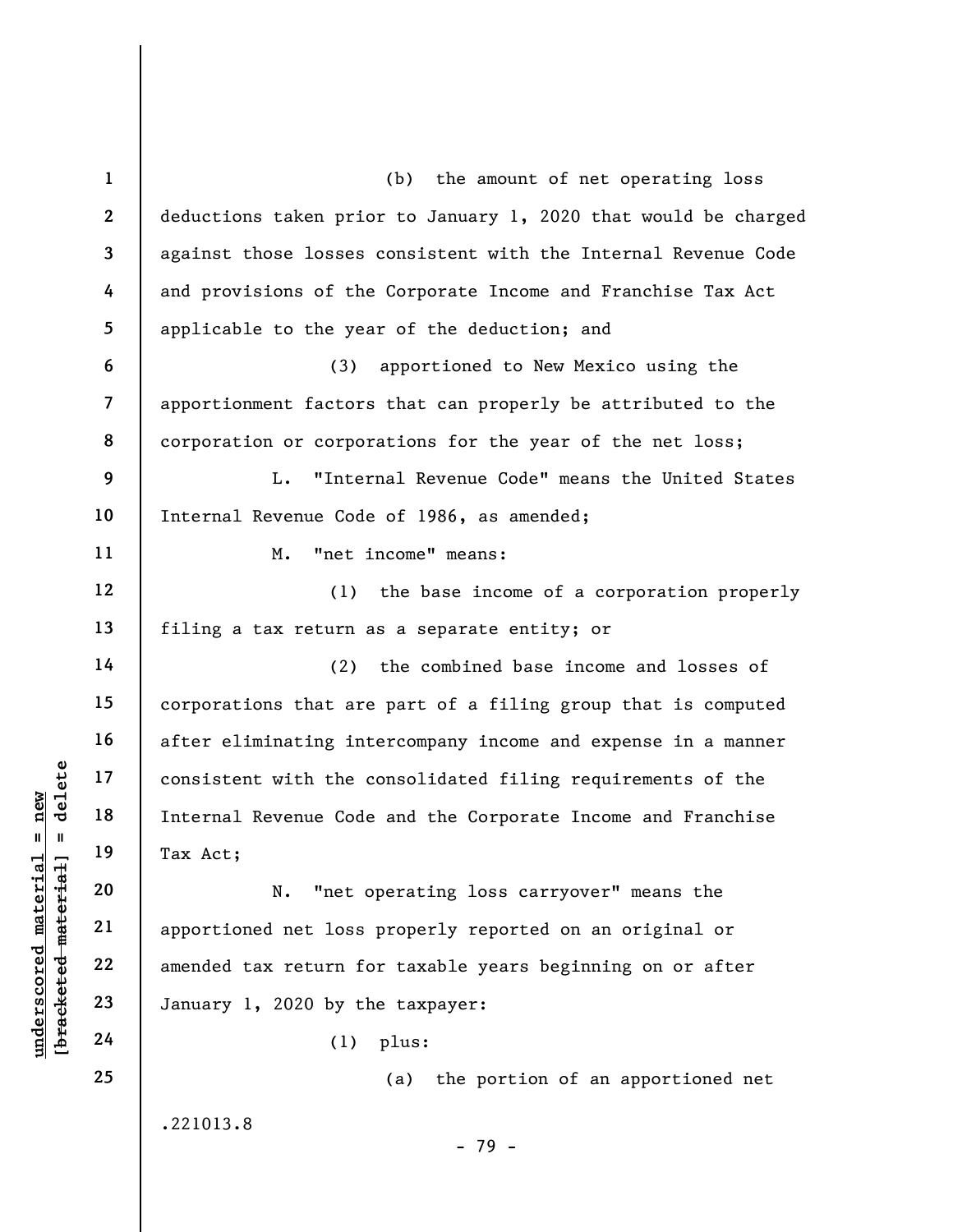underscore of the consistent with the consistent with the consistent with the consistent with the consistent with the consistent with the consistent with the consistent with the consistent with the consistent with the cons 1 2 3 4 5 6 7 8 9 10 11 12 13 14 15 16 17 18 19 20 21 22 23 24 25 (b) the amount of net operating loss deductions taken prior to January 1, 2020 that would be charged against those losses consistent with the Internal Revenue Code and provisions of the Corporate Income and Franchise Tax Act applicable to the year of the deduction; and (3) apportioned to New Mexico using the apportionment factors that can properly be attributed to the corporation or corporations for the year of the net loss; L. "Internal Revenue Code" means the United States Internal Revenue Code of 1986, as amended; M. "net income" means: (1) the base income of a corporation properly filing a tax return as a separate entity; or (2) the combined base income and losses of corporations that are part of a filing group that is computed after eliminating intercompany income and expense in a manner consistent with the consolidated filing requirements of the Internal Revenue Code and the Corporate Income and Franchise Tax Act; N. "net operating loss carryover" means the apportioned net loss properly reported on an original or amended tax return for taxable years beginning on or after January 1, 2020 by the taxpayer: (1) plus: (a) the portion of an apportioned net

.221013.8

- 79 -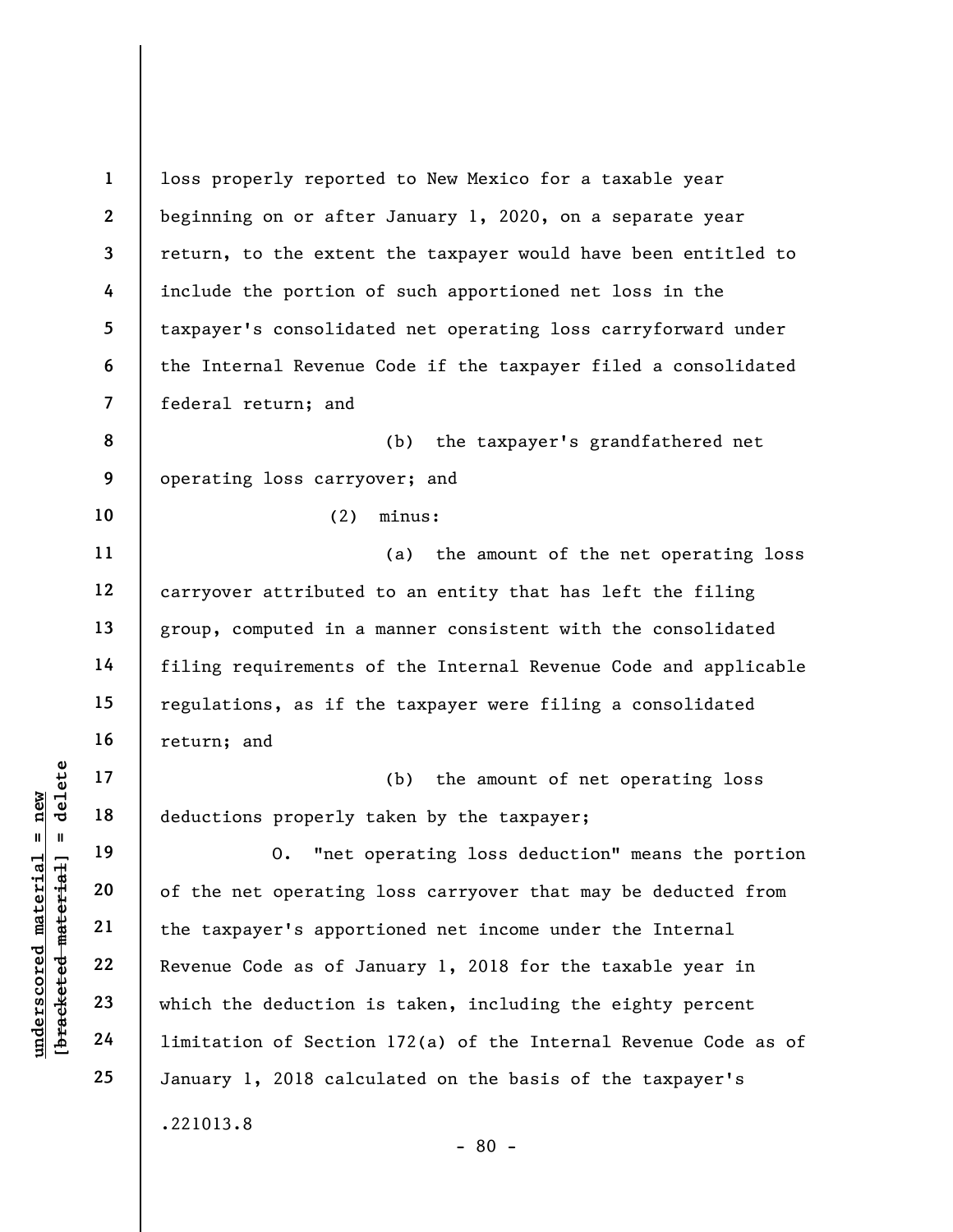understand material material deductions properly to the method of the net operating<br>deductions properly to the contraction of the net operating<br>deductions 21<br>and 22<br>and 22<br>and 24<br>imitation of Section 1 2 3 4 5 6 7 8 9 10 11 12 13 14 15 16 17 18 19 20 21 22 23 24 25 loss properly reported to New Mexico for a taxable year beginning on or after January 1, 2020, on a separate year return, to the extent the taxpayer would have been entitled to include the portion of such apportioned net loss in the taxpayer's consolidated net operating loss carryforward under the Internal Revenue Code if the taxpayer filed a consolidated federal return; and (b) the taxpayer's grandfathered net operating loss carryover; and (2) minus: (a) the amount of the net operating loss carryover attributed to an entity that has left the filing group, computed in a manner consistent with the consolidated filing requirements of the Internal Revenue Code and applicable regulations, as if the taxpayer were filing a consolidated return; and (b) the amount of net operating loss deductions properly taken by the taxpayer; O. "net operating loss deduction" means the portion of the net operating loss carryover that may be deducted from the taxpayer's apportioned net income under the Internal Revenue Code as of January 1, 2018 for the taxable year in which the deduction is taken, including the eighty percent limitation of Section 172(a) of the Internal Revenue Code as of January 1, 2018 calculated on the basis of the taxpayer's .221013.8 - 80 -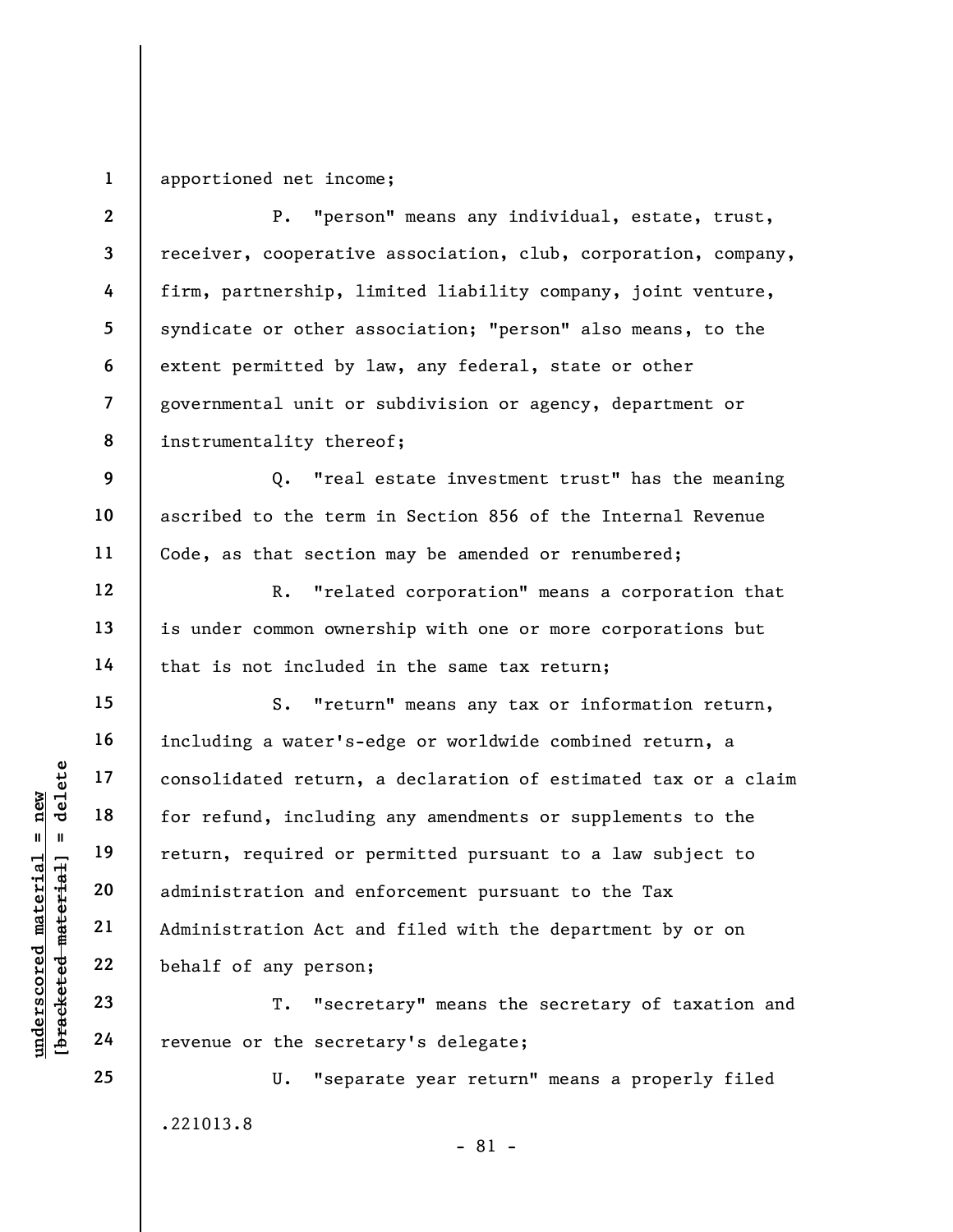1 apportioned net income;

2 3 4 5 6 7 8 P. "person" means any individual, estate, trust, receiver, cooperative association, club, corporation, company, firm, partnership, limited liability company, joint venture, syndicate or other association; "person" also means, to the extent permitted by law, any federal, state or other governmental unit or subdivision or agency, department or instrumentality thereof;

Q. "real estate investment trust" has the meaning ascribed to the term in Section 856 of the Internal Revenue Code, as that section may be amended or renumbered;

R. "related corporation" means a corporation that is under common ownership with one or more corporations but that is not included in the same tax return;

underscored material = new [bracketed material] = delete S. "return" means any tax or information return, including a water's-edge or worldwide combined return, a consolidated return, a declaration of estimated tax or a claim for refund, including any amendments or supplements to the return, required or permitted pursuant to a law subject to administration and enforcement pursuant to the Tax Administration Act and filed with the department by or on behalf of any person;

T. "secretary" means the secretary of taxation and revenue or the secretary's delegate;

U. "separate year return" means a properly filed .221013.8

9

10

11

12

13

14

15

16

17

18

19

20

21

22

23

24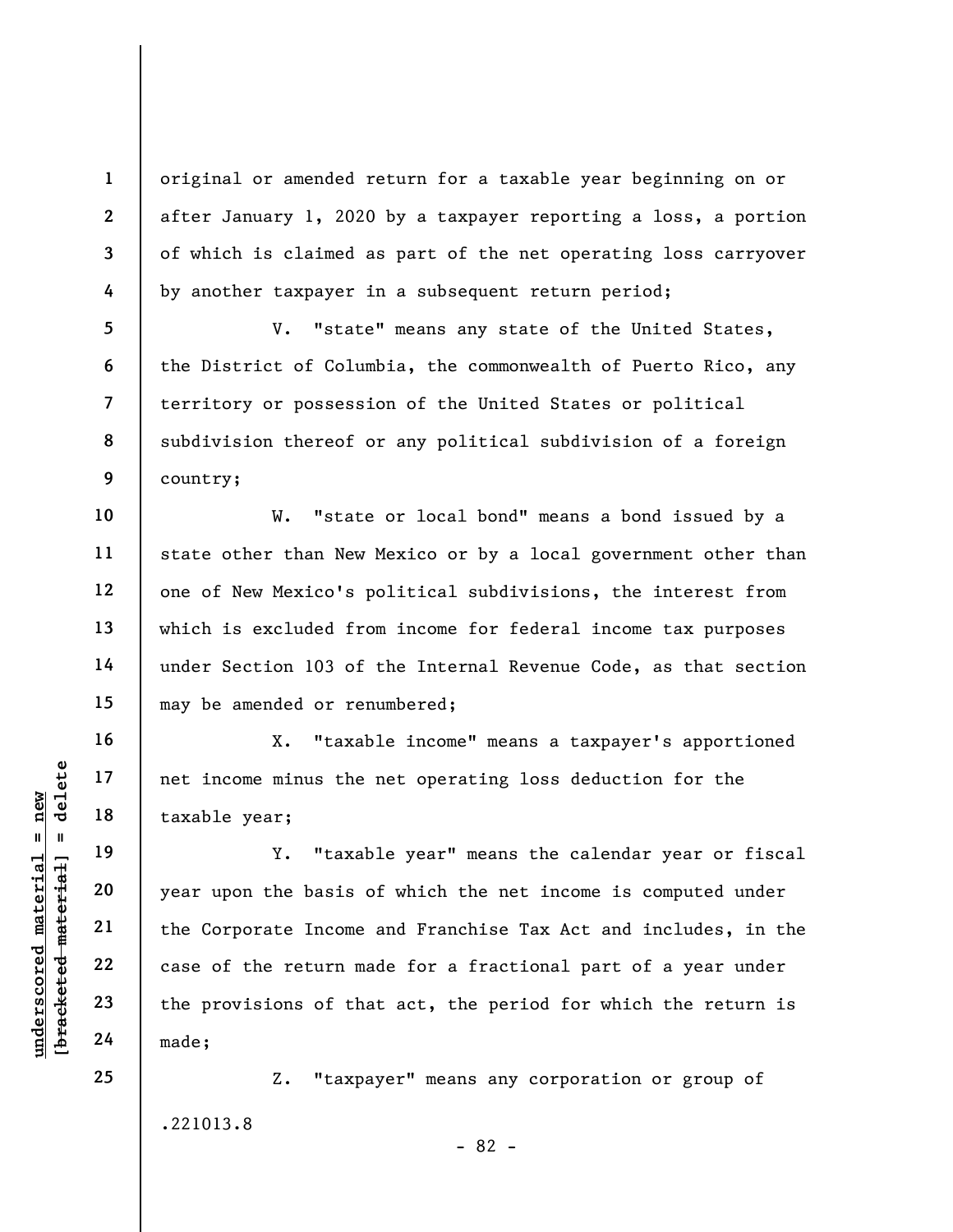original or amended return for a taxable year beginning on or after January 1, 2020 by a taxpayer reporting a loss, a portion of which is claimed as part of the net operating loss carryover by another taxpayer in a subsequent return period;

V. "state" means any state of the United States, the District of Columbia, the commonwealth of Puerto Rico, any territory or possession of the United States or political subdivision thereof or any political subdivision of a foreign country;

W. "state or local bond" means a bond issued by a state other than New Mexico or by a local government other than one of New Mexico's political subdivisions, the interest from which is excluded from income for federal income tax purposes under Section 103 of the Internal Revenue Code, as that section may be amended or renumbered;

X. "taxable income" means a taxpayer's apportioned net income minus the net operating loss deduction for the taxable year;

underscored material material example the taxable year;<br>  $\begin{array}{ccc} \n\text{u}^2 & \text{u}^2 & \text{u}^2 & \text{u}^2 & \text{u}^2 & \text{u}^2 & \text{u}^2 & \text{u}^2 & \text{u}^2 & \text{u}^2 & \text{u}^2 & \text{u}^2 & \text{u}^2 & \text{u}^2 & \text{u}^2 & \text{u}^2 & \text{u}^2 & \text{u}^2 & \text{u}^2 & \text{$ Y. "taxable year" means the calendar year or fiscal year upon the basis of which the net income is computed under the Corporate Income and Franchise Tax Act and includes, in the case of the return made for a fractional part of a year under the provisions of that act, the period for which the return is made;

> Z. "taxpayer" means any corporation or group of .221013.8 - 82 -

25

1

2

3

4

5

6

7

8

9

10

11

12

13

14

15

16

17

18

19

20

21

22

23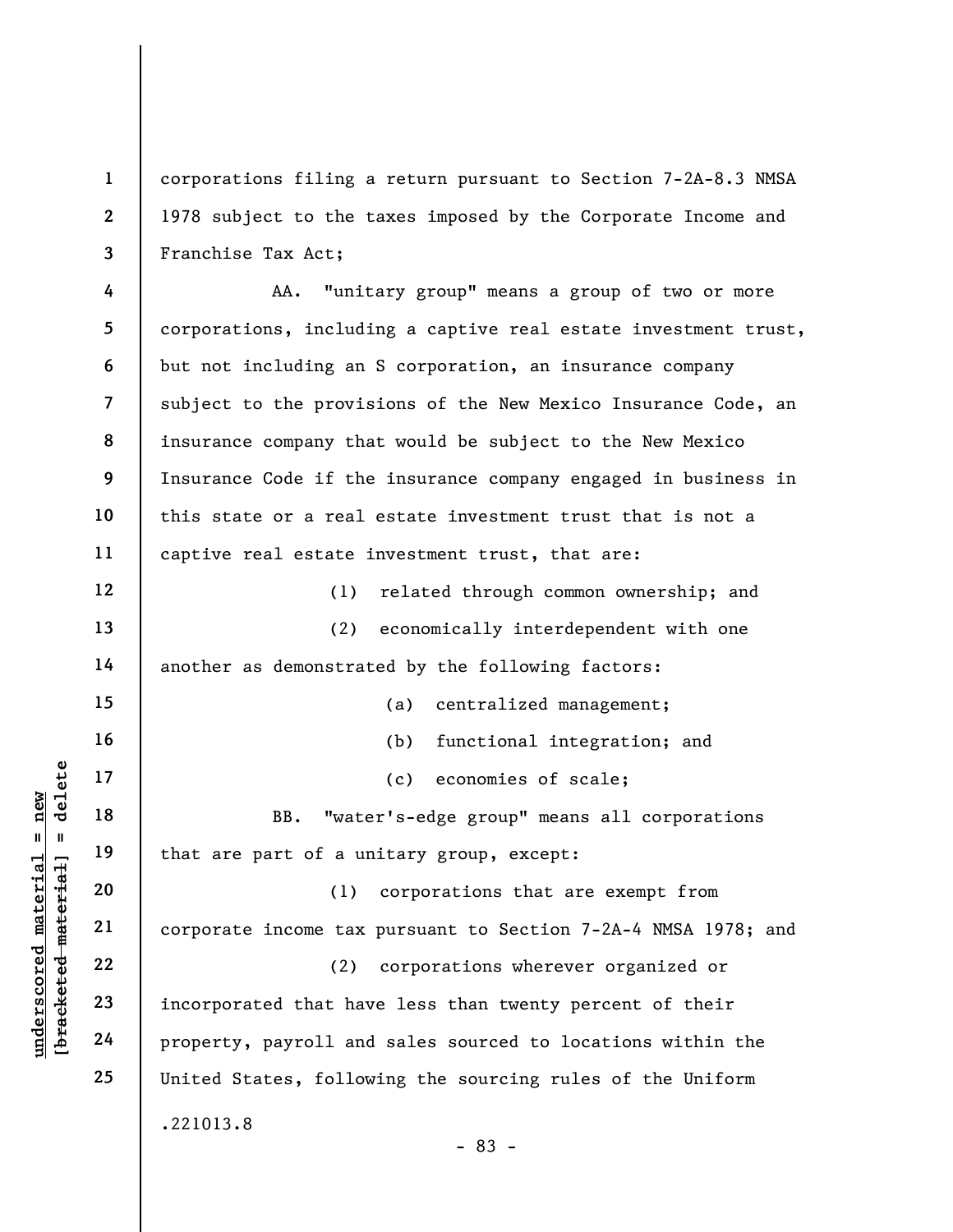corporations filing a return pursuant to Section 7-2A-8.3 NMSA 1978 subject to the taxes imposed by the Corporate Income and Franchise Tax Act;

understand material material of a unique that is a set of a unique that is a set of a unique that is a set of a unique that is a set of a unique that is a set of a unique that is a set of a unique that is a set of a unique 4 5 6 7 8 9 10 11 12 13 14 15 16 17 18 19 20 21 22 23 24 25 AA. "unitary group" means a group of two or more corporations, including a captive real estate investment trust, but not including an S corporation, an insurance company subject to the provisions of the New Mexico Insurance Code, an insurance company that would be subject to the New Mexico Insurance Code if the insurance company engaged in business in this state or a real estate investment trust that is not a captive real estate investment trust, that are: (1) related through common ownership; and (2) economically interdependent with one another as demonstrated by the following factors: (a) centralized management; (b) functional integration; and (c) economies of scale; BB. "water's-edge group" means all corporations that are part of a unitary group, except: (1) corporations that are exempt from corporate income tax pursuant to Section 7-2A-4 NMSA 1978; and (2) corporations wherever organized or incorporated that have less than twenty percent of their property, payroll and sales sourced to locations within the United States, following the sourcing rules of the Uniform .221013.8

- 83 -

1

2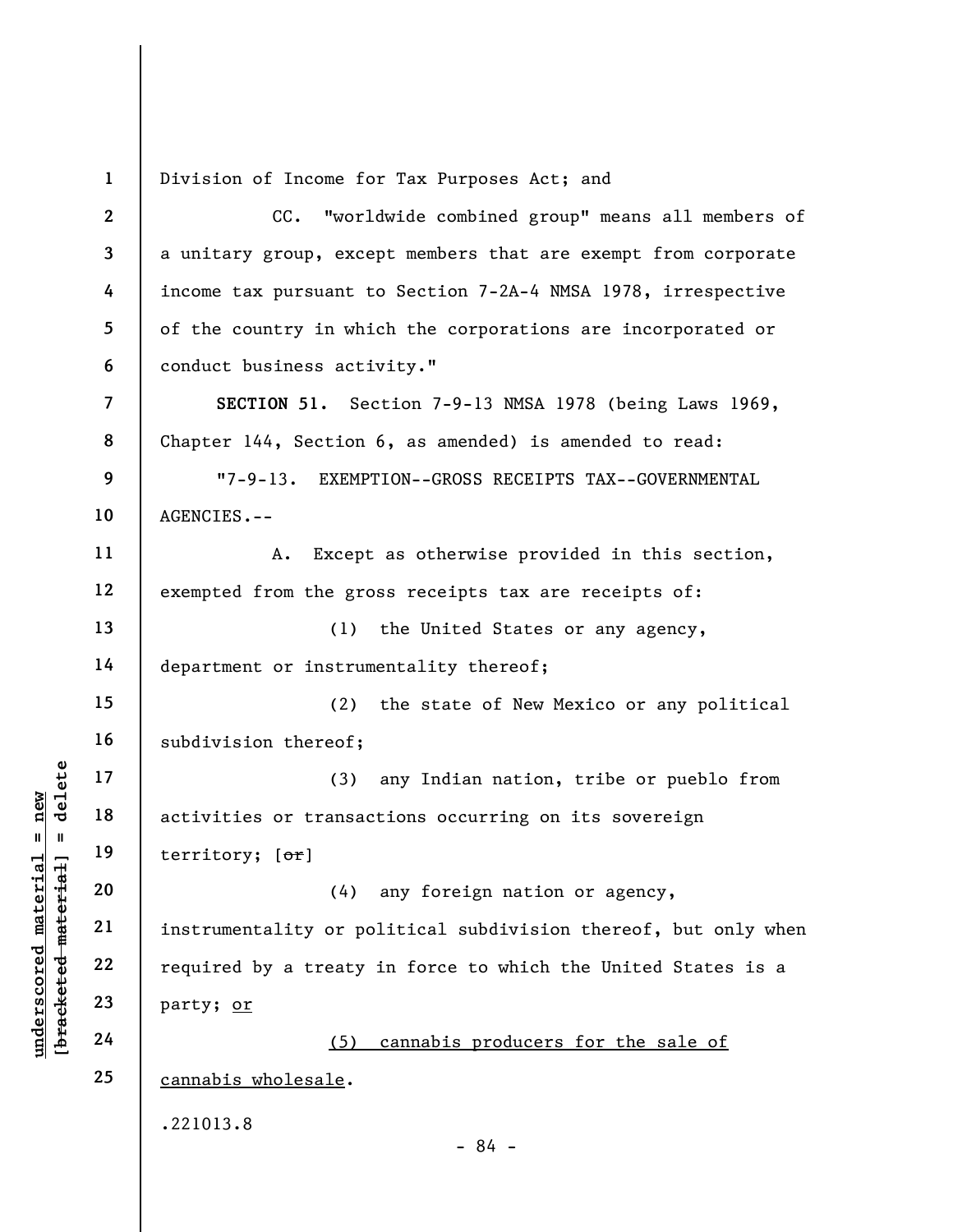1 Division of Income for Tax Purposes Act; and

underscores and the set of the set of the set of the set of the set of the set of the set of the set of the set of the set of the set of the set of the set of the set of the set of the set of the set of the set of the set 2 3 4 5 6 7 8 9 10 11 12 13 14 15 16 17 18 19 20 21 22 23 24 25 CC. "worldwide combined group" means all members of a unitary group, except members that are exempt from corporate income tax pursuant to Section 7-2A-4 NMSA 1978, irrespective of the country in which the corporations are incorporated or conduct business activity." SECTION 51. Section 7-9-13 NMSA 1978 (being Laws 1969, Chapter 144, Section 6, as amended) is amended to read: "7-9-13. EXEMPTION--GROSS RECEIPTS TAX--GOVERNMENTAL AGENCIES.-- A. Except as otherwise provided in this section, exempted from the gross receipts tax are receipts of: (1) the United States or any agency, department or instrumentality thereof; (2) the state of New Mexico or any political subdivision thereof; (3) any Indian nation, tribe or pueblo from activities or transactions occurring on its sovereign territory; [or] (4) any foreign nation or agency, instrumentality or political subdivision thereof, but only when required by a treaty in force to which the United States is a party; or (5) cannabis producers for the sale of cannabis wholesale. .221013.8 - 84 -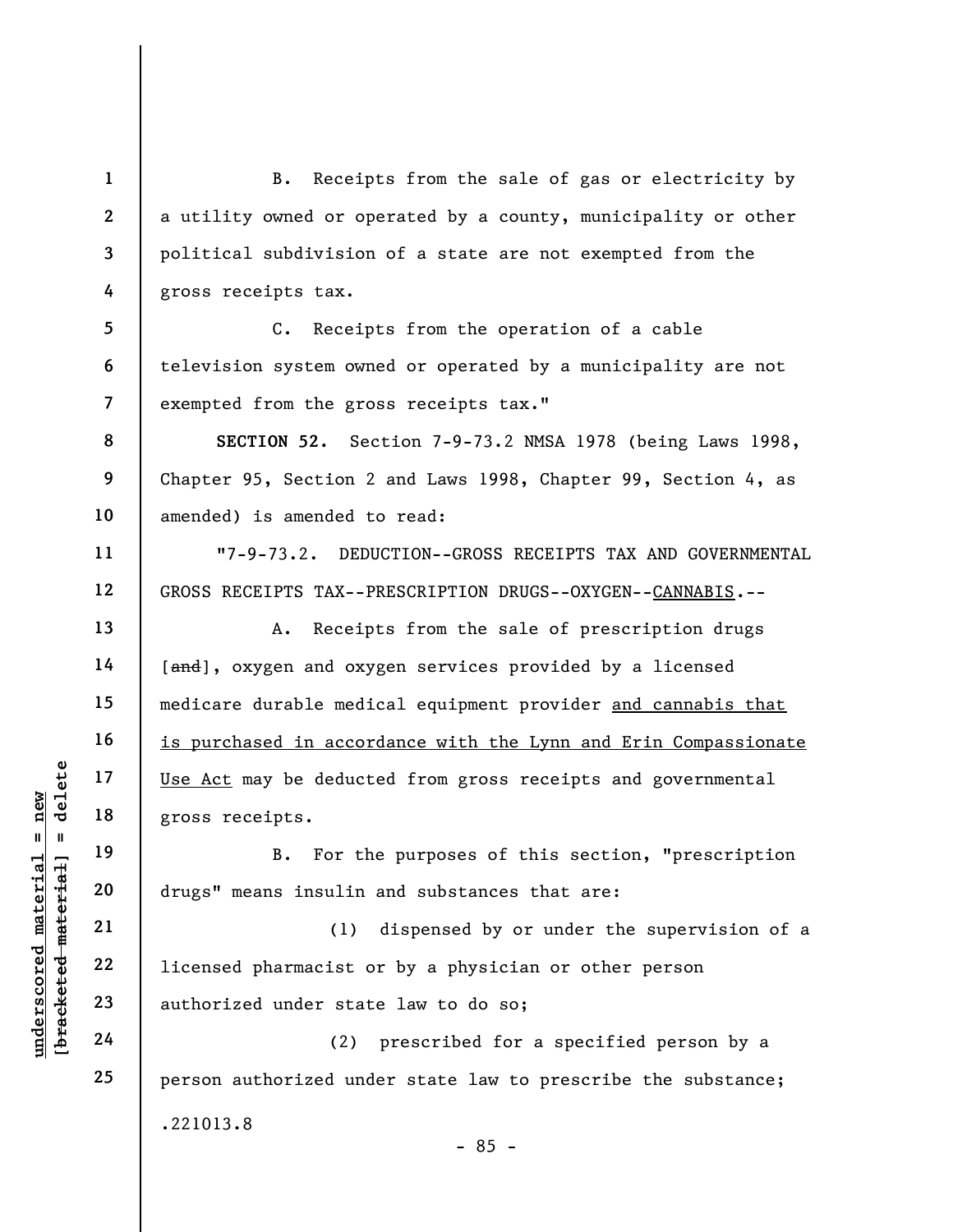B. Receipts from the sale of gas or electricity by a utility owned or operated by a county, municipality or other political subdivision of a state are not exempted from the gross receipts tax.

5 6 7 C. Receipts from the operation of a cable television system owned or operated by a municipality are not exempted from the gross receipts tax."

SECTION 52. Section 7-9-73.2 NMSA 1978 (being Laws 1998, Chapter 95, Section 2 and Laws 1998, Chapter 99, Section 4, as amended) is amended to read:

"7-9-73.2. DEDUCTION--GROSS RECEIPTS TAX AND GOVERNMENTAL GROSS RECEIPTS TAX--PRESCRIPTION DRUGS--OXYGEN--CANNABIS.--

A. Receipts from the sale of prescription drugs [and], oxygen and oxygen services provided by a licensed medicare durable medical equipment provider and cannabis that is purchased in accordance with the Lynn and Erin Compassionate Use Act may be deducted from gross receipts and governmental gross receipts.

B. For the purposes of this section, "prescription drugs" means insulin and substances that are:

underschied material material ethnicial ethnicial ethnicial ethnicial ethnicial ethnicial ethnicial ethnicial ethnicial ethnicial ethnicial ethnicial ethnicial ethnicial ethnicial ethnicial ethnicial ethnicial ethnicial et (1) dispensed by or under the supervision of a licensed pharmacist or by a physician or other person authorized under state law to do so;

(2) prescribed for a specified person by a person authorized under state law to prescribe the substance; .221013.8 - 85 -

1

2

3

4

8

9

10

11

12

13

14

15

16

17

18

19

20

21

22

23

24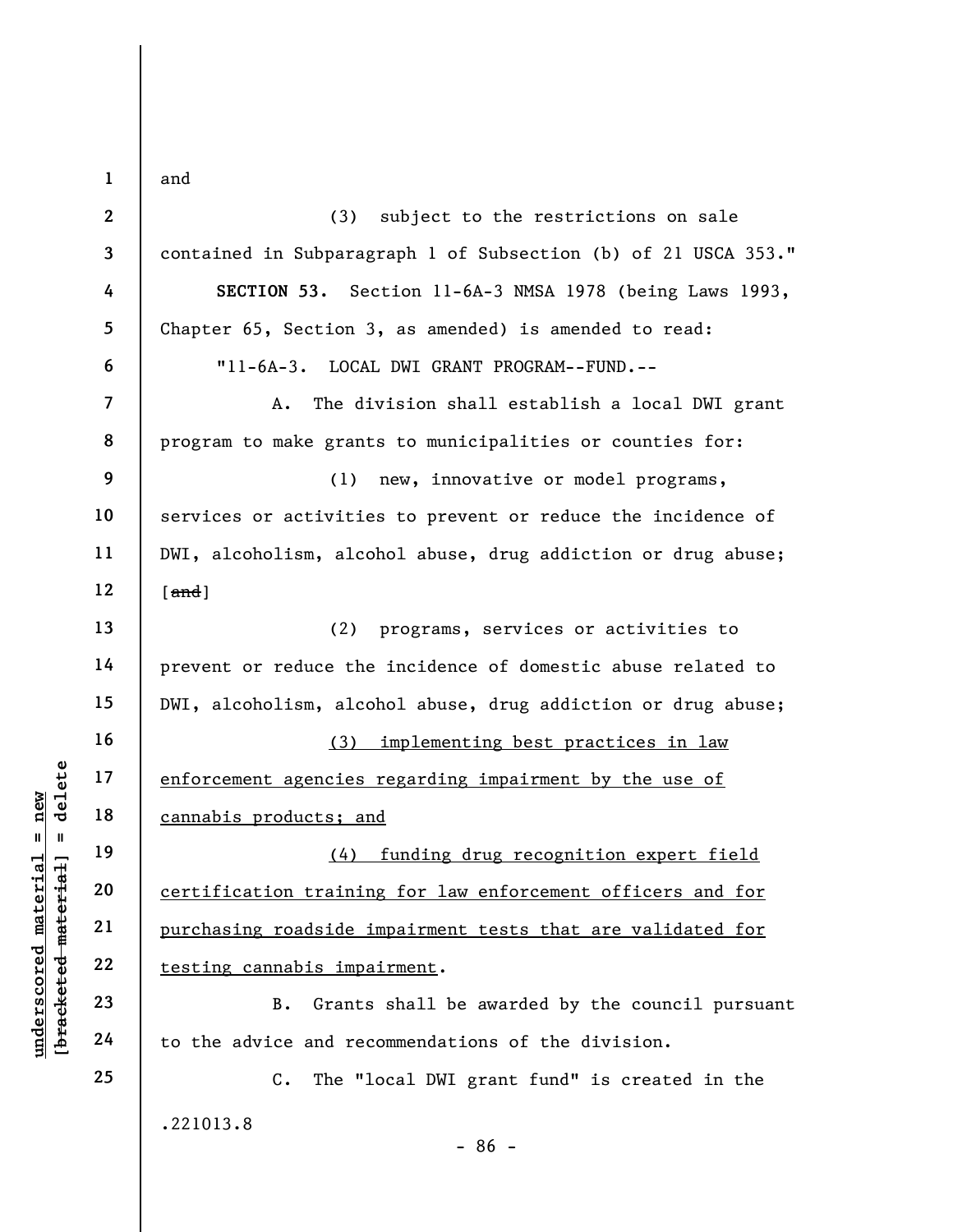underscored material = new [bracketed material] = delete 1 2 3 4 5 6 7 8 9 10 11 12 13 14 15 16 17 18 19 20 21 22 23 24 25 and (3) subject to the restrictions on sale contained in Subparagraph 1 of Subsection (b) of 21 USCA 353." SECTION 53. Section 11-6A-3 NMSA 1978 (being Laws 1993, Chapter 65, Section 3, as amended) is amended to read: "11-6A-3. LOCAL DWI GRANT PROGRAM--FUND.-- A. The division shall establish a local DWI grant program to make grants to municipalities or counties for: (1) new, innovative or model programs, services or activities to prevent or reduce the incidence of DWI, alcoholism, alcohol abuse, drug addiction or drug abuse;  $[and]$ (2) programs, services or activities to prevent or reduce the incidence of domestic abuse related to DWI, alcoholism, alcohol abuse, drug addiction or drug abuse; (3) implementing best practices in law enforcement agencies regarding impairment by the use of cannabis products; and (4) funding drug recognition expert field certification training for law enforcement officers and for purchasing roadside impairment tests that are validated for testing cannabis impairment. B. Grants shall be awarded by the council pursuant to the advice and recommendations of the division. C. The "local DWI grant fund" is created in the .221013.8 - 86 -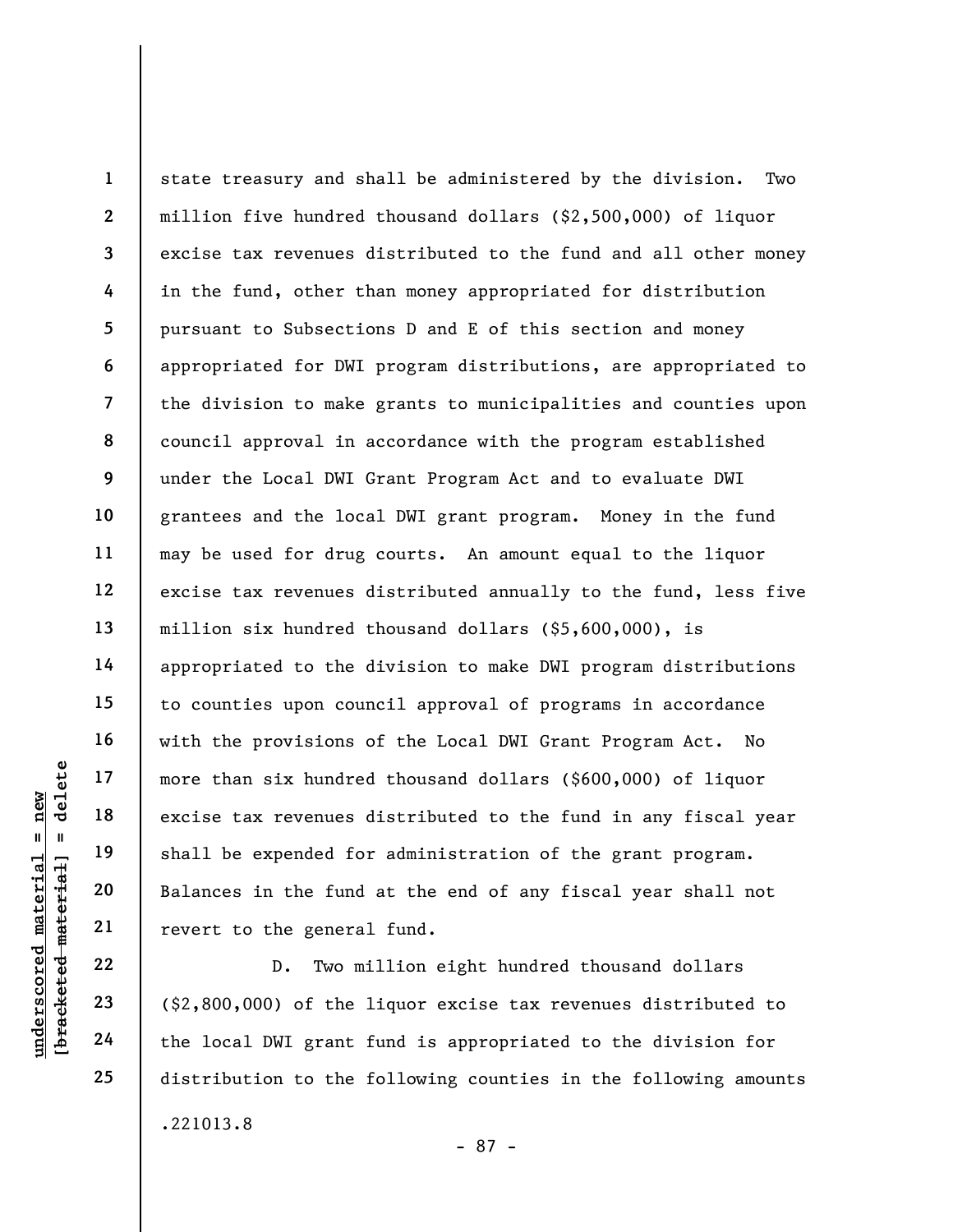UN EXECTS THE MATHEM 19<br>
UN EXECTS EXT TO THE MATERIAL 19<br>
UNIVERSELT 19<br>
UN EXECTS EXT TO THE MATERIAL 19<br>
UNIVERSELT 19<br>
UN EXECTS TO THE MATERIAL 1<br>
UNIVERSELT 19<br>
UNIVERSELT 19<br>
UNIVERSELT 19<br>
UNIVERSELT 19<br>
UNIVERSELT 1 2 3 4 5 6 7 8 9 10 11 12 13 14 15 16 17 18 19 20 21 state treasury and shall be administered by the division. Two million five hundred thousand dollars (\$2,500,000) of liquor excise tax revenues distributed to the fund and all other money in the fund, other than money appropriated for distribution pursuant to Subsections D and E of this section and money appropriated for DWI program distributions, are appropriated to the division to make grants to municipalities and counties upon council approval in accordance with the program established under the Local DWI Grant Program Act and to evaluate DWI grantees and the local DWI grant program. Money in the fund may be used for drug courts. An amount equal to the liquor excise tax revenues distributed annually to the fund, less five million six hundred thousand dollars (\$5,600,000), is appropriated to the division to make DWI program distributions to counties upon council approval of programs in accordance with the provisions of the Local DWI Grant Program Act. No more than six hundred thousand dollars (\$600,000) of liquor excise tax revenues distributed to the fund in any fiscal year shall be expended for administration of the grant program. Balances in the fund at the end of any fiscal year shall not revert to the general fund.

D. Two million eight hundred thousand dollars (\$2,800,000) of the liquor excise tax revenues distributed to the local DWI grant fund is appropriated to the division for distribution to the following counties in the following amounts .221013.8

22

23

24

25

- 87 -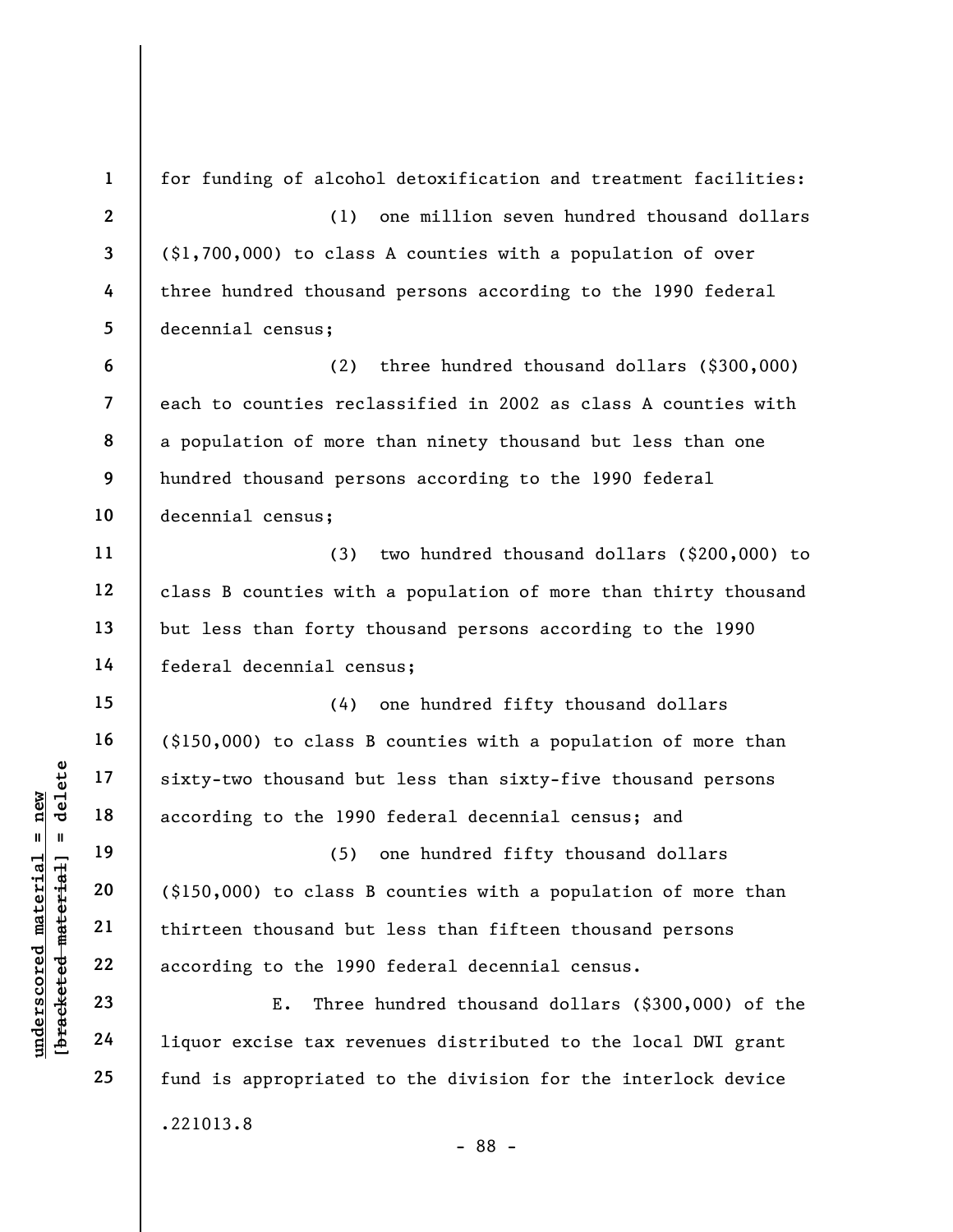understand to the 1990<br>
understand material material according to the 1990<br>
understand material cording to the 1990<br>
understand material cording to the 1990<br>
understand material according to the 1990<br>
E. Three<br>
24 liquor e 1 2 3 4 5 6 7 8 9 10 11 12 13 14 15 16 17 18 19 20 21 22 23 24 25 for funding of alcohol detoxification and treatment facilities: (1) one million seven hundred thousand dollars (\$1,700,000) to class A counties with a population of over three hundred thousand persons according to the 1990 federal decennial census; (2) three hundred thousand dollars (\$300,000) each to counties reclassified in 2002 as class A counties with a population of more than ninety thousand but less than one hundred thousand persons according to the 1990 federal decennial census; (3) two hundred thousand dollars (\$200,000) to class B counties with a population of more than thirty thousand but less than forty thousand persons according to the 1990 federal decennial census; (4) one hundred fifty thousand dollars (\$150,000) to class B counties with a population of more than sixty-two thousand but less than sixty-five thousand persons according to the 1990 federal decennial census; and (5) one hundred fifty thousand dollars (\$150,000) to class B counties with a population of more than thirteen thousand but less than fifteen thousand persons according to the 1990 federal decennial census. E. Three hundred thousand dollars (\$300,000) of the liquor excise tax revenues distributed to the local DWI grant fund is appropriated to the division for the interlock device .221013.8 - 88 -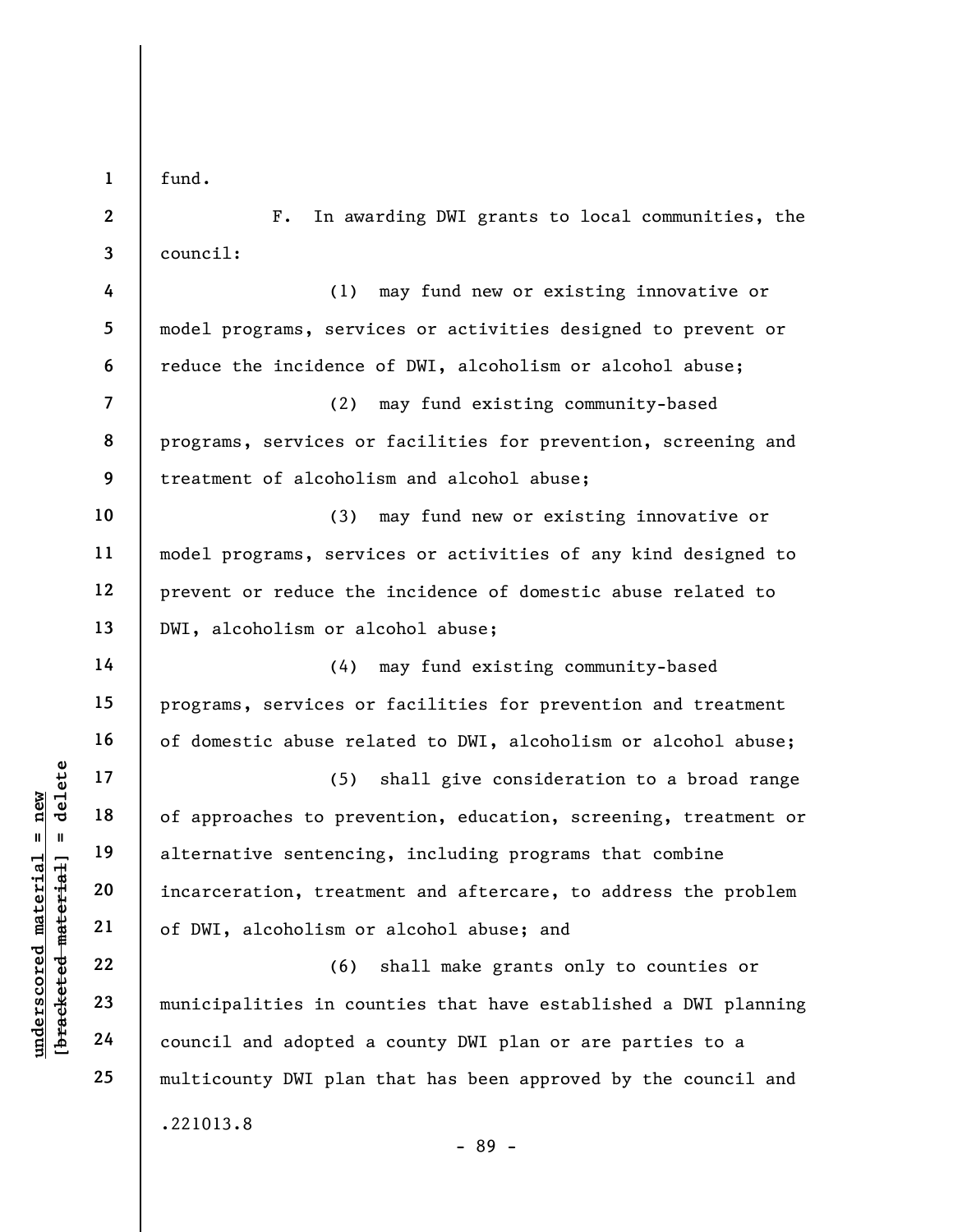1 fund.

2

3

8

9

10

11

12

13

14

15

16

17

18

19

20

21

22

23

24

25

F. In awarding DWI grants to local communities, the council:

4 5 6 7 (1) may fund new or existing innovative or model programs, services or activities designed to prevent or reduce the incidence of DWI, alcoholism or alcohol abuse; (2) may fund existing community-based

programs, services or facilities for prevention, screening and treatment of alcoholism and alcohol abuse;

(3) may fund new or existing innovative or model programs, services or activities of any kind designed to prevent or reduce the incidence of domestic abuse related to DWI, alcoholism or alcohol abuse;

(4) may fund existing community-based programs, services or facilities for prevention and treatment of domestic abuse related to DWI, alcoholism or alcohol abuse;

underscores to prevent in the sentencing of approaches to prevent internative sentencing alternative sentencing<br>deleterative sentencing incarceration, treatment internative sentencing<br>deleteration, treatment of DWI, alcoho (5) shall give consideration to a broad range of approaches to prevention, education, screening, treatment or alternative sentencing, including programs that combine incarceration, treatment and aftercare, to address the problem of DWI, alcoholism or alcohol abuse; and

(6) shall make grants only to counties or municipalities in counties that have established a DWI planning council and adopted a county DWI plan or are parties to a multicounty DWI plan that has been approved by the council and .221013.8 - 89 -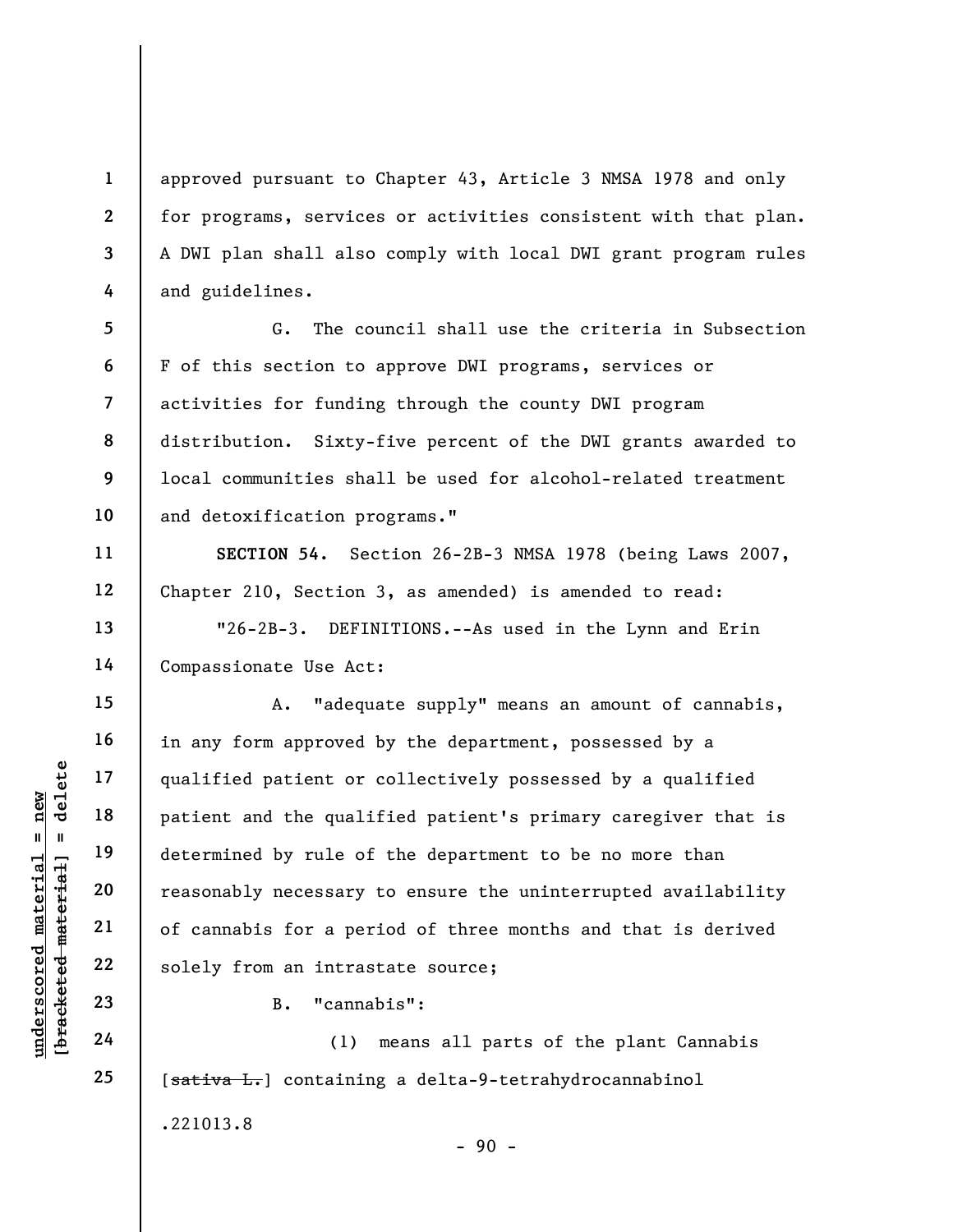approved pursuant to Chapter 43, Article 3 NMSA 1978 and only for programs, services or activities consistent with that plan. A DWI plan shall also comply with local DWI grant program rules and guidelines.

G. The council shall use the criteria in Subsection F of this section to approve DWI programs, services or activities for funding through the county DWI program distribution. Sixty-five percent of the DWI grants awarded to local communities shall be used for alcohol-related treatment and detoxification programs."

SECTION 54. Section 26-2B-3 NMSA 1978 (being Laws 2007, Chapter 210, Section 3, as amended) is amended to read:

"26-2B-3. DEFINITIONS.--As used in the Lynn and Erin Compassionate Use Act:

understand the qualified patient or<br>  $\begin{bmatrix}\n1 & 1 & 1 & 1 \\
0 & 1 & 1 & 1 & 1 \\
0 & 0 & 0 & 0 & 0 \\
0 & 0 & 0 & 0 & 0 \\
0 & 0 & 0 & 0 & 0 \\
0 & 0 & 0 & 0 & 0 \\
0 & 0 & 0 & 0 & 0 \\
0 & 0 & 0 & 0 & 0 \\
0 & 0 & 0 & 0 & 0 \\
0 & 0 & 0 & 0 & 0 \\
0 & 0 & 0 & 0 & 0 \\
0 & 0 & 0 & 0 & 0 \\
0 & 0 & 0 & 0 &$ A. "adequate supply" means an amount of cannabis, in any form approved by the department, possessed by a qualified patient or collectively possessed by a qualified patient and the qualified patient's primary caregiver that is determined by rule of the department to be no more than reasonably necessary to ensure the uninterrupted availability of cannabis for a period of three months and that is derived solely from an intrastate source;

B. "cannabis":

(1) means all parts of the plant Cannabis [sativa L.] containing a delta-9-tetrahydrocannabinol .221013.8

 $-90 -$ 

1

2

3

4

5

6

7

8

9

10

11

12

13

14

15

16

17

18

19

20

21

22

23

24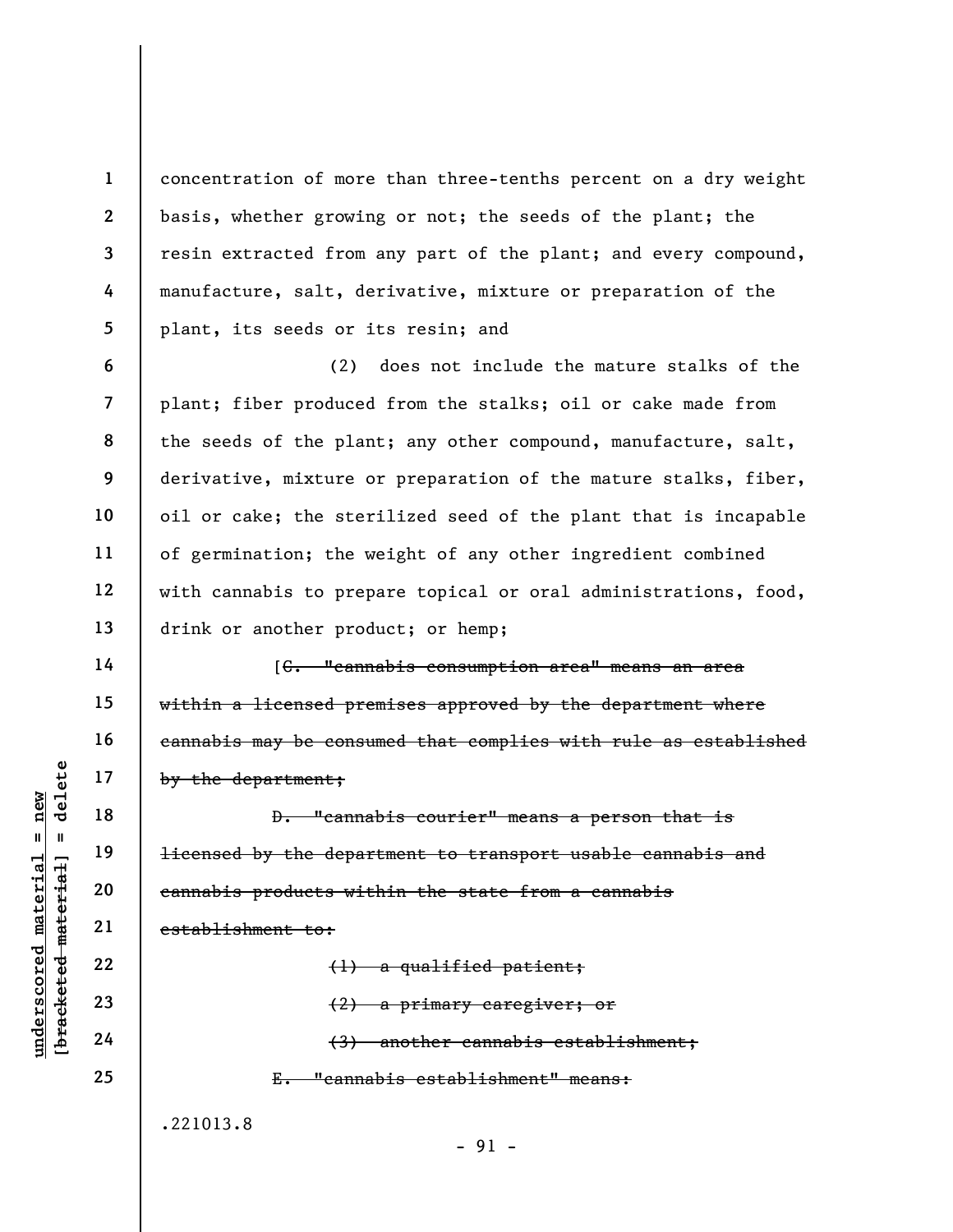concentration of more than three-tenths percent on a dry weight basis, whether growing or not; the seeds of the plant; the resin extracted from any part of the plant; and every compound, manufacture, salt, derivative, mixture or preparation of the plant, its seeds or its resin; and

(2) does not include the mature stalks of the plant; fiber produced from the stalks; oil or cake made from the seeds of the plant; any other compound, manufacture, salt, derivative, mixture or preparation of the mature stalks, fiber, oil or cake; the sterilized seed of the plant that is incapable of germination; the weight of any other ingredient combined with cannabis to prepare topical or oral administrations, food, drink or another product; or hemp;

[C. "cannabis consumption area" means an area within a licensed premises approved by the department where cannabis may be consumed that complies with rule as established by the department;

 $\begin{array}{c|c|c|c} \mathbf{u} & \mathbf{u} & \mathbf{v} & \mathbf{v} & \mathbf{v} & \mathbf{v} & \mathbf{v} & \mathbf{v} & \mathbf{v} & \mathbf{v} & \mathbf{v} & \mathbf{v} & \mathbf{v} & \mathbf{v} & \mathbf{v} & \mathbf{v} & \mathbf{v} & \mathbf{v} & \mathbf{v} & \mathbf{v} & \mathbf{v} & \mathbf{v} & \mathbf{v} & \mathbf{v} & \mathbf{v} & \mathbf{v} & \mathbf{v} & \mathbf{v} & \mathbf{v} & \mathbf{$ D. "cannabis courier" means a person that is licensed by the department to transport usable cannabis and cannabis products within the state from a cannabis establishment to: (1) a qualified patient;

(2) a primary caregiver; or (3) another cannabis establishment; E. "cannabis establishment" means:

.221013.8

1

2

3

4

5

6

7

8

9

10

11

12

13

14

15

16

17

18

19

20

21

22

23

24

25

- 91 -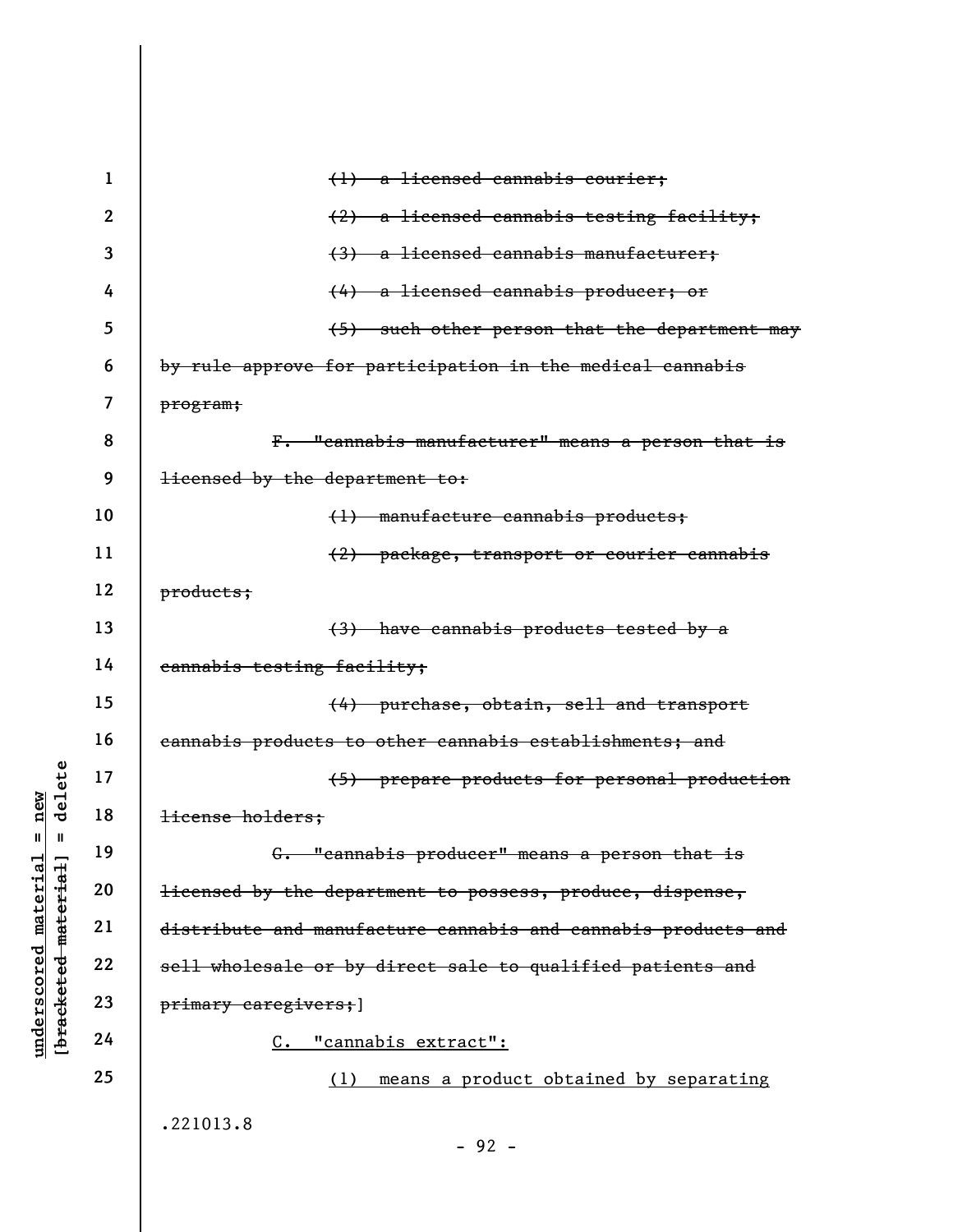|                                 | $\mathbf 1$    | a licensed cannabis courier;<br>$\leftrightarrow$                    |
|---------------------------------|----------------|----------------------------------------------------------------------|
|                                 | $\overline{2}$ | (2) a licensed cannabis testing facility;                            |
|                                 | 3              | (3) a licensed cannabis manufacturer;                                |
|                                 | 4              | (4) a licensed cannabis producer; or                                 |
|                                 | 5              | (5) such other person that the department may                        |
|                                 | 6              | by rule approve for participation in the medical cannabis            |
|                                 | 7              | program;                                                             |
|                                 | 8              | F. "cannabis manufacturer" means a person that is                    |
|                                 | 9              | <del>licensed by the department to:</del>                            |
|                                 | 10             | (1) manufacture cannabis products;                                   |
|                                 | 11             | (2) package, transport or courier cannabis                           |
|                                 | 12             | products;                                                            |
|                                 | 13             | (3) have cannabis products tested by a                               |
|                                 | 14             | cannabis testing facility;                                           |
|                                 | 15             | (4) purchase, obtain, sell and transport                             |
|                                 | 16             | cannabis products to other cannabis establishments; and              |
| delete                          | 17             | (5) prepare products for personal production                         |
| new                             | 18             | license holders;                                                     |
| Ш<br>Ш                          | 19             | G. "cannabis producer" means a person that is                        |
| material<br>[bracketed material | 20             | <del>licensed by the department to possess, produce, dispense,</del> |
|                                 | 21             | distribute and manufacture cannabis and cannabis products and        |
| underscored                     | 22             | sell wholesale or by direct sale to qualified patients and           |
|                                 | 23             | primary caregivers; ]                                                |
|                                 | 24             | <u>"cannabis extract":</u><br><u>c.</u>                              |
|                                 | 25             | means a product obtained by separating<br>(1)                        |
|                                 |                | .221013.8                                                            |
|                                 |                | $-92 -$                                                              |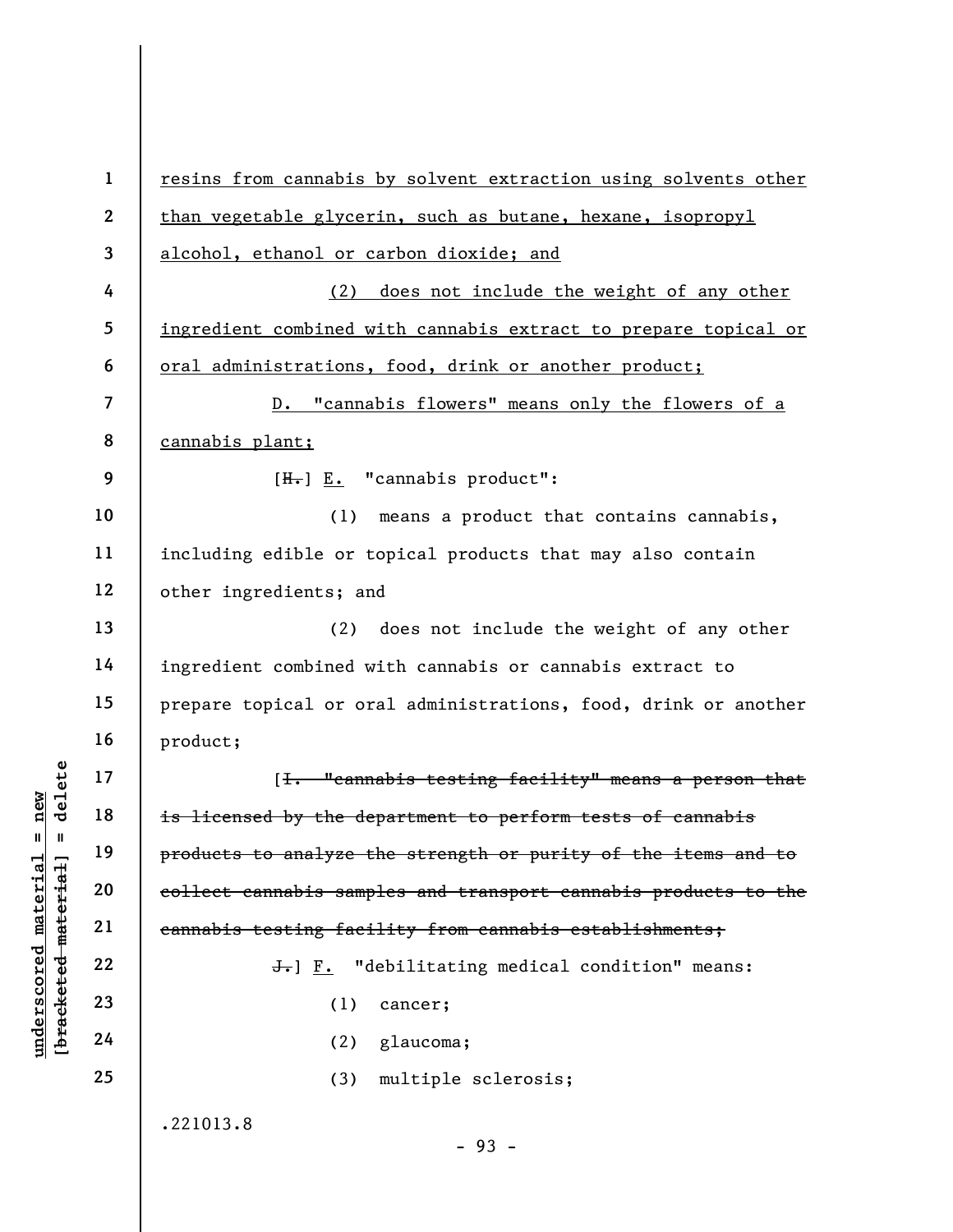underscore is a material of the set of the density of the density of the density of the density of the density of the density of the density of the density of the density of the density of the density of the density of the 1 2 3 4 5 6 7 8 9 10 11 12 13 14 15 16 17 18 19 20 21 22 23 24 25 resins from cannabis by solvent extraction using solvents other than vegetable glycerin, such as butane, hexane, isopropyl alcohol, ethanol or carbon dioxide; and (2) does not include the weight of any other ingredient combined with cannabis extract to prepare topical or oral administrations, food, drink or another product; D. "cannabis flowers" means only the flowers of a cannabis plant;  $[H-] E.$  "cannabis product": (1) means a product that contains cannabis, including edible or topical products that may also contain other ingredients; and (2) does not include the weight of any other ingredient combined with cannabis or cannabis extract to prepare topical or oral administrations, food, drink or another product; [I. "cannabis testing facility" means a person that is licensed by the department to perform tests of cannabis products to analyze the strength or purity of the items and to collect cannabis samples and transport cannabis products to the cannabis testing facility from cannabis establishments; J.] F. "debilitating medical condition" means: (1) cancer; (2) glaucoma; (3) multiple sclerosis; .221013.8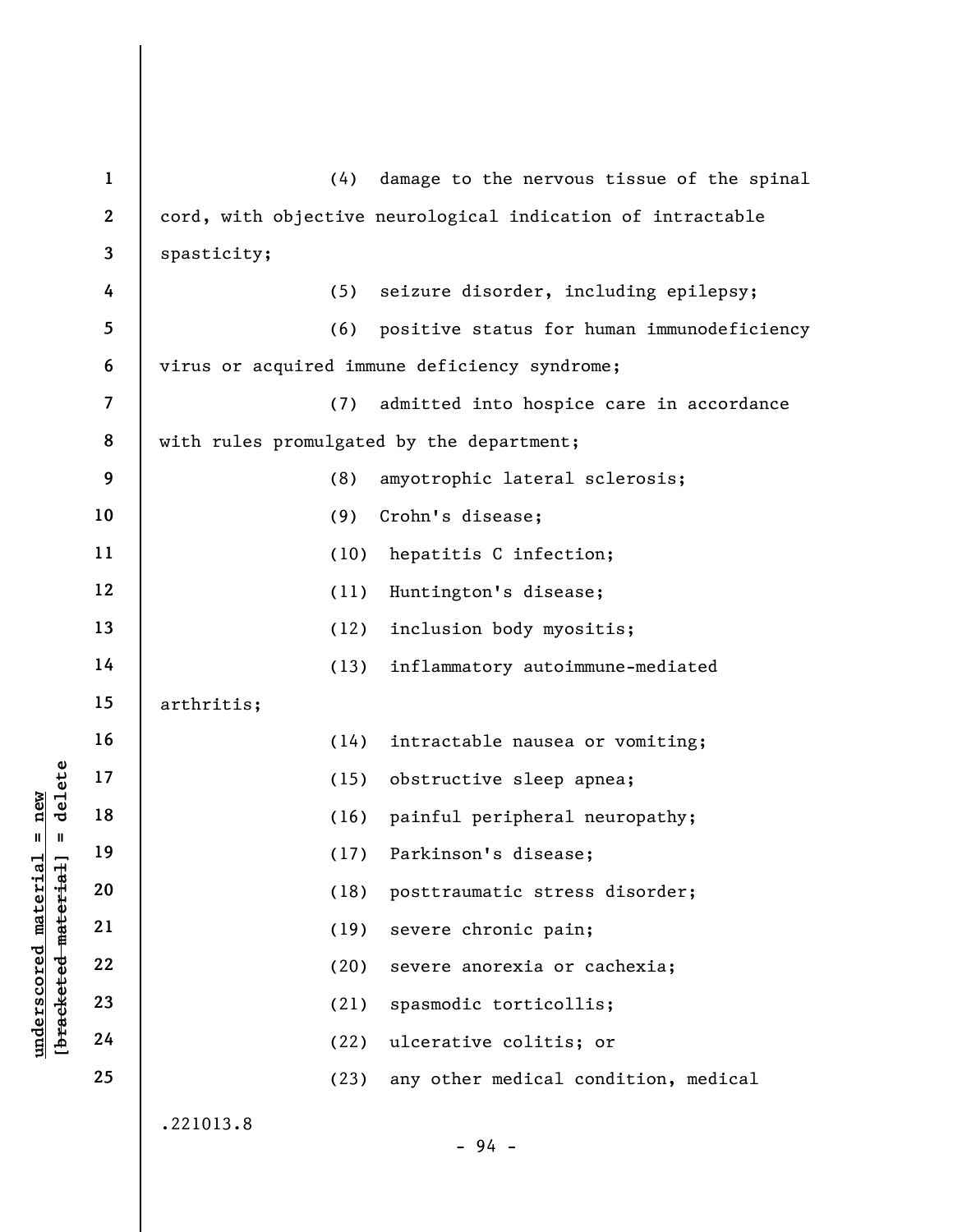| $\mathbf{1}$ | (4)<br>damage to the nervous tissue of the spinal           |
|--------------|-------------------------------------------------------------|
| $\mathbf{2}$ | cord, with objective neurological indication of intractable |
| 3            | spasticity;                                                 |
| 4            | seizure disorder, including epilepsy;<br>(5)                |
| 5            | (6)<br>positive status for human immunodeficiency           |
| 6            | virus or acquired immune deficiency syndrome;               |
| 7            | (7)<br>admitted into hospice care in accordance             |
| 8            | with rules promulgated by the department;                   |
| 9            | (8)<br>amyotrophic lateral sclerosis;                       |
| 10           | Crohn's disease;<br>(9)                                     |
| 11           | (10)<br>hepatitis C infection;                              |
| 12           | (11)<br>Huntington's disease;                               |
| 13           | inclusion body myositis;<br>(12)                            |
| 14           | (13)<br>inflammatory autoimmune-mediated                    |
| 15           | arthritis;                                                  |
| 16           | intractable nausea or vomiting;<br>(14)                     |
| 17           | obstructive sleep apnea;<br>(15)                            |
| 18           | painful peripheral neuropathy;<br>(16)                      |
| 19           | (17) Parkinson's disease;                                   |
| 20           | (18)<br>posttraumatic stress disorder;                      |
| 21           | (19)<br>severe chronic pain;                                |
| 22           | (20)<br>severe anorexia or cachexia;                        |
| 23           | spasmodic torticollis;<br>(21)                              |
| 24           | ulcerative colitis; or<br>(22)                              |
| 25           | (23)<br>any other medical condition, medical                |
|              | .221013.8<br>$-94 -$                                        |
|              |                                                             |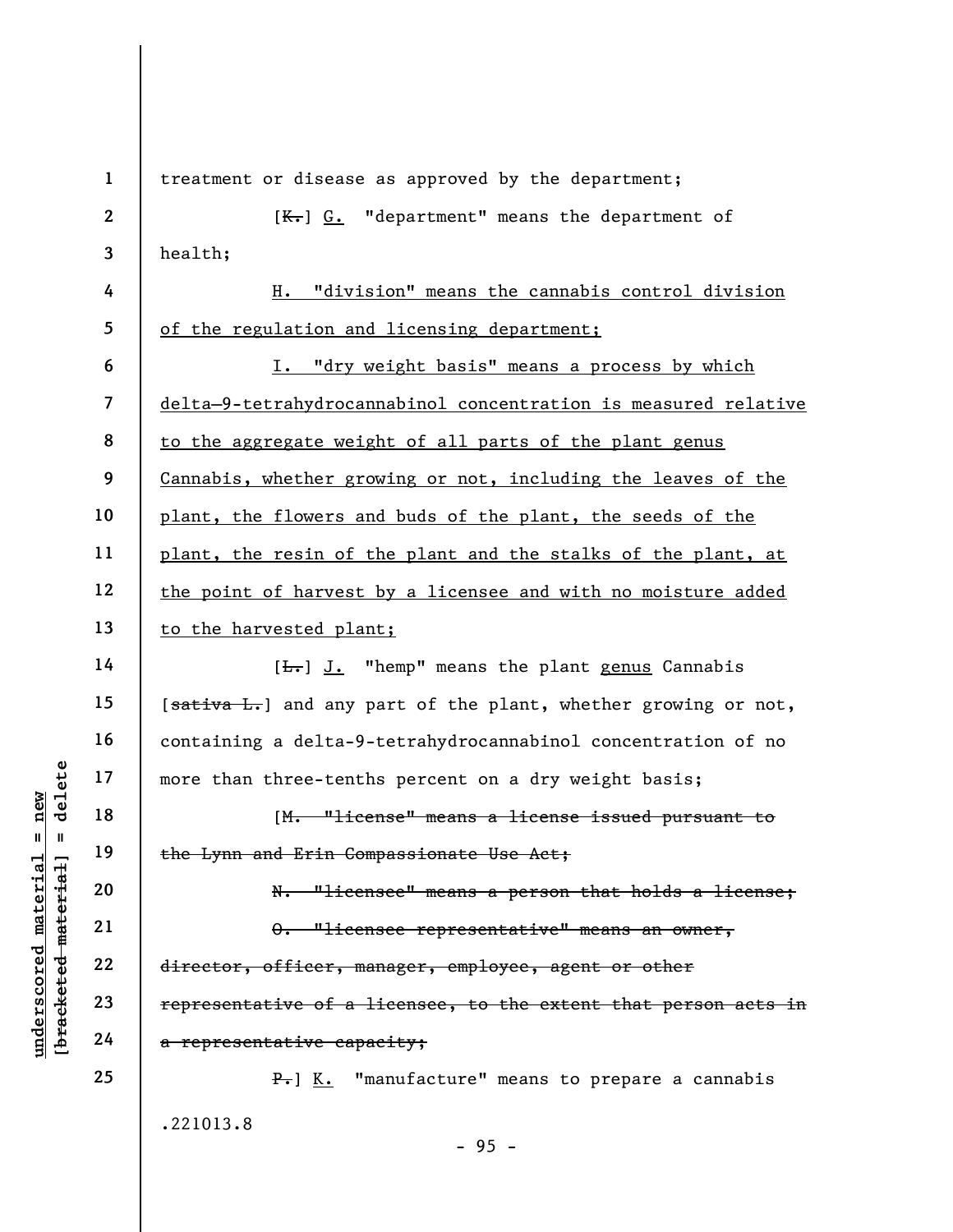|                                    | $\mathbf{1}$   | treatment or disease as approved by the department;             |
|------------------------------------|----------------|-----------------------------------------------------------------|
|                                    | $\mathbf{2}$   | $K-$ ] $G.$ "department" means the department of                |
|                                    | 3              | health;                                                         |
|                                    | 4              | "division" means the cannabis control division<br>н.            |
|                                    | 5              | of the regulation and licensing department;                     |
|                                    | 6              | I. "dry weight basis" means a process by which                  |
|                                    | $\overline{7}$ | delta-9-tetrahydrocannabinol concentration is measured relative |
|                                    | 8              | to the aggregate weight of all parts of the plant genus         |
|                                    | 9              | Cannabis, whether growing or not, including the leaves of the   |
|                                    | 10             | plant, the flowers and buds of the plant, the seeds of the      |
|                                    | 11             | plant, the resin of the plant and the stalks of the plant, at   |
|                                    | 12             | the point of harvest by a licensee and with no moisture added   |
|                                    | 13             | to the harvested plant;                                         |
|                                    | 14             | $[\frac{L}{\sqrt{L}}]$ J. "hemp" means the plant genus Cannabis |
|                                    | 15             | [sativa L.] and any part of the plant, whether growing or not,  |
|                                    | 16             | containing a delta-9-tetrahydrocannabinol concentration of no   |
| delete                             | 17             | more than three-tenths percent on a dry weight basis;           |
| nev                                | 18             | [M. "license" means a license issued pursuant to                |
| $\mathbf{II}$<br>$\blacksquare$    | 19             | the Lynn and Erin Compassionate Use Act;                        |
| material                           | 20             | N. "licensee" means a person that holds a license;              |
|                                    | 21             | $-$ "licensee representative" means an owner, $\,$              |
| bracketed material]<br>underscored | 22             | director, officer, manager, employee, agent or other            |
|                                    | 23             | representative of a licensee, to the extent that person acts in |
|                                    | 24             | a representative capacity;                                      |
|                                    | 25             | $\frac{P}{P}$ ] K. "manufacture" means to prepare a cannabis    |
|                                    |                | .221013.8                                                       |

- 95 -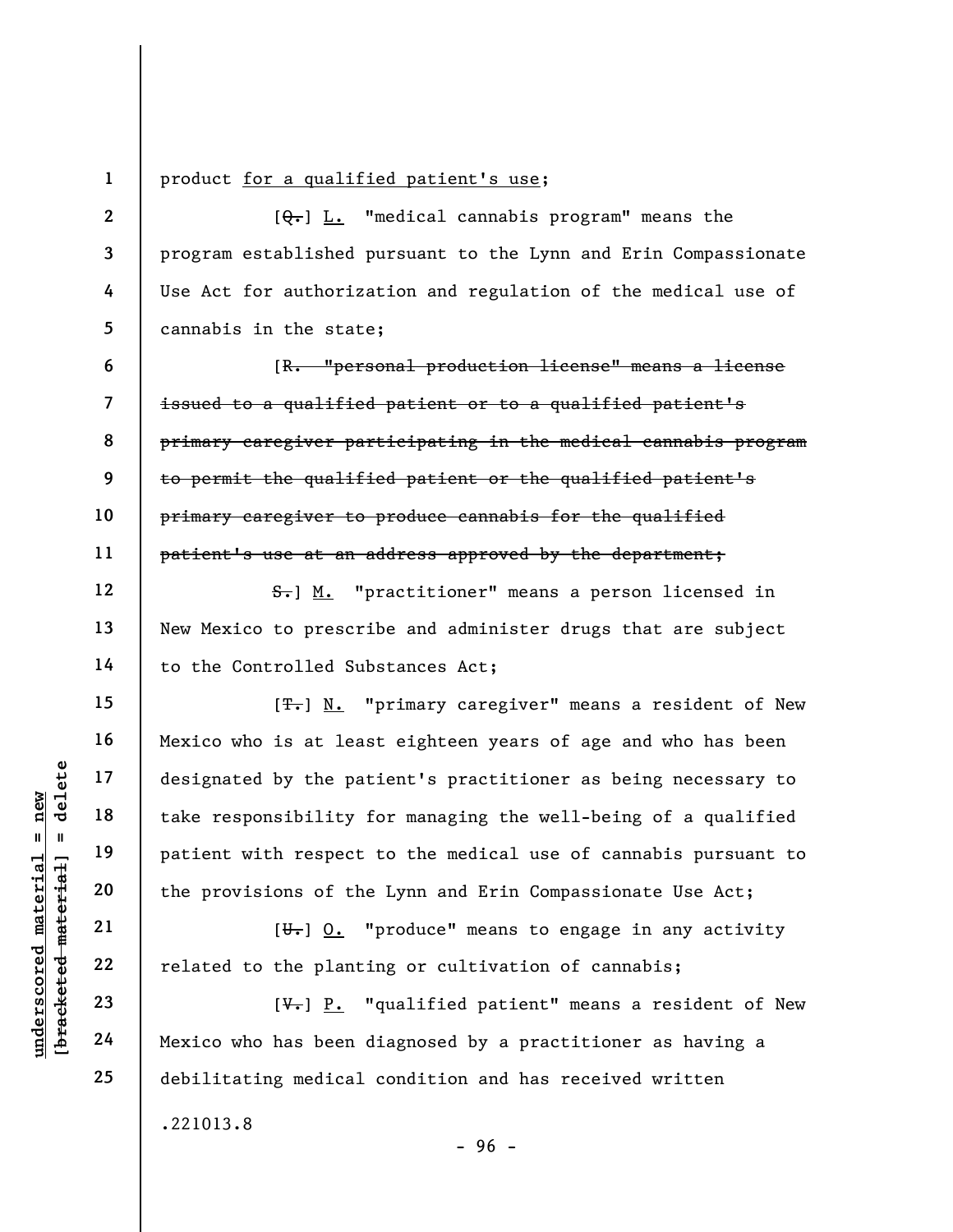1 2

3

4

5

6

7

8

9

10

11

12

13

14

15

16

17

18

19

20

21

22

23

24

25

## product for a qualified patient's use;

 $[Q_{\bullet}]$  L. "medical cannabis program" means the program established pursuant to the Lynn and Erin Compassionate Use Act for authorization and regulation of the medical use of cannabis in the state;

[R. "personal production license" means a license issued to a qualified patient or to a qualified patient's primary caregiver participating in the medical cannabis program to permit the qualified patient or the qualified patient's primary caregiver to produce cannabis for the qualified patient's use at an address approved by the department;

S. M. "practitioner" means a person licensed in New Mexico to prescribe and administer drugs that are subject to the Controlled Substances Act;

 $\begin{array}{c|c|c|c} \mathbf{u} & \mathbf{u} & \mathbf{u} & \mathbf{v} & \mathbf{v} & \mathbf{v} & \mathbf{v} & \mathbf{v} & \mathbf{v} & \mathbf{v} & \mathbf{v} & \mathbf{v} & \mathbf{v} & \mathbf{v} & \mathbf{v} & \mathbf{v} & \mathbf{v} & \mathbf{v} & \mathbf{v} & \mathbf{v} & \mathbf{v} & \mathbf{v} & \mathbf{v} & \mathbf{v} & \mathbf{v} & \mathbf{v} & \mathbf{v} & \mathbf{v} & \mathbf{v} & \mathbf{$ [ $T$ .] N. "primary caregiver" means a resident of New Mexico who is at least eighteen years of age and who has been designated by the patient's practitioner as being necessary to take responsibility for managing the well-being of a qualified patient with respect to the medical use of cannabis pursuant to the provisions of the Lynn and Erin Compassionate Use Act;

 $[\overline{\mathbf{U}_{\tau}}]$   $\underline{0.}$  "produce" means to engage in any activity related to the planting or cultivation of cannabis;

 $[\nabla_{\cdot}]$  P. "qualified patient" means a resident of New Mexico who has been diagnosed by a practitioner as having a debilitating medical condition and has received written .221013.8  $-96 -$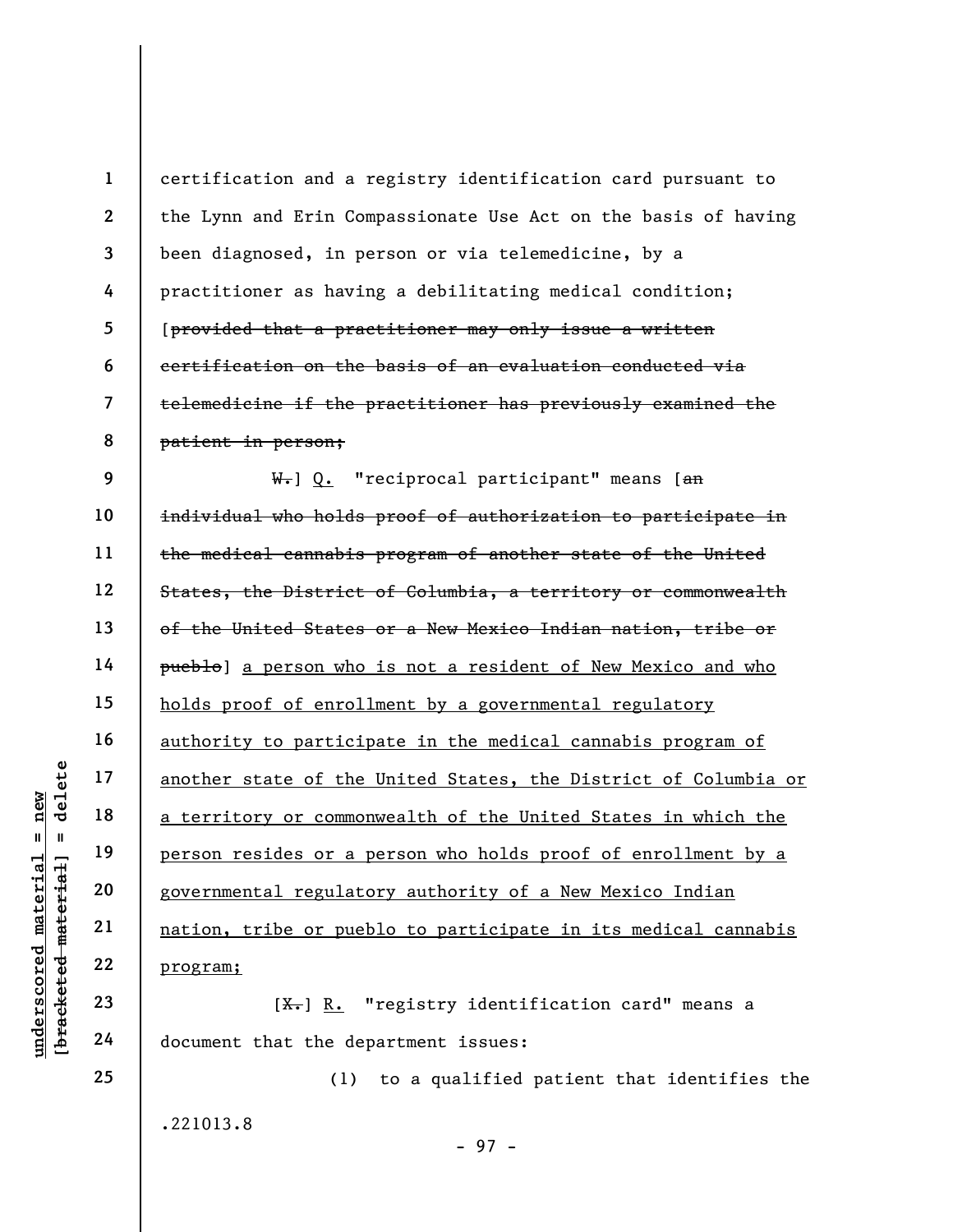|                           | $\mathbf{1}$             | certification and a registry identification card pursuant to    |
|---------------------------|--------------------------|-----------------------------------------------------------------|
|                           | $\mathbf{2}$             | the Lynn and Erin Compassionate Use Act on the basis of having  |
|                           | 3                        | been diagnosed, in person or via telemedicine, by a             |
|                           | 4                        | practitioner as having a debilitating medical condition;        |
|                           | 5                        | [provided that a practitioner may only issue a written          |
|                           | 6                        | certification on the basis of an evaluation conducted via       |
|                           | $\overline{\mathcal{L}}$ | telemedicine if the practitioner has previously examined the    |
|                           | 8                        | patient in person;                                              |
|                           | 9                        | W.] Q. "reciprocal participant" means [an                       |
|                           | 10                       | individual who holds proof of authorization to participate in   |
|                           | 11                       | the medical cannabis program of another state of the United     |
|                           | 12                       | States, the District of Columbia, a territory or commonwealth   |
|                           | 13                       | of the United States or a New Mexico Indian nation, tribe or    |
|                           | 14                       | pueblo] a person who is not a resident of New Mexico and who    |
|                           | 15                       | holds proof of enrollment by a governmental regulatory          |
|                           | 16                       | authority to participate in the medical cannabis program of     |
| delete                    | 17                       | another state of the United States, the District of Columbia or |
| new                       | 18                       | a territory or commonwealth of the United States in which the   |
| Ш                         | 19                       | person resides or a person who holds proof of enrollment by a   |
|                           | 20                       | governmental regulatory authority of a New Mexico Indian        |
| materia<br>material       | 21                       | nation, tribe or pueblo to participate in its medical cannabis  |
|                           | 22                       | program;                                                        |
| underscored<br>[bracketed | 23                       | $[\frac{X}{X}]$ R. "registry identification card" means a       |
|                           | 24                       | document that the department issues:                            |

(1) to a qualified patient that identifies the .221013.8 - 97 -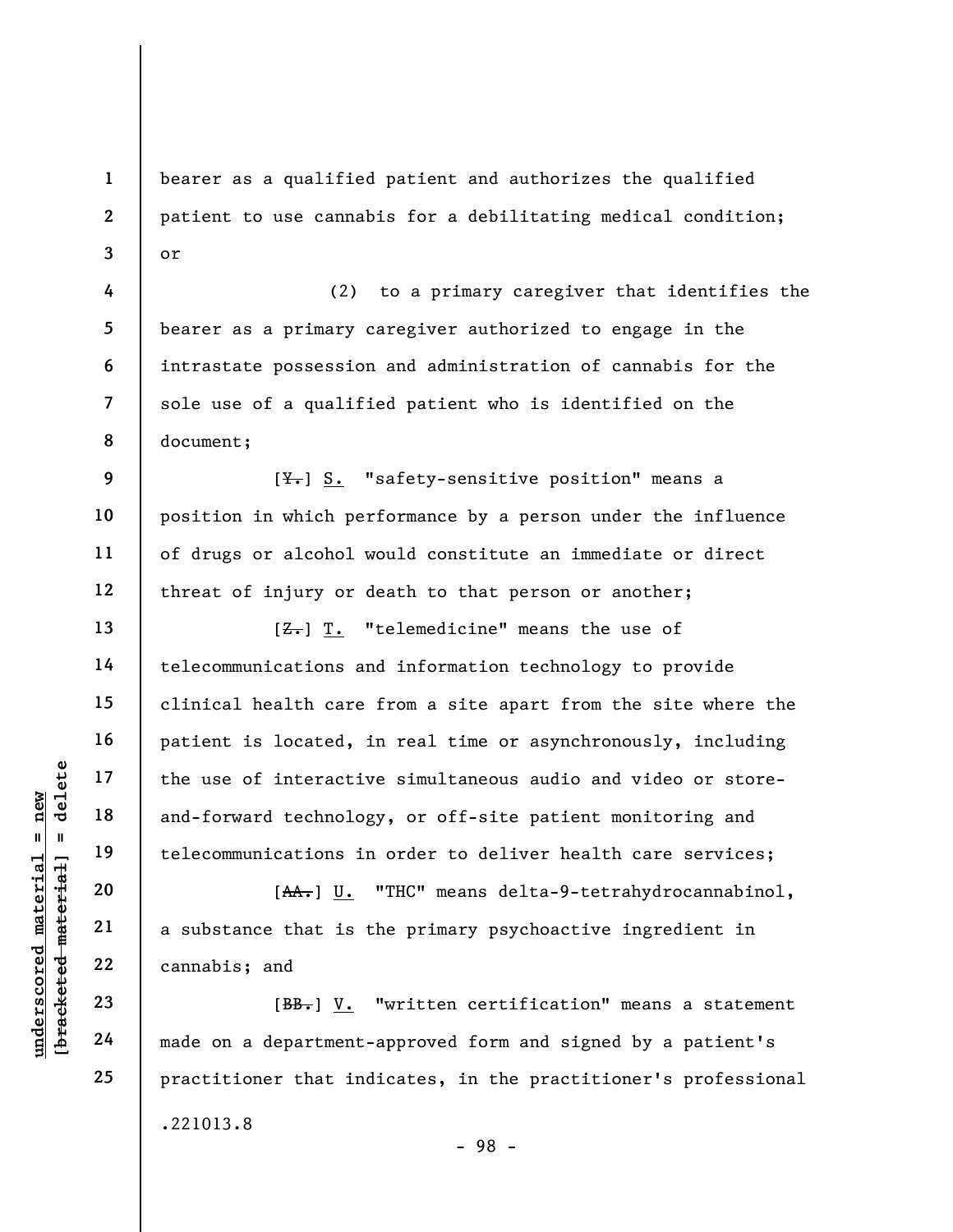bearer as a qualified patient and authorizes the qualified patient to use cannabis for a debilitating medical condition; or

(2) to a primary caregiver that identifies the bearer as a primary caregiver authorized to engage in the intrastate possession and administration of cannabis for the sole use of a qualified patient who is identified on the document;

 $[\frac{\gamma}{\gamma}]$  S. "safety-sensitive position" means a position in which performance by a person under the influence of drugs or alcohol would constitute an immediate or direct threat of injury or death to that person or another;

understand the use of interactive<br>  $\begin{array}{c|c|c} \n\text{u} & \text{u} & \text{u} & \text{u} \n\end{array}$  and-forward technolog<br>
telecommunications in<br>
telecommunications in<br>
20<br>
21<br>
22<br>
23<br>
24<br>
24<br>
24<br>
24<br>
22<br>
24<br>
24<br>
22<br>
24<br>
22<br>
24<br>
22<br>
24<br>
22<br>  $[**Z**].$  T. "telemedicine" means the use of telecommunications and information technology to provide clinical health care from a site apart from the site where the patient is located, in real time or asynchronously, including the use of interactive simultaneous audio and video or storeand-forward technology, or off-site patient monitoring and telecommunications in order to deliver health care services;

[AA.] U. "THC" means delta-9-tetrahydrocannabinol, a substance that is the primary psychoactive ingredient in cannabis; and

[BB.] V. "written certification" means a statement made on a department-approved form and signed by a patient's practitioner that indicates, in the practitioner's professional .221013.8

1

2

3

4

5

6

7

8

9

10

11

12

13

14

15

16

17

18

19

20

21

22

23

24

25

- 98 -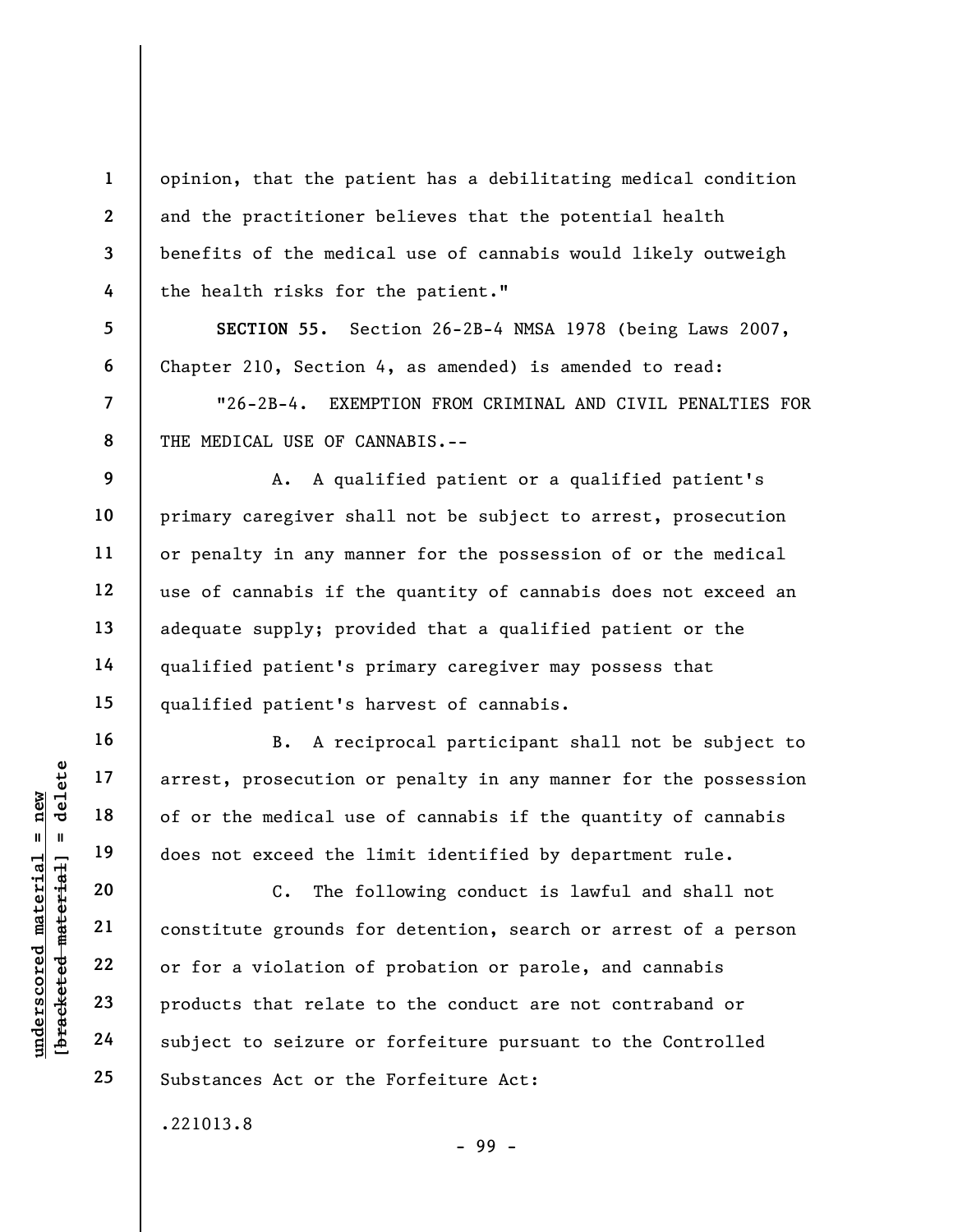opinion, that the patient has a debilitating medical condition and the practitioner believes that the potential health benefits of the medical use of cannabis would likely outweigh the health risks for the patient."

SECTION 55. Section 26-2B-4 NMSA 1978 (being Laws 2007, Chapter 210, Section 4, as amended) is amended to read:

"26-2B-4. EXEMPTION FROM CRIMINAL AND CIVIL PENALTIES FOR THE MEDICAL USE OF CANNABIS.--

A. A qualified patient or a qualified patient's primary caregiver shall not be subject to arrest, prosecution or penalty in any manner for the possession of or the medical use of cannabis if the quantity of cannabis does not exceed an adequate supply; provided that a qualified patient or the qualified patient's primary caregiver may possess that qualified patient's harvest of cannabis.

B. A reciprocal participant shall not be subject to arrest, prosecution or penalty in any manner for the possession of or the medical use of cannabis if the quantity of cannabis does not exceed the limit identified by department rule.

understand material and the medical use<br>  $\begin{array}{c|c|c|c} \n\text{u} & \text{u} & \text{u} & \text{u} & \text{u} & \text{u} & \text{u} & \text{u} & \text{u} & \text{u} & \text{u} & \text{u} & \text{u} & \text{u} & \text{u} & \text{u} & \text{u} & \text{u} & \text{u} & \text{u} & \text{u} & \text{u} & \text{u} & \text{u} & \text{u} & \text{u} & \text{u} & \text{$ C. The following conduct is lawful and shall not constitute grounds for detention, search or arrest of a person or for a violation of probation or parole, and cannabis products that relate to the conduct are not contraband or subject to seizure or forfeiture pursuant to the Controlled Substances Act or the Forfeiture Act:

- 99 -

.221013.8

1

2

3

4

5

6

7

8

9

10

11

12

13

14

15

16

17

18

19

20

21

22

23

24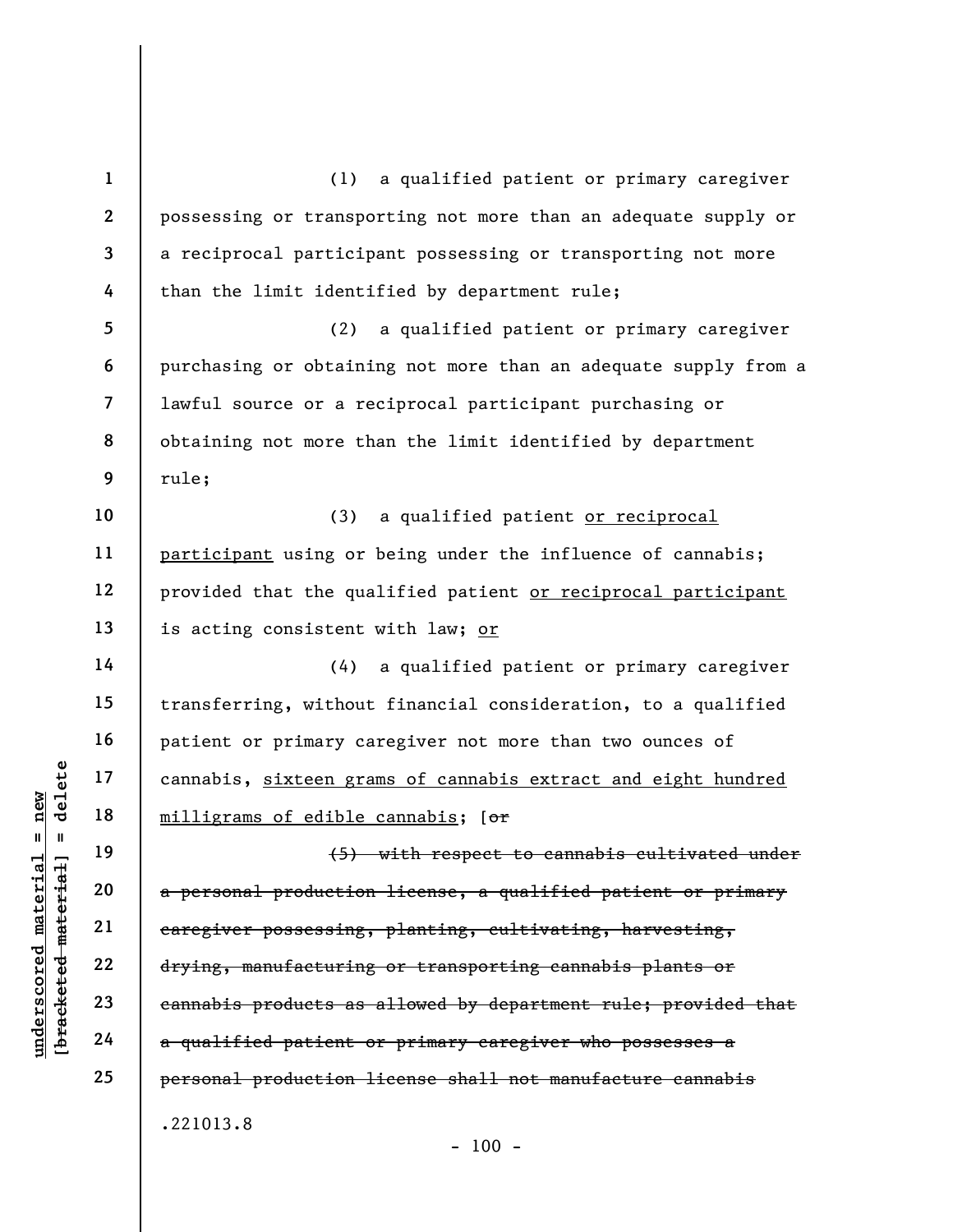underscored material = new [bracketed material] = delete 1 2 3 4 5 6 7 8 9 10 11 12 13 14 15 16 17 18 19 20 21 22 23 24 25 (1) a qualified patient or primary caregiver possessing or transporting not more than an adequate supply or a reciprocal participant possessing or transporting not more than the limit identified by department rule; (2) a qualified patient or primary caregiver purchasing or obtaining not more than an adequate supply from a lawful source or a reciprocal participant purchasing or obtaining not more than the limit identified by department rule; (3) a qualified patient or reciprocal participant using or being under the influence of cannabis; provided that the qualified patient or reciprocal participant is acting consistent with law; or (4) a qualified patient or primary caregiver transferring, without financial consideration, to a qualified patient or primary caregiver not more than two ounces of cannabis, sixteen grams of cannabis extract and eight hundred milligrams of edible cannabis; [or (5) with respect to cannabis cultivated under a personal production license, a qualified patient or primary caregiver possessing, planting, cultivating, harvesting, drying, manufacturing or transporting cannabis plants or cannabis products as allowed by department rule; provided that a qualified patient or primary caregiver who possesses a personal production license shall not manufacture cannabis .221013.8  $- 100 -$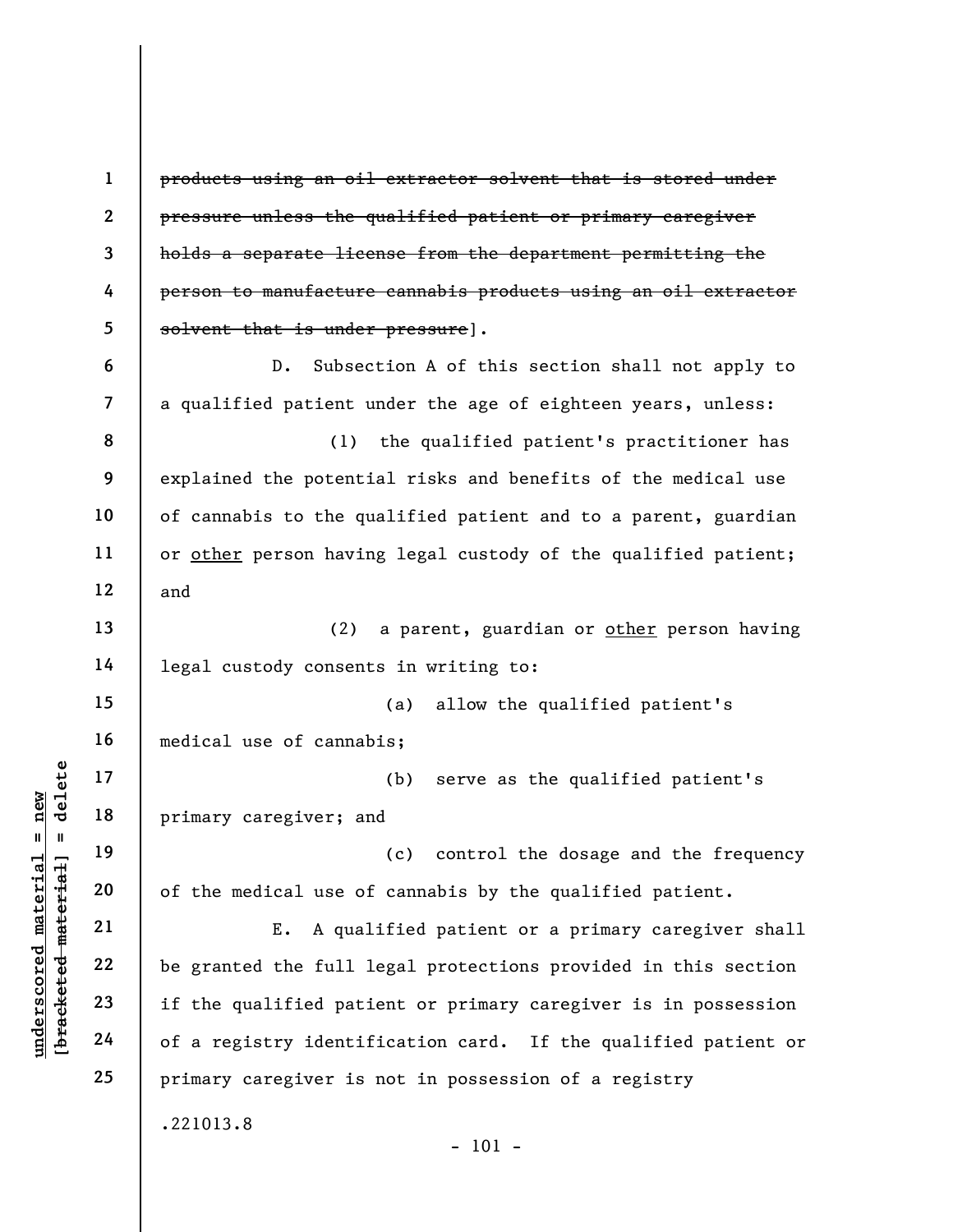UN DEN 17<br>
UN DEN 18<br>
UN DEN 19<br>
UN DEN 19<br>
UN DEN 19<br>
UN DEN 19<br>
UN DEN 19<br>
UN DEN 19<br>
UN DEN 19<br>
UN DEN 19<br>
UN DEN 19<br>
UN DEN 19<br>
UN DEN 19<br>
UN DEN 19<br>
UN DEN 19<br>
UN DEN 19<br>
UN DEN 19<br>
UN DEN 19<br>
UN DEN 19<br>
UN DEN 19<br>
UN 1 2 3 4 5 6 7 8 9 10 11 12 13 14 15 16 17 18 19 20 21 22 23 24 25 products using an oil extractor solvent that is stored under pressure unless the qualified patient or primary caregiver holds a separate license from the department permitting the person to manufacture cannabis products using an oil extractor solvent that is under pressure]. D. Subsection A of this section shall not apply to a qualified patient under the age of eighteen years, unless: (1) the qualified patient's practitioner has explained the potential risks and benefits of the medical use of cannabis to the qualified patient and to a parent, guardian or other person having legal custody of the qualified patient; and (2) a parent, guardian or other person having legal custody consents in writing to: (a) allow the qualified patient's medical use of cannabis; (b) serve as the qualified patient's primary caregiver; and (c) control the dosage and the frequency of the medical use of cannabis by the qualified patient. E. A qualified patient or a primary caregiver shall be granted the full legal protections provided in this section if the qualified patient or primary caregiver is in possession of a registry identification card. If the qualified patient or primary caregiver is not in possession of a registry .221013.8 - 101 -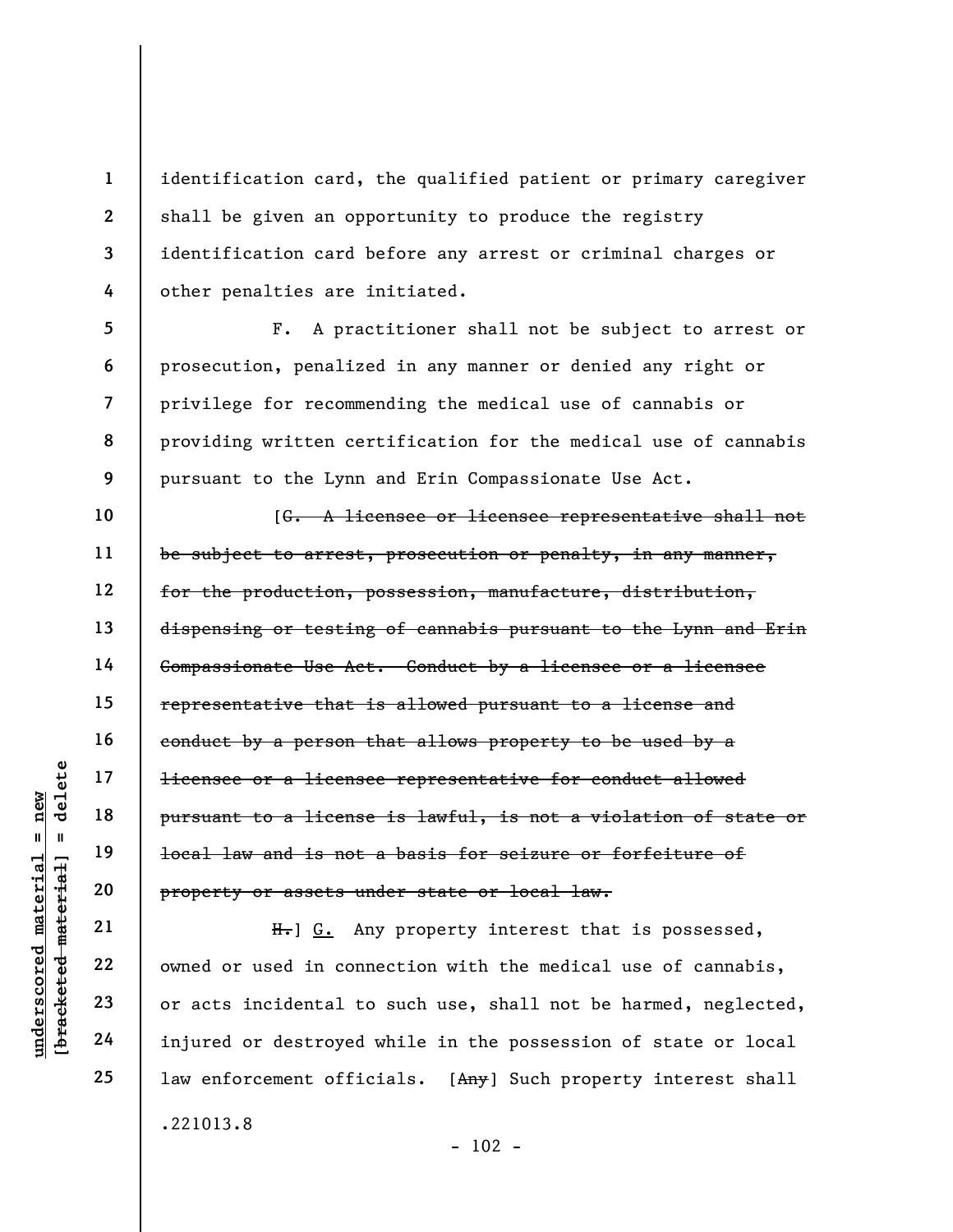identification card, the qualified patient or primary caregiver shall be given an opportunity to produce the registry identification card before any arrest or criminal charges or other penalties are initiated.

F. A practitioner shall not be subject to arrest or prosecution, penalized in any manner or denied any right or privilege for recommending the medical use of cannabis or providing written certification for the medical use of cannabis pursuant to the Lynn and Erin Compassionate Use Act.

underscore<br>
understand to a license<br>
pursuant to a license<br>
pursuant to a license<br>
deleter<br>
20<br>
property or assets un<br>
property or assets un<br>
property or assets un<br>
Equation 22<br>
23<br>
owned or used in conn<br>
or acts incidenta [G. A licensee or licensee representative shall not be subject to arrest, prosecution or penalty, in any manner, for the production, possession, manufacture, distribution, dispensing or testing of cannabis pursuant to the Lynn and Erin Compassionate Use Act. Conduct by a licensee or a licensee representative that is allowed pursuant to a license and conduct by a person that allows property to be used by a licensee or a licensee representative for conduct allowed pursuant to a license is lawful, is not a violation of state or local law and is not a basis for seizure or forfeiture of property or assets under state or local law.

H. G. Any property interest that is possessed, owned or used in connection with the medical use of cannabis, or acts incidental to such use, shall not be harmed, neglected, injured or destroyed while in the possession of state or local law enforcement officials. [Any] Such property interest shall .221013.8

1

2

3

4

5

6

7

8

9

10

11

12

13

14

15

16

17

18

19

20

21

22

23

24

```
- 102 -
```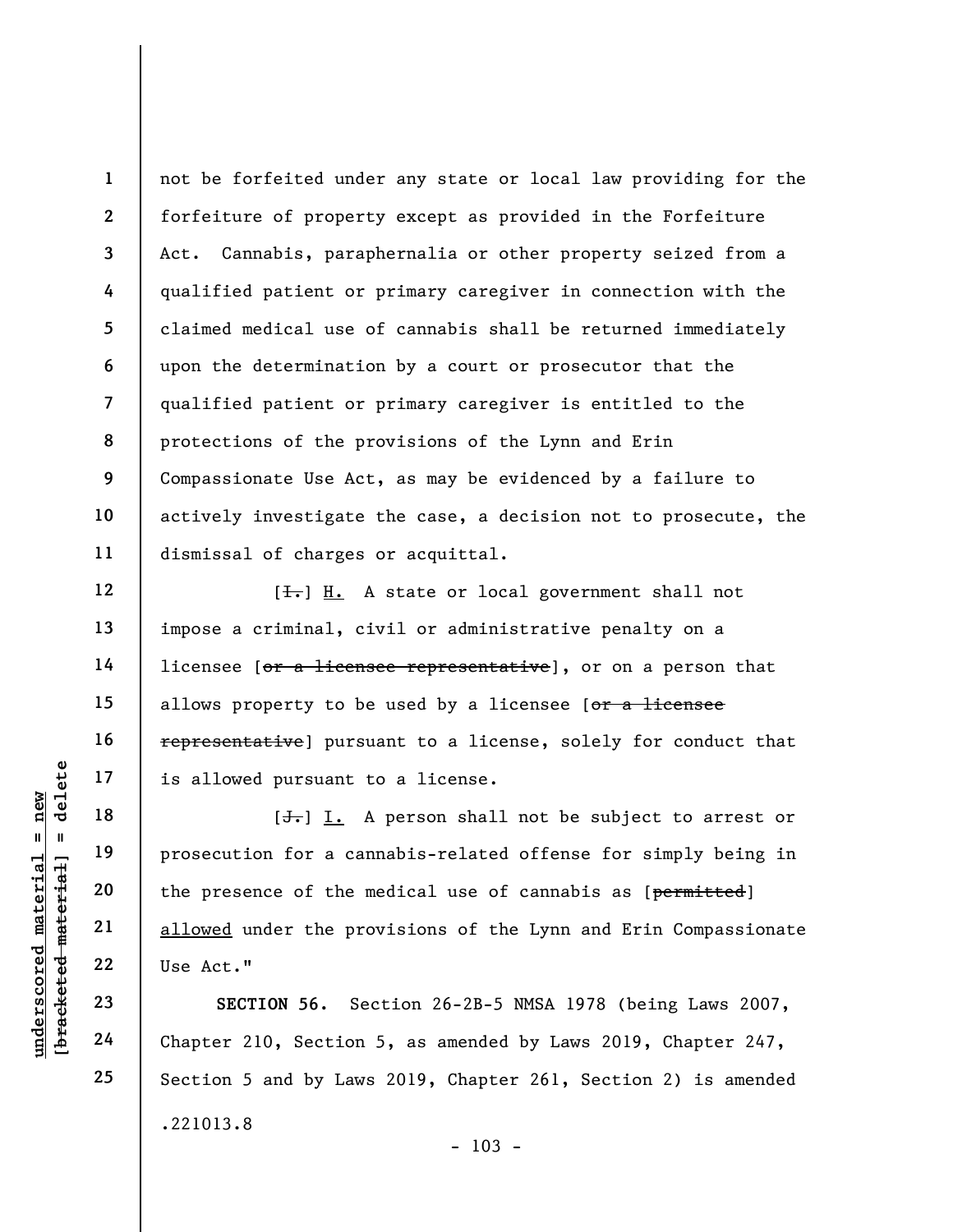1 2 3 4 5 6 7 8 9 10 11 not be forfeited under any state or local law providing for the forfeiture of property except as provided in the Forfeiture Act. Cannabis, paraphernalia or other property seized from a qualified patient or primary caregiver in connection with the claimed medical use of cannabis shall be returned immediately upon the determination by a court or prosecutor that the qualified patient or primary caregiver is entitled to the protections of the provisions of the Lynn and Erin Compassionate Use Act, as may be evidenced by a failure to actively investigate the case, a decision not to prosecute, the dismissal of charges or acquittal.

 $[\frac{1}{\sqrt{1}}]$  H. A state or local government shall not impose a criminal, civil or administrative penalty on a licensee [or a licensee representative], or on a person that allows property to be used by a licensee  $[*or a licensee*]$ representative] pursuant to a license, solely for conduct that is allowed pursuant to a license.

underscored material = new [bracketed material] = delete  $[\frac{1}{\sqrt{1}}]$  I. A person shall not be subject to arrest or prosecution for a cannabis-related offense for simply being in the presence of the medical use of cannabis as [permitted] allowed under the provisions of the Lynn and Erin Compassionate Use Act."

SECTION 56. Section 26-2B-5 NMSA 1978 (being Laws 2007, Chapter 210, Section 5, as amended by Laws 2019, Chapter 247, Section 5 and by Laws 2019, Chapter 261, Section 2) is amended .221013.8  $- 103 -$ 

12

13

14

15

16

17

18

19

20

21

22

23

24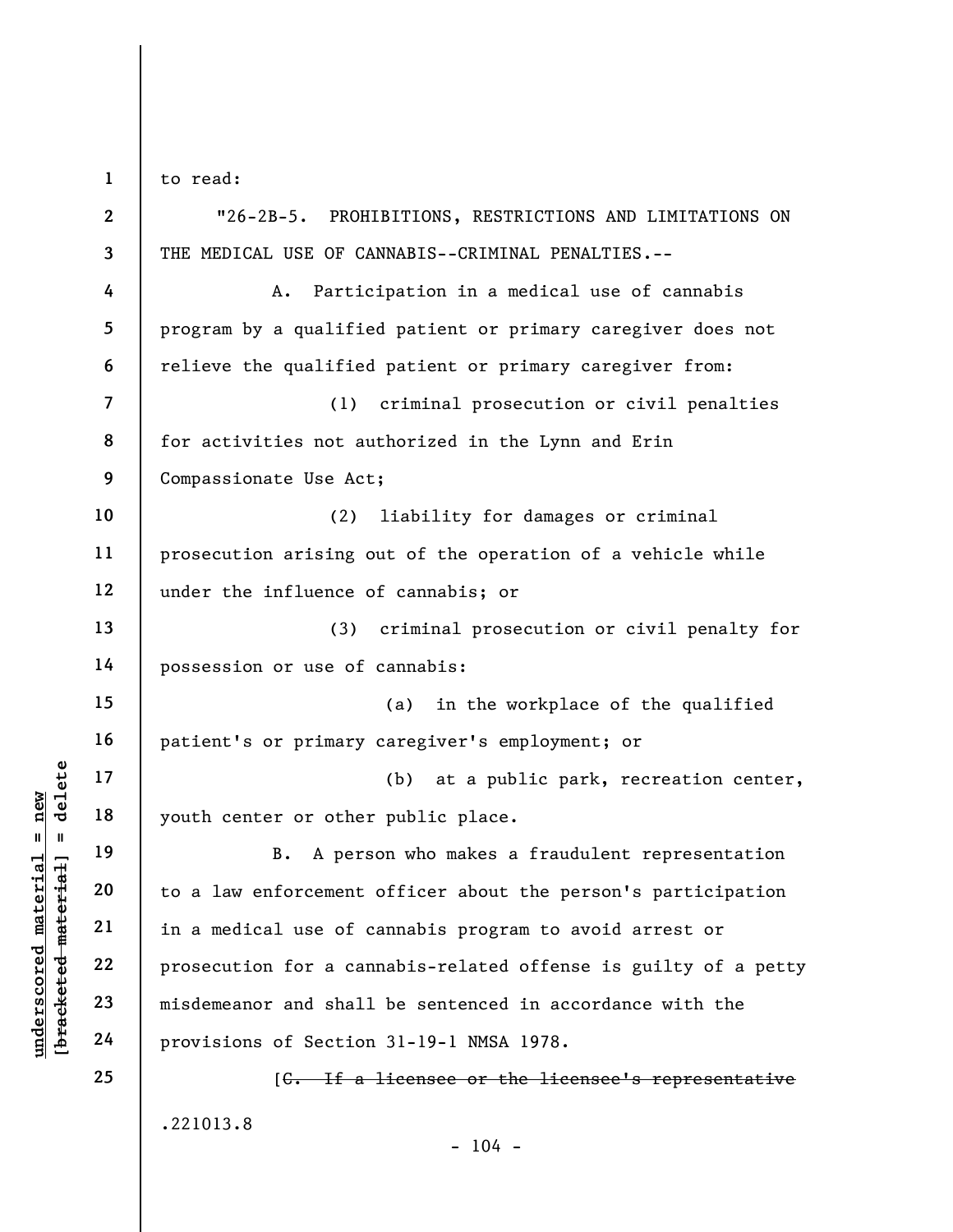to read:

1

UNE 17<br>
UNE 18<br>
UNE 19<br>
UNE 19<br>
UNE 19<br>
UNE 19<br>
UNE 19<br>
UNE 19<br>
UNE 19<br>
UNE 19<br>
UNE 19<br>
UNE 19<br>
UNE 19<br>
UNE 19<br>
UNE 19<br>
UNE 19<br>
UNE 19<br>
UNE 19<br>
UNE 19<br>
UNE 19<br>
UNE 19<br>
UNE 19<br>
UNE 19<br>
UNE 19<br>
UNE 19<br>
UNE 19<br>
UNE 19<br>
UNE 19 2 3 4 5 6 7 8 9 10 11 12 13 14 15 16 17 18 19 20 21 22 23 24 25 "26-2B-5. PROHIBITIONS, RESTRICTIONS AND LIMITATIONS ON THE MEDICAL USE OF CANNABIS--CRIMINAL PENALTIES.-- A. Participation in a medical use of cannabis program by a qualified patient or primary caregiver does not relieve the qualified patient or primary caregiver from: (1) criminal prosecution or civil penalties for activities not authorized in the Lynn and Erin Compassionate Use Act; (2) liability for damages or criminal prosecution arising out of the operation of a vehicle while under the influence of cannabis; or (3) criminal prosecution or civil penalty for possession or use of cannabis: (a) in the workplace of the qualified patient's or primary caregiver's employment; or (b) at a public park, recreation center, youth center or other public place. B. A person who makes a fraudulent representation to a law enforcement officer about the person's participation in a medical use of cannabis program to avoid arrest or prosecution for a cannabis-related offense is guilty of a petty misdemeanor and shall be sentenced in accordance with the provisions of Section 31-19-1 NMSA 1978. [C. If a licensee or the licensee's representative

.221013.8

 $- 104 -$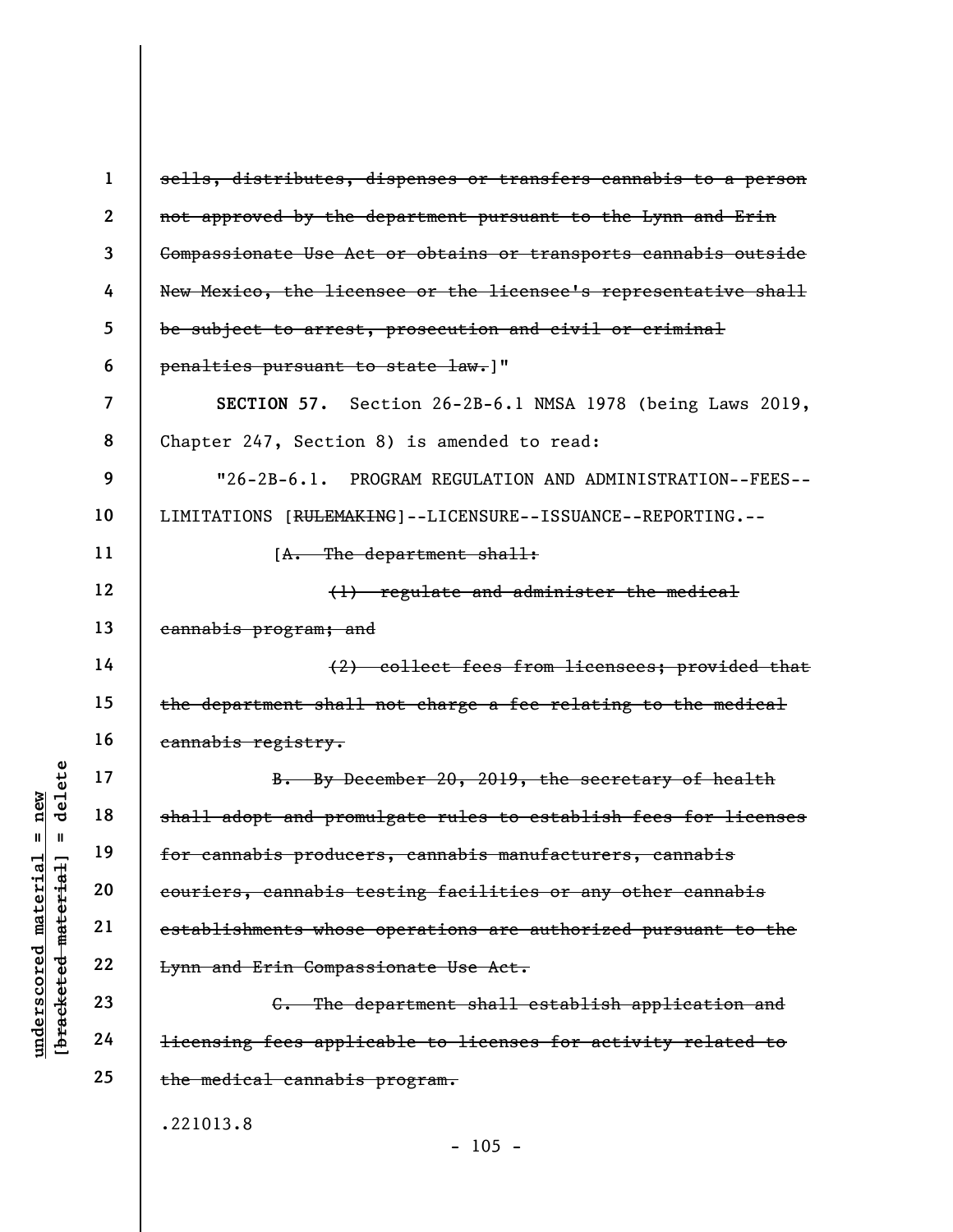|                                     | $\mathbf{1}$            | sells, distributes, dispenses or transfers cannabis to a person          |
|-------------------------------------|-------------------------|--------------------------------------------------------------------------|
|                                     | $\boldsymbol{2}$        | not approved by the department pursuant to the Lynn and Erin             |
|                                     | 3                       | Compassionate Use Act or obtains or transports cannabis outside          |
|                                     | 4                       | New Mexico, the licensee or the licensee's representative shall          |
|                                     | 5                       | be subject to arrest, prosecution and civil or criminal                  |
|                                     | 6                       | penalties pursuant to state law.]"                                       |
|                                     | $\overline{\mathbf{z}}$ | SECTION 57. Section 26-2B-6.1 NMSA 1978 (being Laws 2019,                |
|                                     | 8                       | Chapter 247, Section 8) is amended to read:                              |
|                                     | 9                       | "26-2B-6.1. PROGRAM REGULATION AND ADMINISTRATION--FEES--                |
|                                     | 10                      | LIMITATIONS [RULEMAKING]--LICENSURE--ISSUANCE--REPORTING.--              |
|                                     | 11                      | $[A.$ The department shall:                                              |
|                                     | 12                      | (1) regulate and administer the medical                                  |
|                                     | 13                      | cannabis program; and                                                    |
|                                     | 14                      | (2) collect fees from licensees; provided that                           |
|                                     | 15                      | the department shall not charge a fee relating to the medical            |
|                                     | 16                      | cannabis registry.                                                       |
| delete                              | 17                      | B. By December 20, 2019, the secretary of health                         |
| $n$ ew                              | 18                      | shall adopt and promulgate rules to establish fees for licenses          |
| Ш<br>LG.                            | 19                      | for cannabis producers, cannabis manufacturers, cannabis                 |
| meter <sub>1</sub><br>materi        | 20                      | couriers, cannabis testing facilities or any other cannabis              |
|                                     | 21                      | establishments whose operations are authorized pursuant to the           |
| underscored                         | 22                      | Lynn and Erin Compassionate Use Act.                                     |
| [ <del>brack</del> ete <del>d</del> | 23                      | The department shall establish application and                           |
|                                     | 24                      | <del>licensing fees applicable to licenses for activity related to</del> |
|                                     | 25                      | the medical cannabis program.                                            |
|                                     |                         | .221013.8                                                                |
|                                     |                         | $-105 -$                                                                 |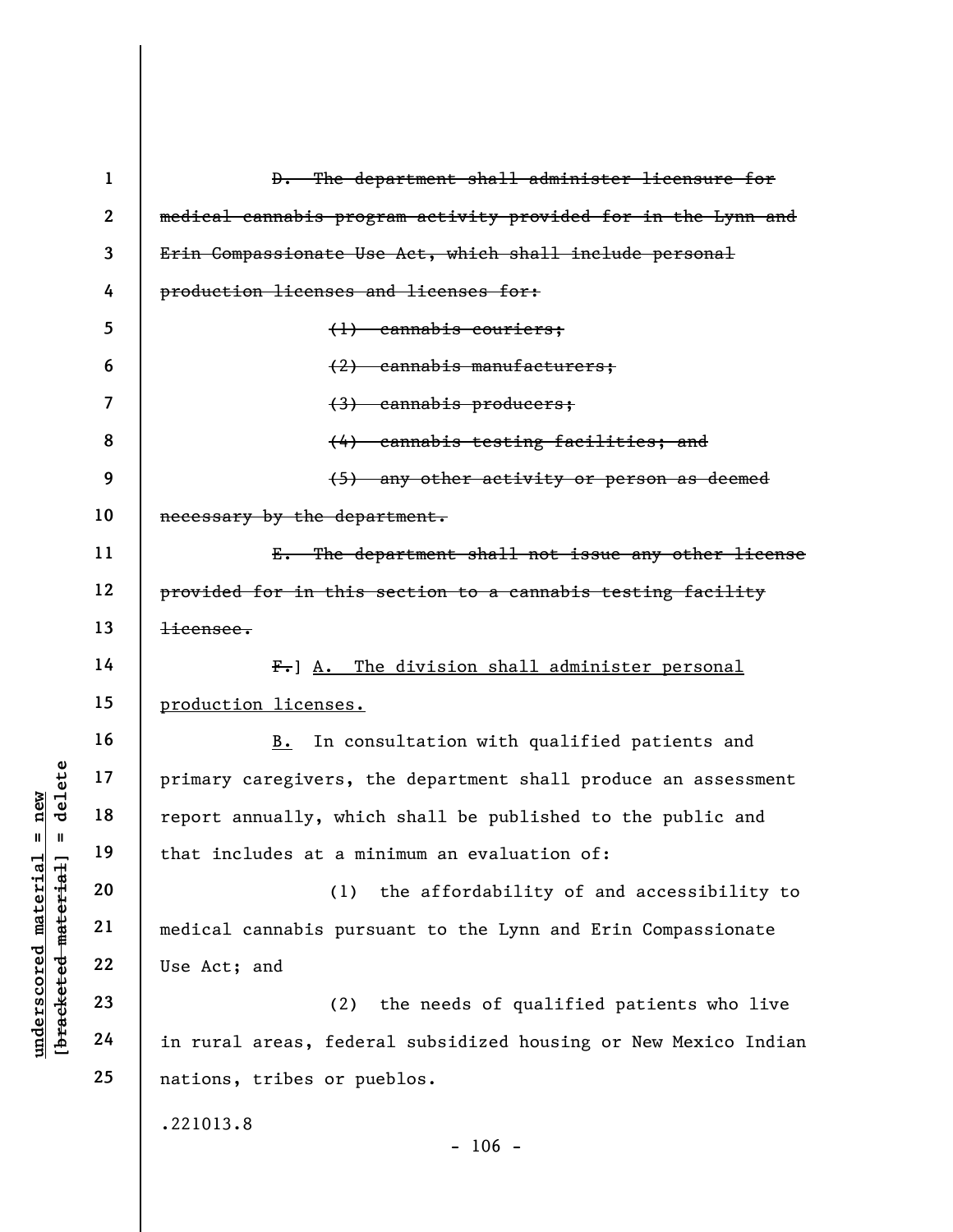|                                                | $\mathbf{1}$   | D. The department shall administer licensure for                |
|------------------------------------------------|----------------|-----------------------------------------------------------------|
|                                                | $\overline{2}$ | medical cannabis program activity provided for in the Lynn and  |
|                                                | 3              | Erin Compassionate Use Act, which shall include personal        |
|                                                | 4              | production licenses and licenses for:                           |
|                                                | 5              | $(1)$ cannabis couriers;                                        |
|                                                | 6              | (2) cannabis manufacturers;                                     |
|                                                | 7              | (3) cannabis producers;                                         |
|                                                | 8              | (4) cannabis testing facilities; and                            |
|                                                | 9              | (5) any other activity or person as deemed                      |
|                                                | 10             | necessary by the department.                                    |
|                                                | 11             | E. The department shall not issue any other license             |
|                                                | 12             | provided for in this section to a cannabis testing facility     |
|                                                | 13             | $\frac{1}{2}$ icensee.                                          |
|                                                | 14             | F. A. The division shall administer personal                    |
|                                                | 15             | production licenses.                                            |
|                                                | 16             | In consultation with qualified patients and<br>B.               |
| delete                                         | 17             | primary caregivers, the department shall produce an assessment  |
| new                                            | 18             | report annually, which shall be published to the public and     |
| Ш<br>- II                                      | 19             | that includes at a minimum an evaluation of:                    |
| materia                                        | 20             | the affordability of and accessibility to<br>(1)                |
|                                                | 21             | medical cannabis pursuant to the Lynn and Erin Compassionate    |
|                                                | 22             | Use Act; and                                                    |
| [bracketed-material<br>$\bm{{\rm underscore}}$ | 23             | the needs of qualified patients who live<br>(2)                 |
|                                                | 24             | in rural areas, federal subsidized housing or New Mexico Indian |
|                                                | 25             | nations, tribes or pueblos.                                     |
|                                                |                | .221013.8<br>$-106 -$                                           |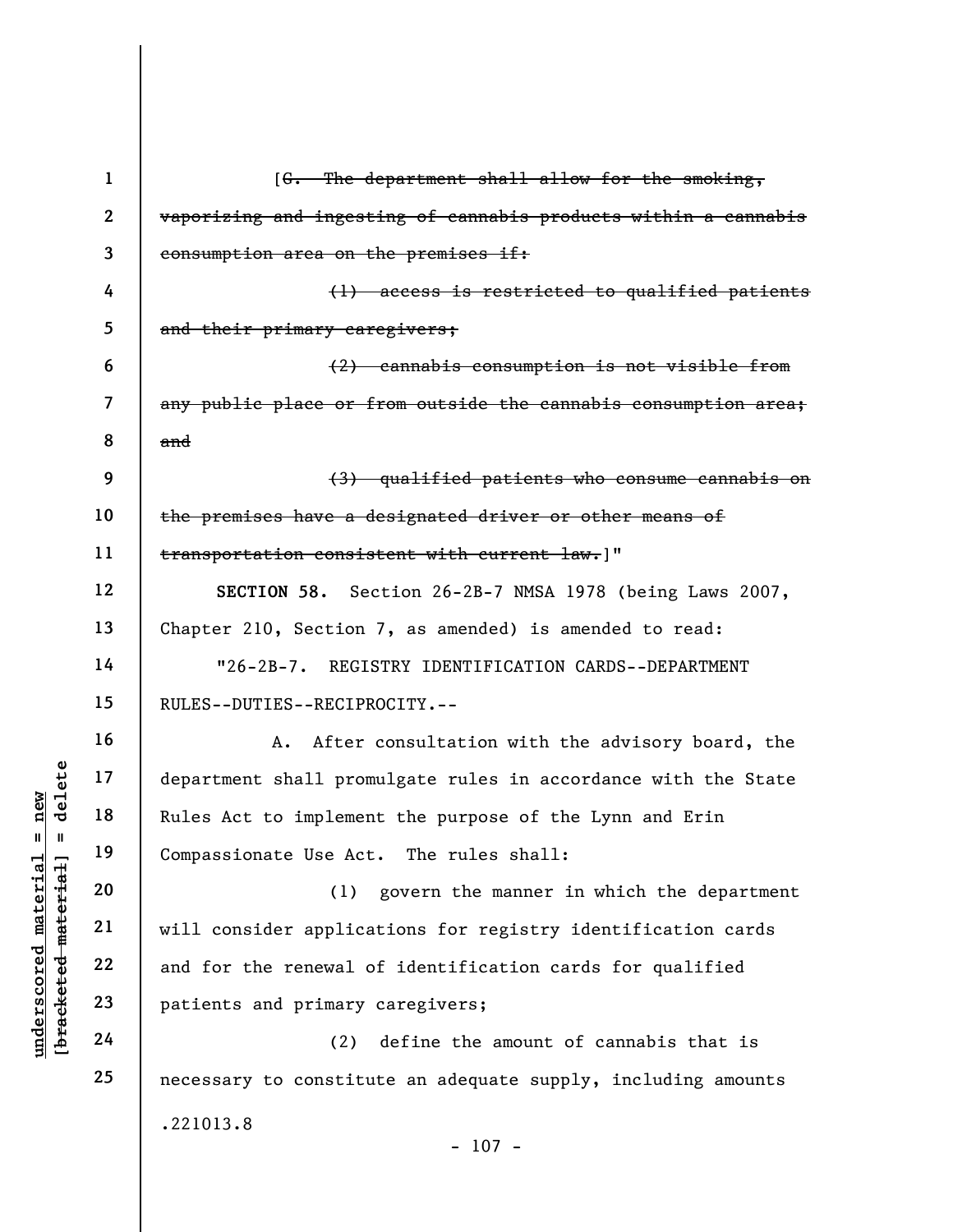|                     | $\mathbf{1}$            | [G. The department shall allow for the smoking,                 |
|---------------------|-------------------------|-----------------------------------------------------------------|
|                     | $\boldsymbol{2}$        | vaporizing and ingesting of cannabis products within a cannabis |
|                     | 3                       | consumption area on the premises if:                            |
|                     | 4                       | (1) access is restricted to qualified patients                  |
|                     | 5                       | and their primary caregivers;                                   |
|                     | 6                       | (2) cannabis consumption is not visible from                    |
|                     | $\overline{\mathbf{z}}$ | any public place or from outside the cannabis consumption area; |
|                     | 8                       | and                                                             |
|                     | 9                       | (3) qualified patients who consume cannabis on                  |
|                     | 10                      | the premises have a designated driver or other means of         |
|                     | 11                      | transportation consistent with current law.]"                   |
|                     | 12                      | SECTION 58. Section 26-2B-7 NMSA 1978 (being Laws 2007,         |
|                     | 13                      | Chapter 210, Section 7, as amended) is amended to read:         |
|                     | 14                      | "26-2B-7. REGISTRY IDENTIFICATION CARDS--DEPARTMENT             |
|                     | 15                      | RULES--DUTIES--RECIPROCITY.--                                   |
|                     | 16                      | After consultation with the advisory board, the<br>Α.           |
| delete              | 17                      | department shall promulgate rules in accordance with the State  |
| nev                 | 18                      | Rules Act to implement the purpose of the Lynn and Erin         |
| Ш<br>- 11           | 19                      | Compassionate Use Act. The rules shall:                         |
|                     | 20                      | (1)<br>govern the manner in which the department                |
| material            | 21                      | will consider applications for registry identification cards    |
| [bracketed material | 22                      | and for the renewal of identification cards for qualified       |
| underscored         | 23                      | patients and primary caregivers;                                |
|                     | 24                      | (2)<br>define the amount of cannabis that is                    |
|                     | 25                      | necessary to constitute an adequate supply, including amounts   |
|                     |                         | .221013.8                                                       |

- 107 -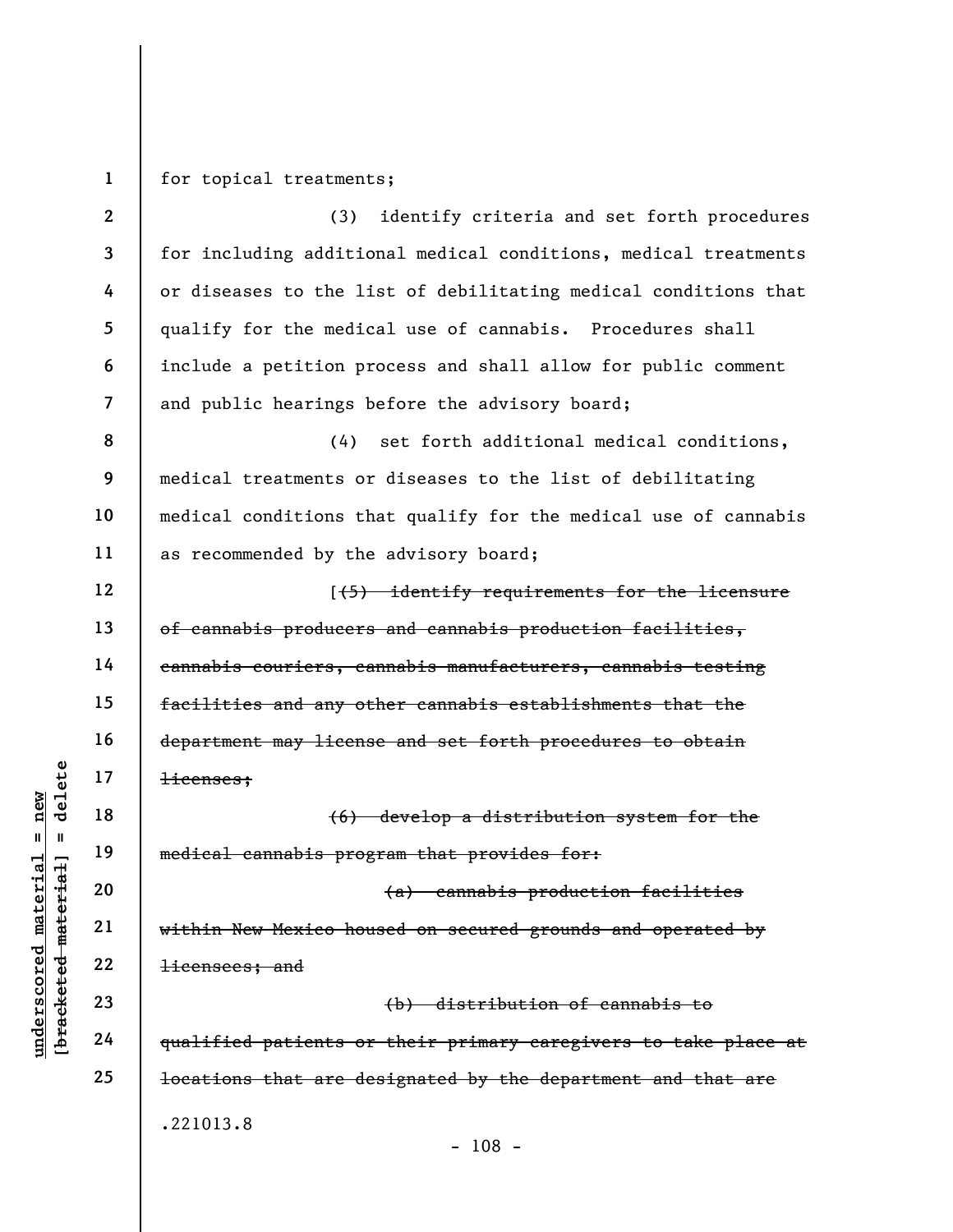1 for topical treatments;

understand<br>
understand material of the medical cannabis program<br>
understand the medical cannabis program<br>
understand<br>
22<br>
understand<br>
23<br>
24<br>
understand<br>
24<br>
understand<br>
24<br>
understand<br>
24<br>
understand<br>
24<br>
24<br>
29<br>
29<br>
29<br> 2 3 4 5 6 7 8 9 10 11 12 13 14 15 16 17 18 19 20 21 22 23 24 25 (3) identify criteria and set forth procedures for including additional medical conditions, medical treatments or diseases to the list of debilitating medical conditions that qualify for the medical use of cannabis. Procedures shall include a petition process and shall allow for public comment and public hearings before the advisory board; (4) set forth additional medical conditions, medical treatments or diseases to the list of debilitating medical conditions that qualify for the medical use of cannabis as recommended by the advisory board; [(5) identify requirements for the licensure of cannabis producers and cannabis production facilities, cannabis couriers, cannabis manufacturers, cannabis testing facilities and any other cannabis establishments that the department may license and set forth procedures to obtain licenses; (6) develop a distribution system for the medical cannabis program that provides for: (a) cannabis production facilities within New Mexico housed on secured grounds and operated by licensees; and (b) distribution of cannabis to qualified patients or their primary caregivers to take place at locations that are designated by the department and that are .221013.8 - 108 -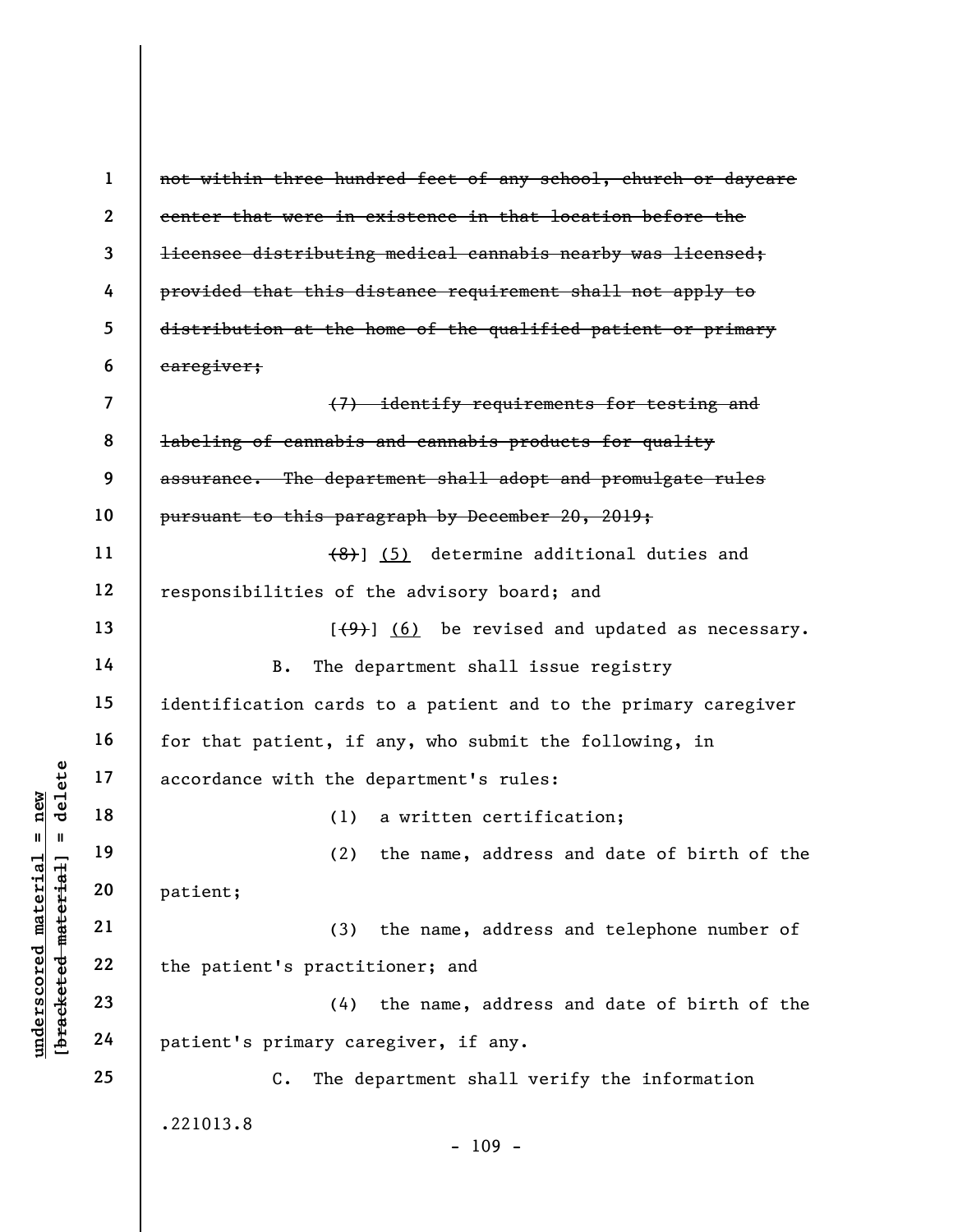underscore material material and the definition of the definition of the patient;<br>
and 19 (2)<br>
we with the definition of the spatient;<br>
21 (3)<br>
we with the d<br>
21 (3)<br>
we with the d<br>
22 patient's practic<br>
23 (4)<br>
patient's 1 2 3 4 5 6 7 8 9 10 11 12 13 14 15 16 17 18 19 20 21 22 23 24 25 not within three hundred feet of any school, church or daycare center that were in existence in that location before the licensee distributing medical cannabis nearby was licensed; provided that this distance requirement shall not apply to distribution at the home of the qualified patient or primary caregiver; (7) identify requirements for testing and labeling of cannabis and cannabis products for quality assurance. The department shall adopt and promulgate rules pursuant to this paragraph by December 20, 2019;  $(8)$ ] (5) determine additional duties and responsibilities of the advisory board; and  $[\frac{1}{2}, \frac{1}{2}]$  (6) be revised and updated as necessary. B. The department shall issue registry identification cards to a patient and to the primary caregiver for that patient, if any, who submit the following, in accordance with the department's rules: (1) a written certification; (2) the name, address and date of birth of the patient; (3) the name, address and telephone number of the patient's practitioner; and (4) the name, address and date of birth of the patient's primary caregiver, if any. C. The department shall verify the information .221013.8 - 109 -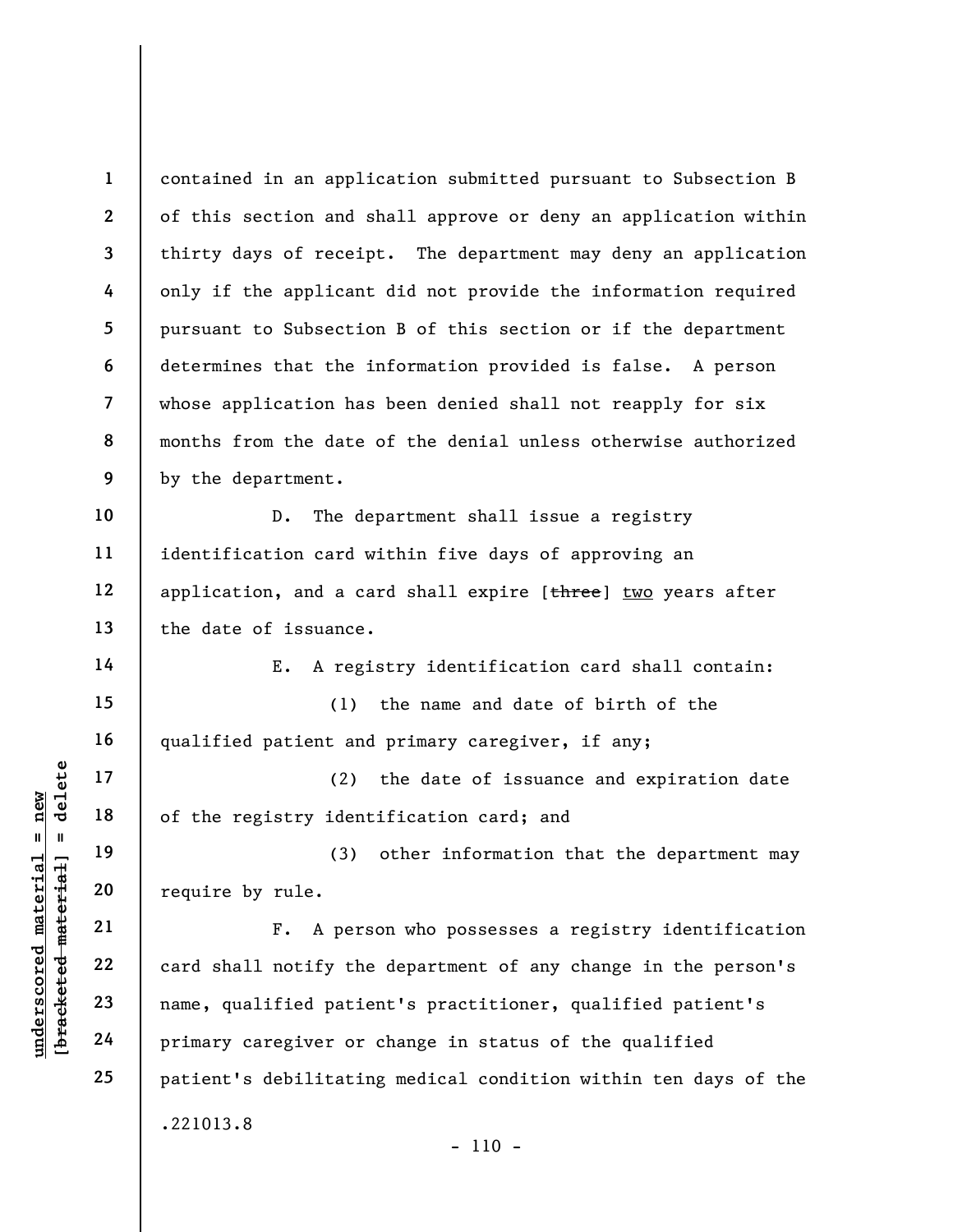underscored material = new [bracketed material] = delete 1 2 3 4 5 6 7 8 9 10 11 12 13 14 15 16 17 18 19 20 21 22 23 24 25 contained in an application submitted pursuant to Subsection B of this section and shall approve or deny an application within thirty days of receipt. The department may deny an application only if the applicant did not provide the information required pursuant to Subsection B of this section or if the department determines that the information provided is false. A person whose application has been denied shall not reapply for six months from the date of the denial unless otherwise authorized by the department. D. The department shall issue a registry identification card within five days of approving an application, and a card shall expire [three] two years after the date of issuance. E. A registry identification card shall contain: (1) the name and date of birth of the qualified patient and primary caregiver, if any; (2) the date of issuance and expiration date of the registry identification card; and (3) other information that the department may require by rule. F. A person who possesses a registry identification card shall notify the department of any change in the person's name, qualified patient's practitioner, qualified patient's primary caregiver or change in status of the qualified patient's debilitating medical condition within ten days of the .221013.8  $- 110 -$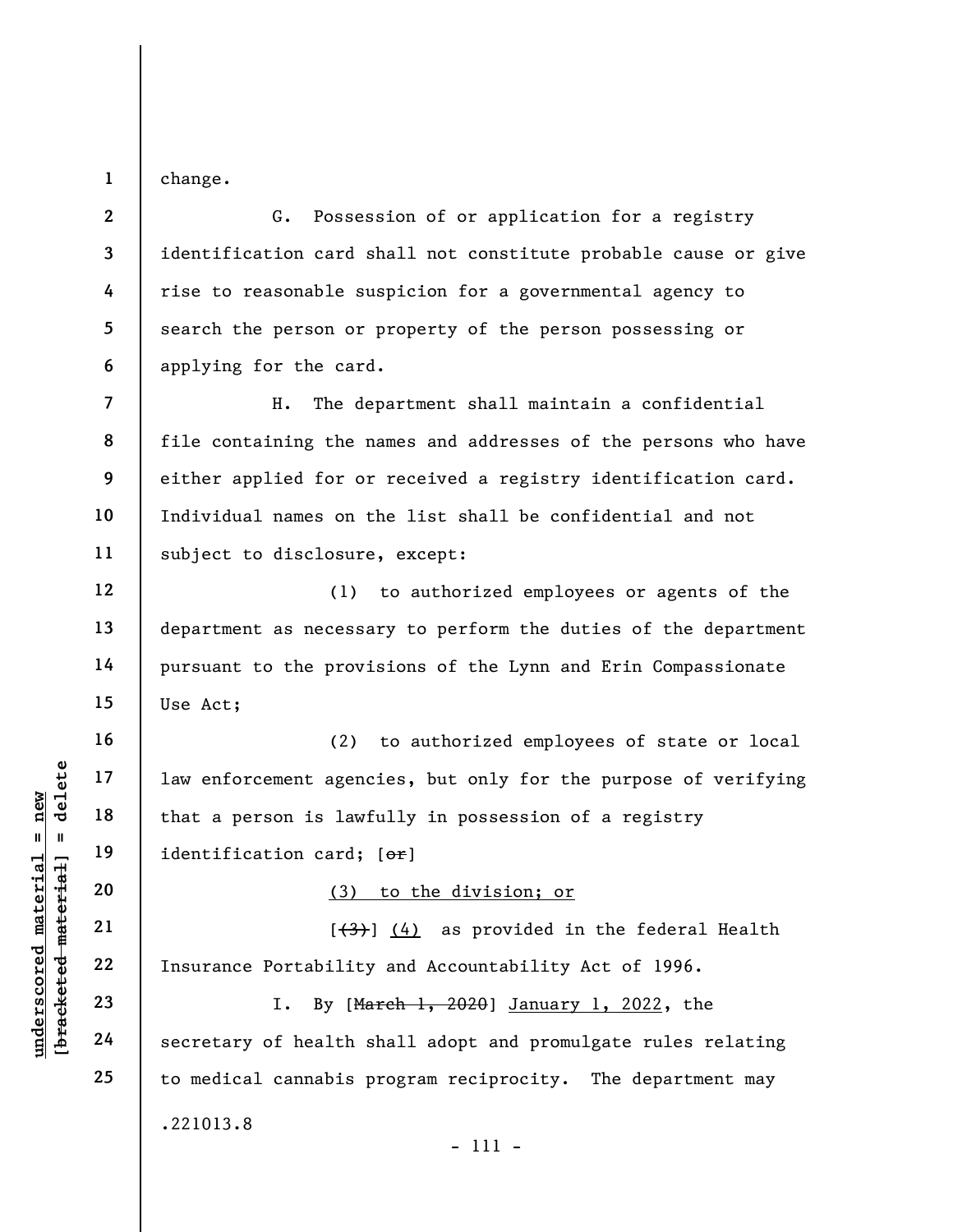1 change.

7

8

9

10

11

12

13

14

15

16

17

18

19

2 3 4 5 6 G. Possession of or application for a registry identification card shall not constitute probable cause or give rise to reasonable suspicion for a governmental agency to search the person or property of the person possessing or applying for the card.

H. The department shall maintain a confidential file containing the names and addresses of the persons who have either applied for or received a registry identification card. Individual names on the list shall be confidential and not subject to disclosure, except:

(1) to authorized employees or agents of the department as necessary to perform the duties of the department pursuant to the provisions of the Lynn and Erin Compassionate Use Act;

understand material material is a person is lawford material material material material material contractions of the material contractions of the material contraction card;<br>
we will be a contract material material contract (2) to authorized employees of state or local law enforcement agencies, but only for the purpose of verifying that a person is lawfully in possession of a registry identification card; [or]

(3) to the division; or

 $[\frac{(4)}{4}]$  (4) as provided in the federal Health Insurance Portability and Accountability Act of 1996.

I. By [March 1, 2020] January 1, 2022, the secretary of health shall adopt and promulgate rules relating to medical cannabis program reciprocity. The department may .221013.8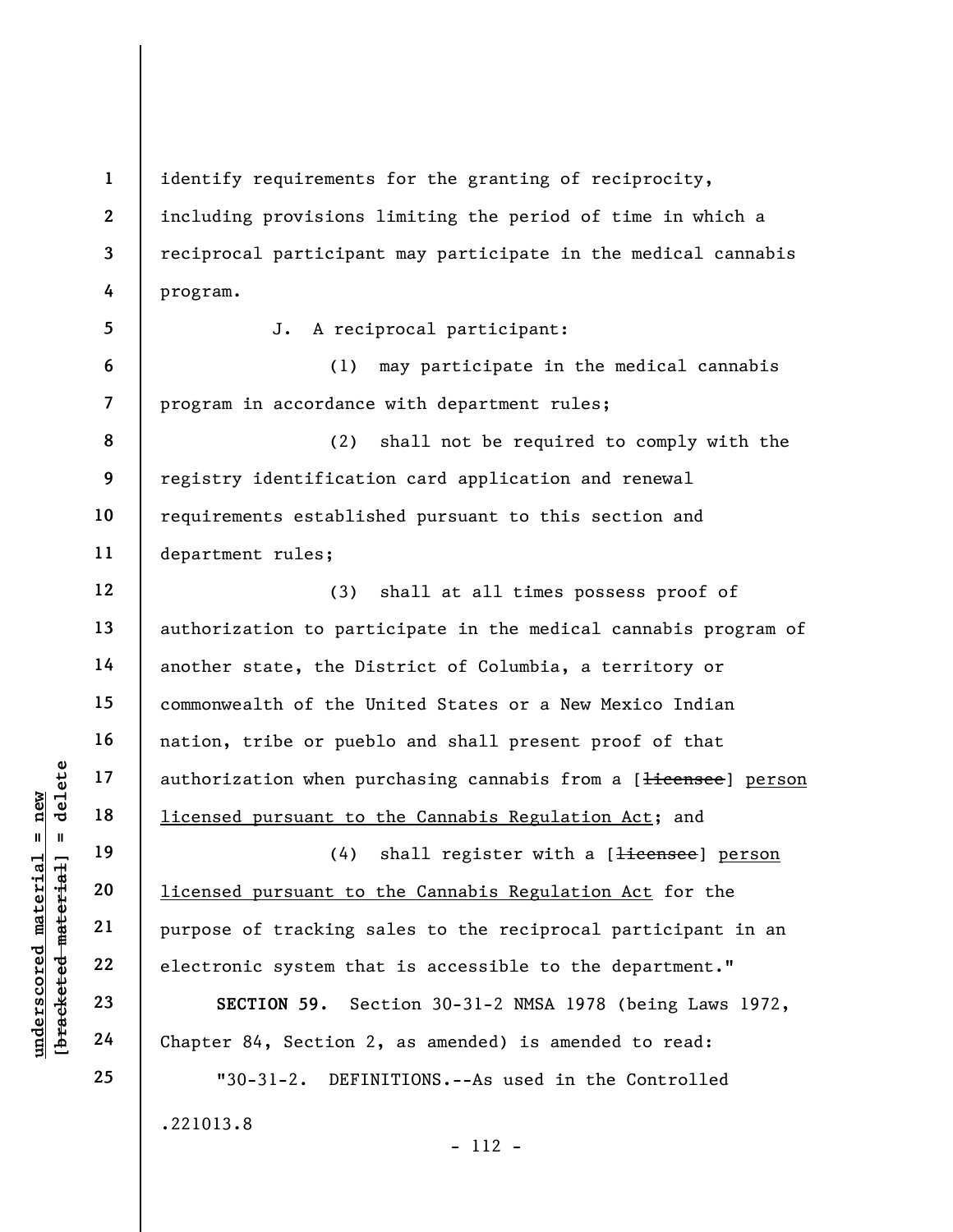underscored material = new [bracketed material] = delete 1 2 3 4 5 6 7 8 9 10 11 12 13 14 15 16 17 18 19 20 21 22 23 24 25 identify requirements for the granting of reciprocity, including provisions limiting the period of time in which a reciprocal participant may participate in the medical cannabis program. J. A reciprocal participant: (1) may participate in the medical cannabis program in accordance with department rules; (2) shall not be required to comply with the registry identification card application and renewal requirements established pursuant to this section and department rules; (3) shall at all times possess proof of authorization to participate in the medical cannabis program of another state, the District of Columbia, a territory or commonwealth of the United States or a New Mexico Indian nation, tribe or pueblo and shall present proof of that authorization when purchasing cannabis from a [<del>licensee</del>] person licensed pursuant to the Cannabis Regulation Act; and (4) shall register with a [<del>licensee</del>] person licensed pursuant to the Cannabis Regulation Act for the purpose of tracking sales to the reciprocal participant in an electronic system that is accessible to the department." SECTION 59. Section 30-31-2 NMSA 1978 (being Laws 1972, Chapter 84, Section 2, as amended) is amended to read: "30-31-2. DEFINITIONS.--As used in the Controlled .221013.8 - 112 -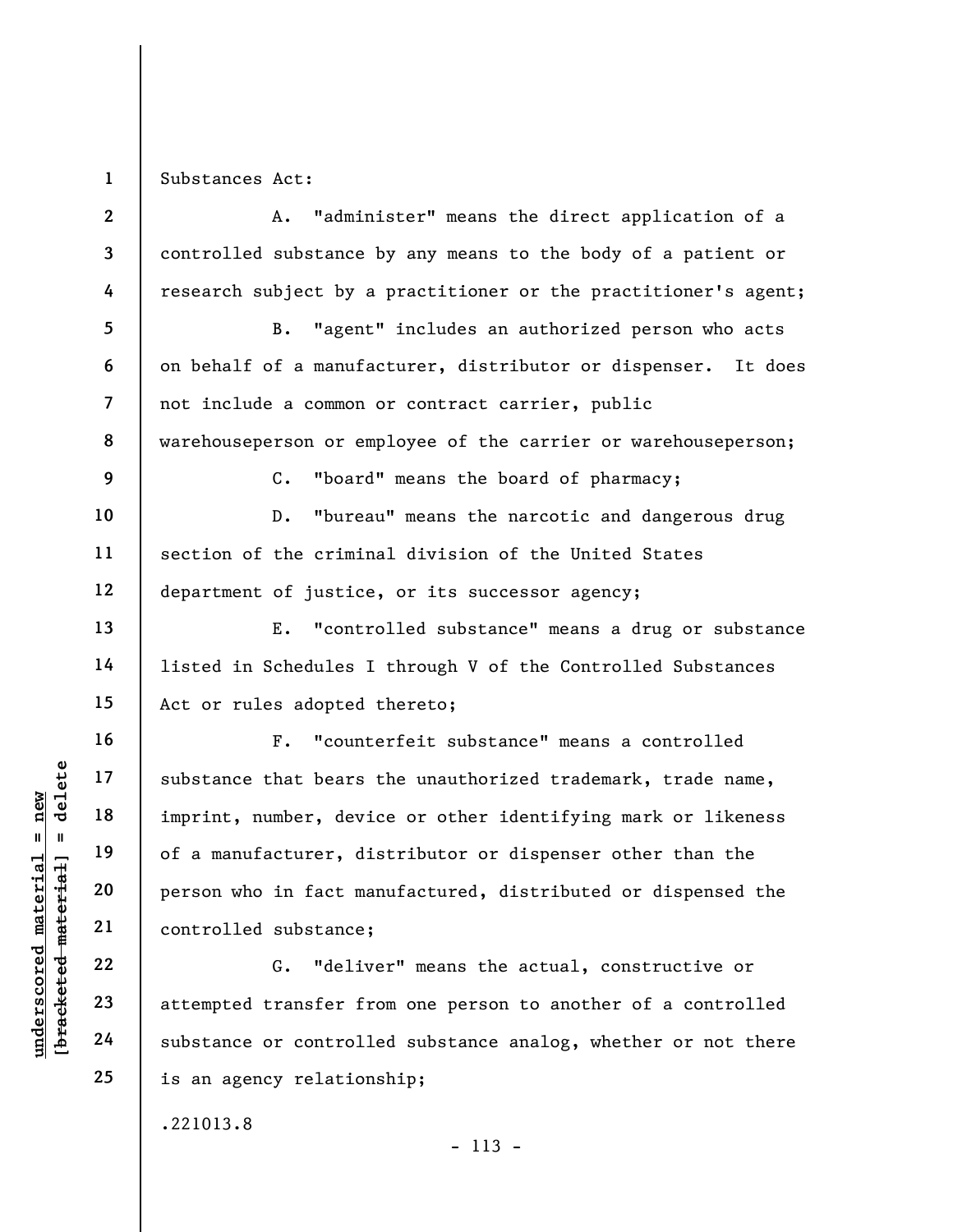1 Substances Act:

understand material substance that bears<br>
imprint, number, deviation of a manufacturer, died of a manufacturer, died of a manufacturer, died of a manufacturer, died of a manufacturer, died of a manufacturer, died of a manu 2 3 4 5 6 7 8 9 10 11 12 13 14 15 16 17 18 19 20 21 22 23 24 25 A. "administer" means the direct application of a controlled substance by any means to the body of a patient or research subject by a practitioner or the practitioner's agent; B. "agent" includes an authorized person who acts on behalf of a manufacturer, distributor or dispenser. It does not include a common or contract carrier, public warehouseperson or employee of the carrier or warehouseperson; C. "board" means the board of pharmacy; D. "bureau" means the narcotic and dangerous drug section of the criminal division of the United States department of justice, or its successor agency; E. "controlled substance" means a drug or substance listed in Schedules I through V of the Controlled Substances Act or rules adopted thereto; F. "counterfeit substance" means a controlled substance that bears the unauthorized trademark, trade name, imprint, number, device or other identifying mark or likeness of a manufacturer, distributor or dispenser other than the person who in fact manufactured, distributed or dispensed the controlled substance; G. "deliver" means the actual, constructive or attempted transfer from one person to another of a controlled substance or controlled substance analog, whether or not there is an agency relationship;

.221013.8

- 113 -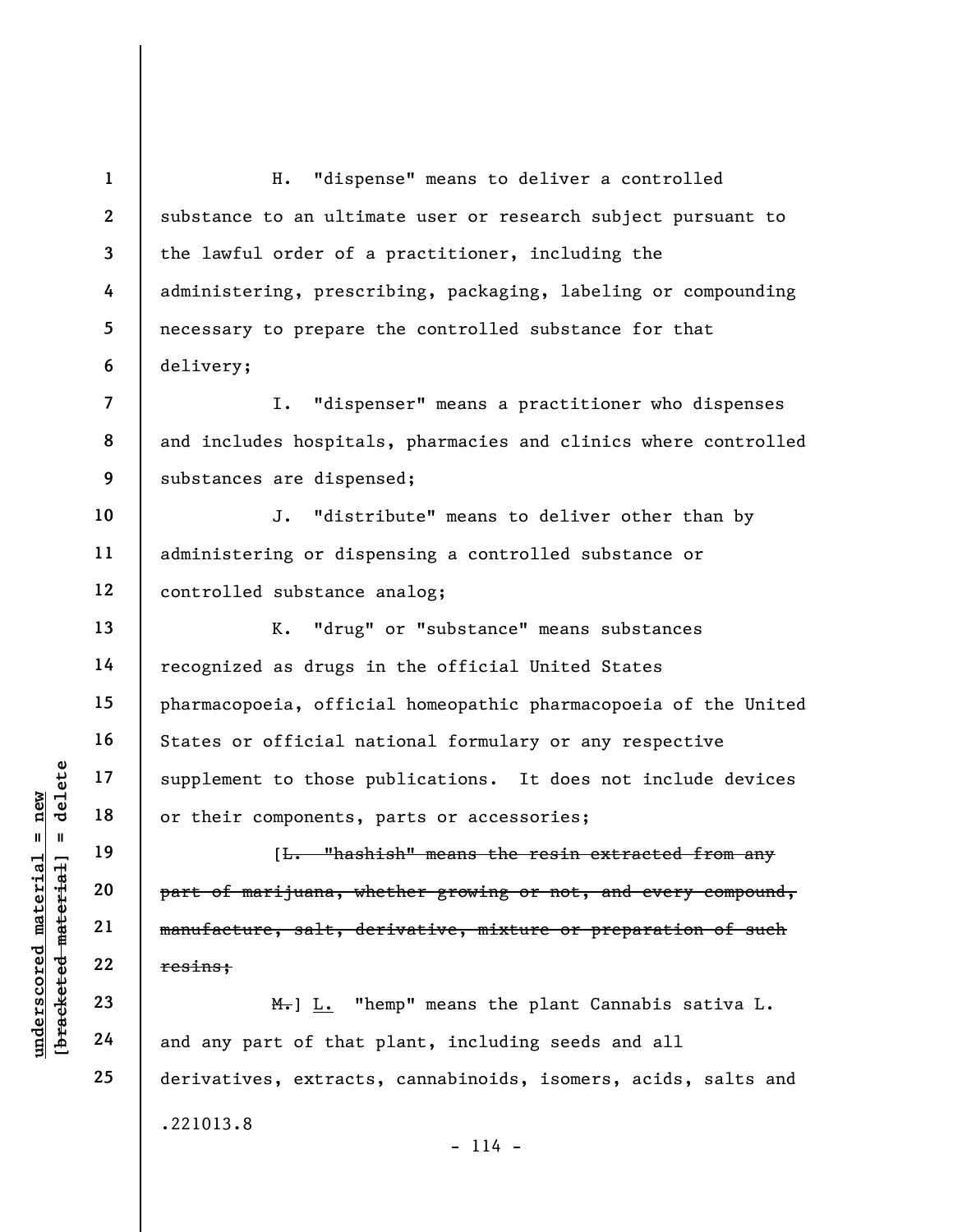1 2 3 4 5 6 H. "dispense" means to deliver a controlled substance to an ultimate user or research subject pursuant to the lawful order of a practitioner, including the administering, prescribing, packaging, labeling or compounding necessary to prepare the controlled substance for that delivery;

8 9 I. "dispenser" means a practitioner who dispenses and includes hospitals, pharmacies and clinics where controlled substances are dispensed;

10 11 12 J. "distribute" means to deliver other than by administering or dispensing a controlled substance or controlled substance analog;

K. "drug" or "substance" means substances recognized as drugs in the official United States pharmacopoeia, official homeopathic pharmacopoeia of the United States or official national formulary or any respective supplement to those publications. It does not include devices or their components, parts or accessories;

understand material material material extended material part of marijuana, where the components,<br>
we can be allowed that and any part of marijuana, where the material manufacture, salt, de<br>
resins;<br>  $\begin{array}{ccc}\n\text{Equation 22}\n\text{Equ$ [L. "hashish" means the resin extracted from any part of marijuana, whether growing or not, and every compound, manufacture, salt, derivative, mixture or preparation of such resins;

 $H_{\bullet}$ ] L. "hemp" means the plant Cannabis sativa L. and any part of that plant, including seeds and all derivatives, extracts, cannabinoids, isomers, acids, salts and .221013.8

22 23 24

25

7

13

14

15

16

17

18

19

20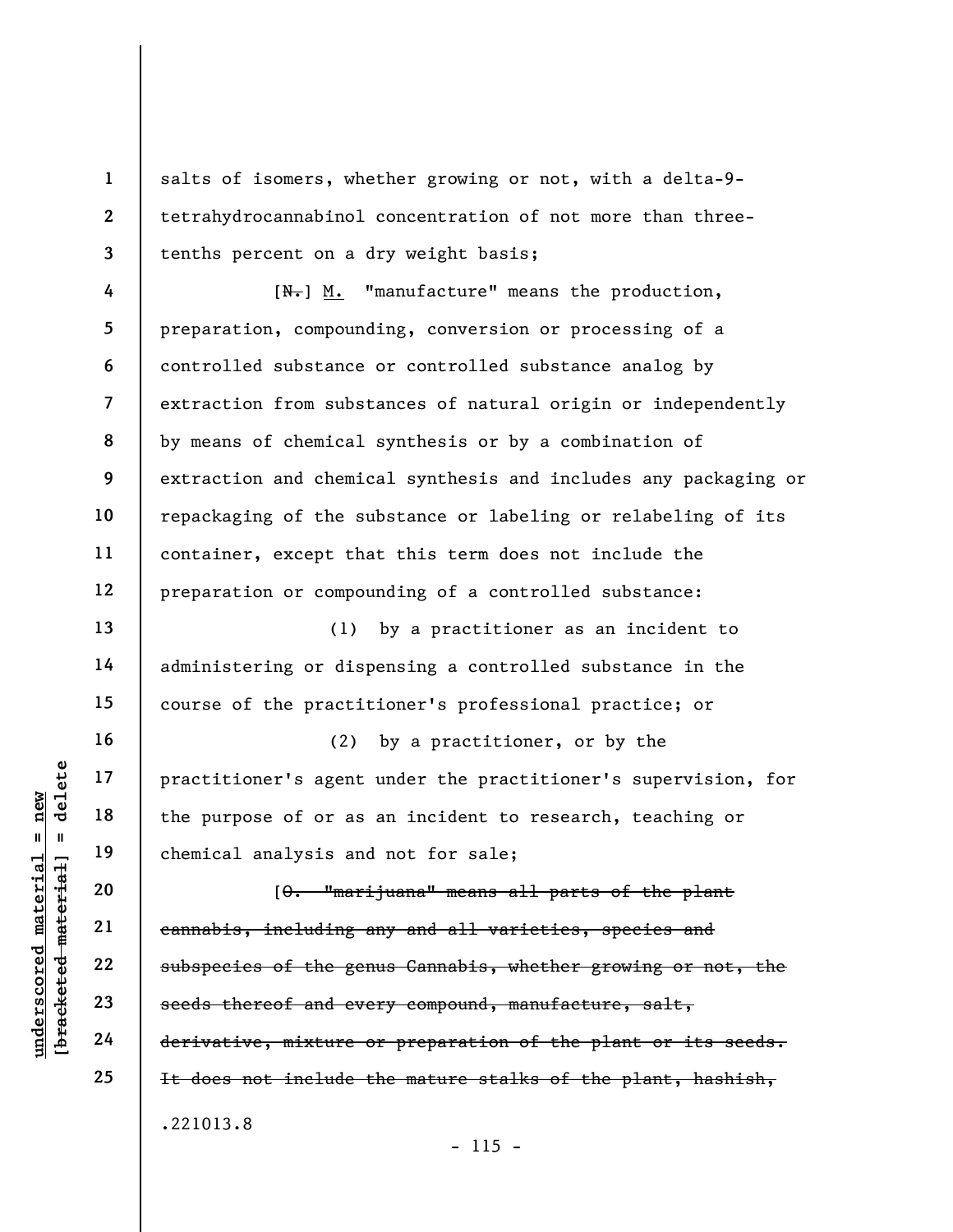salts of isomers, whether growing or not, with a delta-9 tetrahydrocannabinol concentration of not more than threetenths percent on a dry weight basis;

 $[N-]$  M. "manufacture" means the production, preparation, compounding, conversion or processing of a controlled substance or controlled substance analog by extraction from substances of natural origin or independently by means of chemical synthesis or by a combination of extraction and chemical synthesis and includes any packaging or repackaging of the substance or labeling or relabeling of its container, except that this term does not include the preparation or compounding of a controlled substance:

(1) by a practitioner as an incident to administering or dispensing a controlled substance in the course of the practitioner's professional practice; or

(2) by a practitioner, or by the practitioner's agent under the practitioner's supervision, for the purpose of or as an incident to research, teaching or chemical analysis and not for sale;

underscored material = new [bracketed material] = delete [O. "marijuana" means all parts of the plant cannabis, including any and all varieties, species and subspecies of the genus Cannabis, whether growing or not, the seeds thereof and every compound, manufacture, salt, derivative, mixture or preparation of the plant or its seeds. It does not include the mature stalks of the plant, hashish, .221013.8

 $- 115 -$ 

1

2

3

4

5

6

7

8

9

10

11

12

13

14

15

16

17

18

19

20

21

22

23

24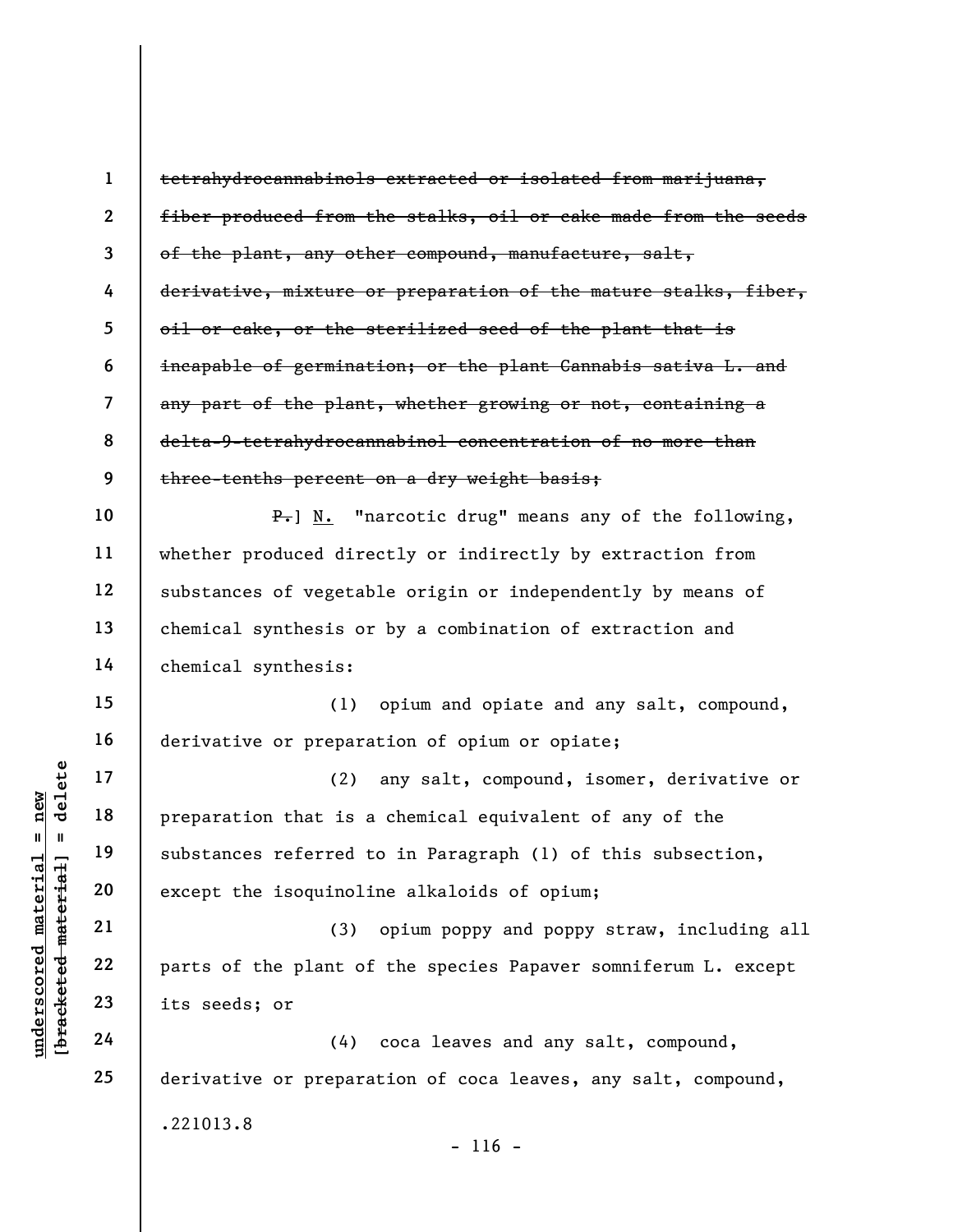|                                                        | $\mathbf{1}$             | tetrahydrocannabinols extracted or isolated from marijuana,            |
|--------------------------------------------------------|--------------------------|------------------------------------------------------------------------|
|                                                        | $\overline{2}$           | fiber produced from the stalks, oil or cake made from the seeds        |
|                                                        | $\overline{\mathbf{3}}$  | of the plant, any other compound, manufacture, salt,                   |
|                                                        | 4                        | derivative, mixture or preparation of the mature stalks, fiber,        |
|                                                        | 5                        | oil or cake, or the sterilized seed of the plant that is               |
|                                                        | 6                        | incapable of germination; or the plant Cannabis sativa L. and          |
|                                                        | $\overline{\mathcal{L}}$ | any part of the plant, whether growing or not, containing a            |
|                                                        | 8                        | delta-9-tetrahydrocannabinol concentration of no more than             |
|                                                        | 9                        | three-tenths percent on a dry weight basis;                            |
|                                                        | 10                       | $\overline{P_{\tau}}$ ] N. "narcotic drug" means any of the following, |
|                                                        | 11                       | whether produced directly or indirectly by extraction from             |
|                                                        | 12                       | substances of vegetable origin or independently by means of            |
|                                                        | 13                       | chemical synthesis or by a combination of extraction and               |
|                                                        | 14                       | chemical synthesis:                                                    |
|                                                        | 15                       | opium and opiate and any salt, compound,<br>(1)                        |
|                                                        | 16                       | derivative or preparation of opium or opiate;                          |
| delete                                                 | 17                       | (2)<br>any salt, compound, isomer, derivative or                       |
| new                                                    | 18                       | preparation that is a chemical equivalent of any of the                |
| Ш<br>Ш                                                 | 19                       | substances referred to in Paragraph (1) of this subsection,            |
| $\mathtt{material}$<br>[ <del>bracketed material</del> | 20                       | except the isoquinoline alkaloids of opium;                            |
|                                                        | 21                       | (3)<br>opium poppy and poppy straw, including all                      |
| underscored                                            | 22                       | parts of the plant of the species Papaver somniferum L. except         |
|                                                        | 23                       | its seeds; or                                                          |
|                                                        | 24                       | coca leaves and any salt, compound,<br>(4)                             |
|                                                        | 25                       | derivative or preparation of coca leaves, any salt, compound,          |
|                                                        |                          | .221013.8                                                              |
|                                                        |                          | $-116 -$                                                               |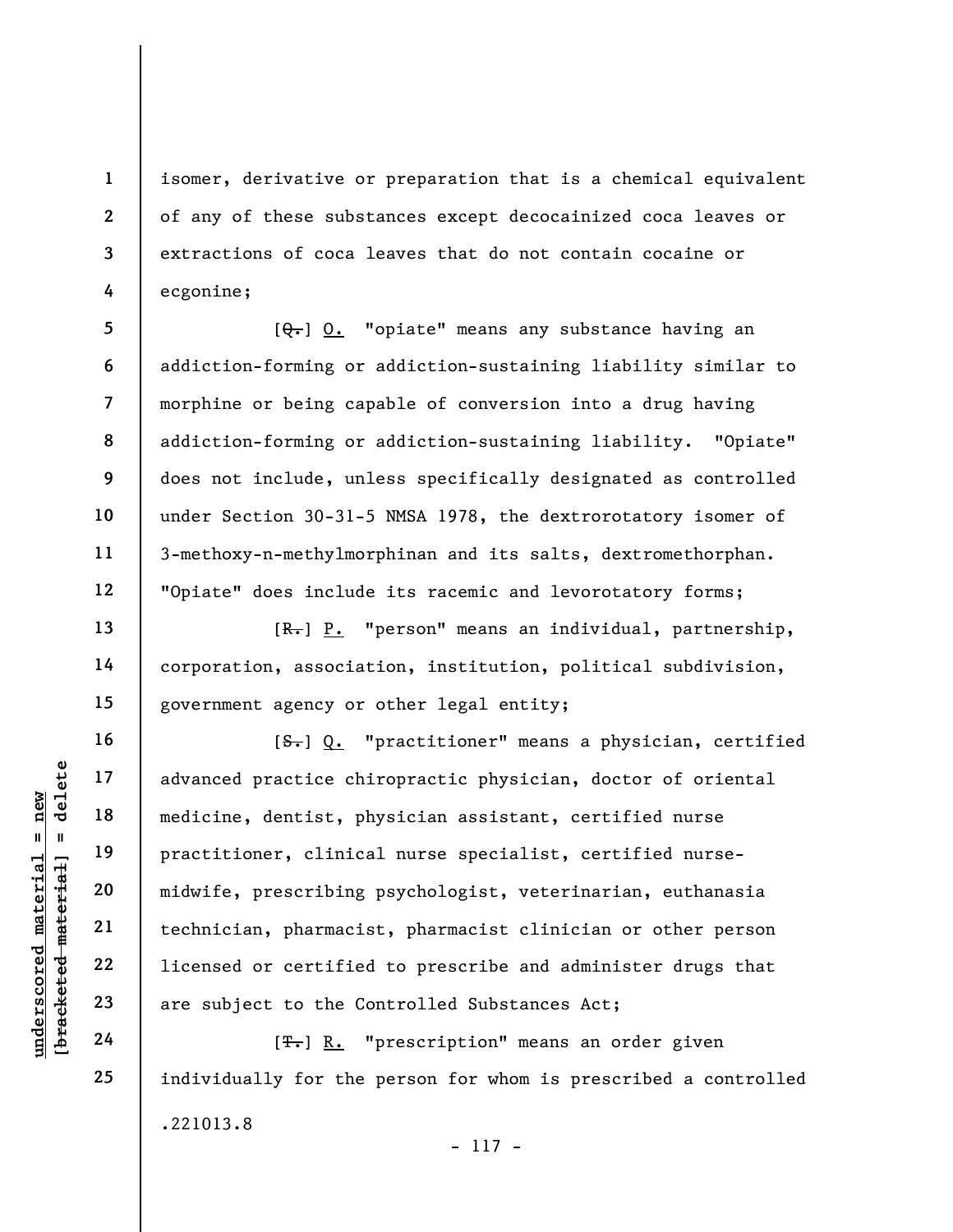isomer, derivative or preparation that is a chemical equivalent of any of these substances except decocainized coca leaves or extractions of coca leaves that do not contain cocaine or ecgonine;

5 6 7 8 9 10 11 12  $[Q_{\tau}]$  O. "opiate" means any substance having an addiction-forming or addiction-sustaining liability similar to morphine or being capable of conversion into a drug having addiction-forming or addiction-sustaining liability. "Opiate" does not include, unless specifically designated as controlled under Section 30-31-5 NMSA 1978, the dextrorotatory isomer of 3-methoxy-n-methylmorphinan and its salts, dextromethorphan. "Opiate" does include its racemic and levorotatory forms;

[R.] P. "person" means an individual, partnership, corporation, association, institution, political subdivision, government agency or other legal entity;

understand material material material material material material material material material material discussed are subject to the Companies of T-J R. "  $[**S**$ . "practitioner" means a physician, certified advanced practice chiropractic physician, doctor of oriental medicine, dentist, physician assistant, certified nurse practitioner, clinical nurse specialist, certified nursemidwife, prescribing psychologist, veterinarian, euthanasia technician, pharmacist, pharmacist clinician or other person licensed or certified to prescribe and administer drugs that are subject to the Controlled Substances Act;

[<del>T.</del>] R. "prescription" means an order given individually for the person for whom is prescribed a controlled .221013.8 - 117 -

1

2

3

4

13

14

15

16

17

18

19

20

21

22

23

24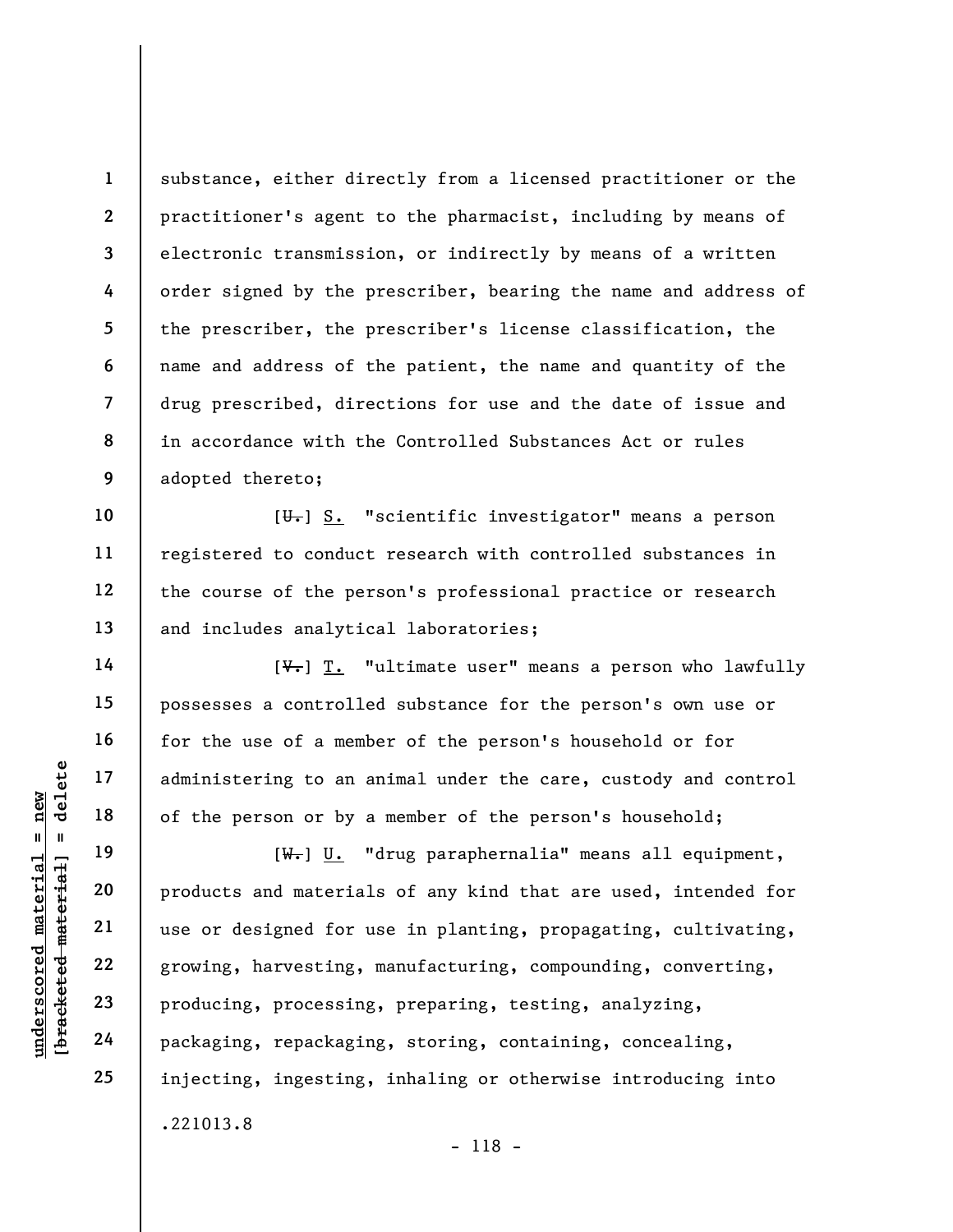1 2 3 4 5 6 7 8 9 substance, either directly from a licensed practitioner or the practitioner's agent to the pharmacist, including by means of electronic transmission, or indirectly by means of a written order signed by the prescriber, bearing the name and address of the prescriber, the prescriber's license classification, the name and address of the patient, the name and quantity of the drug prescribed, directions for use and the date of issue and in accordance with the Controlled Substances Act or rules adopted thereto;

 $[\overline{\mathbf{u}}_{\tau}]$  S. "scientific investigator" means a person registered to conduct research with controlled substances in the course of the person's professional practice or research and includes analytical laboratories;

 $[\sqrt[4]{\cdot}]$  T. "ultimate user" means a person who lawfully possesses a controlled substance for the person's own use or for the use of a member of the person's household or for administering to an animal under the care, custody and control of the person or by a member of the person's household;

underscored material<br>
and 17 administering to an a<br>
of the person or by a<br>
of the person or by a<br>
(<del>W.</del>) <u>U.</u><br>
Products and material<br>
use or designed for u<br>
22<br>
growing, harvesting,<br>
23<br>
producing, processing<br>
24<br>
packagin [W.] U. "drug paraphernalia" means all equipment, products and materials of any kind that are used, intended for use or designed for use in planting, propagating, cultivating, growing, harvesting, manufacturing, compounding, converting, producing, processing, preparing, testing, analyzing, packaging, repackaging, storing, containing, concealing, injecting, ingesting, inhaling or otherwise introducing into .221013.8 - 118 -

10

11

12

13

14

15

16

17

18

19

20

21

22

23

24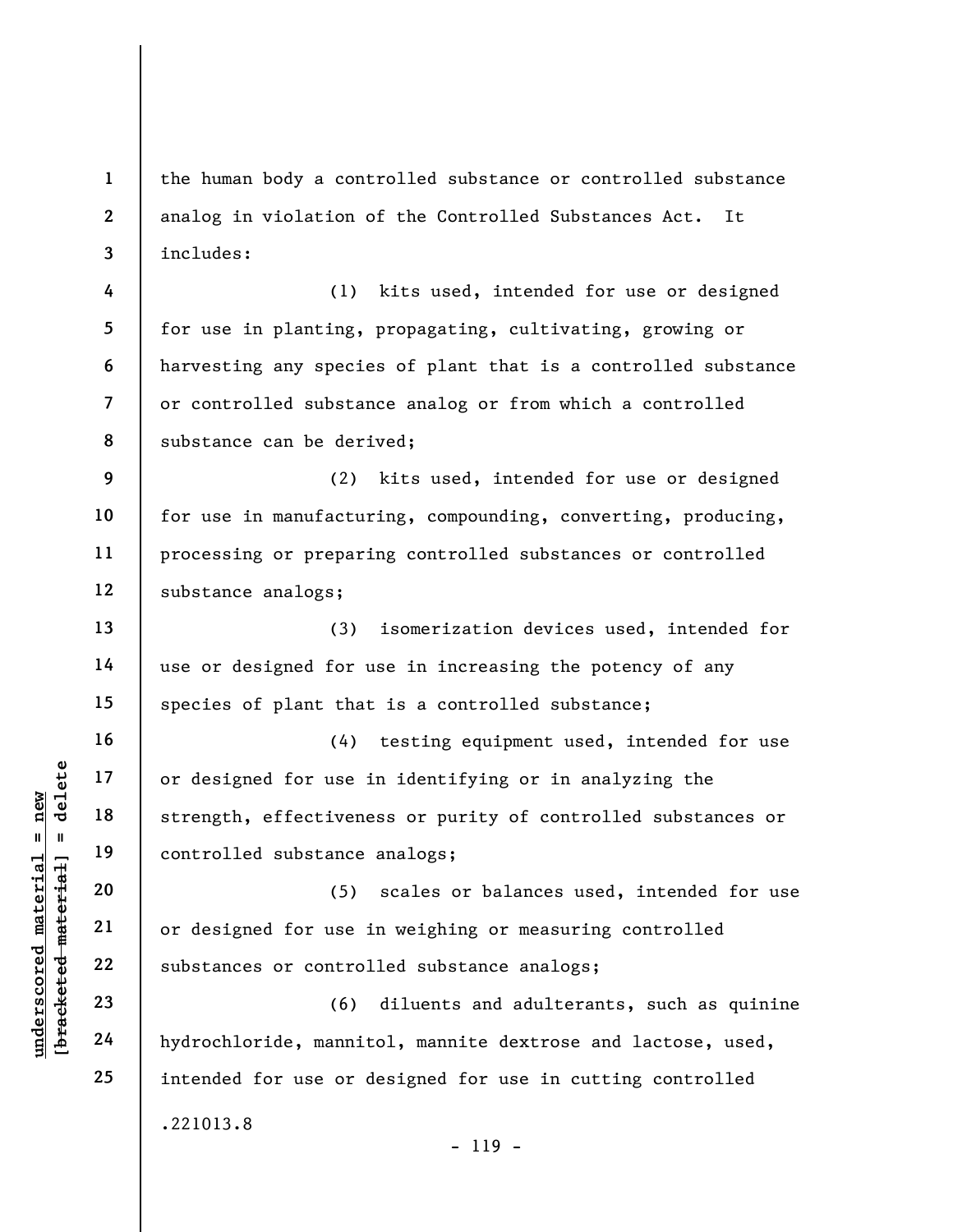1 2 3 the human body a controlled substance or controlled substance analog in violation of the Controlled Substances Act. It includes:

4 5 6 7 8 (1) kits used, intended for use or designed for use in planting, propagating, cultivating, growing or harvesting any species of plant that is a controlled substance or controlled substance analog or from which a controlled substance can be derived;

9 10 11 12 (2) kits used, intended for use or designed for use in manufacturing, compounding, converting, producing, processing or preparing controlled substances or controlled substance analogs;

(3) isomerization devices used, intended for use or designed for use in increasing the potency of any species of plant that is a controlled substance;

understand material end of designed for use in the definition of the strength, effectivene<br>
and  $\begin{array}{ccc} 19 & 19 & 0 \\ -19 & 19 & 0 \\ -20 & 21 & 0 \\ 000 & 22 & 0 \\ 000 & 23 & 0 \\ -24 & 00 & 0 \\ 000 & 24 & 0 \\ 000 & 000 & 0 \\ 000 & 000 & 0 \\ 000 & 000 & 0$ (4) testing equipment used, intended for use or designed for use in identifying or in analyzing the strength, effectiveness or purity of controlled substances or controlled substance analogs;

(5) scales or balances used, intended for use or designed for use in weighing or measuring controlled substances or controlled substance analogs;

(6) diluents and adulterants, such as quinine hydrochloride, mannitol, mannite dextrose and lactose, used, intended for use or designed for use in cutting controlled .221013.8 - 119 -

13

14

15

16

17

18

19

20

21

22

23

24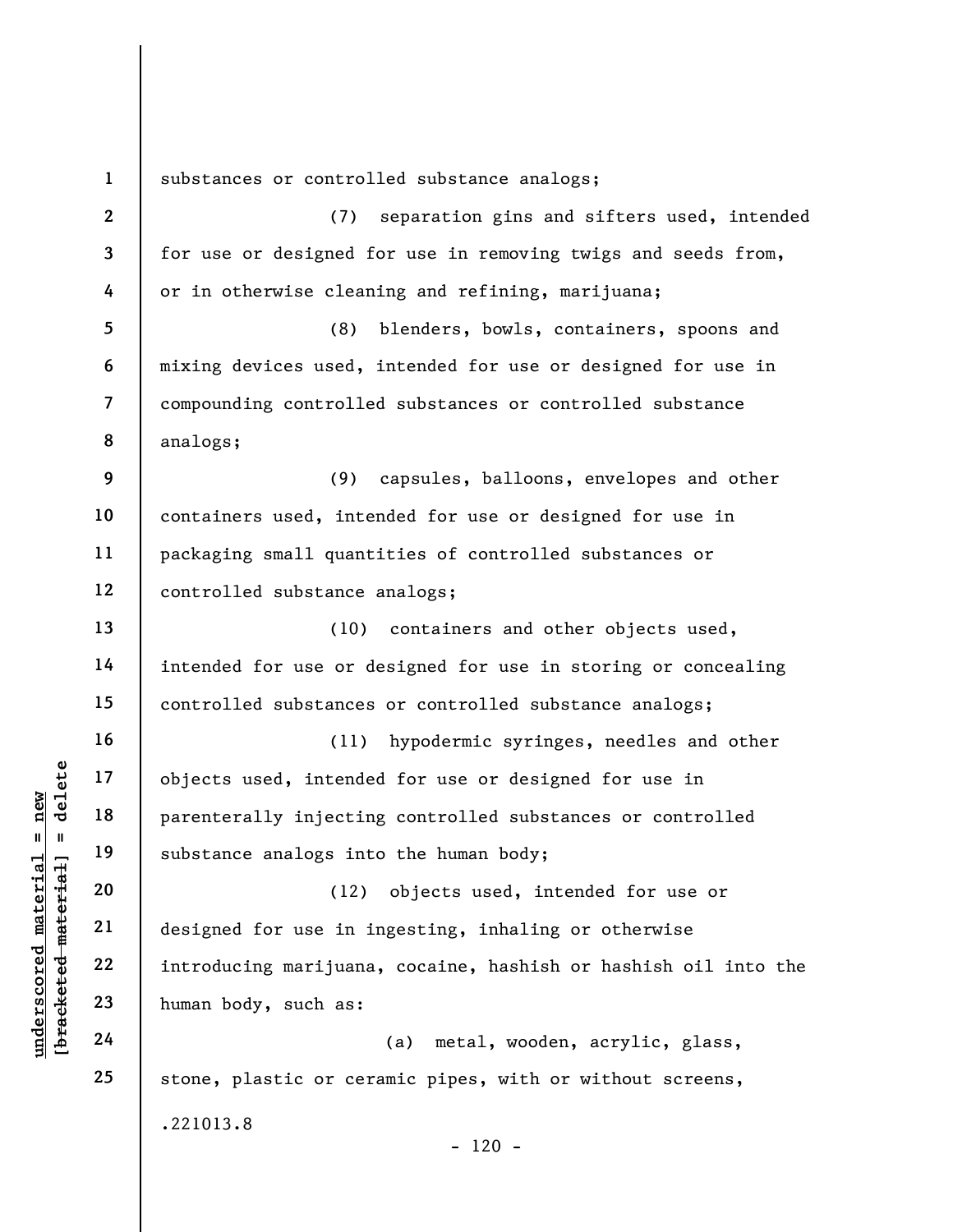underscored material substance analogs int<br>
and 18 parenterally injectine<br>
substance analogs int<br>
20 (12)<br>
designed for use in i<br>
22 introducing marijuana<br>
23 human body, such as:<br>
24 1 2 3 4 5 6 7 8 9 10 11 12 13 14 15 16 17 18 19 20 21 22 23 24 25 substances or controlled substance analogs; (7) separation gins and sifters used, intended for use or designed for use in removing twigs and seeds from, or in otherwise cleaning and refining, marijuana; (8) blenders, bowls, containers, spoons and mixing devices used, intended for use or designed for use in compounding controlled substances or controlled substance analogs; (9) capsules, balloons, envelopes and other containers used, intended for use or designed for use in packaging small quantities of controlled substances or controlled substance analogs; (10) containers and other objects used, intended for use or designed for use in storing or concealing controlled substances or controlled substance analogs; (11) hypodermic syringes, needles and other objects used, intended for use or designed for use in parenterally injecting controlled substances or controlled substance analogs into the human body; (12) objects used, intended for use or designed for use in ingesting, inhaling or otherwise introducing marijuana, cocaine, hashish or hashish oil into the human body, such as: (a) metal, wooden, acrylic, glass, stone, plastic or ceramic pipes, with or without screens, .221013.8  $- 120 -$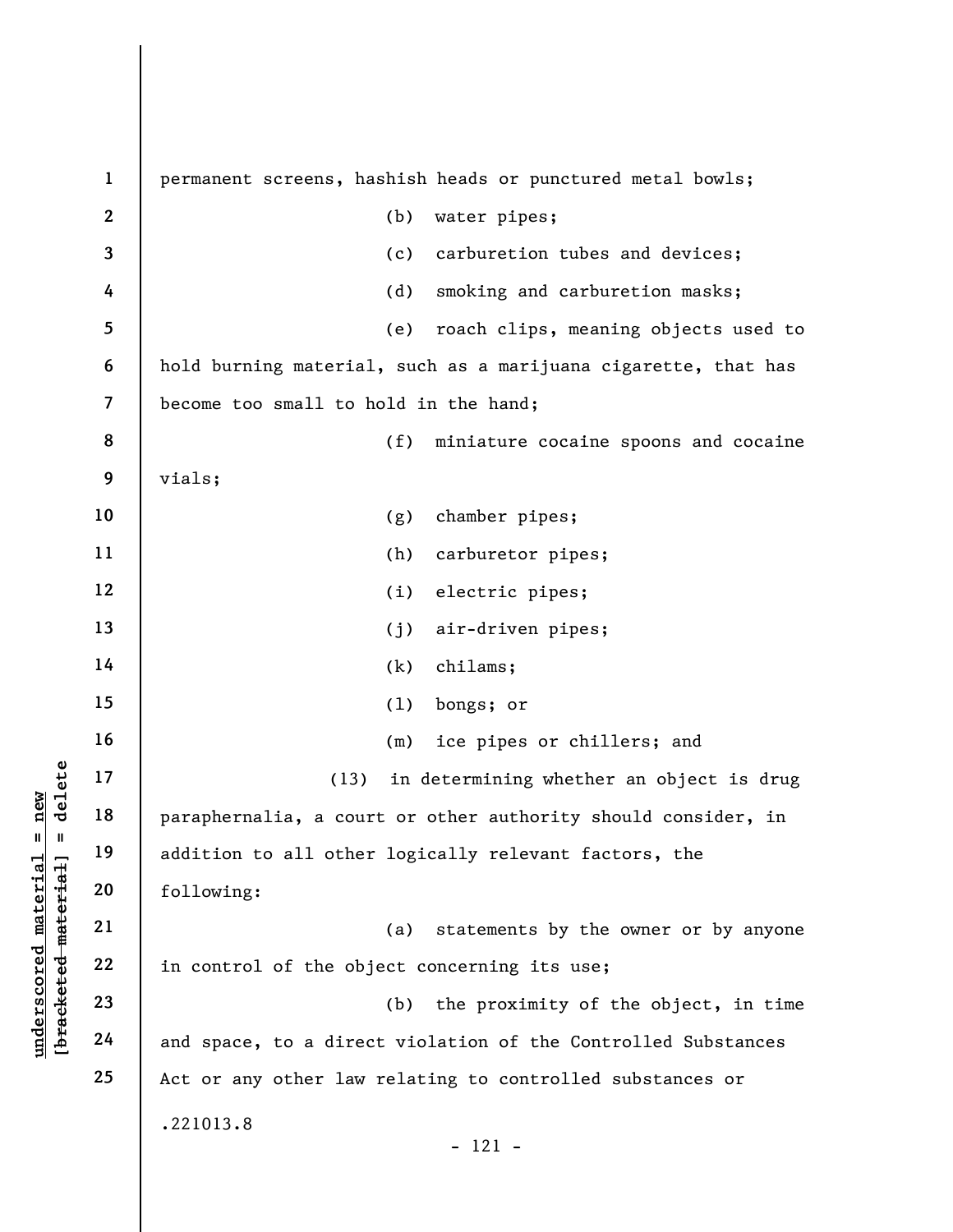underscored material = new [bracketed material] = delete 1 2 3 4 5 6 7 8 9 10 11 12 13 14 15 16 17 18 19 20 21 22 23 24 25 permanent screens, hashish heads or punctured metal bowls; (b) water pipes; (c) carburetion tubes and devices; (d) smoking and carburetion masks; (e) roach clips, meaning objects used to hold burning material, such as a marijuana cigarette, that has become too small to hold in the hand; (f) miniature cocaine spoons and cocaine vials; (g) chamber pipes; (h) carburetor pipes; (i) electric pipes; (j) air-driven pipes; (k) chilams; (l) bongs; or (m) ice pipes or chillers; and (13) in determining whether an object is drug paraphernalia, a court or other authority should consider, in addition to all other logically relevant factors, the following: (a) statements by the owner or by anyone in control of the object concerning its use; (b) the proximity of the object, in time and space, to a direct violation of the Controlled Substances Act or any other law relating to controlled substances or .221013.8 - 121 -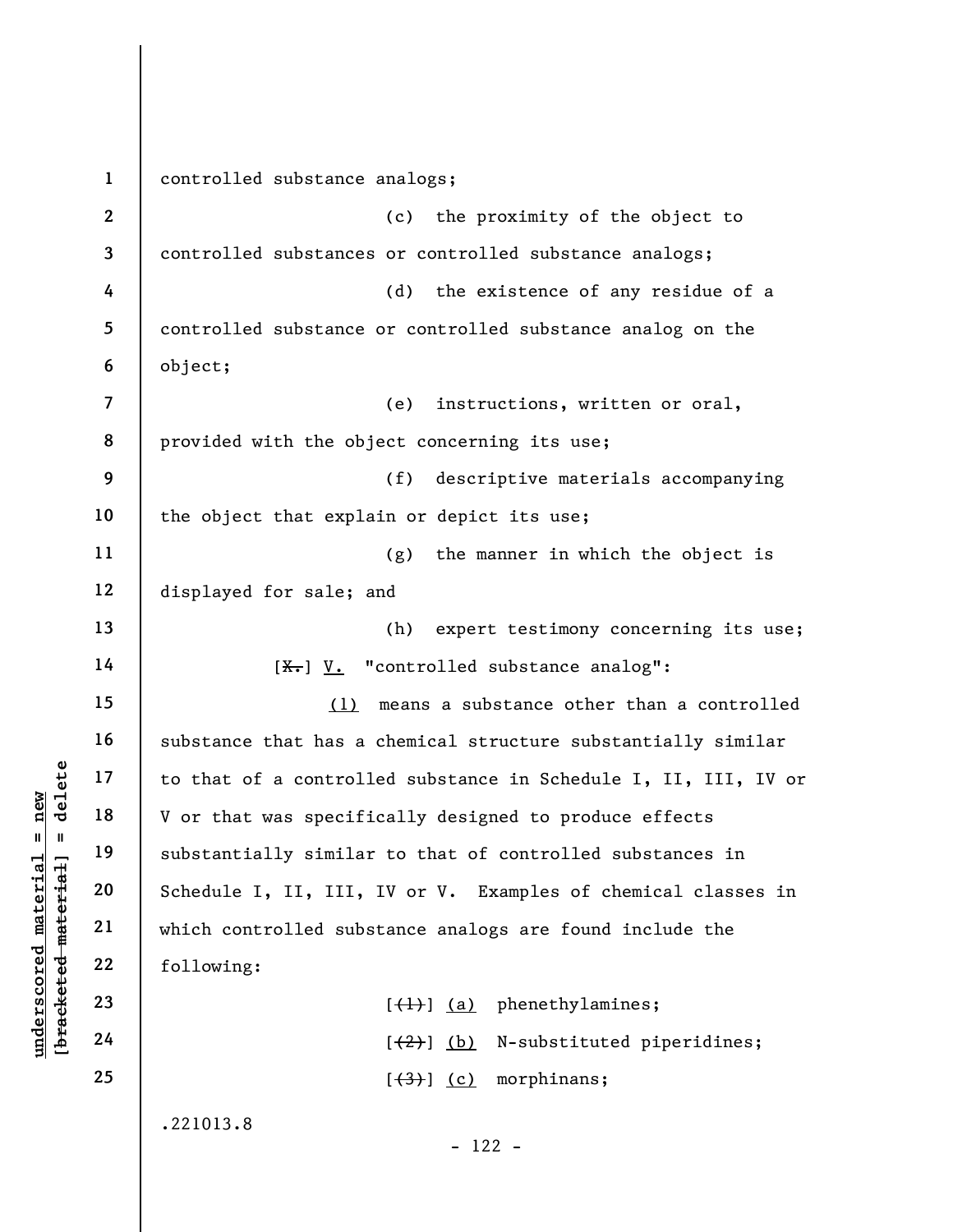underschieft and the that of a controll<br>  $u = u$  and  $u = u$ <br>  $u = u$ <br>  $u = u$ <br>  $u = u$ <br>  $u = u$ <br>  $u = u$ <br>  $u = u$ <br>  $u = u$ <br>  $u = u$ <br>  $u = u$ <br>  $u = u$ <br>  $u = u$ <br>  $u = u$ <br>  $u = u$ <br>  $u = u$ <br>  $u = u$ <br>  $u = u$ <br>  $u = u$ <br>  $u = u$ <br>  $u = u$ <br>  $u = u$ <br>  $u = u$ <br>  $u = u$ <br>  $u = u$ <br>  $u =$ 1 2 3 4 5 6 7 8 9 10 11 12 13 14 15 16 17 18 19 20 21 22 23 24 25 controlled substance analogs; (c) the proximity of the object to controlled substances or controlled substance analogs; (d) the existence of any residue of a controlled substance or controlled substance analog on the object; (e) instructions, written or oral, provided with the object concerning its use; (f) descriptive materials accompanying the object that explain or depict its use; (g) the manner in which the object is displayed for sale; and (h) expert testimony concerning its use;  $[X<sub>1</sub>]$  V. "controlled substance analog": (1) means a substance other than a controlled substance that has a chemical structure substantially similar to that of a controlled substance in Schedule I, II, III, IV or V or that was specifically designed to produce effects substantially similar to that of controlled substances in Schedule I, II, III, IV or V. Examples of chemical classes in which controlled substance analogs are found include the following:  $[\left\langle \downarrow \right\rangle]$  (a) phenethylamines;  $[\frac{1}{2}]$  (b) N-substituted piperidines;  $[\frac{(3)}{2}]$  (c) morphinans; .221013.8 - 122 -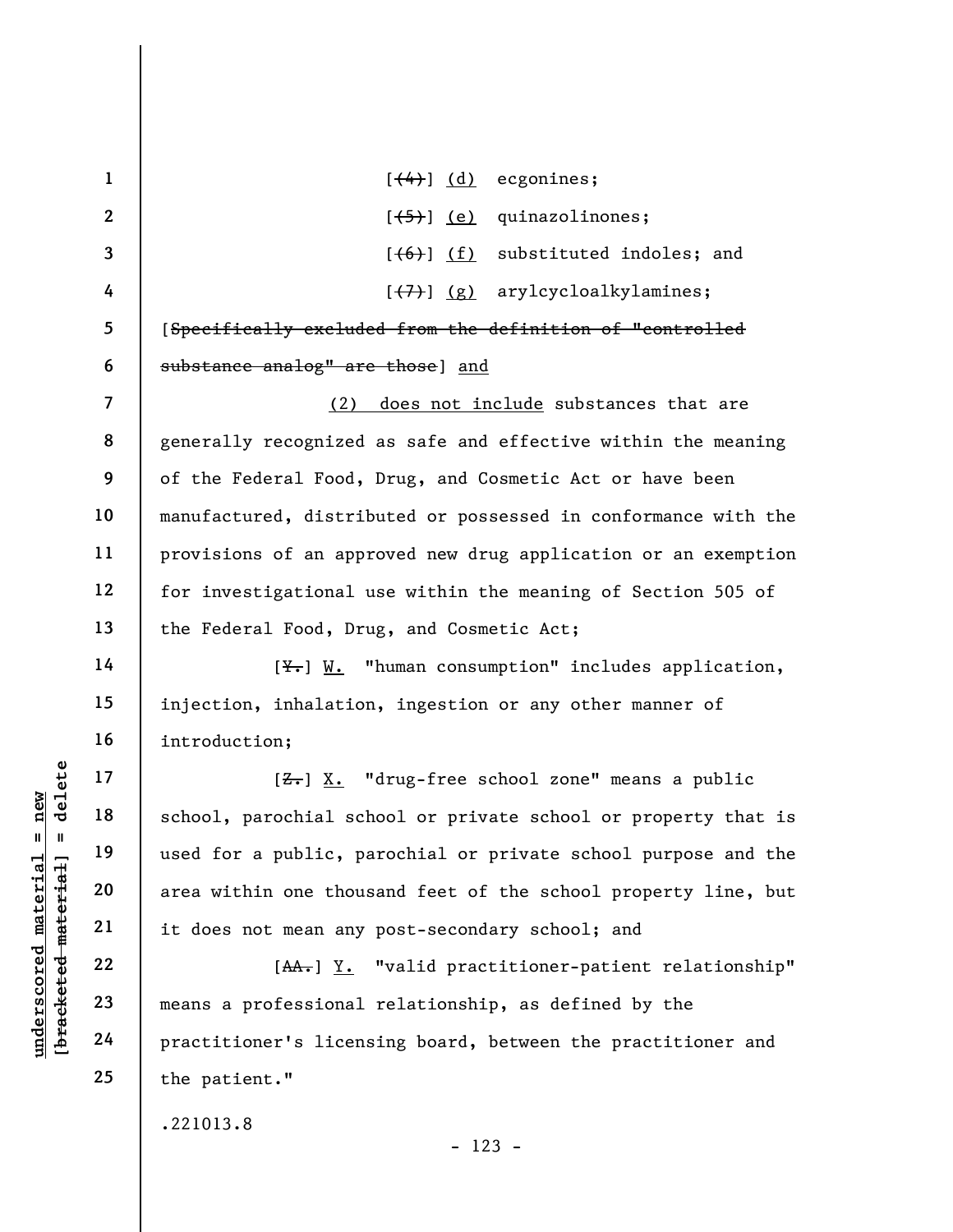|                                 | $\mathbf{1}$   | $[$ $(4)$ $(d)$ ecgonines;                                     |
|---------------------------------|----------------|----------------------------------------------------------------|
|                                 | $\mathbf{2}$   | $[ (5) ] (e)$ quinazolinones;                                  |
|                                 | $\mathbf{3}$   | $[ (6) ] (f)$ substituted indoles; and                         |
|                                 | 4              | $[\overline{(+7)}]$ (g) arylcycloalkylamines;                  |
|                                 | 5              | [Specifically excluded from the definition of "controlled      |
|                                 | 6              | substance analog" are those] and                               |
|                                 | $\overline{7}$ | does not include substances that are<br>(2)                    |
|                                 | 8              | generally recognized as safe and effective within the meaning  |
|                                 | 9              | of the Federal Food, Drug, and Cosmetic Act or have been       |
|                                 | 10             | manufactured, distributed or possessed in conformance with the |
|                                 | 11             | provisions of an approved new drug application or an exemption |
|                                 | 12             | for investigational use within the meaning of Section 505 of   |
|                                 | 13             | the Federal Food, Drug, and Cosmetic Act;                      |
|                                 | 14             | $[\frac{V}{V}$ . "human consumption" includes application,     |
|                                 | 15             | injection, inhalation, ingestion or any other manner of        |
|                                 | 16             | introduction;                                                  |
| delete                          | 17             | [ <del>Z.</del> ] X. "drug-free school zone" means a public    |
| new<br>Ш<br>$\mathbf{I}$        | 18             | school, parochial school or private school or property that is |
|                                 | 19             | used for a public, parochial or private school purpose and the |
| material<br>[bracketed material | 20             | area within one thousand feet of the school property line, but |
|                                 | 21             | it does not mean any post-secondary school; and                |
| $underscore$                    | 22             | [AA.] Y. "valid practitioner-patient relationship"             |
|                                 | 23             | means a professional relationship, as defined by the           |
|                                 | 24             | practitioner's licensing board, between the practitioner and   |
|                                 | 25             | the patient."                                                  |
|                                 |                | .221013.8                                                      |

- 123 -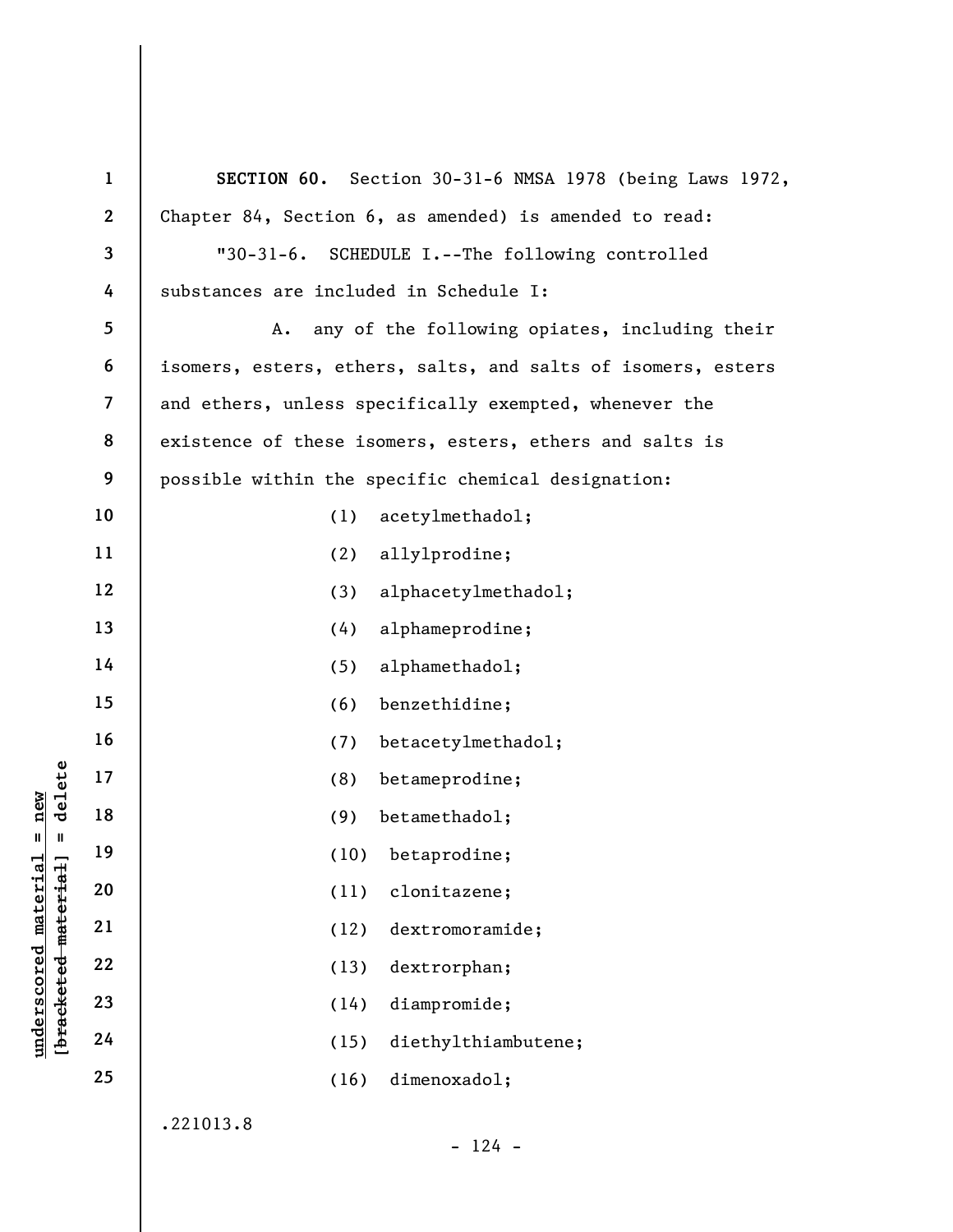|                                             | $\mathbf{1}$   | SECTION 60. Section 30-31-6 NMSA 1978 (being Laws 1972,      |
|---------------------------------------------|----------------|--------------------------------------------------------------|
|                                             | $\mathbf{2}$   | Chapter 84, Section 6, as amended) is amended to read:       |
|                                             | $\mathbf{3}$   | SCHEDULE I.--The following controlled<br>$"30-31-6.$         |
|                                             | 4              | substances are included in Schedule I:                       |
|                                             | 5              | any of the following opiates, including their<br>Α.          |
|                                             | 6              | isomers, esters, ethers, salts, and salts of isomers, esters |
|                                             | $\overline{7}$ | and ethers, unless specifically exempted, whenever the       |
|                                             | 8              | existence of these isomers, esters, ethers and salts is      |
|                                             | 9              | possible within the specific chemical designation:           |
|                                             | 10             | acetylmethadol;<br>(1)                                       |
|                                             | 11             | allylprodine;<br>(2)                                         |
|                                             | 12             | alphacetylmethadol;<br>(3)                                   |
|                                             | 13             | alphameprodine;<br>(4)                                       |
|                                             | 14             | alphamethadol;<br>(5)                                        |
|                                             | 15             | benzethidine;<br>(6)                                         |
|                                             | 16             | (7)<br>betacetylmethadol;                                    |
| delete                                      | 17             | betameprodine;<br>(8)                                        |
| new                                         | 18             | betamethadol;<br>(9)                                         |
| Ш<br>$\mathbf{I}$                           | 19             | (10) betaprodine;                                            |
|                                             | 20             | (11)<br>clonitazene;                                         |
|                                             | 21             | (12)<br>dextromoramide;                                      |
| underscored material<br>[bracketed material | 22             | dextrorphan;<br>(13)                                         |
|                                             | 23             | diampromide;<br>(14)                                         |
|                                             | 24             | diethylthiambutene;<br>(15)                                  |
|                                             | 25             | dimenoxadol;<br>(16)                                         |
|                                             |                | .221013.8<br>$124 -$                                         |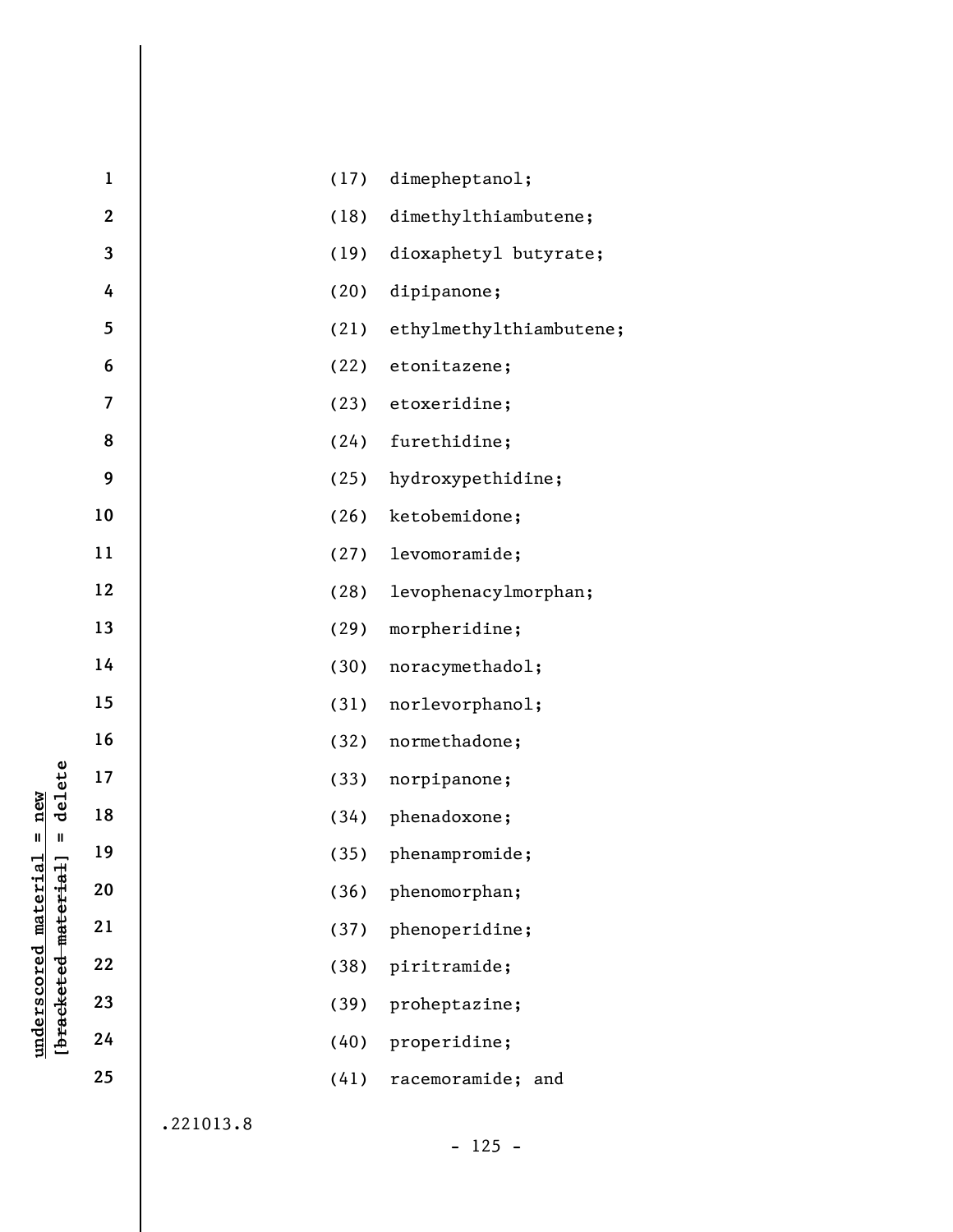| $\mathbf{1}$ |           | (17) | dimepheptanol;          |
|--------------|-----------|------|-------------------------|
| $\mathbf 2$  |           | (18) | dimethylthiambutene;    |
| 3            |           | (19) | dioxaphetyl butyrate;   |
| 4            |           | (20) | dipipanone;             |
| 5            |           | (21) | ethylmethylthiambutene; |
| 6            |           | (22) | etonitazene;            |
| 7            |           | (23) | etoxeridine;            |
| 8            |           | (24) | furethidine;            |
| 9            |           | (25) | hydroxypethidine;       |
| 10           |           | (26) | ketobemidone;           |
| 11           |           | (27) | levomoramide;           |
| 12           |           | (28) | levophenacylmorphan;    |
| 13           |           | (29) | morpheridine;           |
| 14           |           | (30) | noracymethadol;         |
| 15           |           | (31) | norlevorphanol;         |
| 16           |           | (32) | normethadone;           |
| 17           |           | (33) | norpipanone;            |
| 18           |           | (34) | phenadoxone;            |
| 19           |           |      | (35) phenampromide;     |
| 20           |           | (36) | phenomorphan;           |
| 21           |           | (37) | phenoperidine;          |
| 22           |           | (38) | piritramide;            |
| 23           |           | (39) | proheptazine;           |
| 24           |           | (40) | properidine;            |
| 25           |           | (41) | racemoramide; and       |
|              | .221013.8 |      |                         |
|              |           |      | $125 -$                 |

underscored material = new<br>[bracketed material] = delete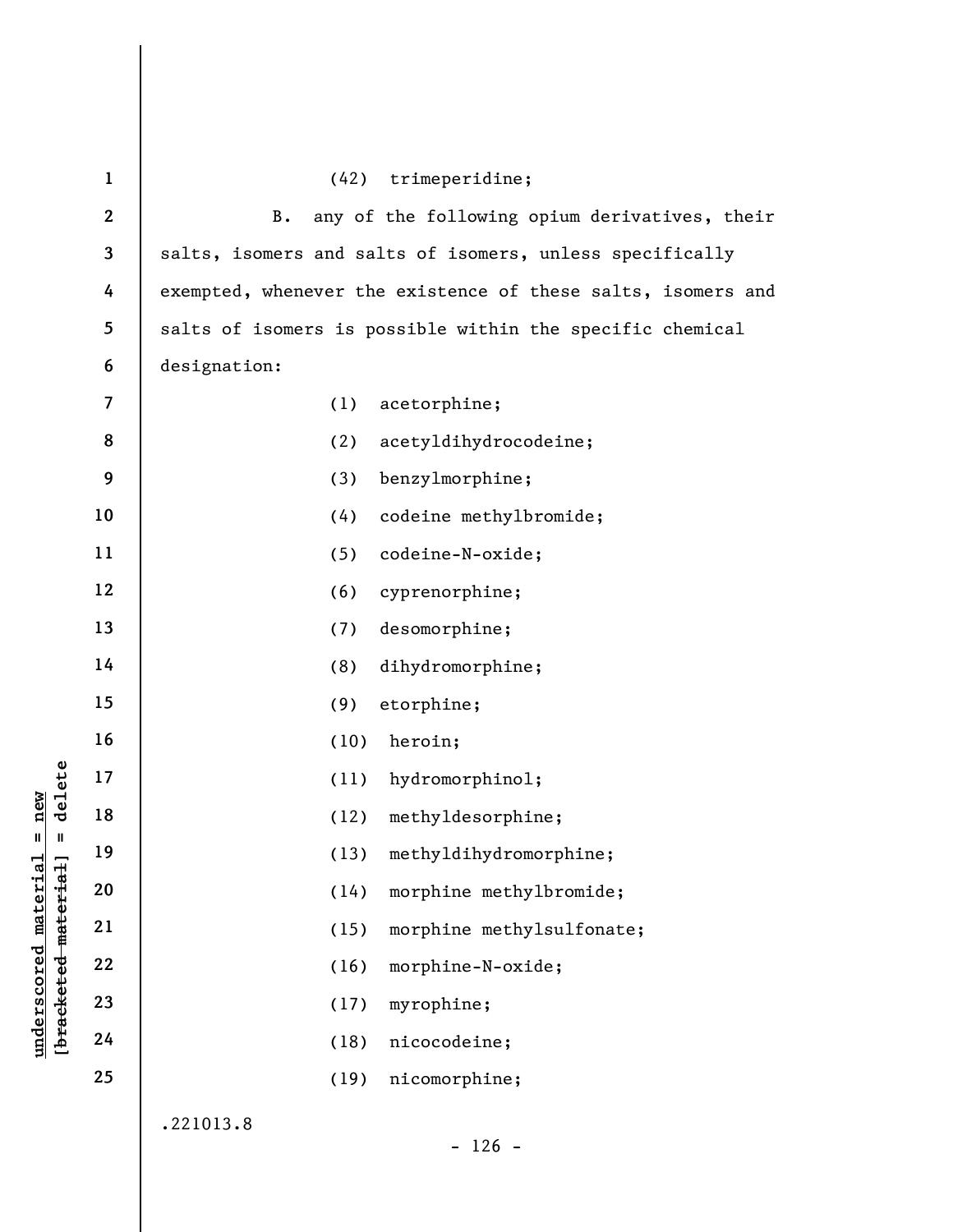|                        | $\mathbf{1}$            | trimeperidine;<br>(42)                                       |
|------------------------|-------------------------|--------------------------------------------------------------|
|                        | $\boldsymbol{2}$        | any of the following opium derivatives, their<br>$B$ .       |
|                        | $\overline{\mathbf{3}}$ | salts, isomers and salts of isomers, unless specifically     |
|                        | 4                       | exempted, whenever the existence of these salts, isomers and |
|                        | 5                       | salts of isomers is possible within the specific chemical    |
|                        | 6                       | designation:                                                 |
|                        | $\overline{7}$          | (1)<br>acetorphine;                                          |
|                        | 8                       | (2)<br>acetyldihydrocodeine;                                 |
|                        | 9                       | (3)<br>benzylmorphine;                                       |
|                        | 10                      | (4)<br>codeine methylbromide;                                |
|                        | 11                      | (5)<br>codeine-N-oxide;                                      |
|                        | 12                      | (6)<br>cyprenorphine;                                        |
|                        | 13                      | desomorphine;<br>(7)                                         |
|                        | 14                      | (8)<br>dihydromorphine;                                      |
|                        | 15                      | (9)<br>etorphine;                                            |
|                        | 16                      | (10)<br>heroin;                                              |
| delete                 | 17                      | hydromorphinol;<br>(11)                                      |
| new                    | 18                      | methyldesorphine;<br>(12)                                    |
| $\sf II$               | 19                      | methyldihydromorphine;<br>(13)                               |
| materia<br>material    | 20                      | morphine methylbromide;<br>(14)                              |
|                        | 21                      | morphine methylsulfonate;<br>(15)                            |
| underscored            | 22                      | morphine-N-oxide;<br>(16)                                    |
| [ <del>bracketed</del> | 23                      | myrophine;<br>(17)                                           |
|                        | 24                      | nicocodeine;<br>(18)                                         |
|                        | 25                      | nicomorphine;<br>(19)                                        |
|                        |                         | .221013.8                                                    |

- 126 -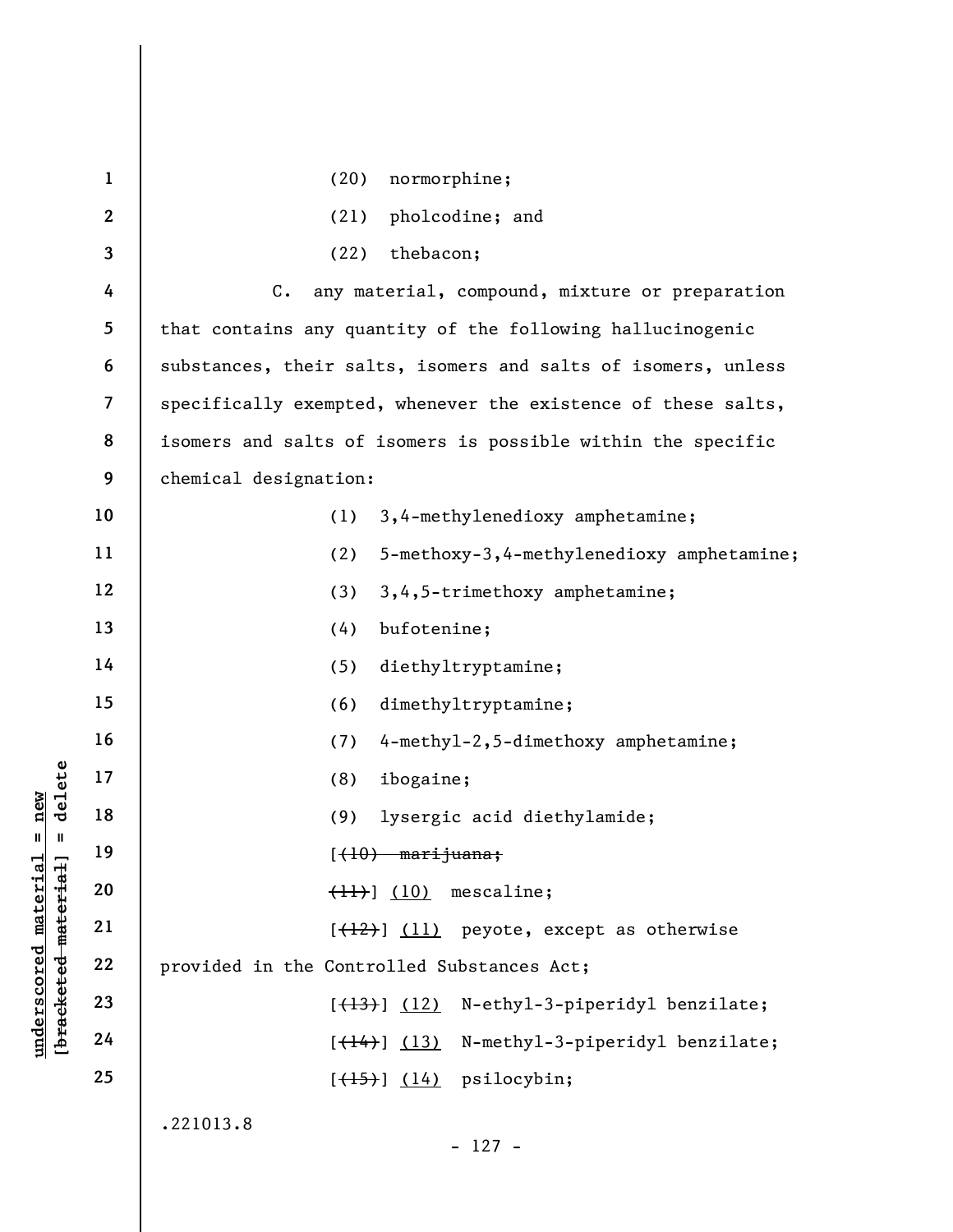|                                     | $\mathbf{1}$             | normorphine;<br>(20)                                          |
|-------------------------------------|--------------------------|---------------------------------------------------------------|
|                                     | $\boldsymbol{2}$         | pholcodine; and<br>(21)                                       |
|                                     | 3                        | thebacon;<br>(22)                                             |
|                                     | 4                        | $C$ .<br>any material, compound, mixture or preparation       |
|                                     | 5                        | that contains any quantity of the following hallucinogenic    |
|                                     | 6                        | substances, their salts, isomers and salts of isomers, unless |
|                                     | $\overline{\mathcal{L}}$ | specifically exempted, whenever the existence of these salts, |
|                                     | 8                        | isomers and salts of isomers is possible within the specific  |
|                                     | 9                        | chemical designation:                                         |
|                                     | 10                       | 3,4-methylenedioxy amphetamine;<br>(1)                        |
|                                     | 11                       | (2)<br>5-methoxy-3,4-methylenedioxy amphetamine;              |
|                                     | 12                       | (3)<br>3,4,5-trimethoxy amphetamine;                          |
|                                     | 13                       | bufotenine;<br>(4)                                            |
|                                     | 14                       | (5)<br>diethyltryptamine;                                     |
|                                     | 15                       | dimethyltryptamine;<br>(6)                                    |
|                                     | 16                       | 4-methyl-2,5-dimethoxy amphetamine;<br>(7)                    |
| delete                              | 17                       | (8)<br>ibogaine;                                              |
| new                                 | 18                       | (9)<br>lysergic acid diethylamide;                            |
| $\mathbf{II}$<br>Ш                  | 19                       | $(-10)$ marijuana;                                            |
| material<br>material                | 20                       | mescaline;<br>$\left(\frac{11}{2}\right)$ (10)                |
|                                     | 21                       | $[\frac{12}{12}]$ (11) peyote, except as otherwise            |
| underscored                         | 22                       | provided in the Controlled Substances Act;                    |
| [ <del>brack</del> ete <del>d</del> | 23                       | N-ethyl-3-piperidyl benzilate;<br>$[\frac{(13)}{2}]$ $(12)$   |
|                                     | 24                       | N-methyl-3-piperidyl benzilate;<br>$[\frac{(14)}{)}$ (13)     |
|                                     | 25                       | $[\left(\frac{15}{15}\right)]$ (14) psilocybin;               |
|                                     |                          | .221013.8                                                     |
|                                     |                          | $-127 -$                                                      |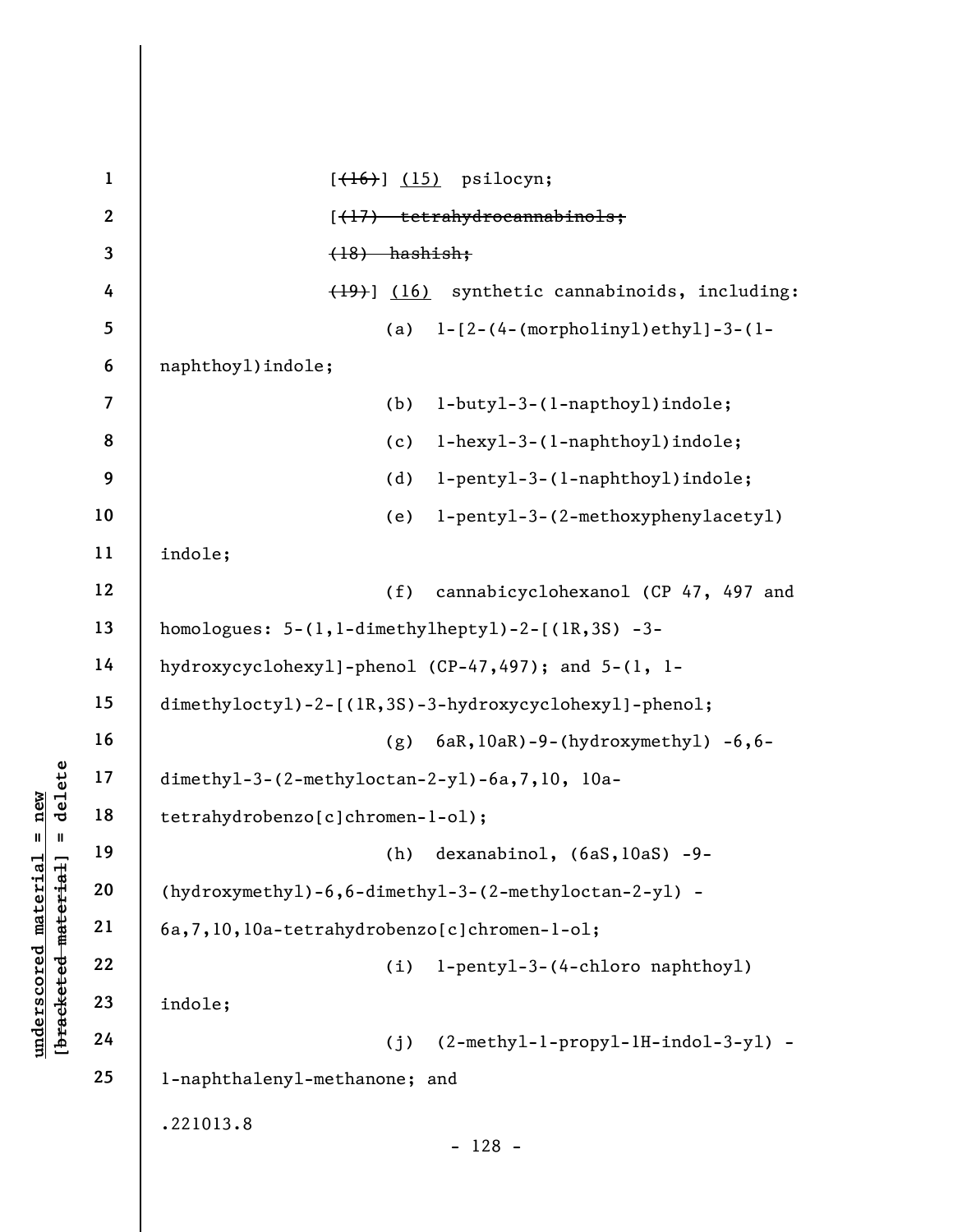underscored material external dimethyl-3-(2-methylc)<br>
and dimethyl-3-(2-methylc)<br>
tetrahydrobenzo[c]chr<br>
tetrahydrobenzo[c]chr<br>
tetrahydrobenzo[c]chr<br>
tetrahydrobenzo[c]chr<br>
(hydroxymethyl)-6,6-d<br>
(a,7,10,10a-tetrahydr<br>
22 1 2 3 4 5 6 7 8 9 10 11 12 13 14 15 16 17 18 19 20 21 22 23 24 25  $[\left(\frac{16}{16}\right)$  (15) psilocyn; [(17) tetrahydrocannabinols; (18) hashish; (19)] (16) synthetic cannabinoids, including: (a) 1-[2-(4-(morpholinyl)ethyl]-3-(1 naphthoyl)indole; (b) 1-butyl-3-(1-napthoyl)indole; (c) 1-hexyl-3-(1-naphthoyl)indole; (d) 1-pentyl-3-(1-naphthoyl)indole; (e) 1-pentyl-3-(2-methoxyphenylacetyl) indole; (f) cannabicyclohexanol (CP 47, 497 and homologues: 5-(1,1-dimethylheptyl)-2-[(1R,3S) -3 hydroxycyclohexyl]-phenol (CP-47,497); and 5-(1, 1 dimethyloctyl)-2-[(1R,3S)-3-hydroxycyclohexyl]-phenol; (g) 6aR,10aR)-9-(hydroxymethyl) -6,6 dimethyl-3-(2-methyloctan-2-yl)-6a,7,10, 10atetrahydrobenzo[c]chromen-1-ol); (h) dexanabinol, (6aS,10aS) -9- (hydroxymethyl)-6,6-dimethyl-3-(2-methyloctan-2-yl) - 6a,7,10,10a-tetrahydrobenzo[c]chromen-1-ol; (i) 1-pentyl-3-(4-chloro naphthoyl) indole; (j) (2-methyl-1-propyl-1H-indol-3-yl) - 1-naphthalenyl-methanone; and .221013.8 - 128 -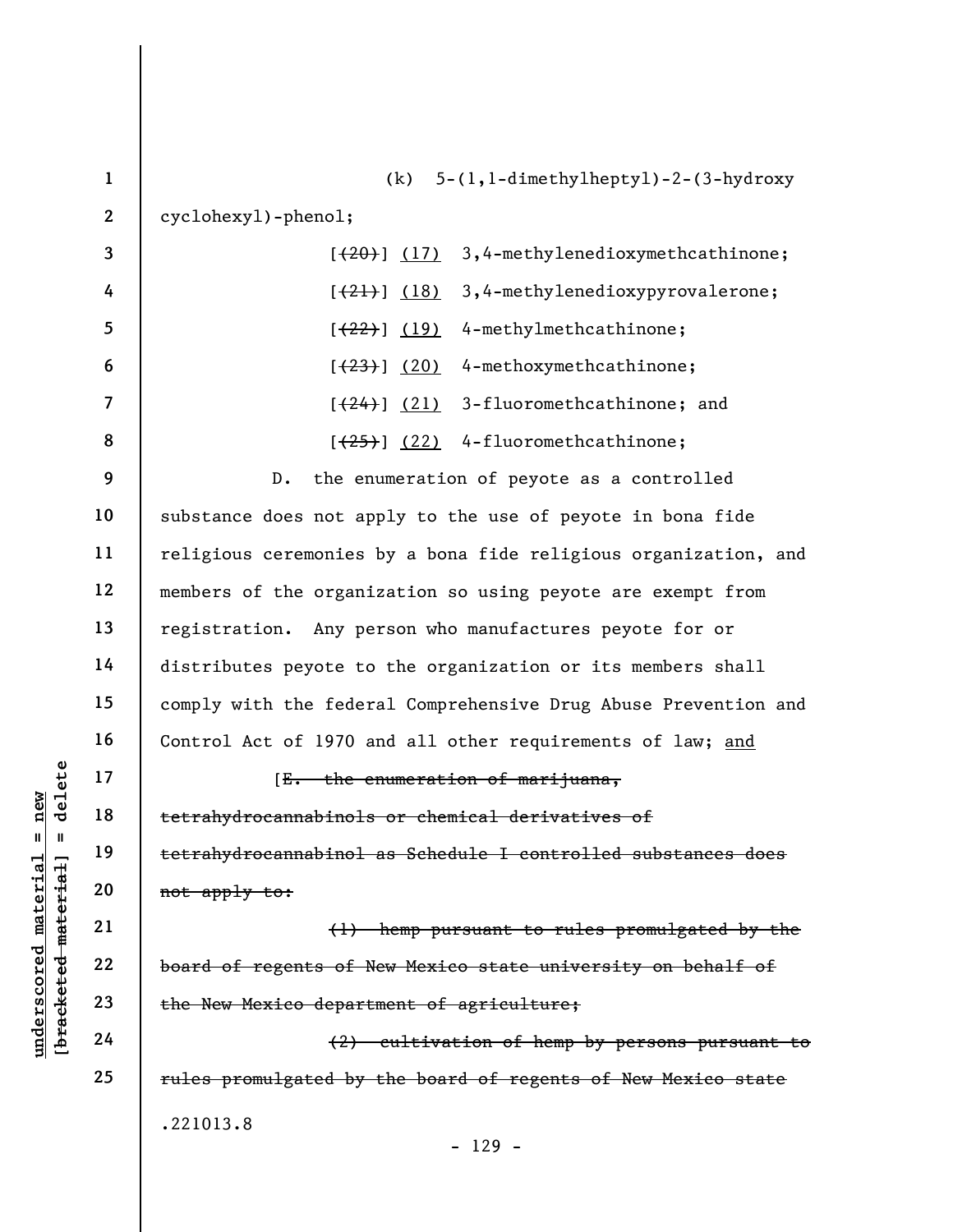|                      | $\mathbf{1}$   | $5-(1,1-dimethylhepty1)-2-(3-hydroxy)$<br>(k)                   |
|----------------------|----------------|-----------------------------------------------------------------|
|                      | $\overline{2}$ | cyclohexy1)-pheno1;                                             |
|                      | 3              | 3,4-methylenedioxymethcathinone;<br>[ (20) ] (17)               |
|                      | 4              | 3,4-methylenedioxypyrovalerone;<br>$[\frac{(21)}{2}]$ (18)      |
|                      | 5              | 4-methylmethcathinone;<br>$[ (22) ]$ (19)                       |
|                      | 6              | 4-methoxymethcathinone;<br>[ (23) ] (20)                        |
|                      | $\overline{7}$ | 3-fluoromethcathinone; and<br>$[\frac{(24)}{2}]\frac{(21)}{2}$  |
|                      | 8              | $[25]$ $(22)$ 4-fluoromethcathinone;                            |
|                      | 9              | the enumeration of peyote as a controlled<br>$D$ .              |
|                      | 10             | substance does not apply to the use of peyote in bona fide      |
|                      | 11             | religious ceremonies by a bona fide religious organization, and |
|                      | 12             | members of the organization so using peyote are exempt from     |
|                      | 13             | registration. Any person who manufactures peyote for or         |
|                      | 14             | distributes peyote to the organization or its members shall     |
|                      | 15             | comply with the federal Comprehensive Drug Abuse Prevention and |
|                      | 16             | Control Act of 1970 and all other requirements of law; and      |
| delete               | 17             | [E. the enumeration of marijuana,                               |
| new                  | 18             | tetrahydrocannabinols or chemical derivatives of                |
| II.<br>H             | 19             | tetrahydrocannabinol as Schedule I controlled substances does   |
| material<br>material | 20             | not apply to:                                                   |
|                      | 21             | (1) hemp pursuant to rules promulgated by the                   |
| underscored          | 22             | board of regents of New Mexico state university on behalf of    |
| [bracketed           | 23             | the New Mexico department of agriculture;                       |
|                      | 24             | (2) cultivation of hemp by persons pursuant to                  |
|                      | 25             | rules promulgated by the board of regents of New Mexico state   |
|                      |                | .221013.8                                                       |
|                      |                | $-129 -$                                                        |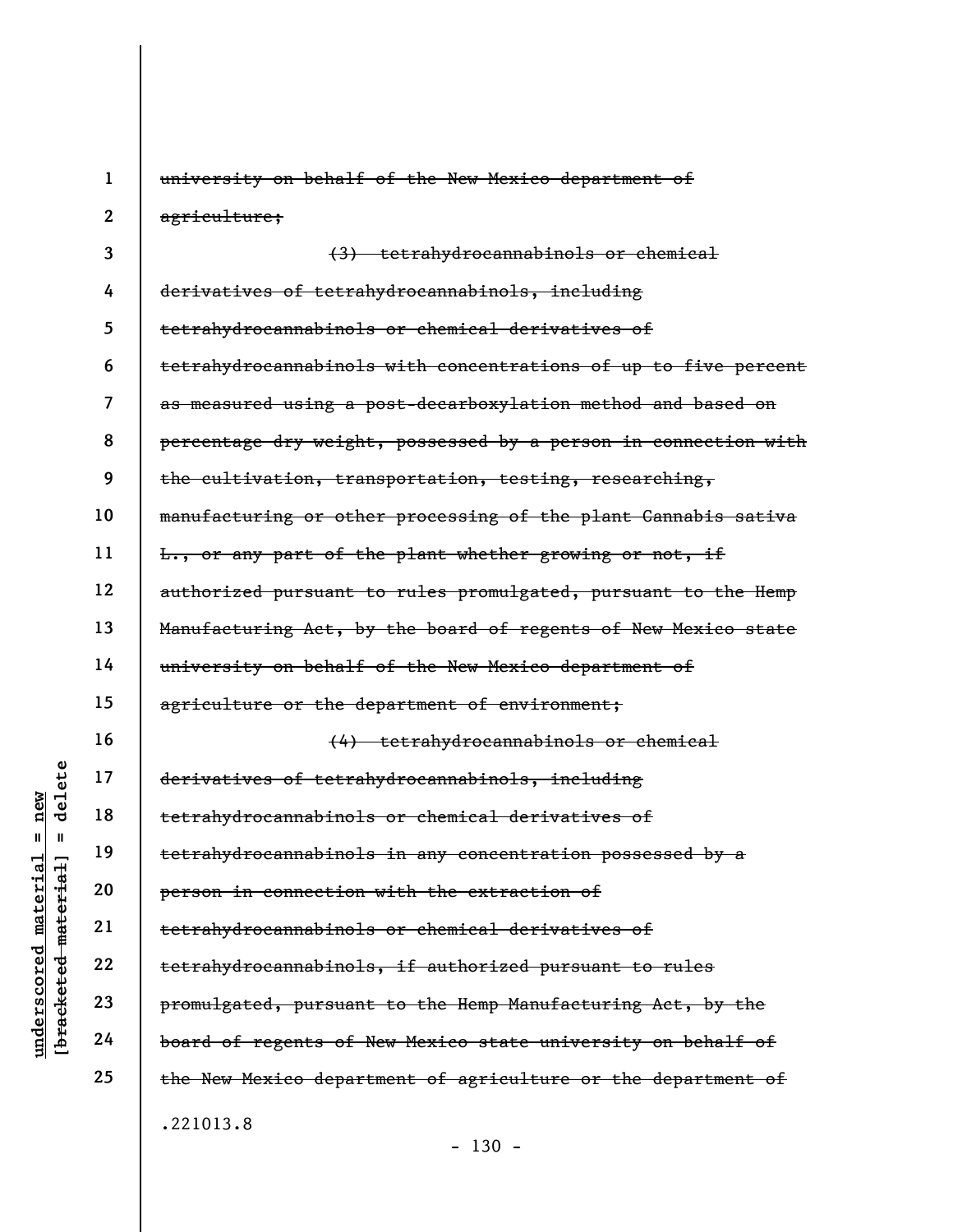|                                       | $\mathbf{1}$ | university on behalf of the New Mexico department of            |
|---------------------------------------|--------------|-----------------------------------------------------------------|
|                                       | $\mathbf{2}$ | agriculture;                                                    |
|                                       | 3            | (3) tetrahydrocannabinols or chemical                           |
|                                       | 4            | derivatives of tetrahydrocannabinols, including                 |
|                                       | 5            | tetrahydrocannabinols or chemical derivatives of                |
|                                       | 6            | tetrahydrocannabinols with concentrations of up to five percent |
|                                       | 7            | as measured using a post-decarboxylation method and based on    |
|                                       | 8            | percentage dry weight, possessed by a person in connection with |
|                                       | 9            | the cultivation, transportation, testing, researching,          |
|                                       | 10           | manufacturing or other processing of the plant Cannabis sativa  |
|                                       | 11           | L., or any part of the plant whether growing or not, if         |
|                                       | 12           | authorized pursuant to rules promulgated, pursuant to the Hemp  |
|                                       | 13           | Manufacturing Act, by the board of regents of New Mexico state  |
|                                       | 14           | university on behalf of the New Mexico department of            |
|                                       | 15           | agriculture or the department of environment;                   |
|                                       | 16           | (4) tetrahydrocannabinols or chemical                           |
| delete                                | 17           | derivatives of tetrahydrocannabinols, including                 |
| new                                   | 18           | tetrahydrocannabinols or chemical derivatives of                |
| II<br>Ш<br>ಥ                          | 19           | tetrahydrocannabinols in any concentration possessed by a       |
| material<br>materi                    | 20           | person in connection with the extraction of                     |
|                                       | 21           | tetrahydrocannabinols or chemical derivatives of                |
| $\bm{{\rm underscore}}$<br>[bracketed | 22           | tetrahydrocannabinols, if authorized pursuant to rules          |
|                                       | 23           | promulgated, pursuant to the Hemp Manufacturing Act, by the     |
|                                       | 24           | board of regents of New Mexico state university on behalf of    |
|                                       | 25           | the New Mexico department of agriculture or the department of   |
|                                       |              | .221013.8                                                       |

- 130 -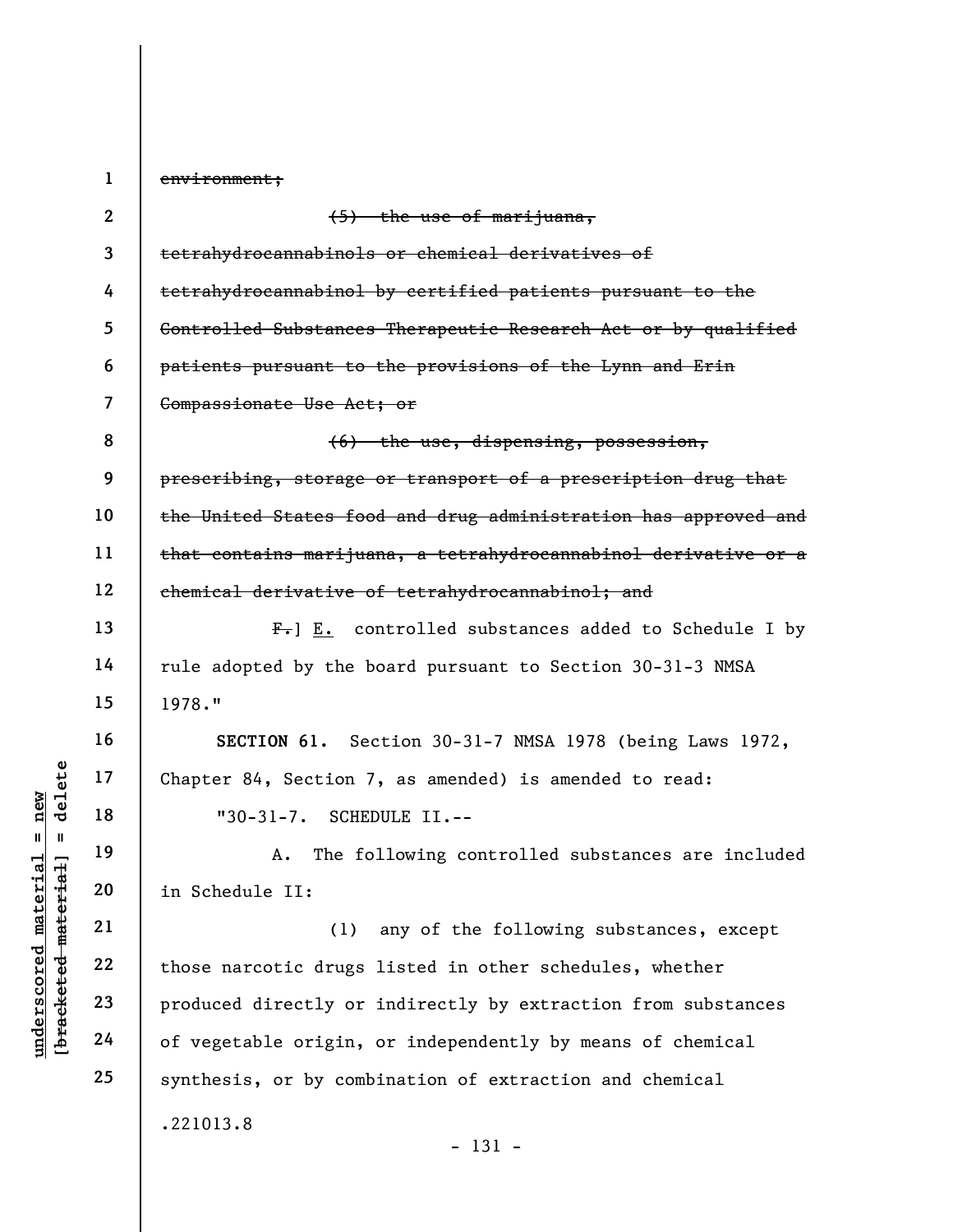underscored material = new [bracketed material] = delete 1 2 3 4 5 6 7 8 9 10 11 12 13 14 15 16 17 18 19 20 21 22 23 24 25 environment; (5) the use of marijuana, tetrahydrocannabinols or chemical derivatives of tetrahydrocannabinol by certified patients pursuant to the Controlled Substances Therapeutic Research Act or by qualified patients pursuant to the provisions of the Lynn and Erin Compassionate Use Act; or (6) the use, dispensing, possession, prescribing, storage or transport of a prescription drug that the United States food and drug administration has approved and that contains marijuana, a tetrahydrocannabinol derivative or a chemical derivative of tetrahydrocannabinol; and  $F_{\tau}$ ] E. controlled substances added to Schedule I by rule adopted by the board pursuant to Section 30-31-3 NMSA 1978." SECTION 61. Section 30-31-7 NMSA 1978 (being Laws 1972, Chapter 84, Section 7, as amended) is amended to read: "30-31-7. SCHEDULE II.-- A. The following controlled substances are included in Schedule II: (1) any of the following substances, except those narcotic drugs listed in other schedules, whether produced directly or indirectly by extraction from substances of vegetable origin, or independently by means of chemical synthesis, or by combination of extraction and chemical .221013.8 - 131 -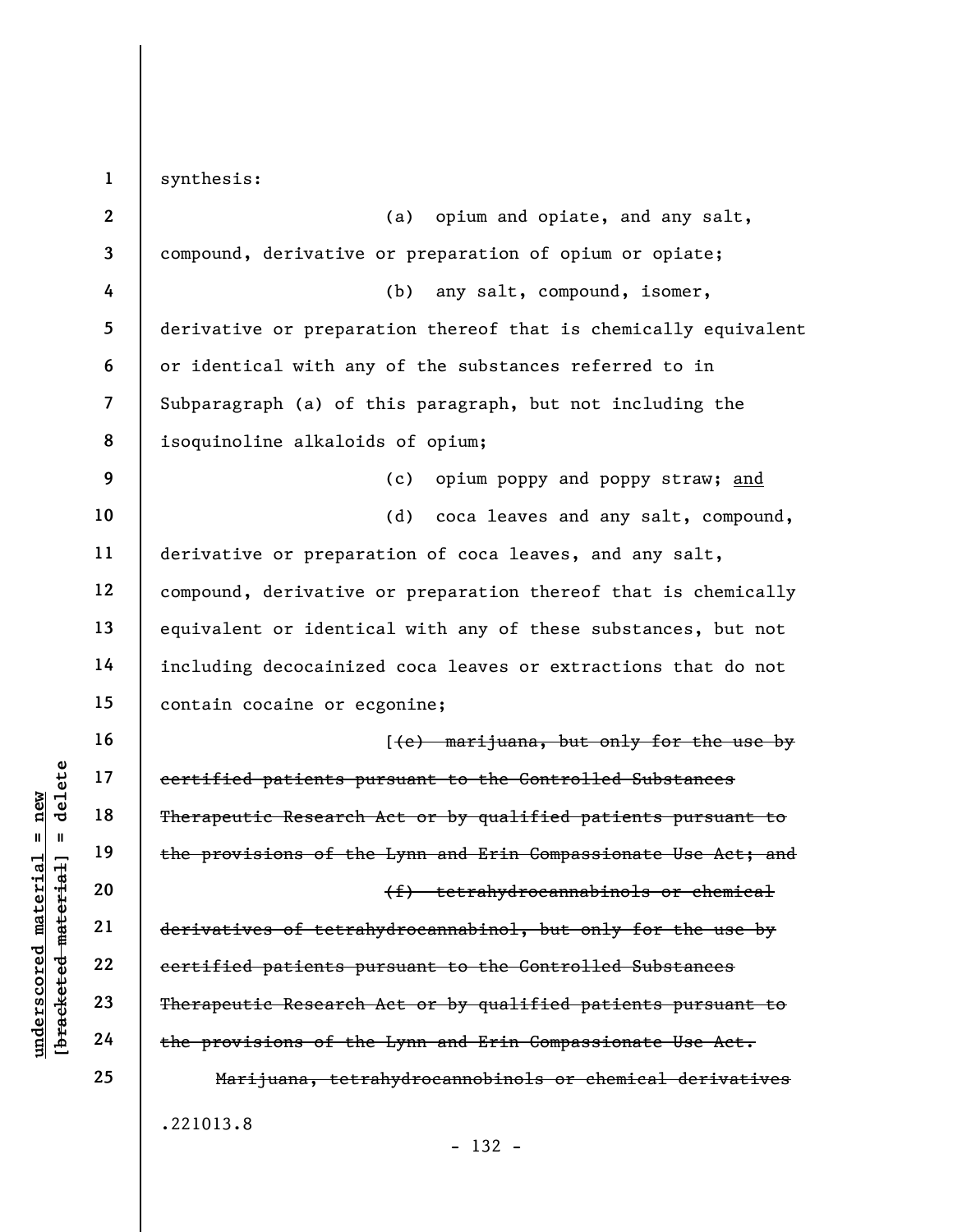understand material patients pu<br>  $\begin{array}{c|c|c} \texttt{u} & \texttt{u} & \texttt{u} & \texttt{u} & \texttt{u} & \texttt{u} & \texttt{u} & \texttt{u} & \texttt{u} & \texttt{u} & \texttt{u} & \texttt{u} & \texttt{u} & \texttt{u} & \texttt{u} & \texttt{u} & \texttt{u} & \texttt{u} & \texttt{u} & \texttt{u} & \texttt{u} & \texttt{u} & \texttt{u} & \texttt{u} & \texttt{u} & \text$ 1 2 3 4 5 6 7 8 9 10 11 12 13 14 15 16 17 18 19 20 21 22 23 24 25 synthesis: (a) opium and opiate, and any salt, compound, derivative or preparation of opium or opiate; (b) any salt, compound, isomer, derivative or preparation thereof that is chemically equivalent or identical with any of the substances referred to in Subparagraph (a) of this paragraph, but not including the isoquinoline alkaloids of opium; (c) opium poppy and poppy straw; and (d) coca leaves and any salt, compound, derivative or preparation of coca leaves, and any salt, compound, derivative or preparation thereof that is chemically equivalent or identical with any of these substances, but not including decocainized coca leaves or extractions that do not contain cocaine or ecgonine; [(e) marijuana, but only for the use by certified patients pursuant to the Controlled Substances Therapeutic Research Act or by qualified patients pursuant to the provisions of the Lynn and Erin Compassionate Use Act; and (f) tetrahydrocannabinols or chemical derivatives of tetrahydrocannabinol, but only for the use by certified patients pursuant to the Controlled Substances Therapeutic Research Act or by qualified patients pursuant to the provisions of the Lynn and Erin Compassionate Use Act. Marijuana, tetrahydrocannobinols or chemical derivatives .221013.8

- 132 -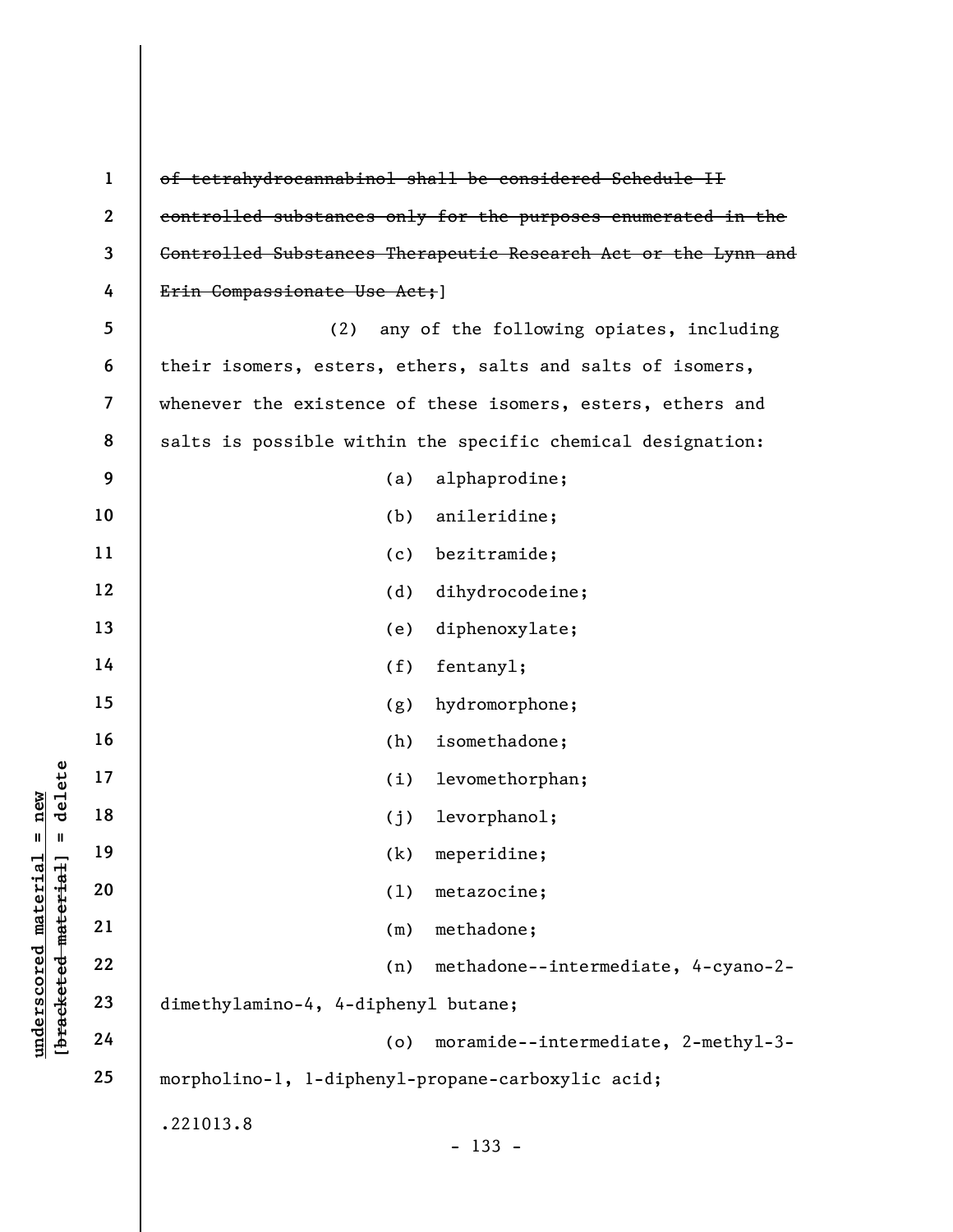|                                                | $\mathbf{1}$             | of tetrahydrocannabinol shall be considered Schedule II        |
|------------------------------------------------|--------------------------|----------------------------------------------------------------|
|                                                | $\mathbf{2}$             | controlled substances only for the purposes enumerated in the  |
|                                                | $\mathbf{3}$             | Controlled Substances Therapeutic Research Act or the Lynn and |
|                                                | 4                        | Erin Compassionate Use Act; ]                                  |
|                                                | 5                        | (2)<br>any of the following opiates, including                 |
|                                                | 6                        | their isomers, esters, ethers, salts and salts of isomers,     |
|                                                | $\overline{\mathcal{L}}$ | whenever the existence of these isomers, esters, ethers and    |
|                                                | 8                        | salts is possible within the specific chemical designation:    |
|                                                | 9                        | alphaprodine;<br>(a)                                           |
|                                                | 10                       | anileridine;<br>(b)                                            |
|                                                | 11                       | bezitramide;<br>(c)                                            |
|                                                | 12                       | dihydrocodeine;<br>(d)                                         |
|                                                | 13                       | diphenoxylate;<br>(e)                                          |
|                                                | 14                       | (f)<br>fentany1;                                               |
|                                                | 15                       | hydromorphone;<br>(g)                                          |
|                                                | 16                       | isomethadone;<br>(h)                                           |
| delete                                         | 17                       | levomethorphan;<br>(i)                                         |
| new                                            | 18                       | levorphanol;<br>(j)                                            |
| Ш<br>- II                                      | 19                       | (k) meperidine;                                                |
| material                                       | 20                       | metazocine;<br>(1)                                             |
|                                                | 21                       | methadone;<br>(m)                                              |
|                                                | 22                       | methadone--intermediate, 4-cyano-2-<br>(n)                     |
| [bracketed material<br>$\bm{{\rm underscore}}$ | 23                       | dimethylamino-4, 4-diphenyl butane;                            |
|                                                | 24                       | moramide--intermediate, 2-methyl-3-<br>(o)                     |
|                                                | 25                       | morpholino-1, 1-dipheny1-propane-carboxylic acid;              |
|                                                |                          | .221013.8<br>$-133 -$                                          |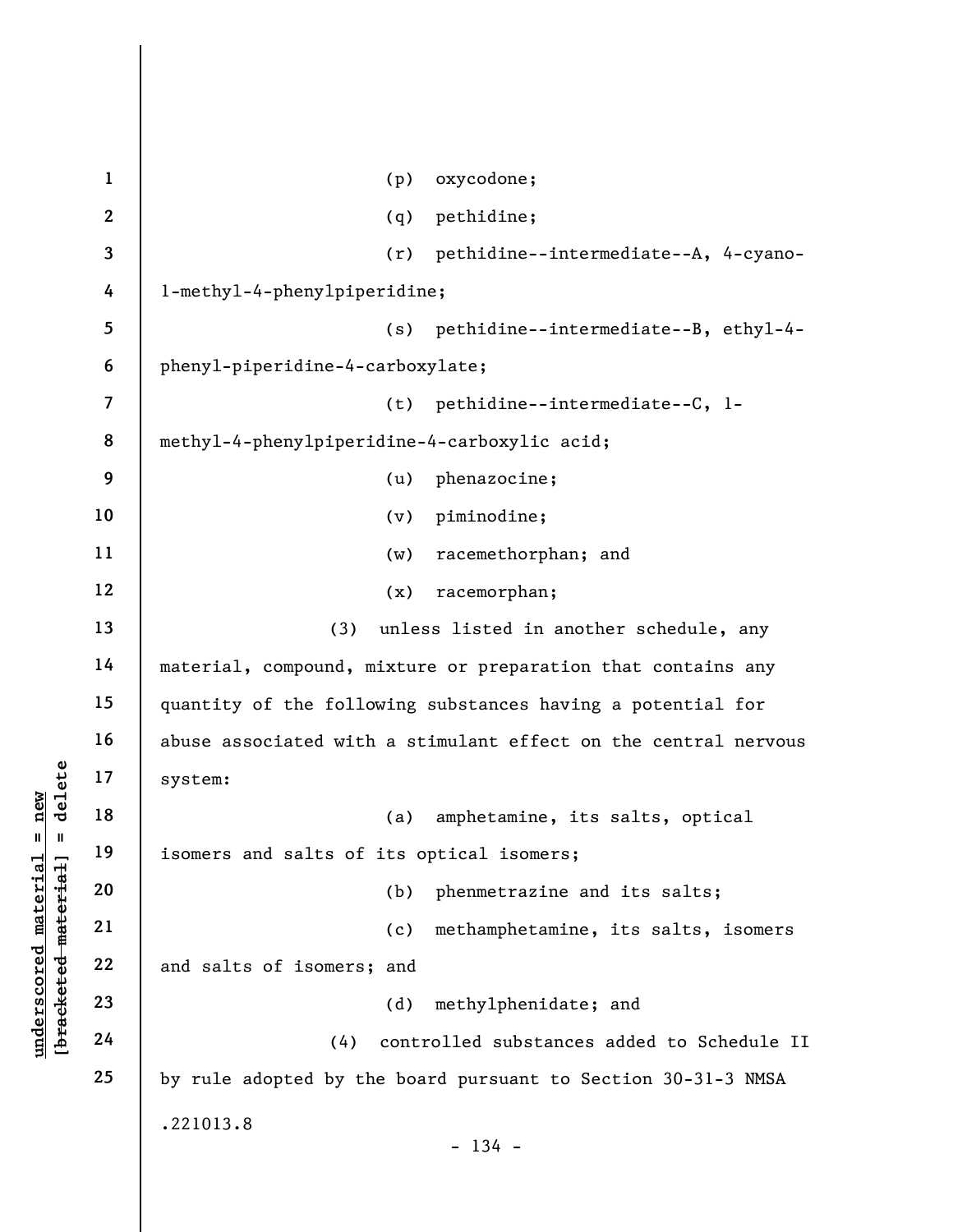|                                                         | $\mathbf{1}$             | oxycodone;<br>(p)                                               |
|---------------------------------------------------------|--------------------------|-----------------------------------------------------------------|
|                                                         | $\mathbf{2}$             | (q)<br>pethidine;                                               |
|                                                         | 3                        | pethidine--intermediate--A, 4-cyano-<br>(r)                     |
|                                                         | 4                        | l-methyl-4-phenylpiperidine;                                    |
|                                                         | 5                        | pethidine--intermediate--B, ethyl-4-<br>(s)                     |
|                                                         | 6                        | phenyl-piperidine-4-carboxylate;                                |
|                                                         | $\overline{\mathcal{L}}$ | pethidine--intermediate--C, l-<br>(t)                           |
|                                                         | 8                        | methyl-4-phenylpiperidine-4-carboxylic acid;                    |
|                                                         | 9                        | phenazocine;<br>(u)                                             |
|                                                         | 10                       | piminodine;<br>(v)                                              |
|                                                         | 11                       | racemethorphan; and<br>(w)                                      |
|                                                         | 12                       | racemorphan;<br>(x)                                             |
|                                                         | 13                       | (3)<br>unless listed in another schedule, any                   |
|                                                         | 14                       | material, compound, mixture or preparation that contains any    |
|                                                         | 15                       | quantity of the following substances having a potential for     |
|                                                         | 16                       | abuse associated with a stimulant effect on the central nervous |
| delete                                                  | 17                       | system:                                                         |
| $n$ ew<br>$\mathbf{II}^-$                               | 18                       | amphetamine, its salts, optical<br>(a)                          |
| ш                                                       | 19                       | isomers and salts of its optical isomers;                       |
|                                                         | 20                       | phenmetrazine and its salts;<br>(b)                             |
|                                                         | 21                       | methamphetamine, its salts, isomers<br>(c)                      |
| underscored material<br>[ <del>bracketed material</del> | 22                       | and salts of isomers; and                                       |
|                                                         | 23                       | methylphenidate; and<br>(d)                                     |
|                                                         | 24                       | controlled substances added to Schedule II<br>(4)               |
|                                                         | 25                       | by rule adopted by the board pursuant to Section 30-31-3 NMSA   |
|                                                         |                          | .221013.8                                                       |
|                                                         |                          | $-134 -$                                                        |
|                                                         |                          |                                                                 |

 $\overline{\phantom{a}}$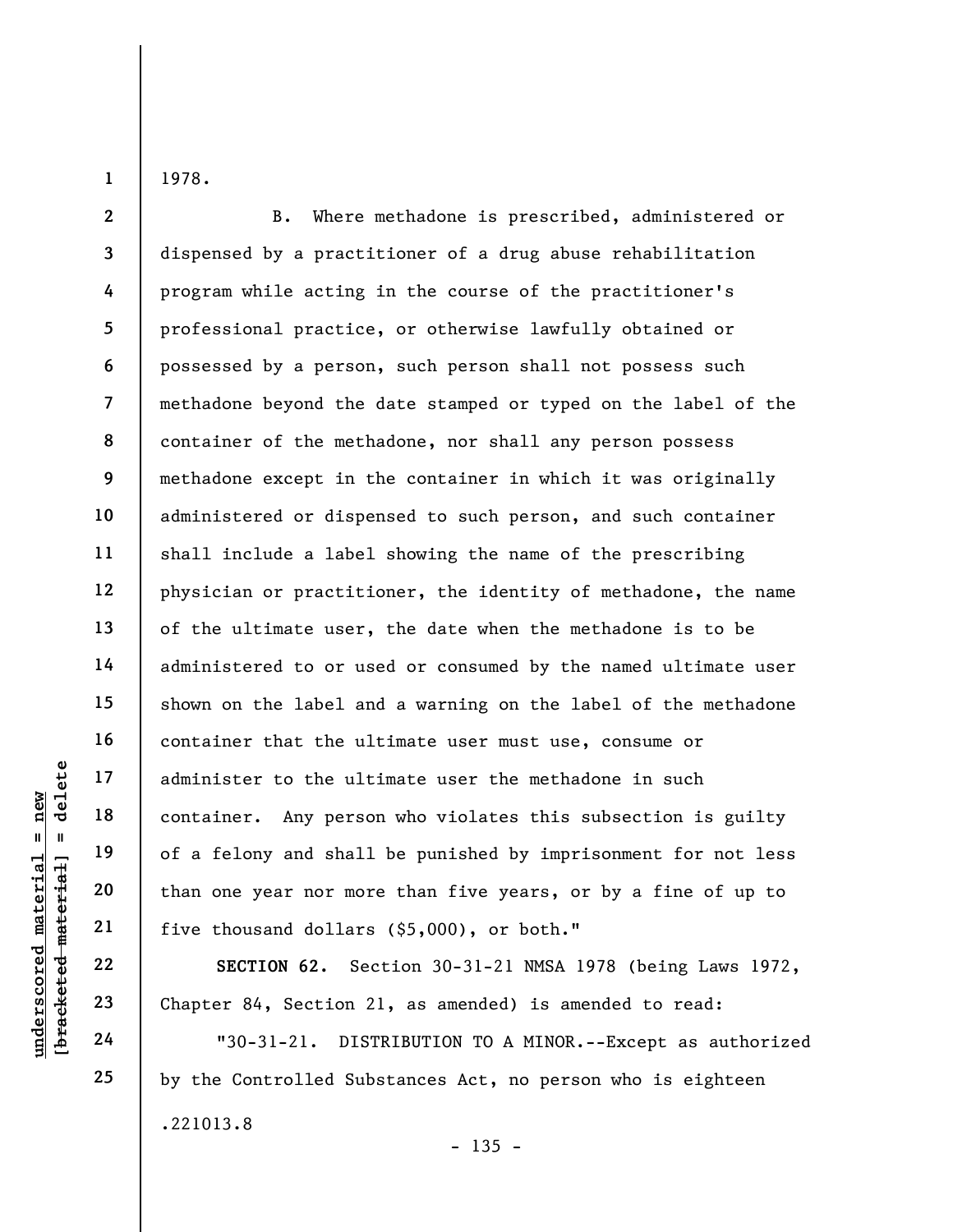1978.

1

underscores and the set of a felony and shall<br>
and 19<br>
underscores of a felony and shall<br>
than one year nor more<br>
21<br>
underscores of a felony and shall<br>
than one year nor more<br>
five thousand dollars<br>
22<br>
Chapter 84, Sectio 2 3 4 5 6 7 8 9 10 11 12 13 14 15 16 17 18 19 20 21 B. Where methadone is prescribed, administered or dispensed by a practitioner of a drug abuse rehabilitation program while acting in the course of the practitioner's professional practice, or otherwise lawfully obtained or possessed by a person, such person shall not possess such methadone beyond the date stamped or typed on the label of the container of the methadone, nor shall any person possess methadone except in the container in which it was originally administered or dispensed to such person, and such container shall include a label showing the name of the prescribing physician or practitioner, the identity of methadone, the name of the ultimate user, the date when the methadone is to be administered to or used or consumed by the named ultimate user shown on the label and a warning on the label of the methadone container that the ultimate user must use, consume or administer to the ultimate user the methadone in such container. Any person who violates this subsection is guilty of a felony and shall be punished by imprisonment for not less than one year nor more than five years, or by a fine of up to five thousand dollars (\$5,000), or both."

SECTION 62. Section 30-31-21 NMSA 1978 (being Laws 1972, Chapter 84, Section 21, as amended) is amended to read:

"30-31-21. DISTRIBUTION TO A MINOR.--Except as authorized by the Controlled Substances Act, no person who is eighteen .221013.8  $- 135 -$ 

22

23

24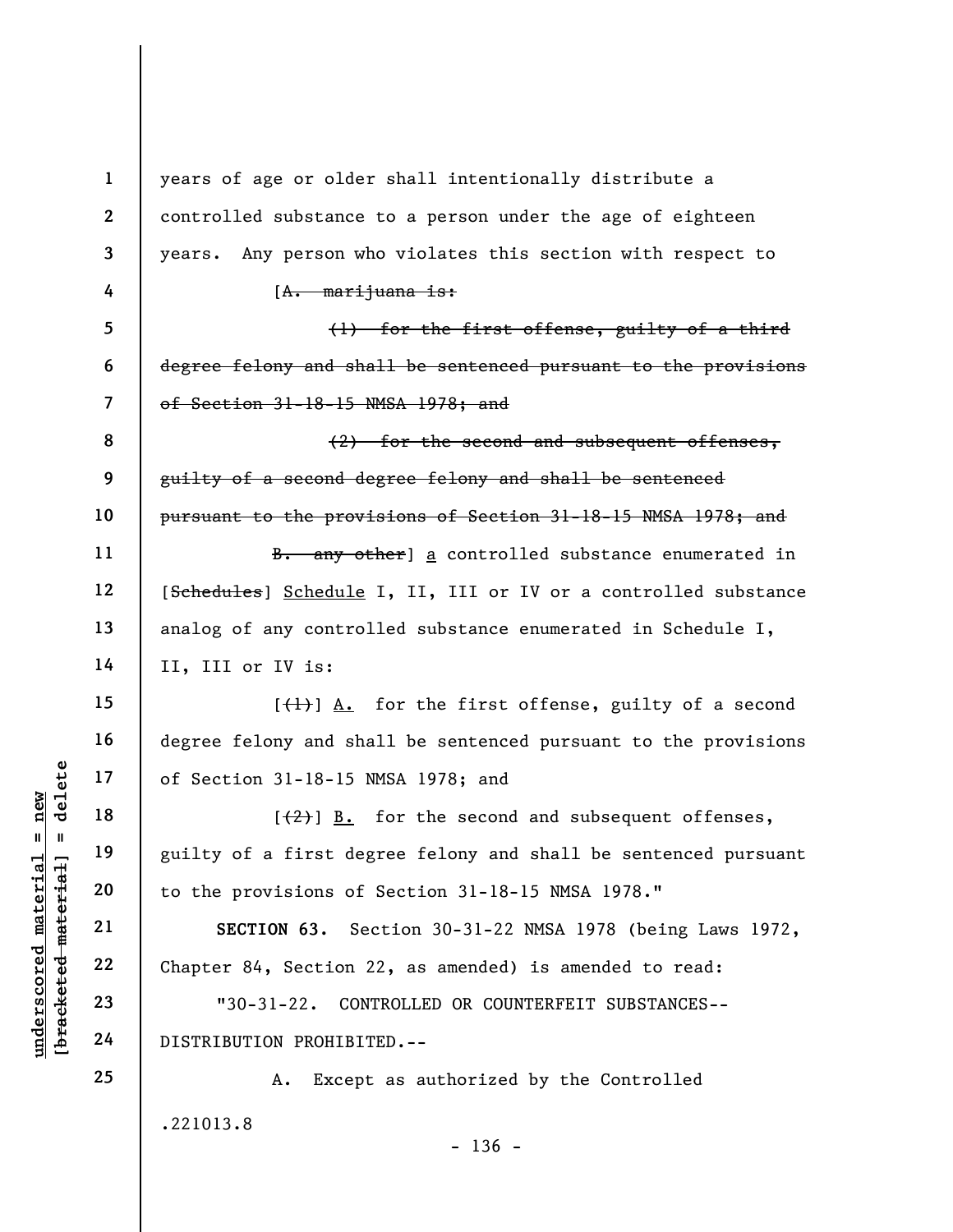underscore of Section 31-18-15 N<br>
17 and 18 (42) <u>B.</u><br>
19 guilty of a first deg<br>
to the provisions of<br>
21 sECTION 63. Section 2<br>
23 "30-31-22. CON"<br>
24 DISTRIBUTION PROHIBIT 1 2 3 4 5 6 7 8 9 10 11 12 13 14 15 16 17 18 19 20 21 22 23 24 25 years of age or older shall intentionally distribute a controlled substance to a person under the age of eighteen years. Any person who violates this section with respect to  $[A.$  marijuana is: (1) for the first offense, guilty of a third degree felony and shall be sentenced pursuant to the provisions of Section 31-18-15 NMSA 1978; and (2) for the second and subsequent offenses, guilty of a second degree felony and shall be sentenced pursuant to the provisions of Section 31-18-15 NMSA 1978; and B. any other] a controlled substance enumerated in [Schedules] Schedule I, II, III or IV or a controlled substance analog of any controlled substance enumerated in Schedule I, II, III or IV is:  $[\frac{1}{1}]$  A. for the first offense, guilty of a second degree felony and shall be sentenced pursuant to the provisions of Section 31-18-15 NMSA 1978; and  $[\frac{1}{2}]$  B. for the second and subsequent offenses, guilty of a first degree felony and shall be sentenced pursuant to the provisions of Section 31-18-15 NMSA 1978." SECTION 63. Section 30-31-22 NMSA 1978 (being Laws 1972, Chapter 84, Section 22, as amended) is amended to read: "30-31-22. CONTROLLED OR COUNTERFEIT SUBSTANCES-- DISTRIBUTION PROHIBITED.-- A. Except as authorized by the Controlled

.221013.8

 $- 136 -$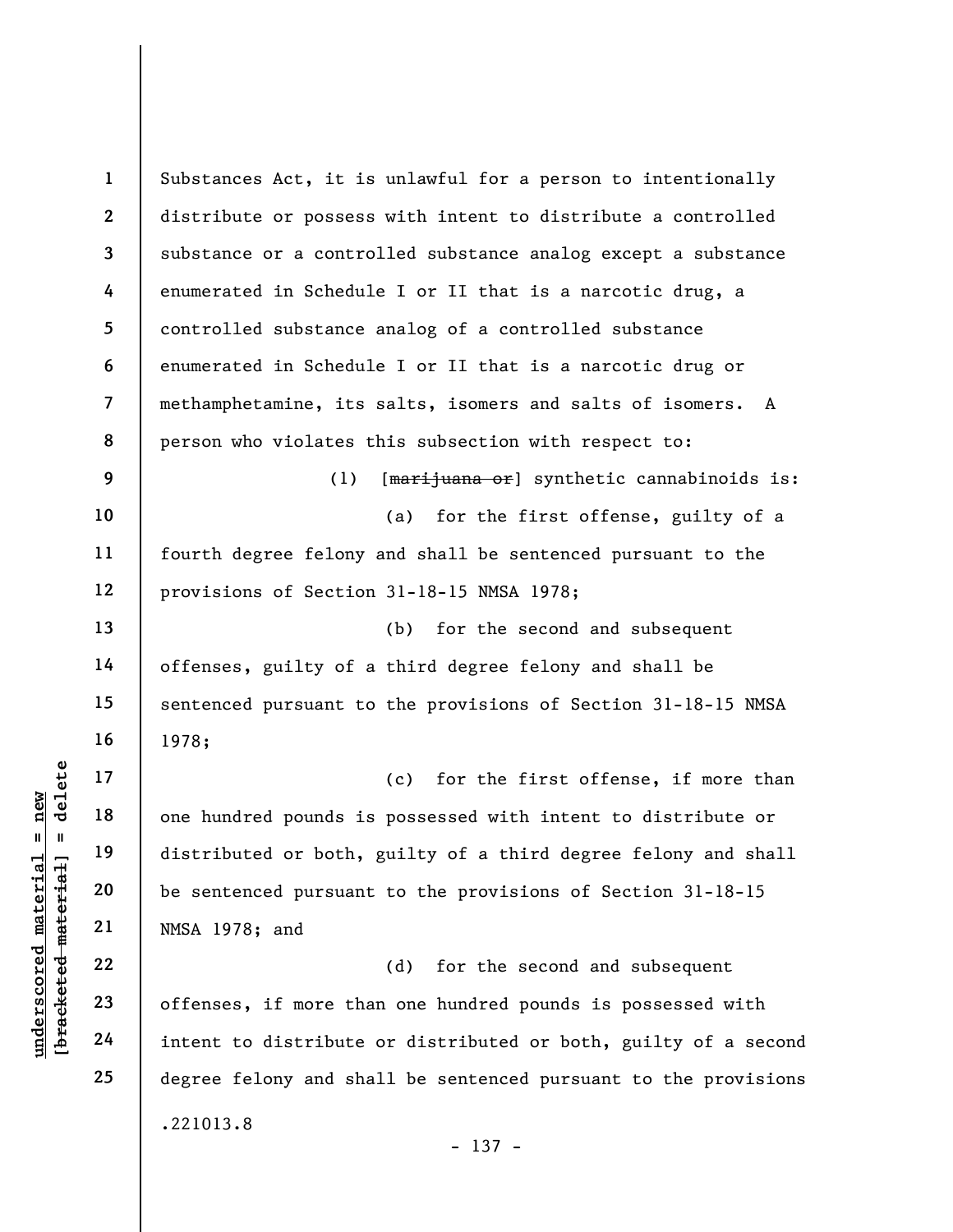underscored material = new [bracketed material] = delete 1 2 3 4 5 6 7 8 9 10 11 12 13 14 15 16 17 18 19 20 21 22 23 24 25 Substances Act, it is unlawful for a person to intentionally distribute or possess with intent to distribute a controlled substance or a controlled substance analog except a substance enumerated in Schedule I or II that is a narcotic drug, a controlled substance analog of a controlled substance enumerated in Schedule I or II that is a narcotic drug or methamphetamine, its salts, isomers and salts of isomers. A person who violates this subsection with respect to: (1) [marijuana or] synthetic cannabinoids is: (a) for the first offense, guilty of a fourth degree felony and shall be sentenced pursuant to the provisions of Section 31-18-15 NMSA 1978; (b) for the second and subsequent offenses, guilty of a third degree felony and shall be sentenced pursuant to the provisions of Section 31-18-15 NMSA 1978; (c) for the first offense, if more than one hundred pounds is possessed with intent to distribute or distributed or both, guilty of a third degree felony and shall be sentenced pursuant to the provisions of Section 31-18-15 NMSA 1978; and (d) for the second and subsequent offenses, if more than one hundred pounds is possessed with intent to distribute or distributed or both, guilty of a second degree felony and shall be sentenced pursuant to the provisions .221013.8 - 137 -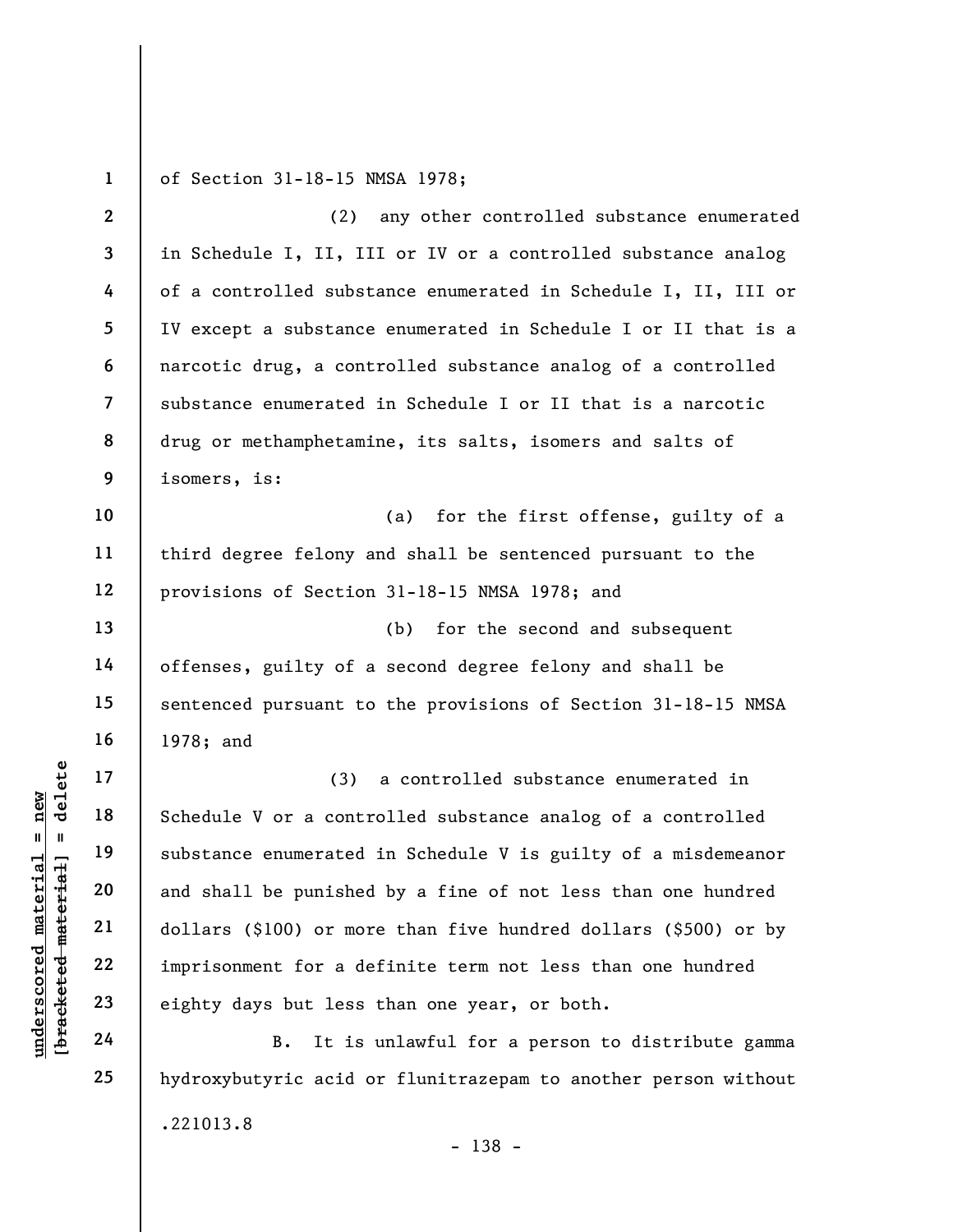1 of Section 31-18-15 NMSA 1978;

underscored material material schedule V or a contracted schedule V or a contracted substance enumerated and shall be punished dollars (\$100) or more imprisonment for a denote the 23 eighty days but less 24 B. It is 2 3 4 5 6 7 8 9 10 11 12 13 14 15 16 17 18 19 20 21 22 23 24 (2) any other controlled substance enumerated in Schedule I, II, III or IV or a controlled substance analog of a controlled substance enumerated in Schedule I, II, III or IV except a substance enumerated in Schedule I or II that is a narcotic drug, a controlled substance analog of a controlled substance enumerated in Schedule I or II that is a narcotic drug or methamphetamine, its salts, isomers and salts of isomers, is: (a) for the first offense, guilty of a third degree felony and shall be sentenced pursuant to the provisions of Section 31-18-15 NMSA 1978; and (b) for the second and subsequent offenses, guilty of a second degree felony and shall be sentenced pursuant to the provisions of Section 31-18-15 NMSA 1978; and (3) a controlled substance enumerated in Schedule V or a controlled substance analog of a controlled substance enumerated in Schedule V is guilty of a misdemeanor and shall be punished by a fine of not less than one hundred dollars (\$100) or more than five hundred dollars (\$500) or by imprisonment for a definite term not less than one hundred eighty days but less than one year, or both. B. It is unlawful for a person to distribute gamma

hydroxybutyric acid or flunitrazepam to another person without .221013.8

25

- 138 -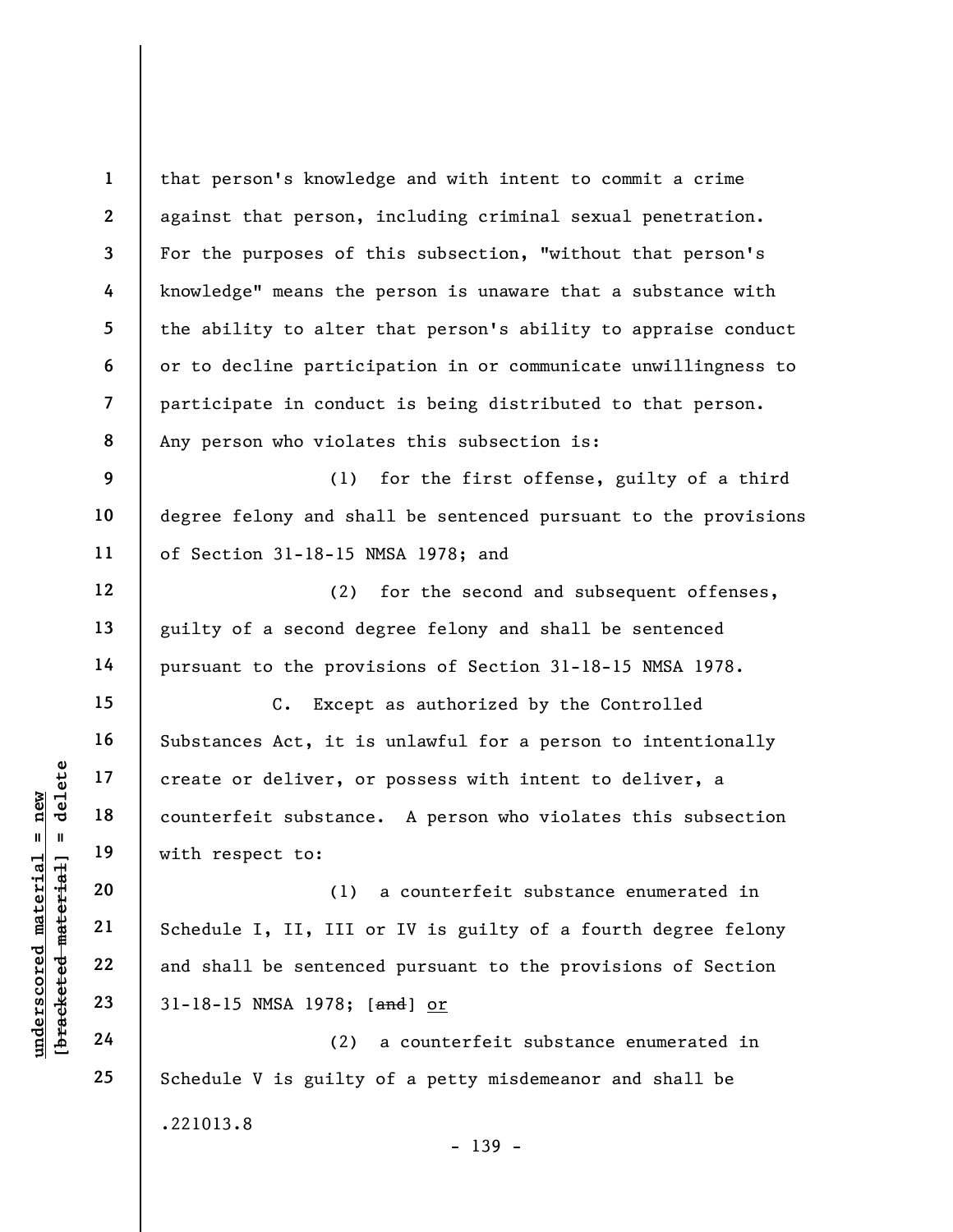underscored material = new [bracketed material] = delete 1 2 3 4 5 6 7 8 9 10 11 12 13 14 15 16 17 18 19 20 21 22 23 24 25 that person's knowledge and with intent to commit a crime against that person, including criminal sexual penetration. For the purposes of this subsection, "without that person's knowledge" means the person is unaware that a substance with the ability to alter that person's ability to appraise conduct or to decline participation in or communicate unwillingness to participate in conduct is being distributed to that person. Any person who violates this subsection is: (1) for the first offense, guilty of a third degree felony and shall be sentenced pursuant to the provisions of Section 31-18-15 NMSA 1978; and (2) for the second and subsequent offenses, guilty of a second degree felony and shall be sentenced pursuant to the provisions of Section 31-18-15 NMSA 1978. C. Except as authorized by the Controlled Substances Act, it is unlawful for a person to intentionally create or deliver, or possess with intent to deliver, a counterfeit substance. A person who violates this subsection with respect to: (1) a counterfeit substance enumerated in Schedule I, II, III or IV is guilty of a fourth degree felony and shall be sentenced pursuant to the provisions of Section 31-18-15 NMSA 1978; [and] or (2) a counterfeit substance enumerated in Schedule V is guilty of a petty misdemeanor and shall be .221013.8 - 139 -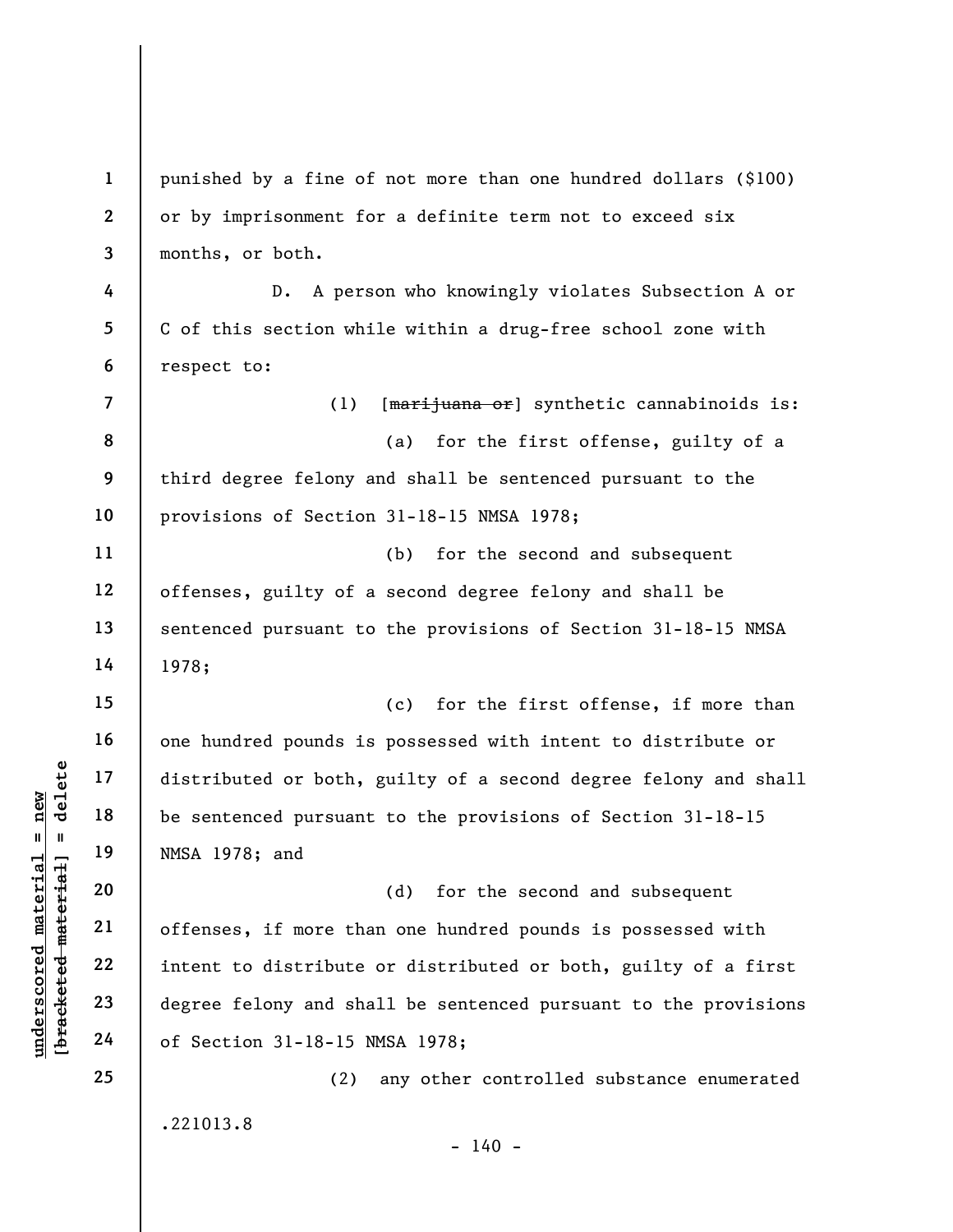|                                                | $\mathbf{1}$            | punished by a fine of not more than one hundred dollars (\$100) |
|------------------------------------------------|-------------------------|-----------------------------------------------------------------|
|                                                | $\mathbf{2}$            | or by imprisonment for a definite term not to exceed six        |
|                                                | 3                       | months, or both.                                                |
|                                                | 4                       | A person who knowingly violates Subsection A or<br>$D$ .        |
|                                                | $5\phantom{.0}$         | C of this section while within a drug-free school zone with     |
|                                                | 6                       | respect to:                                                     |
|                                                | $\overline{\mathbf{z}}$ | (1)<br>[marijuana or] synthetic cannabinoids is:                |
|                                                | 8                       | for the first offense, guilty of a<br>(a)                       |
|                                                | 9                       | third degree felony and shall be sentenced pursuant to the      |
|                                                | 10                      | provisions of Section 31-18-15 NMSA 1978;                       |
|                                                | 11                      | for the second and subsequent<br>(b)                            |
|                                                | 12                      | offenses, guilty of a second degree felony and shall be         |
|                                                | 13                      | sentenced pursuant to the provisions of Section 31-18-15 NMSA   |
|                                                | 14                      | 1978;                                                           |
|                                                | 15                      | for the first offense, if more than<br>(c)                      |
|                                                | 16                      | one hundred pounds is possessed with intent to distribute or    |
| delete                                         | 17                      | distributed or both, guilty of a second degree felony and shall |
| new                                            | 18                      | be sentenced pursuant to the provisions of Section 31-18-15     |
| Ш<br>- 11                                      | 19                      | NMSA 1978; and                                                  |
| material                                       | 20                      | for the second and subsequent<br>(d)                            |
|                                                | 21                      | offenses, if more than one hundred pounds is possessed with     |
| [bracketed material<br>$\bm{{\rm underscore}}$ | 22                      | intent to distribute or distributed or both, guilty of a first  |
|                                                | 23                      | degree felony and shall be sentenced pursuant to the provisions |
|                                                | 24                      | of Section 31-18-15 NMSA 1978;                                  |
|                                                | 25                      | any other controlled substance enumerated<br>(2)                |
|                                                |                         | .221013.8<br>$-140 -$                                           |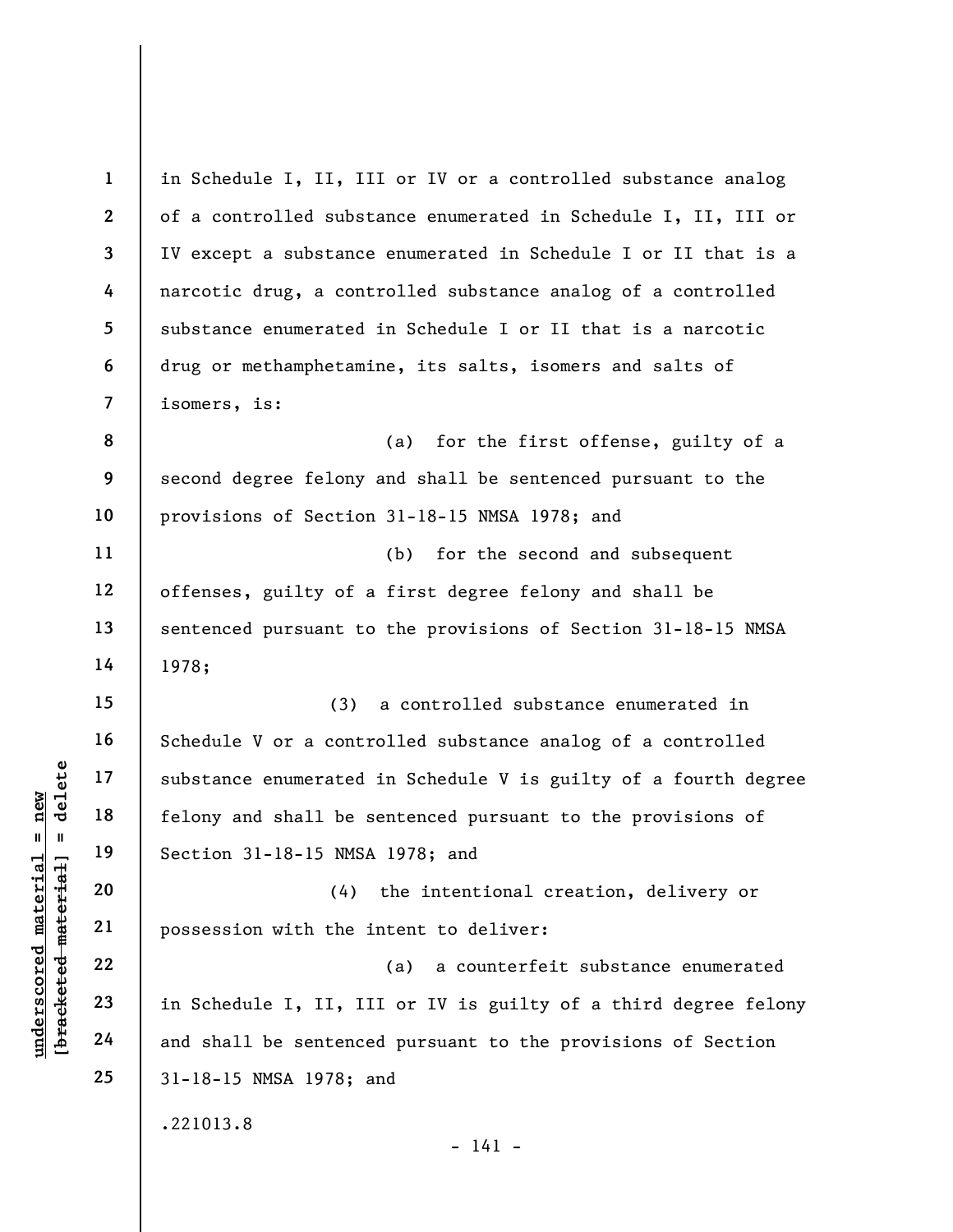underscored material = new [bracketed material] = delete 1 2 3 4 5 6 7 8 9 10 11 12 13 14 15 16 17 18 19 20 21 22 23 24 25 in Schedule I, II, III or IV or a controlled substance analog of a controlled substance enumerated in Schedule I, II, III or IV except a substance enumerated in Schedule I or II that is a narcotic drug, a controlled substance analog of a controlled substance enumerated in Schedule I or II that is a narcotic drug or methamphetamine, its salts, isomers and salts of isomers, is: (a) for the first offense, guilty of a second degree felony and shall be sentenced pursuant to the provisions of Section 31-18-15 NMSA 1978; and (b) for the second and subsequent offenses, guilty of a first degree felony and shall be sentenced pursuant to the provisions of Section 31-18-15 NMSA 1978; (3) a controlled substance enumerated in Schedule V or a controlled substance analog of a controlled substance enumerated in Schedule V is guilty of a fourth degree felony and shall be sentenced pursuant to the provisions of Section 31-18-15 NMSA 1978; and (4) the intentional creation, delivery or possession with the intent to deliver: (a) a counterfeit substance enumerated in Schedule I, II, III or IV is guilty of a third degree felony and shall be sentenced pursuant to the provisions of Section 31-18-15 NMSA 1978; and .221013.8 - 141 -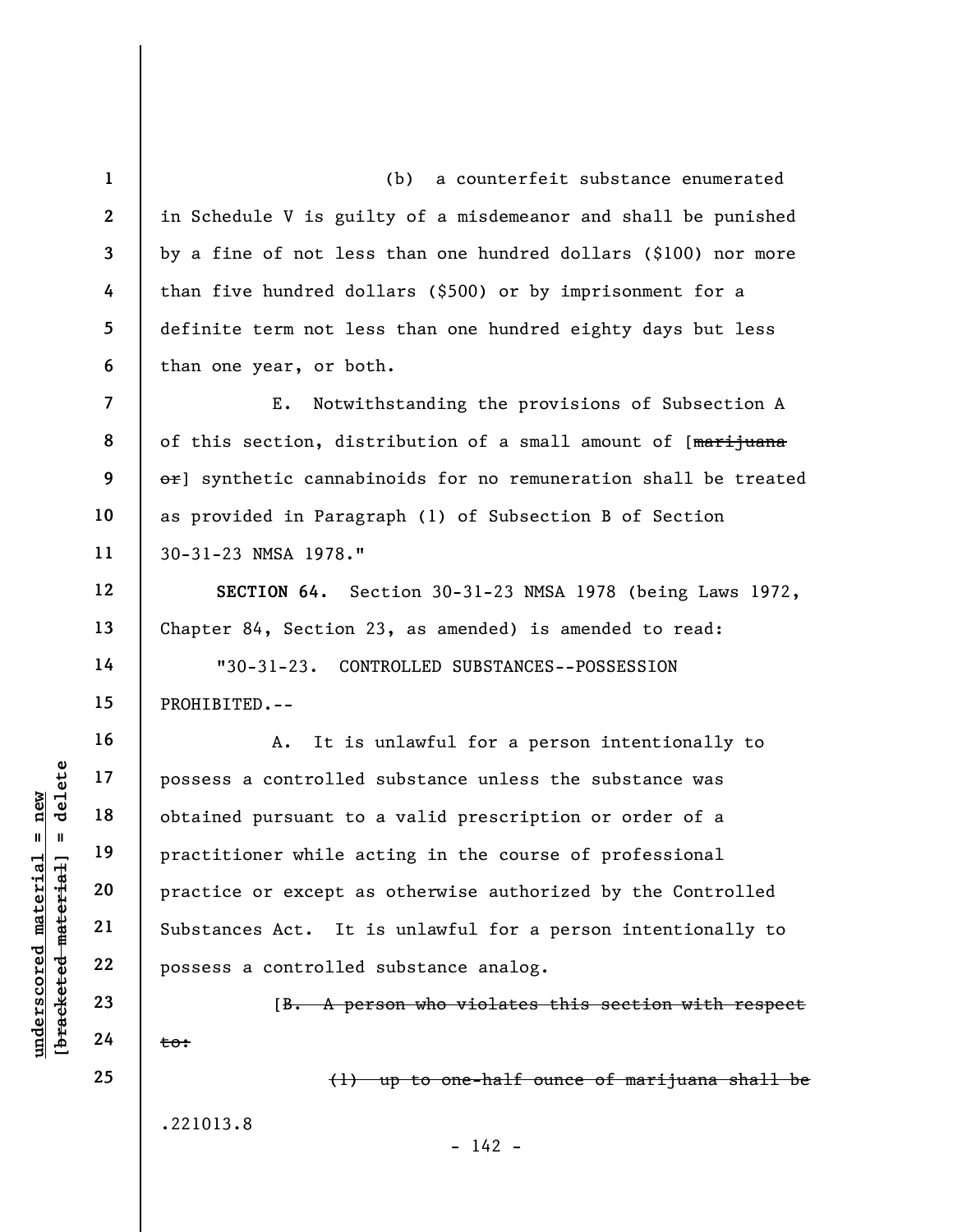understand material extended<br>  $\begin{array}{c|c|c|c} \n\text{u} & \text{u} & \text{u} & \text{u} & \text{u} & \text{u} & \text{u} & \text{u} & \text{u} & \text{u} & \text{u} & \text{u} & \text{u} & \text{u} & \text{u} & \text{u} & \text{u} & \text{u} & \text{u} & \text{u} & \text{u} & \text{u} & \text{u} & \text{u} & \text{u} & \text{u} & \text{u} & \text{u} & \text{u} & \text$ 1 2 3 4 5 6 7 8 9 10 11 12 13 14 15 16 17 18 19 20 (b) a counterfeit substance enumerated in Schedule V is guilty of a misdemeanor and shall be punished by a fine of not less than one hundred dollars (\$100) nor more than five hundred dollars (\$500) or by imprisonment for a definite term not less than one hundred eighty days but less than one year, or both. E. Notwithstanding the provisions of Subsection A of this section, distribution of a small amount of [marijuana or] synthetic cannabinoids for no remuneration shall be treated as provided in Paragraph (1) of Subsection B of Section 30-31-23 NMSA 1978." SECTION 64. Section 30-31-23 NMSA 1978 (being Laws 1972, Chapter 84, Section 23, as amended) is amended to read: "30-31-23. CONTROLLED SUBSTANCES--POSSESSION PROHIBITED.-- A. It is unlawful for a person intentionally to possess a controlled substance unless the substance was obtained pursuant to a valid prescription or order of a practitioner while acting in the course of professional practice or except as otherwise authorized by the Controlled

Substances Act. It is unlawful for a person intentionally to possess a controlled substance analog.

[B. A person who violates this section with respect to:

 $- 142 -$ 

(1) up to one-half ounce of marijuana shall be

.221013.8

21

22

23

24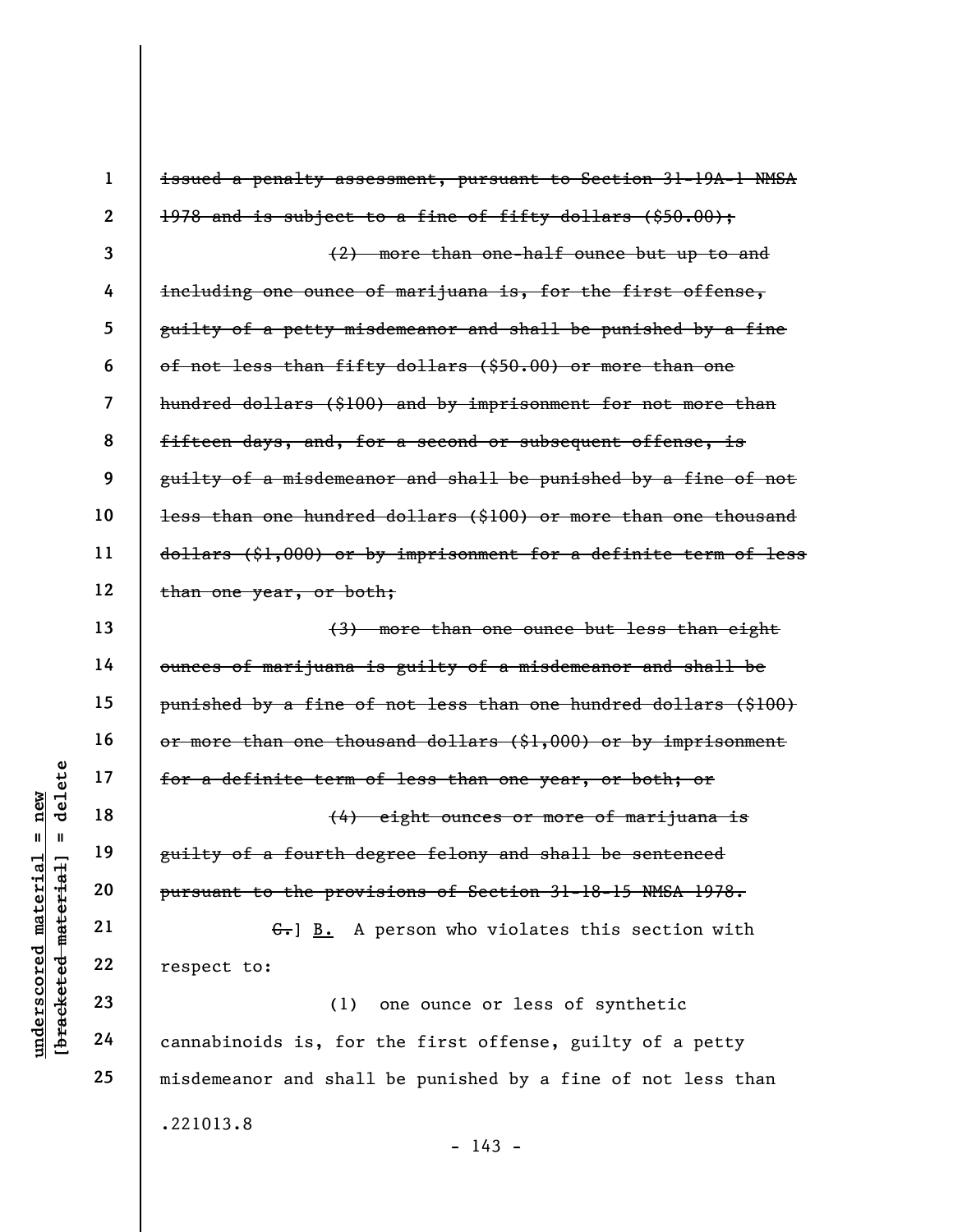|                                             | $\mathbf 1$      | issued a penalty assessment, pursuant to Section 31-19A-1 NMSA      |
|---------------------------------------------|------------------|---------------------------------------------------------------------|
|                                             | $\boldsymbol{2}$ | 1978 and is subject to a fine of fifty dollars (\$50.00);           |
|                                             | 3                | (2) more than one-half ounce but up to and                          |
|                                             | 4                | including one ounce of marijuana is, for the first offense,         |
|                                             | 5                | guilty of a petty misdemeanor and shall be punished by a fine       |
|                                             | 6                | of not less than fifty dollars (\$50.00) or more than one           |
|                                             | 7                | hundred dollars (\$100) and by imprisonment for not more than       |
|                                             | 8                | fifteen days, and, for a second or subsequent offense, is           |
|                                             | 9                | guilty of a misdemeanor and shall be punished by a fine of not      |
|                                             | 10               | less than one hundred dollars (\$100) or more than one thousand     |
|                                             | 11               | $d$ ollars (\$1,000) or by imprisonment for a definite term of less |
|                                             | 12               | than one year, or both;                                             |
|                                             | 13               | (3) more than one ounce but less than eight                         |
|                                             | 14               | ounces of marijuana is guilty of a misdemeanor and shall be         |
|                                             | 15               | punished by a fine of not less than one hundred dollars (\$100)     |
|                                             | 16               | or more than one thousand dollars (\$1,000) or by imprisonment      |
| delete                                      | 17               | for a definite term of less than one year, or both; or              |
| nev                                         | 18               | (4) eight ounces or more of marijuana is                            |
| Ш<br>Ш                                      | 19               | guilty of a fourth degree felony and shall be sentenced             |
| underscored material<br>[bracketed material | 20               | pursuant to the provisions of Section 31-18-15 NMSA 1978.           |
|                                             | 21               | A person who violates this section with<br>$G-$ ] B.                |
|                                             | 22               | respect to:                                                         |
|                                             | 23               | (1)<br>one ounce or less of synthetic                               |
|                                             | 24               | cannabinoids is, for the first offense, guilty of a petty           |
|                                             | 25               | misdemeanor and shall be punished by a fine of not less than        |
|                                             |                  | .221013.8                                                           |

- 143 -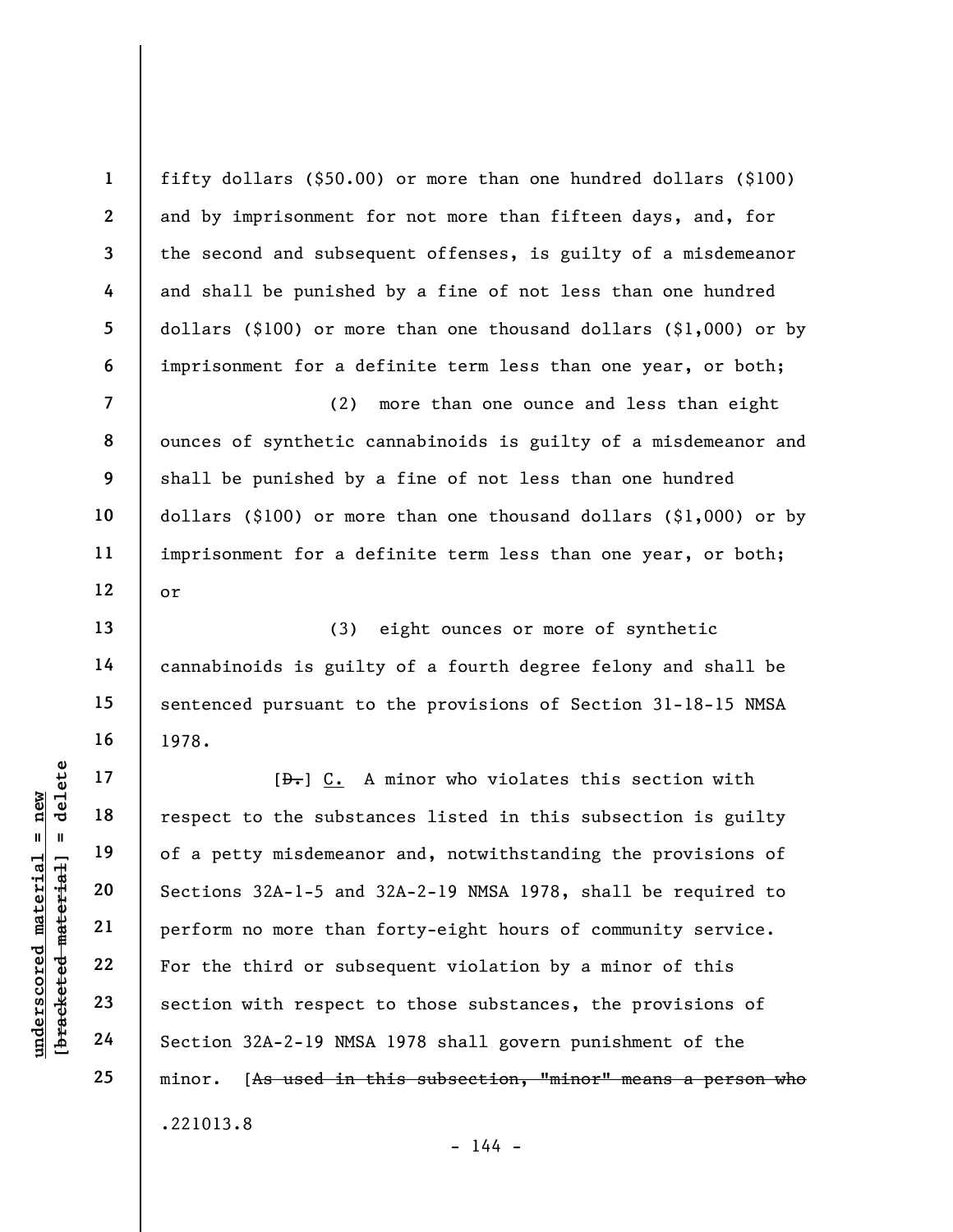fifty dollars (\$50.00) or more than one hundred dollars (\$100) and by imprisonment for not more than fifteen days, and, for the second and subsequent offenses, is guilty of a misdemeanor and shall be punished by a fine of not less than one hundred dollars (\$100) or more than one thousand dollars (\$1,000) or by imprisonment for a definite term less than one year, or both;

(2) more than one ounce and less than eight ounces of synthetic cannabinoids is guilty of a misdemeanor and shall be punished by a fine of not less than one hundred dollars (\$100) or more than one thousand dollars (\$1,000) or by imprisonment for a definite term less than one year, or both; or

(3) eight ounces or more of synthetic cannabinoids is guilty of a fourth degree felony and shall be sentenced pursuant to the provisions of Section 31-18-15 NMSA 1978.

understand material material and the substandard material of a petty misdemeanon<br>derived material of a petty misdemeanon<br>derived material of a petty misdemeanon<br>sections 32A-1-5 and<br>perform no more than<br> $\begin{array}{|l|l|}\n22 \\
23 \\$  $[\frac{D-1}{2}]$  C. A minor who violates this section with respect to the substances listed in this subsection is guilty of a petty misdemeanor and, notwithstanding the provisions of Sections 32A-1-5 and 32A-2-19 NMSA 1978, shall be required to perform no more than forty-eight hours of community service. For the third or subsequent violation by a minor of this section with respect to those substances, the provisions of Section 32A-2-19 NMSA 1978 shall govern punishment of the minor. [As used in this subsection, "minor" means a person who .221013.8

 $- 144 -$ 

1

2

3

4

5

6

7

8

9

10

11

12

13

14

15

16

17

18

19

20

21

22

23

24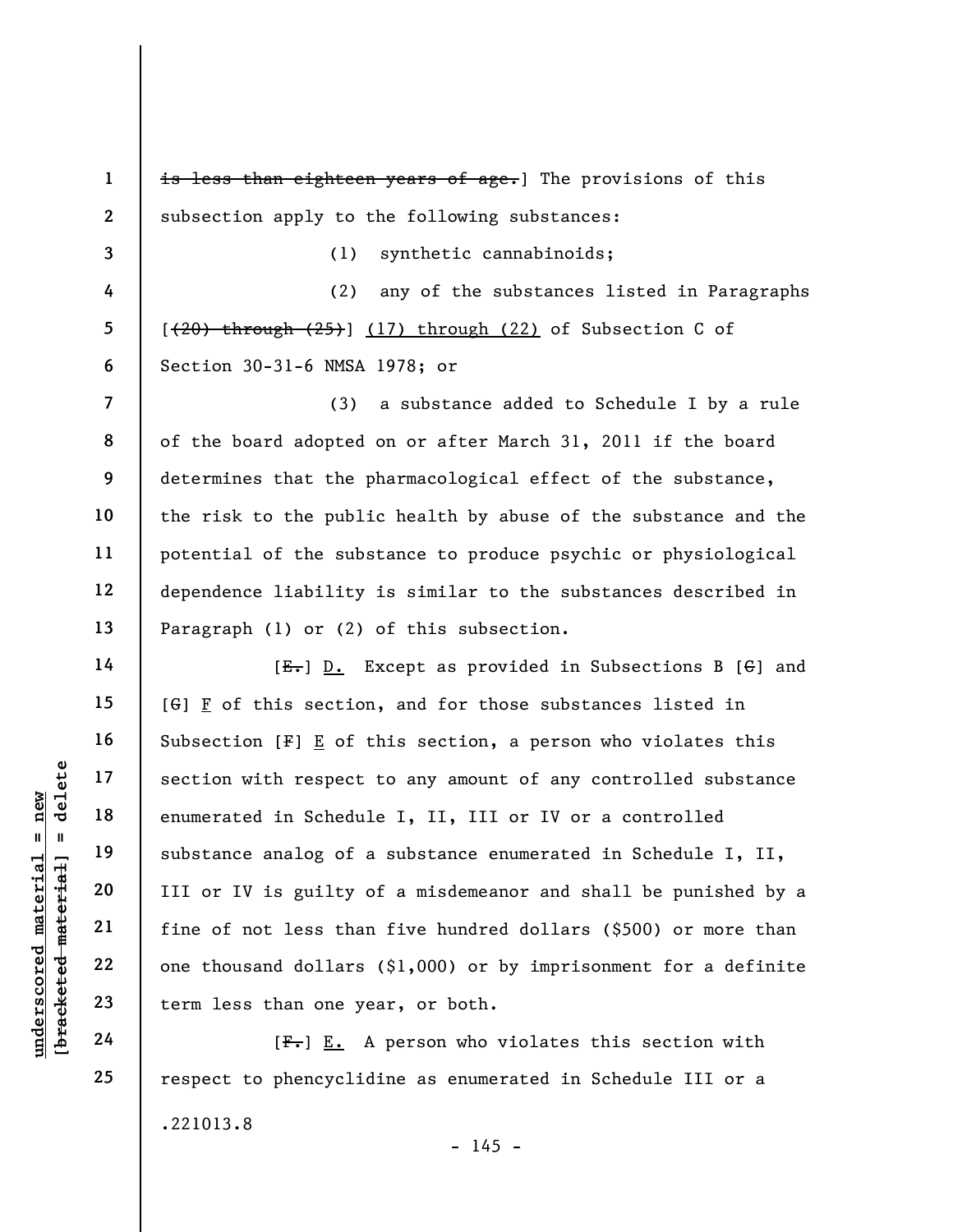underscore of a<br>
understand material of a<br>
understand material substance analog of a<br>
understand of a<br>
understand of the substance analog of a<br>
understand of the substance analog of a<br>
III or IV is guilty c<br>
intervalse the 1 2 3 4 5 6 7 8 9 10 11 12 13 14 15 16 17 18 19 20 21 22 23 is less than eighteen years of age.] The provisions of this subsection apply to the following substances: (1) synthetic cannabinoids; (2) any of the substances listed in Paragraphs  $[$   $(20)$  through  $(25)$ ]  $(17)$  through  $(22)$  of Subsection C of Section 30-31-6 NMSA 1978; or (3) a substance added to Schedule I by a rule of the board adopted on or after March 31, 2011 if the board determines that the pharmacological effect of the substance, the risk to the public health by abuse of the substance and the potential of the substance to produce psychic or physiological dependence liability is similar to the substances described in Paragraph (1) or (2) of this subsection.  $[E-]$  D. Except as provided in Subsections B  $[G]$  and  $[G]$   $F$  of this section, and for those substances listed in Subsection [F] E of this section, a person who violates this section with respect to any amount of any controlled substance enumerated in Schedule I, II, III or IV or a controlled substance analog of a substance enumerated in Schedule I, II, III or IV is guilty of a misdemeanor and shall be punished by a fine of not less than five hundred dollars (\$500) or more than one thousand dollars (\$1,000) or by imprisonment for a definite term less than one year, or both.

 $[F<sub>1</sub>]$  E. A person who violates this section with respect to phencyclidine as enumerated in Schedule III or a .221013.8  $- 145 -$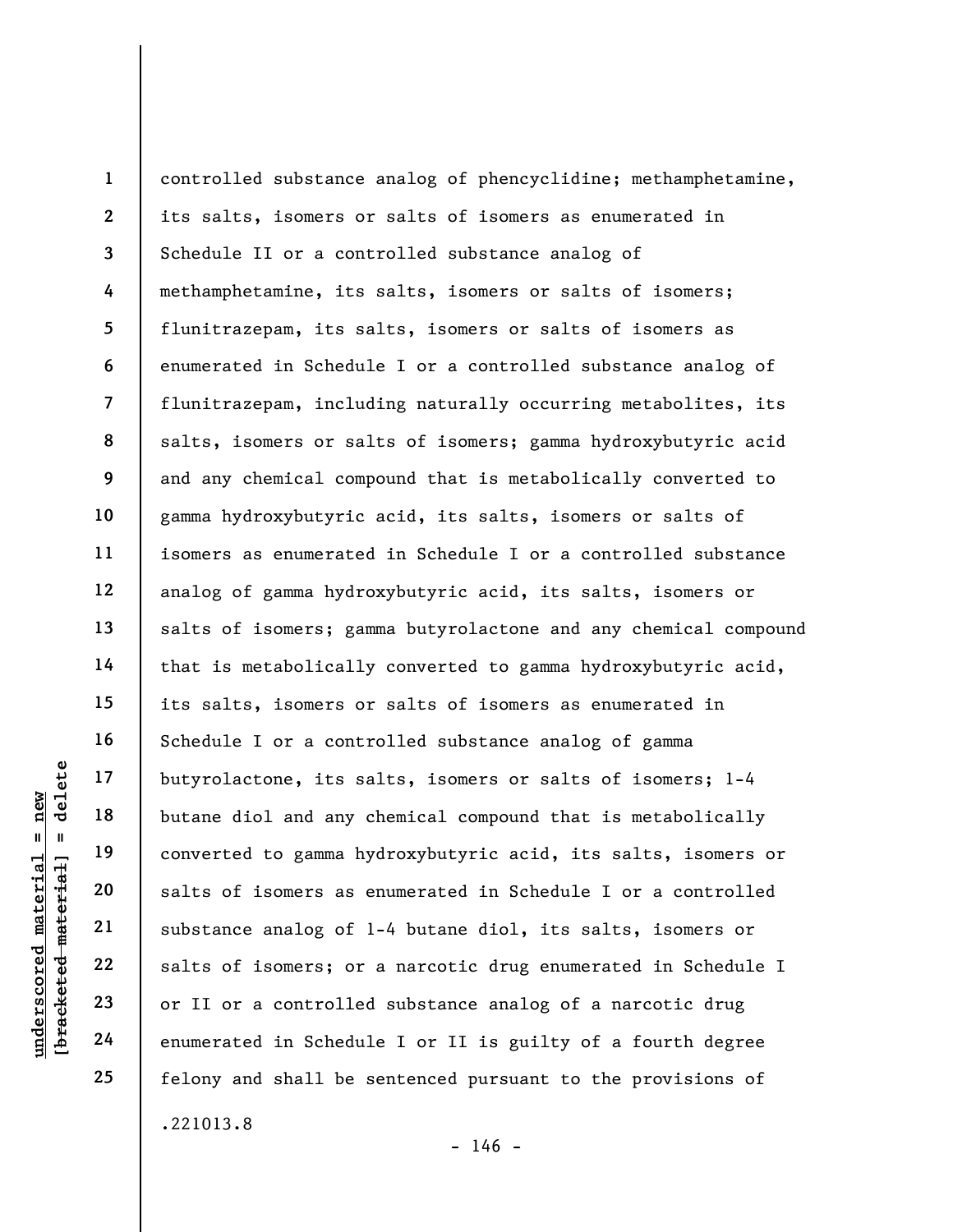underscored material = new [bracketed material] = delete 1 2 3 4 5 6 7 8 9 10 11 12 13 14 15 16 17 18 19 20 21 22 23 24 25 controlled substance analog of phencyclidine; methamphetamine, its salts, isomers or salts of isomers as enumerated in Schedule II or a controlled substance analog of methamphetamine, its salts, isomers or salts of isomers; flunitrazepam, its salts, isomers or salts of isomers as enumerated in Schedule I or a controlled substance analog of flunitrazepam, including naturally occurring metabolites, its salts, isomers or salts of isomers; gamma hydroxybutyric acid and any chemical compound that is metabolically converted to gamma hydroxybutyric acid, its salts, isomers or salts of isomers as enumerated in Schedule I or a controlled substance analog of gamma hydroxybutyric acid, its salts, isomers or salts of isomers; gamma butyrolactone and any chemical compound that is metabolically converted to gamma hydroxybutyric acid, its salts, isomers or salts of isomers as enumerated in Schedule I or a controlled substance analog of gamma butyrolactone, its salts, isomers or salts of isomers; 1-4 butane diol and any chemical compound that is metabolically converted to gamma hydroxybutyric acid, its salts, isomers or salts of isomers as enumerated in Schedule I or a controlled substance analog of 1-4 butane diol, its salts, isomers or salts of isomers; or a narcotic drug enumerated in Schedule I or II or a controlled substance analog of a narcotic drug enumerated in Schedule I or II is guilty of a fourth degree felony and shall be sentenced pursuant to the provisions of .221013.8

 $- 146 -$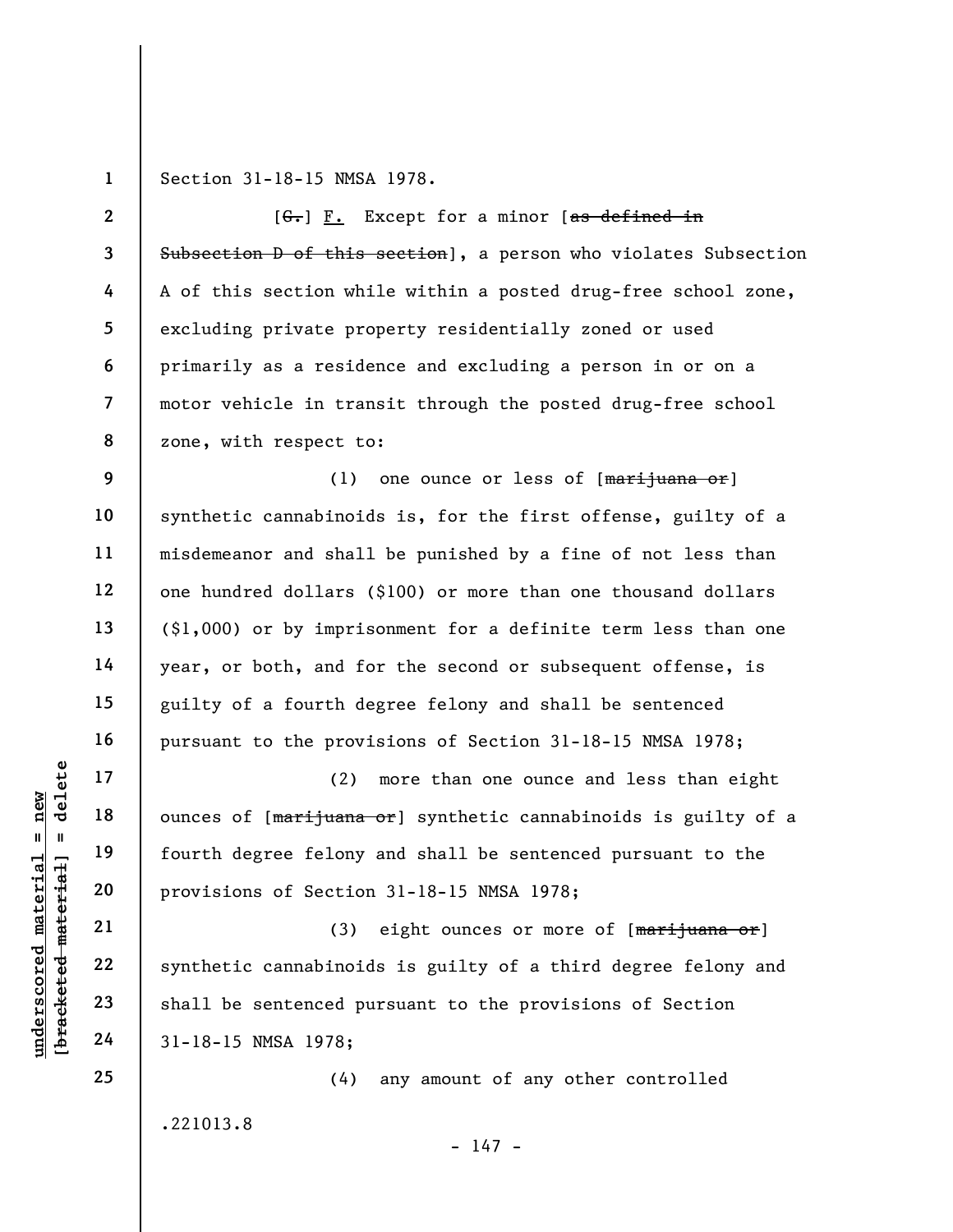1

Section 31-18-15 NMSA 1978.

2 3 4 5 6 7 8 9 10 11 12 13 14 15  $[G<sub>1</sub>] F.$  Except for a minor  $[as defined in]$ Subsection D of this section], a person who violates Subsection A of this section while within a posted drug-free school zone, excluding private property residentially zoned or used primarily as a residence and excluding a person in or on a motor vehicle in transit through the posted drug-free school zone, with respect to: (1) one ounce or less of  $[\frac{matrix}{1}$ uana or synthetic cannabinoids is, for the first offense, guilty of a misdemeanor and shall be punished by a fine of not less than one hundred dollars (\$100) or more than one thousand dollars (\$1,000) or by imprisonment for a definite term less than one year, or both, and for the second or subsequent offense, is guilty of a fourth degree felony and shall be sentenced

pursuant to the provisions of Section 31-18-15 NMSA 1978;

(2) more than one ounce and less than eight ounces of [marijuana or] synthetic cannabinoids is guilty of a fourth degree felony and shall be sentenced pursuant to the provisions of Section 31-18-15 NMSA 1978;

underscored material = new [bracketed material] = delete (3) eight ounces or more of  $[\frac{maxif}{meana} \text{ or } ]$ synthetic cannabinoids is guilty of a third degree felony and shall be sentenced pursuant to the provisions of Section 31-18-15 NMSA 1978;

> (4) any amount of any other controlled .221013.8

> > $- 147 -$

25

16

17

18

19

20

21

22

23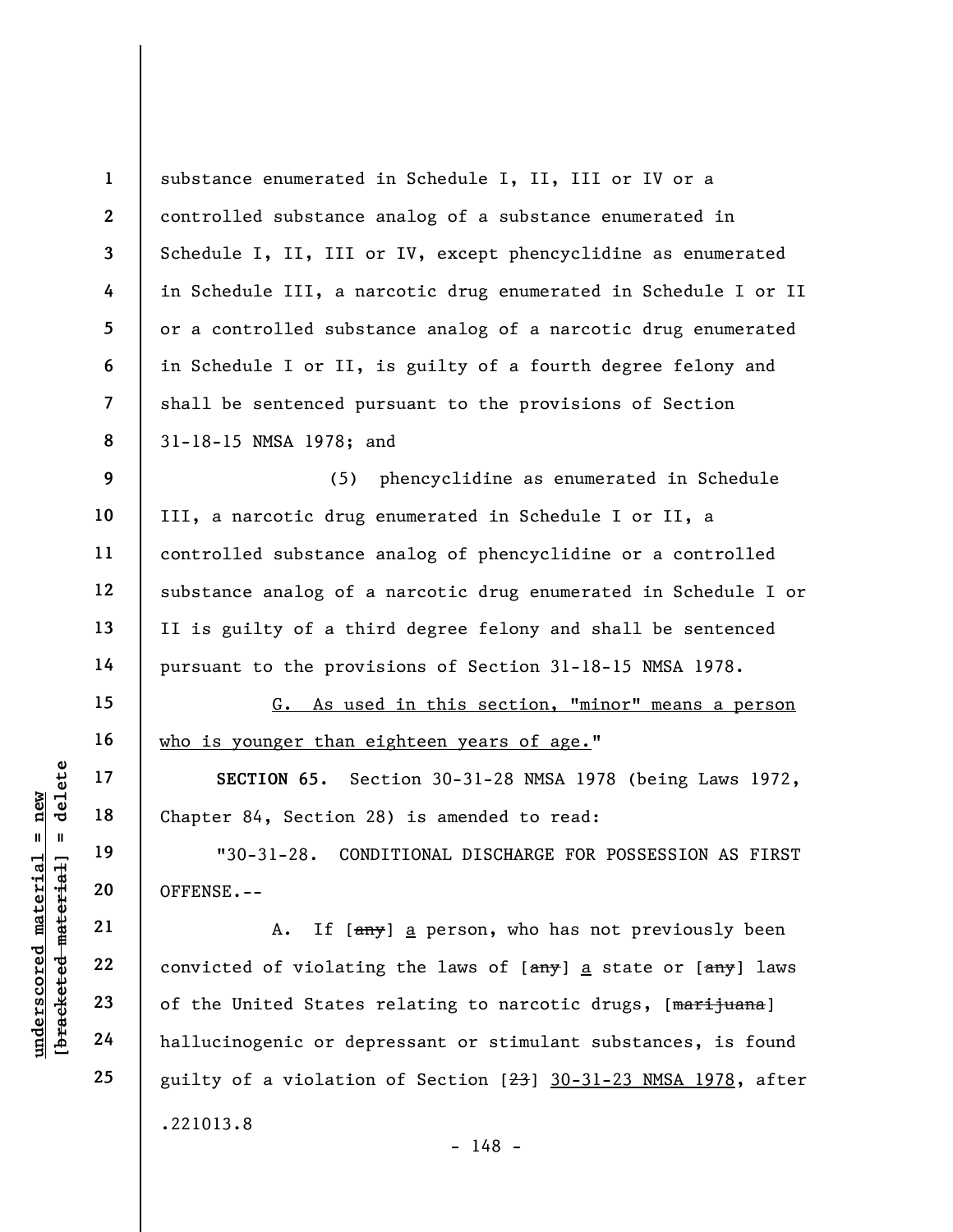|                                                                                   | $\mathbf{1}$            | substance enumerated in Schedule I, II, III or IV or a          |
|-----------------------------------------------------------------------------------|-------------------------|-----------------------------------------------------------------|
|                                                                                   | $\mathbf{2}$            | controlled substance analog of a substance enumerated in        |
|                                                                                   | $\overline{\mathbf{3}}$ | Schedule I, II, III or IV, except phencyclidine as enumerated   |
|                                                                                   | 4                       | in Schedule III, a narcotic drug enumerated in Schedule I or II |
|                                                                                   | 5                       | or a controlled substance analog of a narcotic drug enumerated  |
|                                                                                   | 6                       | in Schedule I or II, is guilty of a fourth degree felony and    |
|                                                                                   | $\overline{7}$          | shall be sentenced pursuant to the provisions of Section        |
|                                                                                   | 8                       | 31-18-15 NMSA 1978; and                                         |
|                                                                                   | 9                       | phencyclidine as enumerated in Schedule<br>(5)                  |
|                                                                                   | 10                      | III, a narcotic drug enumerated in Schedule I or II, a          |
|                                                                                   | 11                      | controlled substance analog of phencyclidine or a controlled    |
|                                                                                   | 12                      | substance analog of a narcotic drug enumerated in Schedule I or |
|                                                                                   | 13                      | II is guilty of a third degree felony and shall be sentenced    |
|                                                                                   | 14                      | pursuant to the provisions of Section 31-18-15 NMSA 1978.       |
|                                                                                   | 15                      | G. As used in this section, "minor" means a person              |
| delete<br>new                                                                     | 16                      | who is younger than eighteen years of age."                     |
|                                                                                   | 17                      | SECTION 65. Section 30-31-28 NMSA 1978 (being Laws 1972,        |
|                                                                                   | 18                      | Chapter 84, Section 28) is amended to read:                     |
| Ш                                                                                 | 19                      | $"30-31-28.$<br>CONDITIONAL DISCHARGE FOR POSSESSION AS FIRST   |
| $\bm{{\rm underscored}}$ $\bm{{\rm meterial}}$<br>[ <del>bracketed materia]</del> | 20                      | OFFENSE.--                                                      |
|                                                                                   | 21                      | If [any] a person, who has not previously been<br>Α.            |
|                                                                                   | 22                      | convicted of violating the laws of [any] a state or [any] laws  |
|                                                                                   | 23                      | of the United States relating to narcotic drugs, [marijuana]    |
|                                                                                   | 24                      | hallucinogenic or depressant or stimulant substances, is found  |
|                                                                                   | 25                      | guilty of a violation of Section [23] 30-31-23 NMSA 1978, after |
|                                                                                   |                         | .221013.8<br>1 L O                                              |

- 148 -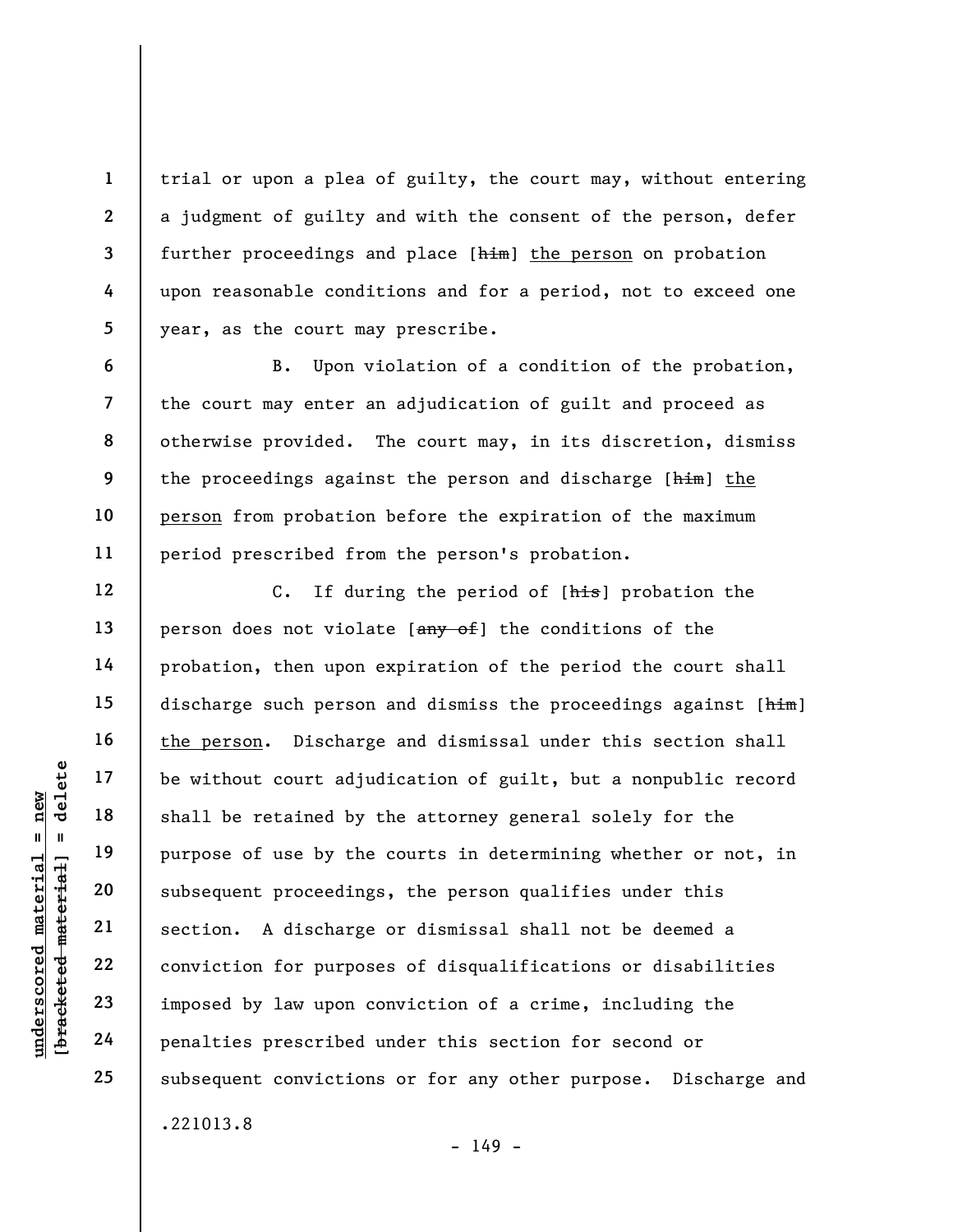trial or upon a plea of guilty, the court may, without entering a judgment of guilty and with the consent of the person, defer further proceedings and place [him] the person on probation upon reasonable conditions and for a period, not to exceed one year, as the court may prescribe.

B. Upon violation of a condition of the probation, the court may enter an adjudication of guilt and proceed as otherwise provided. The court may, in its discretion, dismiss the proceedings against the person and discharge [him] the person from probation before the expiration of the maximum period prescribed from the person's probation.

underscored material = new [bracketed material] = delete C. If during the period of [his] probation the person does not violate  $[$ any of the conditions of the probation, then upon expiration of the period the court shall discharge such person and dismiss the proceedings against  $[\frac{him}{ }]$ the person. Discharge and dismissal under this section shall be without court adjudication of guilt, but a nonpublic record shall be retained by the attorney general solely for the purpose of use by the courts in determining whether or not, in subsequent proceedings, the person qualifies under this section. A discharge or dismissal shall not be deemed a conviction for purposes of disqualifications or disabilities imposed by law upon conviction of a crime, including the penalties prescribed under this section for second or subsequent convictions or for any other purpose. Discharge and .221013.8

 $- 149 -$ 

1

2

3

4

5

6

7

8

9

10

11

12

13

14

15

16

17

18

19

20

21

22

23

24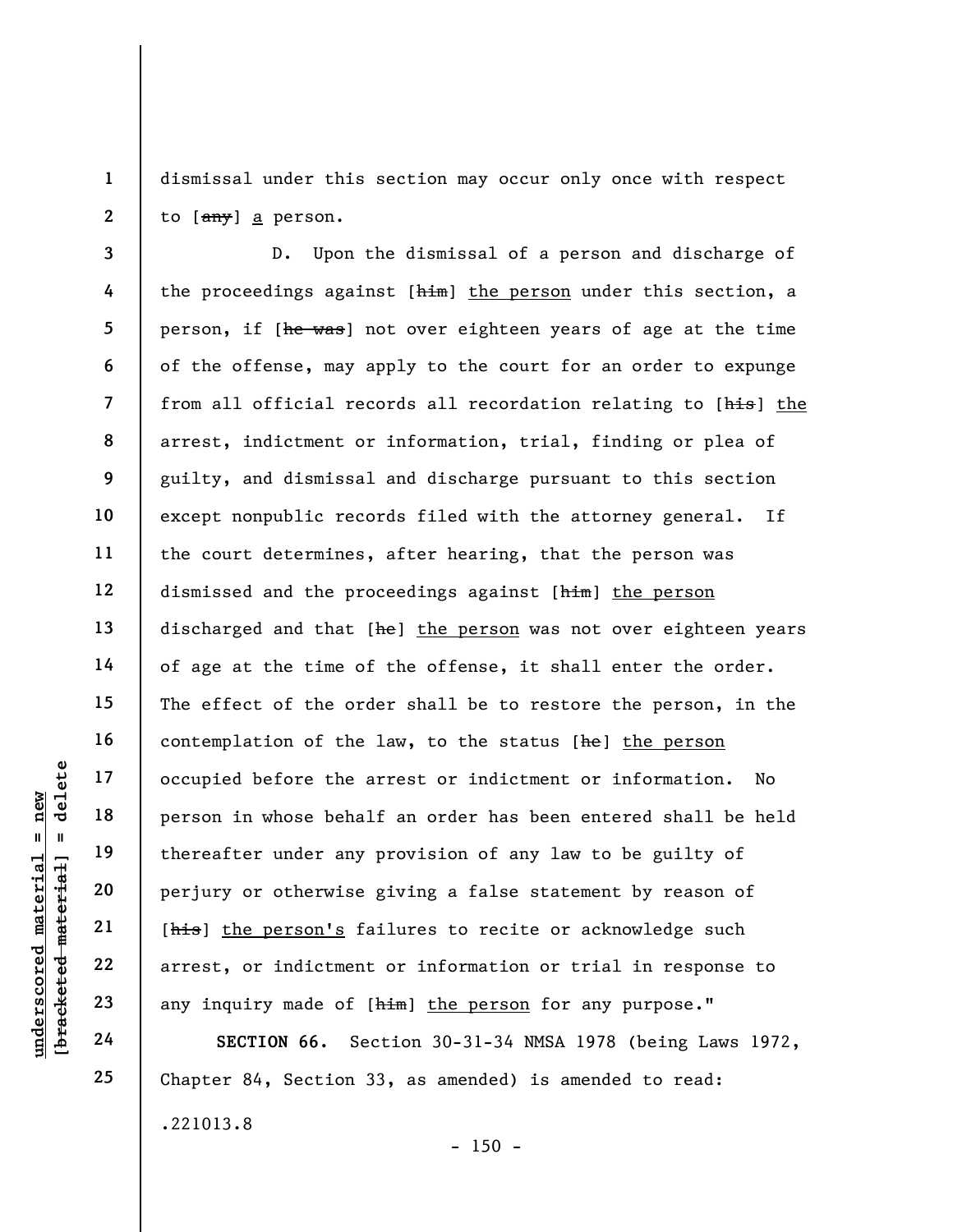1 2 dismissal under this section may occur only once with respect to [any] a person.

underscore of the all the person in whose behald<br>  $\begin{array}{c|c|c|c} \text{ucl } 1 & \text{ucl } 1 & \text{ucl } 1 & \text{ucl } 1 & \text{ucl } 1 & \text{ucl } 1 & \text{ucl } 1 & \text{ucl } 1 & \text{ucl } 1 & \text{ucl } 1 & \text{ucl } 1 & \text{ucl } 1 & \text{ucl } 1 & \text{ucl } 1 & \text{ucl } 1 & \text{ucl } 1 & \text{ucl } 1 & \text{ucl$ 8 12 D. Upon the dismissal of a person and discharge of the proceedings against  $[$ him] the person under this section, a person, if [he was] not over eighteen years of age at the time of the offense, may apply to the court for an order to expunge from all official records all recordation relating to [his] the arrest, indictment or information, trial, finding or plea of guilty, and dismissal and discharge pursuant to this section except nonpublic records filed with the attorney general. If the court determines, after hearing, that the person was dismissed and the proceedings against [him] the person discharged and that [he] the person was not over eighteen years of age at the time of the offense, it shall enter the order. The effect of the order shall be to restore the person, in the contemplation of the law, to the status [he] the person occupied before the arrest or indictment or information. No person in whose behalf an order has been entered shall be held thereafter under any provision of any law to be guilty of perjury or otherwise giving a false statement by reason of [his] the person's failures to recite or acknowledge such arrest, or indictment or information or trial in response to any inquiry made of [him] the person for any purpose."

SECTION 66. Section 30-31-34 NMSA 1978 (being Laws 1972, Chapter 84, Section 33, as amended) is amended to read: .221013.8

3

4

5

6

7

9

10

11

13

14

15

16

17

18

19

20

21

22

23

24

25

 $- 150 -$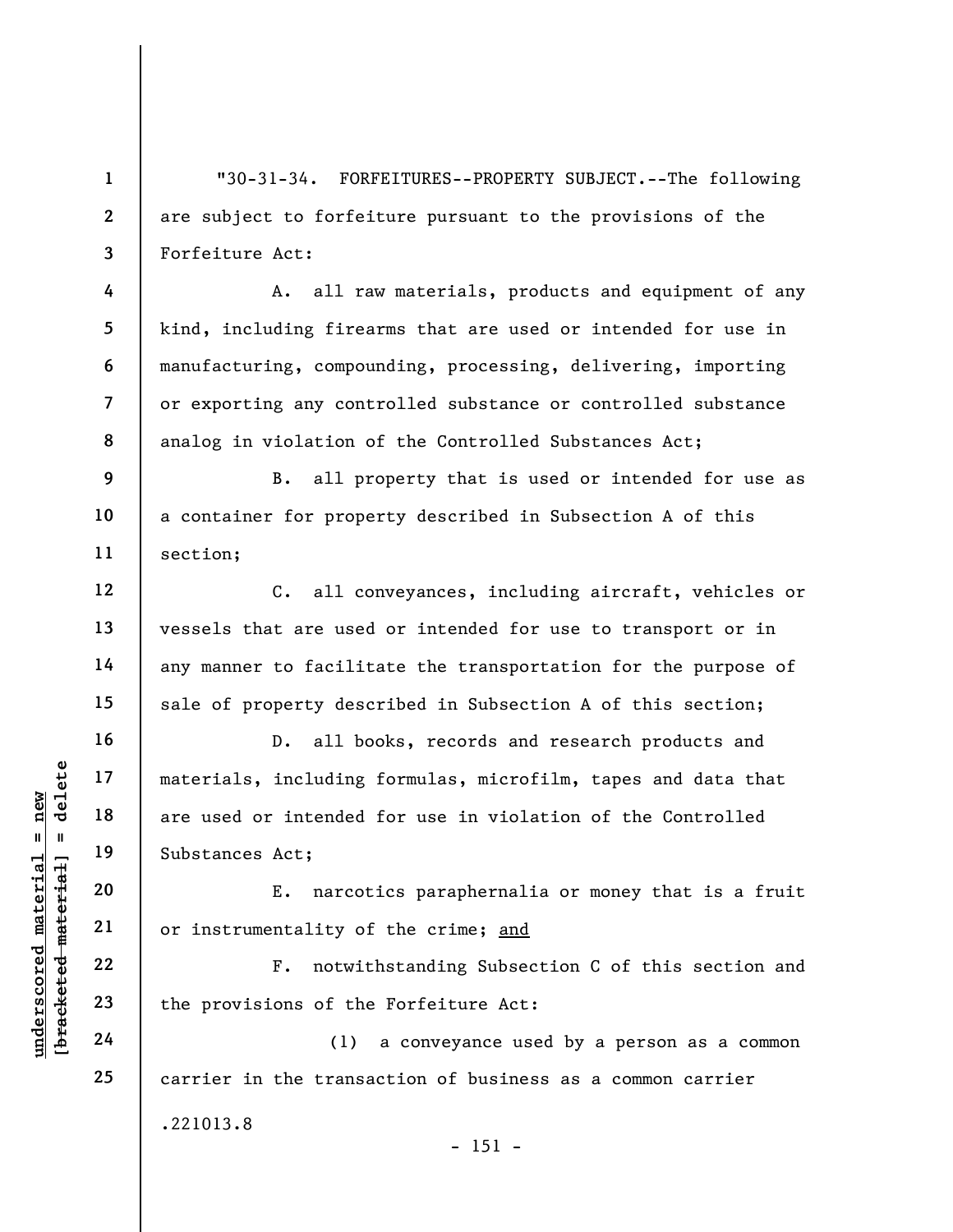"30-31-34. FORFEITURES--PROPERTY SUBJECT.--The following are subject to forfeiture pursuant to the provisions of the Forfeiture Act:

A. all raw materials, products and equipment of any kind, including firearms that are used or intended for use in manufacturing, compounding, processing, delivering, importing or exporting any controlled substance or controlled substance analog in violation of the Controlled Substances Act;

9 10 11 B. all property that is used or intended for use as a container for property described in Subsection A of this section;

C. all conveyances, including aircraft, vehicles or vessels that are used or intended for use to transport or in any manner to facilitate the transportation for the purpose of sale of property described in Subsection A of this section;

underscored material = new [bracketed material] = delete D. all books, records and research products and materials, including formulas, microfilm, tapes and data that are used or intended for use in violation of the Controlled Substances Act;

E. narcotics paraphernalia or money that is a fruit or instrumentality of the crime; and

F. notwithstanding Subsection C of this section and the provisions of the Forfeiture Act:

(1) a conveyance used by a person as a common carrier in the transaction of business as a common carrier .221013.8  $- 151 -$ 

1

2

3

4

5

6

7

8

12

13

14

15

16

17

18

19

20

21

22

23

24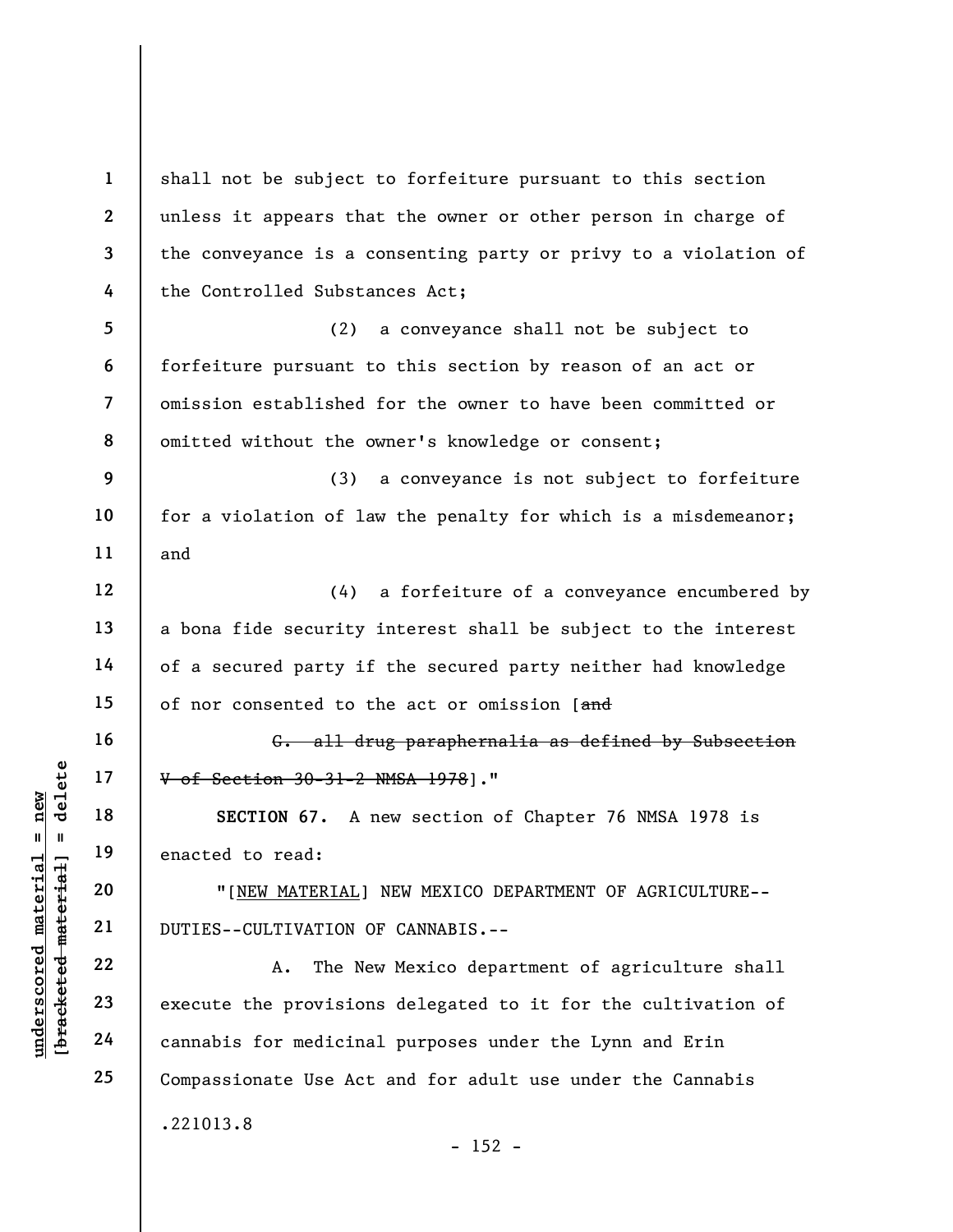UNDERECTION 67. A<br>
Wednesday of Section 30-31-2<br>
under 19<br>
20<br>
TINEW MATERIAL]<br>
21<br>
DUTIES--CULTIVATION C<br>
22<br>
23<br>
24<br>
24<br>
22<br>
24<br>
22<br>
24<br>
24<br>
22<br>
24<br>
22<br>
24<br>
22<br>
24<br>
22<br>
24<br>
22<br>
24<br>
22<br>
24<br>
22<br>
24<br>
22<br>
24<br>
22<br>
24<br>
22<br>
24<br> 1 2 3 4 5 6 7 8 9 10 11 12 13 14 15 16 17 18 19 20 21 22 23 24 25 shall not be subject to forfeiture pursuant to this section unless it appears that the owner or other person in charge of the conveyance is a consenting party or privy to a violation of the Controlled Substances Act; (2) a conveyance shall not be subject to forfeiture pursuant to this section by reason of an act or omission established for the owner to have been committed or omitted without the owner's knowledge or consent; (3) a conveyance is not subject to forfeiture for a violation of law the penalty for which is a misdemeanor; and (4) a forfeiture of a conveyance encumbered by a bona fide security interest shall be subject to the interest of a secured party if the secured party neither had knowledge of nor consented to the act or omission [and G. all drug paraphernalia as defined by Subsection V of Section 30-31-2 NMSA 1978]." SECTION 67. A new section of Chapter 76 NMSA 1978 is enacted to read: "[NEW MATERIAL] NEW MEXICO DEPARTMENT OF AGRICULTURE-- DUTIES--CULTIVATION OF CANNABIS.-- A. The New Mexico department of agriculture shall execute the provisions delegated to it for the cultivation of cannabis for medicinal purposes under the Lynn and Erin Compassionate Use Act and for adult use under the Cannabis .221013.8  $- 152 -$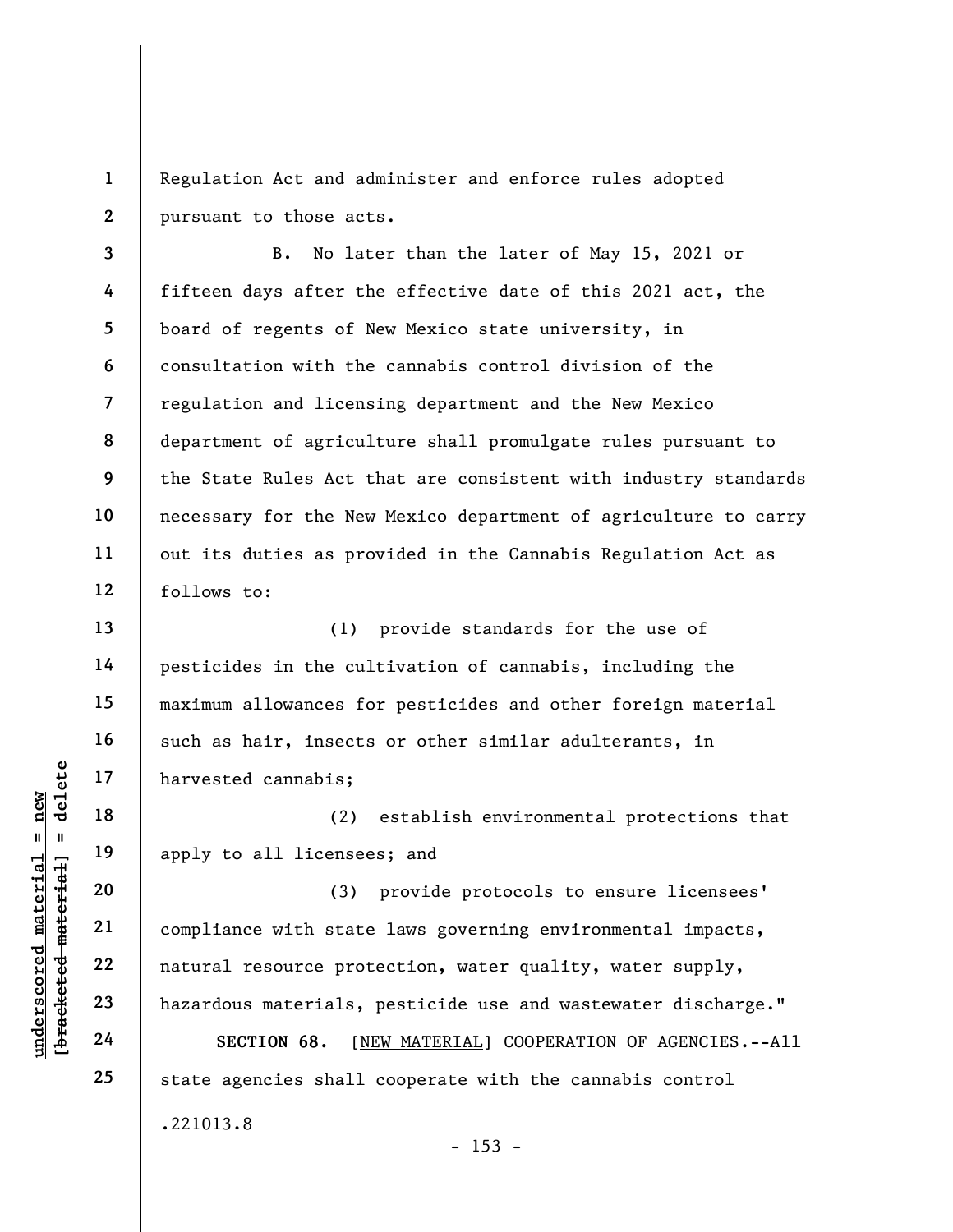1 2 Regulation Act and administer and enforce rules adopted pursuant to those acts.

3 4 5 6 7 8 9 10 11 12 B. No later than the later of May 15, 2021 or fifteen days after the effective date of this 2021 act, the board of regents of New Mexico state university, in consultation with the cannabis control division of the regulation and licensing department and the New Mexico department of agriculture shall promulgate rules pursuant to the State Rules Act that are consistent with industry standards necessary for the New Mexico department of agriculture to carry out its duties as provided in the Cannabis Regulation Act as follows to:

(1) provide standards for the use of pesticides in the cultivation of cannabis, including the maximum allowances for pesticides and other foreign material such as hair, insects or other similar adulterants, in harvested cannabis;

(2) establish environmental protections that apply to all licensees; and

understand materials;<br>  $\begin{bmatrix}\n1 & 1 & 1 & 1 \\
0 & 1 & 1 & 1 & 1 \\
0 & 0 & 0 & 0 & 0 \\
0 & 0 & 0 & 0 & 0 \\
0 & 0 & 0 & 0 & 0 \\
0 & 0 & 0 & 0 & 0 \\
0 & 0 & 0 & 0 & 0 \\
0 & 0 & 0 & 0 & 0 \\
0 & 0 & 0 & 0 & 0 \\
0 & 0 & 0 & 0 & 0 \\
0 & 0 & 0 & 0 & 0 \\
0 & 0 & 0 & 0 & 0 \\
0 & 0 & 0 & 0 & 0 \\
0 & 0 & 0 & 0 &$ (3) provide protocols to ensure licensees' compliance with state laws governing environmental impacts, natural resource protection, water quality, water supply, hazardous materials, pesticide use and wastewater discharge."

SECTION 68. [NEW MATERIAL] COOPERATION OF AGENCIES.--All state agencies shall cooperate with the cannabis control .221013.8

 $- 153 -$ 

13

14

15

16

17

18

19

20

21

22

23

24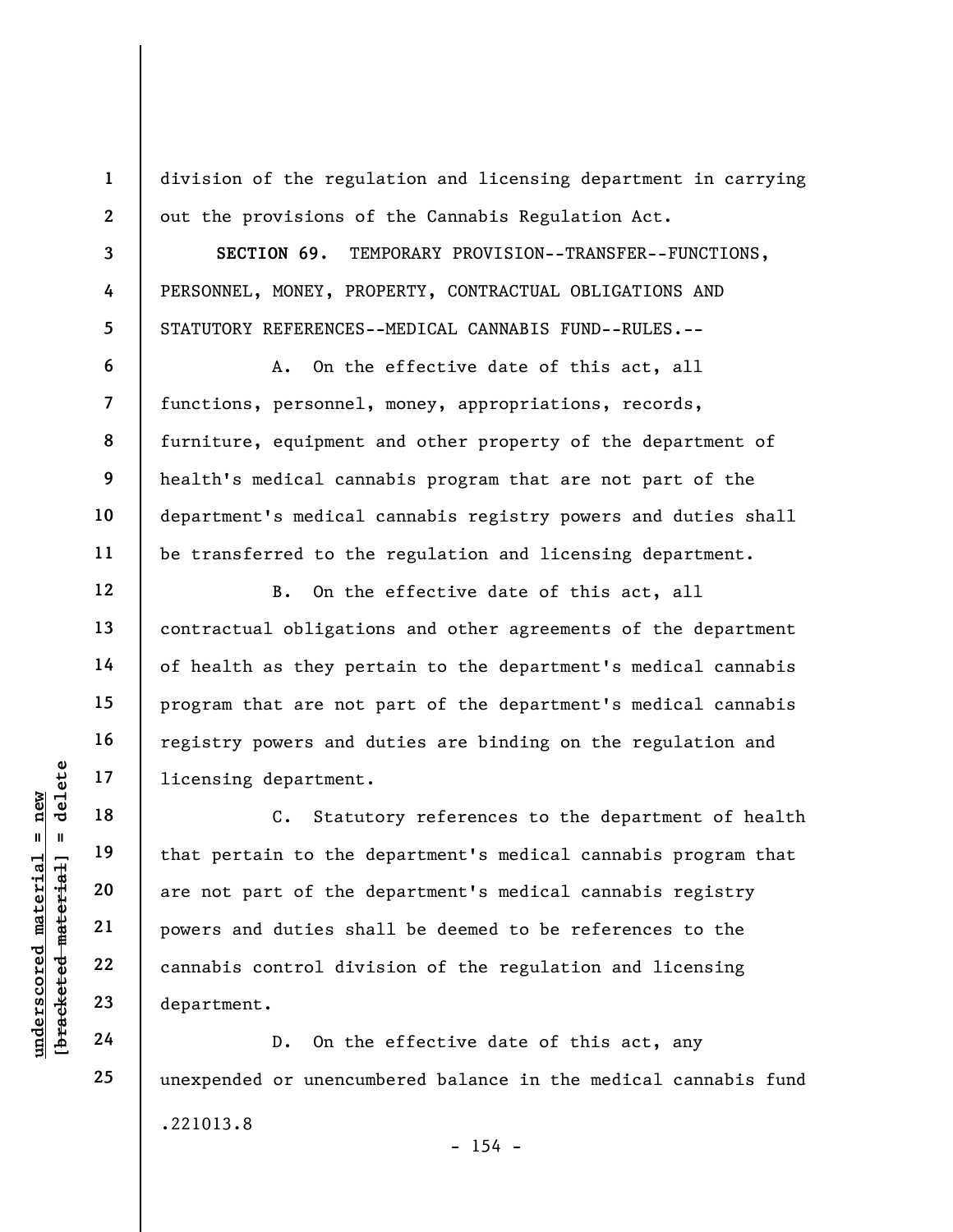division of the regulation and licensing department in carrying out the provisions of the Cannabis Regulation Act.

SECTION 69. TEMPORARY PROVISION--TRANSFER--FUNCTIONS, PERSONNEL, MONEY, PROPERTY, CONTRACTUAL OBLIGATIONS AND STATUTORY REFERENCES--MEDICAL CANNABIS FUND--RULES.--

A. On the effective date of this act, all functions, personnel, money, appropriations, records, furniture, equipment and other property of the department of health's medical cannabis program that are not part of the department's medical cannabis registry powers and duties shall be transferred to the regulation and licensing department.

B. On the effective date of this act, all contractual obligations and other agreements of the department of health as they pertain to the department's medical cannabis program that are not part of the department's medical cannabis registry powers and duties are binding on the regulation and licensing department.

understand that pertain to the department.<br>
The new that pertain to the department<br>
20 are not part of the department<br>
22 cannabis control dividended<br>
23 department.<br>
24 D. On the C. Statutory references to the department of health that pertain to the department's medical cannabis program that are not part of the department's medical cannabis registry powers and duties shall be deemed to be references to the cannabis control division of the regulation and licensing department.

D. On the effective date of this act, any unexpended or unencumbered balance in the medical cannabis fund .221013.8  $- 154 -$ 

1

2

3

4

5

6

7

8

9

10

11

12

13

14

15

16

17

18

19

20

21

22

23

24